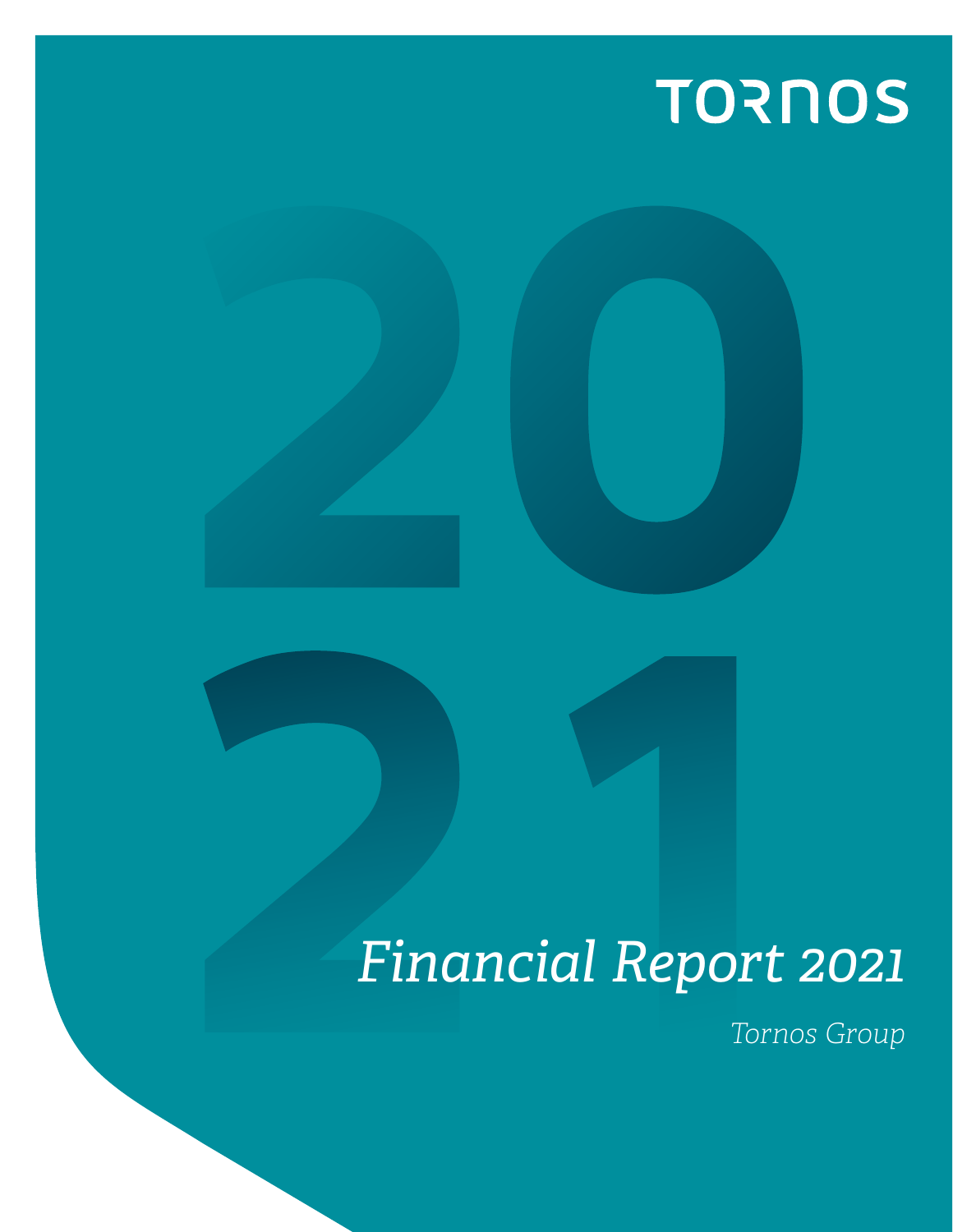## **TORNOS**



## *Financial Report 2021*

*Tornos Group*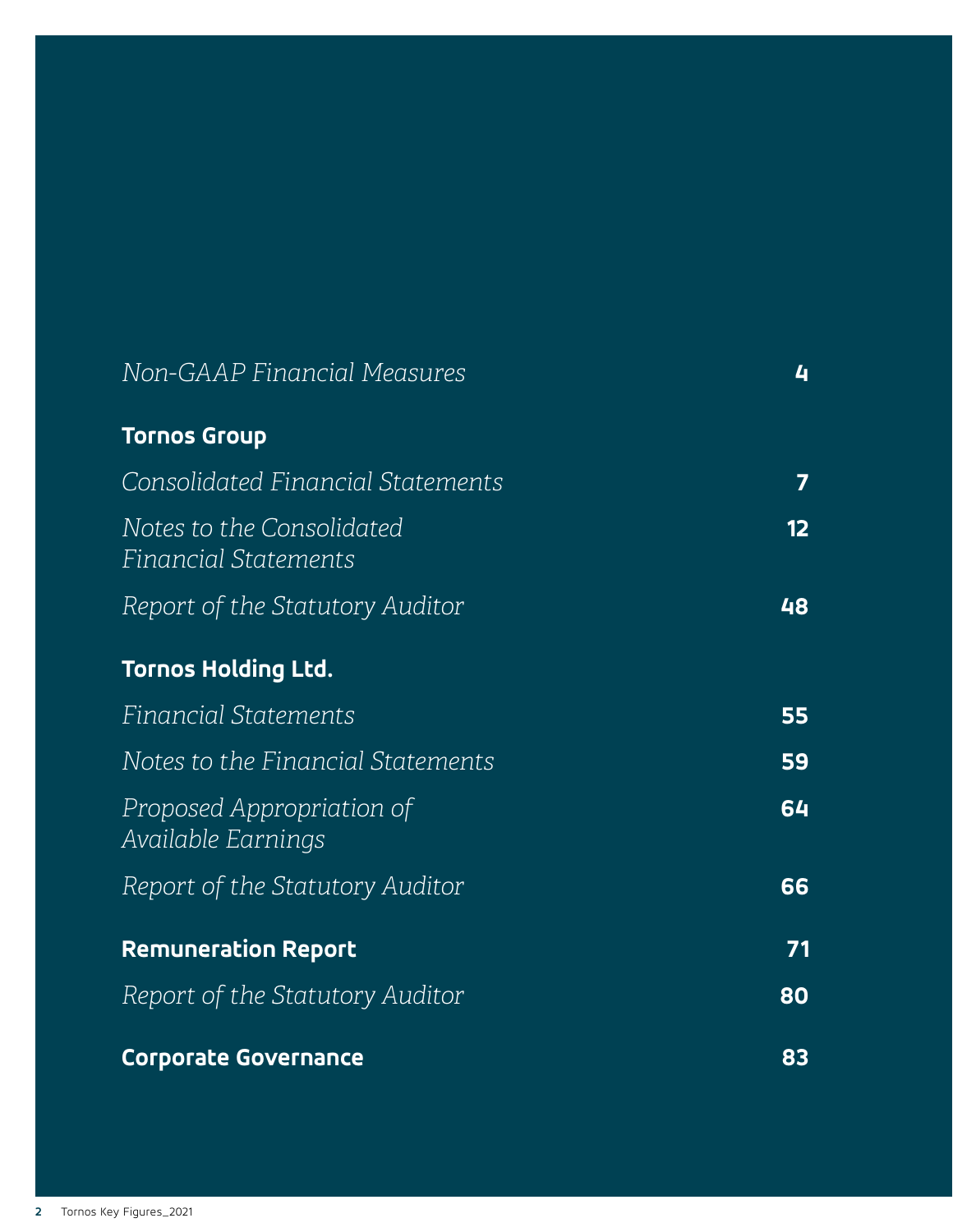| Non-GAAP Financial Measures                       | 4  |
|---------------------------------------------------|----|
| <b>Tornos Group</b>                               |    |
| Consolidated Financial Statements                 | 7  |
| Notes to the Consolidated<br>Financial Statements | 12 |
| Report of the Statutory Auditor                   | 48 |
| <b>Tornos Holding Ltd.</b>                        |    |
| <b>Financial Statements</b>                       | 55 |
| Notes to the Financial Statements                 | 59 |
| Proposed Appropriation of<br>Available Earnings   | 64 |
| Report of the Statutory Auditor                   | 66 |
| <b>Remuneration Report</b>                        | 71 |
| Report of the Statutory Auditor                   | 80 |
| <b>Corporate Governance</b>                       | 83 |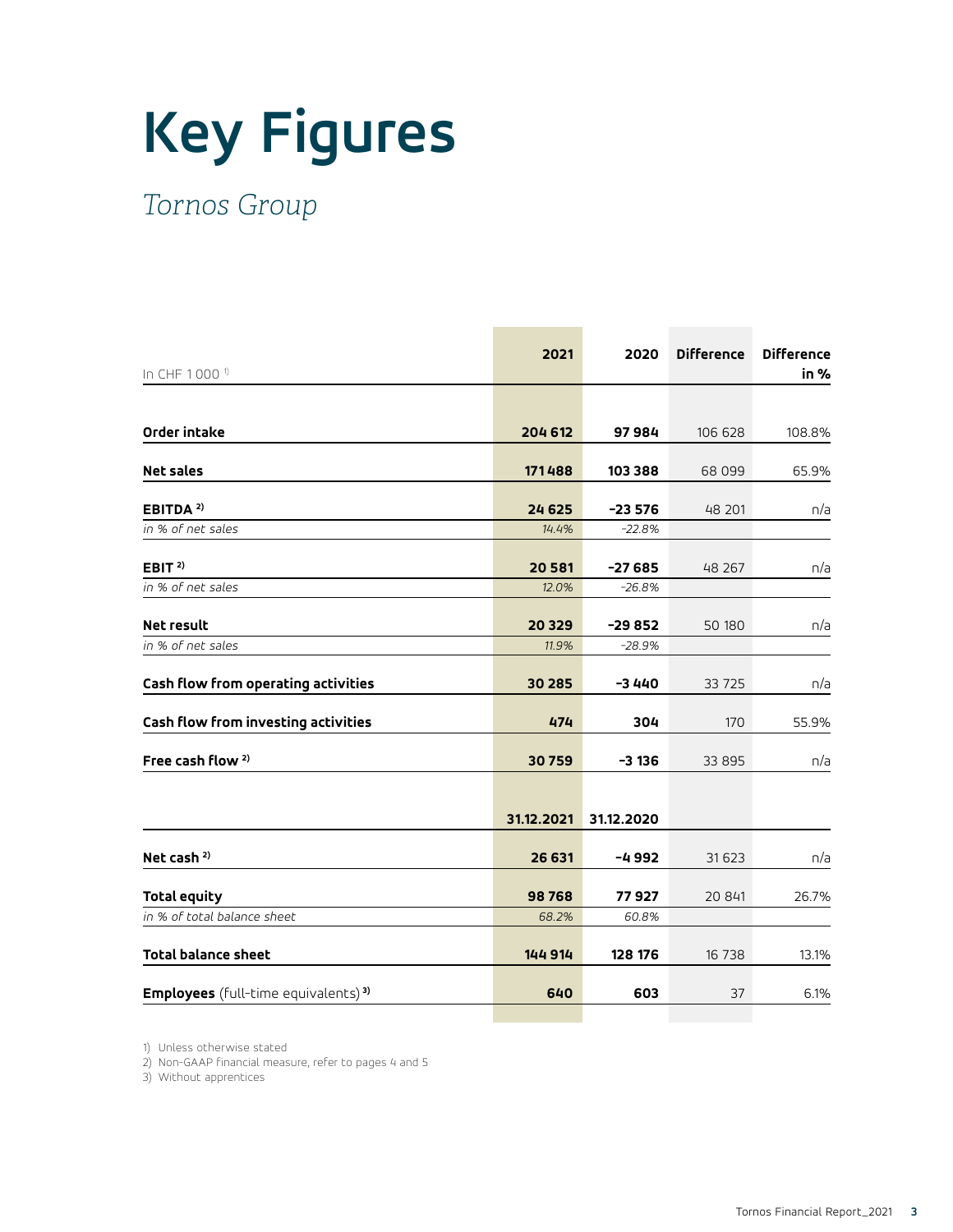# **Key Figures**

## *Tornos Group*

| In CHF 1000 <sup>1)</sup>                              | 2021            | 2020                 | <b>Difference</b> | <b>Difference</b><br>in $%$ |
|--------------------------------------------------------|-----------------|----------------------|-------------------|-----------------------------|
| Order intake                                           | 204 612         | 97984                | 106 628           | 108.8%                      |
| <b>Net sales</b>                                       | 171488          | 103 388              | 68 099            | 65.9%                       |
| EBITDA <sup>2)</sup>                                   | 24 625          | $-23576$             | 48 201            | n/a                         |
| in % of net sales                                      | 14.4%           | $-22.8%$             |                   |                             |
| EBIT $2$<br>in % of net sales                          | 20 581<br>12.0% | $-27685$<br>$-26.8%$ | 48 267            | n/a                         |
| <b>Net result</b>                                      | 20 3 29         | $-29852$             | 50 180            | n/a                         |
| in % of net sales                                      | 11.9%           | $-28.9%$             |                   |                             |
| Cash flow from operating activities                    | 30 285          | $-3440$              | 33725             | n/a                         |
| Cash flow from investing activities                    | 474             | 304                  | 170               | 55.9%                       |
| Free cash flow <sup>2)</sup>                           | 30759           | $-3136$              | 33 895            | n/a                         |
|                                                        | 31.12.2021      | 31.12.2020           |                   |                             |
| Net cash <sup>2)</sup>                                 | 26 631          | -4992                | 31 6 23           | n/a                         |
| <b>Total equity</b>                                    | 98768           | 77927                | 20 841            | 26.7%                       |
| in % of total balance sheet                            | 68.2%           | 60.8%                |                   |                             |
| <b>Total balance sheet</b>                             | 144 914         | 128 176              | 16 7 38           | 13.1%                       |
| <b>Employees</b> (full-time equivalents) <sup>3)</sup> | 640             | 603                  | 37                | 6.1%                        |

1) Unless otherwise stated

2) Non-GAAP financial measure, refer to pages 4 and 5

3) Without apprentices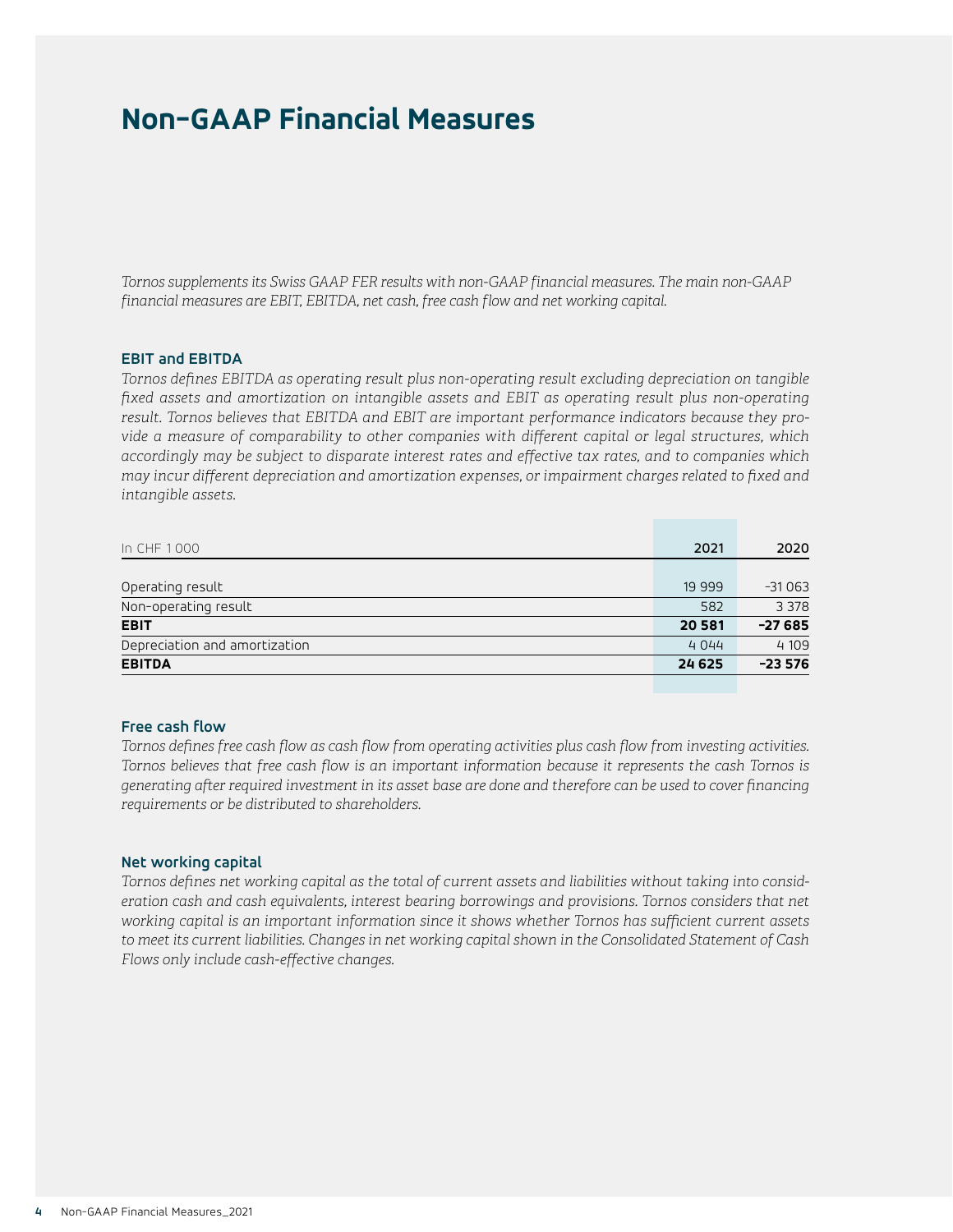### **Non-GAAP Financial Measures**

*Tornos supplements its Swiss GAAP FER results with non-GAAP financial measures. The main non-GAAP financial measures are EBIT, EBITDA, net cash, free cash flow and net working capital.*

#### **EBIT and EBITDA**

*Tornos defines EBITDA as operating result plus non-operating result excluding depreciation on tangible fixed assets and amortization on intangible assets and EBIT as operating result plus non-operating result. Tornos believes that EBITDA and EBIT are important performance indicators because they provide a measure of comparability to other companies with different capital or legal structures, which accordingly may be subject to disparate interest rates and effective tax rates, and to companies which may incur different depreciation and amortization expenses, or impairment charges related to fixed and intangible assets.*

| In CHF 1000                   | 2021     | 2020     |
|-------------------------------|----------|----------|
|                               |          |          |
| Operating result              | 19 9 9 9 | $-31063$ |
| Non-operating result          | 582      | 3 3 7 8  |
| <b>EBIT</b>                   | 20 581   | $-27685$ |
| Depreciation and amortization | 4044     | 4 1 0 9  |
| <b>EBITDA</b>                 | 24 625   | $-23576$ |
|                               |          |          |

#### **Free cash flow**

*Tornos defines free cash flow as cash flow from operating activities plus cash flow from investing activities. Tornos believes that free cash flow is an important information because it represents the cash Tornos is generating after required investment in its asset base are done and therefore can be used to cover financing requirements or be distributed to shareholders.*

#### **Net working capital**

*Tornos defines net working capital as the total of current assets and liabilities without taking into consideration cash and cash equivalents, interest bearing borrowings and provisions. Tornos considers that net working capital is an important information since it shows whether Tornos has sufficient current assets to meet its current liabilities. Changes in net working capital shown in the Consolidated Statement of Cash Flows only include cash-effective changes.*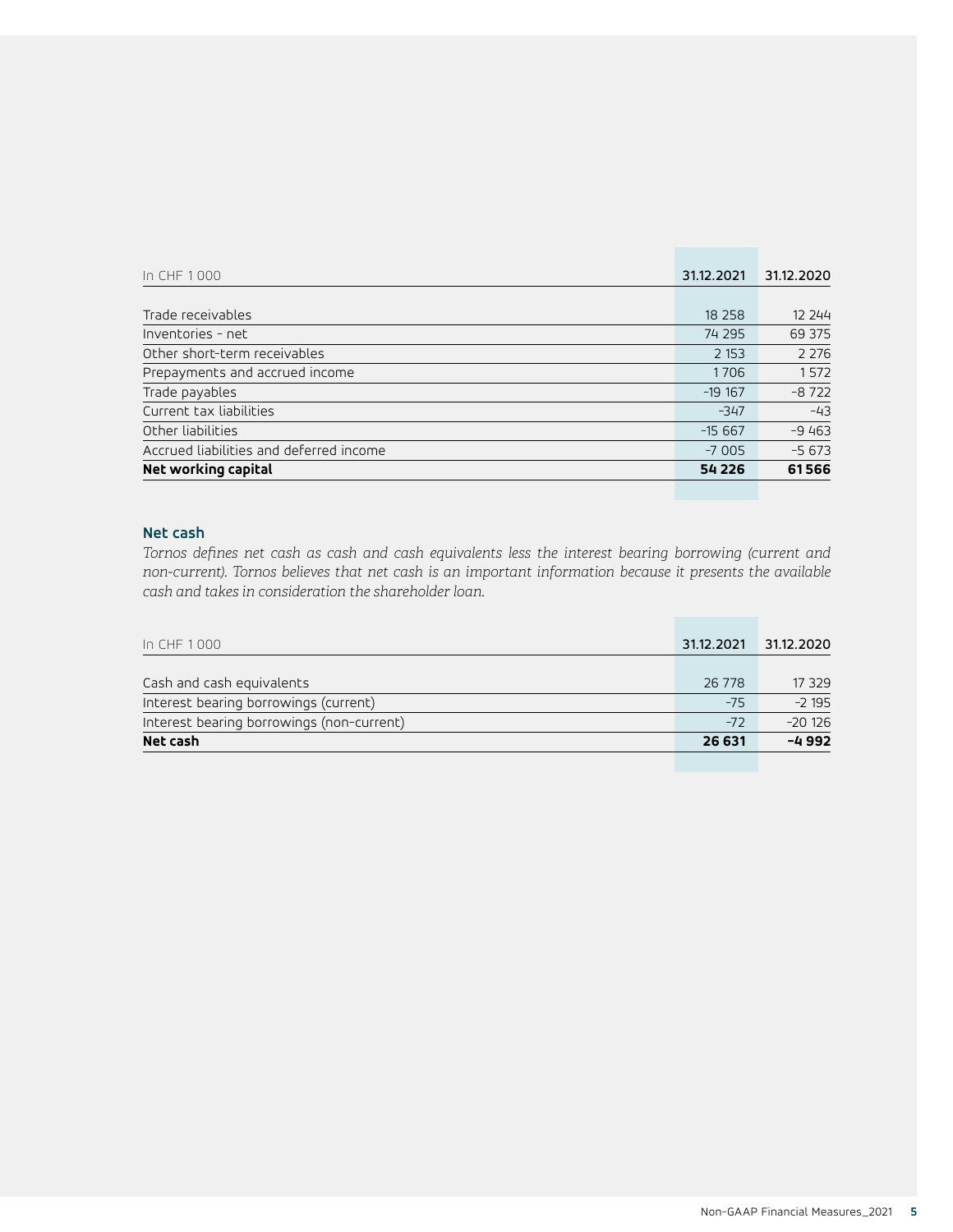| In CHF 1000                             | 31.12.2021 | 31.12.2020 |
|-----------------------------------------|------------|------------|
|                                         |            |            |
| Trade receivables                       | 18 2 5 8   | 12 244     |
| Inventories - net                       | 74 295     | 69 375     |
| Other short-term receivables            | 2 1 5 3    | 2 2 7 6    |
| Prepayments and accrued income          | 1706       | 1572       |
| Trade payables                          | $-19167$   | $-8722$    |
| Current tax liabilities                 | $-347$     | $-43$      |
| Other liabilities                       | $-15667$   | $-9463$    |
| Accrued liabilities and deferred income | $-7005$    | $-5673$    |
| <b>Net working capital</b>              | 54 2 2 6   | 61566      |

#### **Net cash**

*Tornos defines net cash as cash and cash equivalents less the interest bearing borrowing (current and non-current). Tornos believes that net cash is an important information because it presents the available cash and takes in consideration the shareholder loan.*

| Net cash                                  | 26 631                | $-4992$  |
|-------------------------------------------|-----------------------|----------|
| Interest bearing borrowings (non-current) | $-72$                 | $-20126$ |
| Interest bearing borrowings (current)     | $-75$                 | $-2195$  |
| Cash and cash equivalents                 | 26 778                | 17 329   |
|                                           |                       |          |
| In CHF 1000                               | 31.12.2021 31.12.2020 |          |
|                                           |                       |          |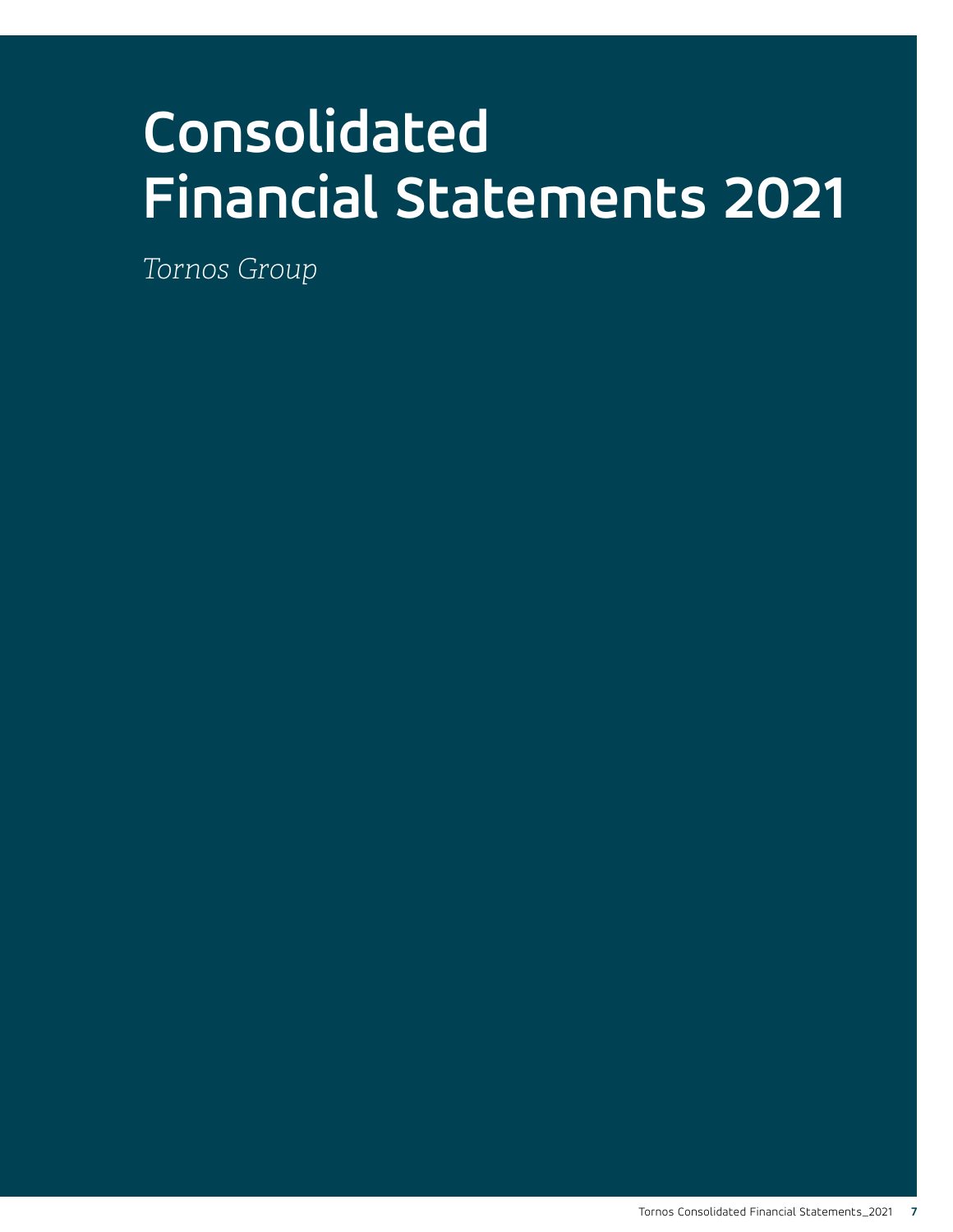## **Consolidated Financial Statements 2021**

*Tornos Group*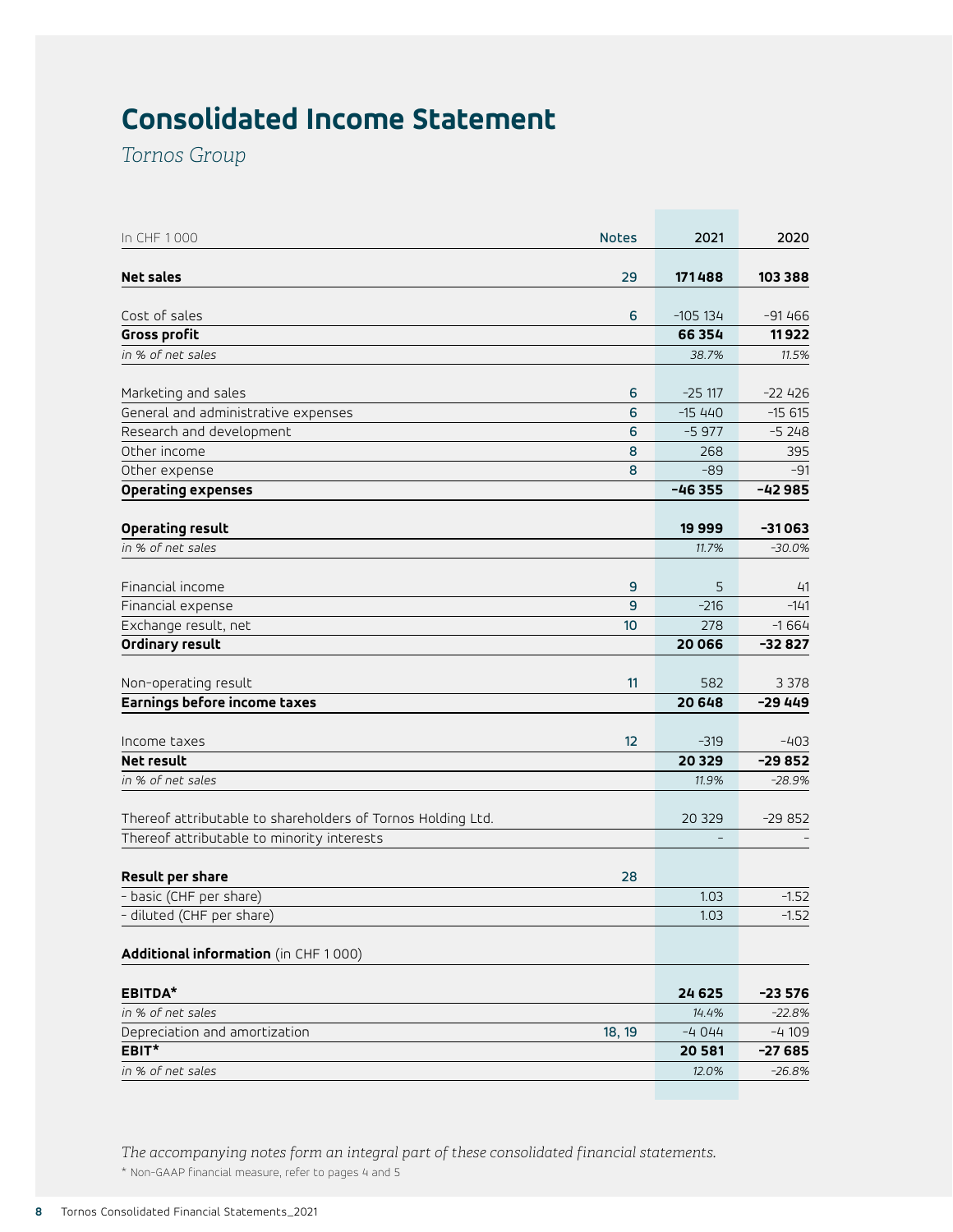### **Consolidated Income Statement**

*Tornos Group*

| In CHF 1000                                                 | <b>Notes</b>    | 2021       | 2020         |
|-------------------------------------------------------------|-----------------|------------|--------------|
| <b>Net sales</b>                                            | 29              | 171488     | 103 388      |
|                                                             |                 |            |              |
| Cost of sales                                               | 6               | $-105$ 134 | $-91466$     |
| <b>Gross profit</b>                                         |                 | 66 354     | 11922        |
| in % of net sales                                           |                 | 38.7%      | 11.5%        |
| Marketing and sales                                         | 6               | $-25117$   | $-22426$     |
| General and administrative expenses                         | 6               | $-1540$    | $-15615$     |
| Research and development                                    | 6               | $-5977$    | $-5248$      |
| Other income                                                | 8               | 268        | 395          |
| Other expense                                               | 8               | $-89$      | $-91$        |
| Operating expenses                                          |                 | $-46355$   | $-42985$     |
|                                                             |                 |            |              |
| <b>Operating result</b>                                     |                 | 19 9 9 9   | $-31063$     |
| in % of net sales                                           |                 | 11.7%      | $-30.0%$     |
| Financial income                                            | 9               | 5          |              |
| Financial expense                                           | 9               | $-216$     | 41<br>$-141$ |
| Exchange result, net                                        | 10              | 278        | $-1664$      |
| Ordinary result                                             |                 | 20 066     | $-32827$     |
|                                                             |                 |            |              |
| Non-operating result                                        | 11              | 582        | 3 3 7 8      |
| Earnings before income taxes                                |                 | 20 648     | $-29449$     |
|                                                             |                 |            |              |
| Income taxes                                                | 12 <sup>2</sup> | $-319$     | -403         |
| <b>Net result</b>                                           |                 | 20 3 29    | $-29852$     |
| in % of net sales                                           |                 | 11.9%      | $-28.9%$     |
| Thereof attributable to shareholders of Tornos Holding Ltd. |                 | 20 3 29    | $-29852$     |
| Thereof attributable to minority interests                  |                 |            |              |
|                                                             |                 |            |              |
| Result per share                                            | 28              |            |              |
| - basic (CHF per share)                                     |                 | 1.03       | $-1.52$      |
| - diluted (CHF per share)                                   |                 | 1.03       | $-1.52$      |
| Additional information (in CHF 1000)                        |                 |            |              |
|                                                             |                 |            |              |
| EBITDA*                                                     |                 | 24 625     | $-23576$     |
| in % of net sales                                           |                 | 14.4%      | $-22.8%$     |
| Depreciation and amortization<br>EBIT*                      | 18, 19          | $-4044$    | $-4109$      |
|                                                             |                 | 20 581     | $-27685$     |
| in % of net sales                                           |                 | 12.0%      | $-26.8%$     |

*The accompanying notes form an integral part of these consolidated financial statements.*

\* Non-GAAP financial measure, refer to pages 4 and 5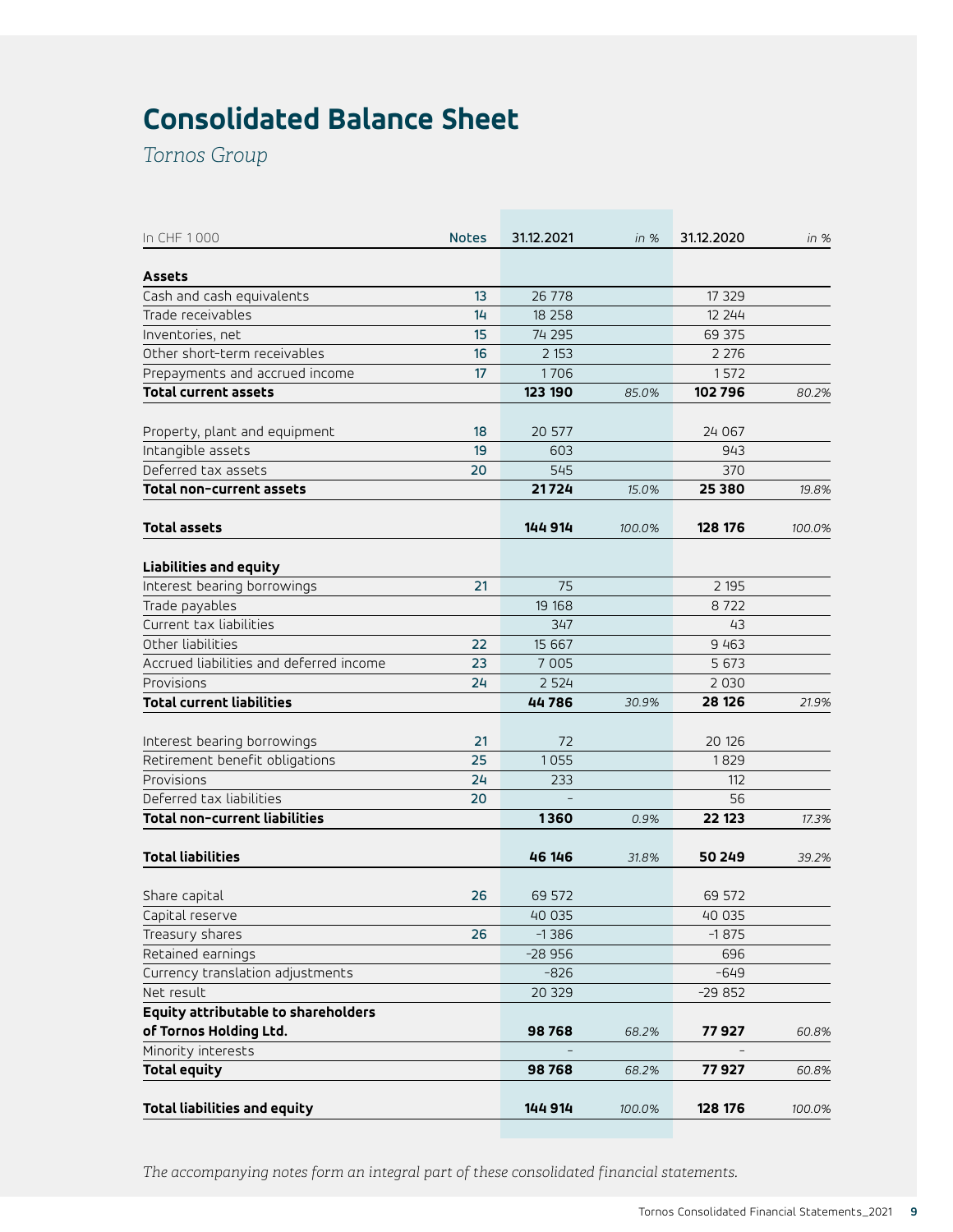## **Consolidated Balance Sheet**

*Tornos Group*

| In CHF 1000                                    | <b>Notes</b> | 31.12.2021 | in %   | 31.12.2020 | in %   |
|------------------------------------------------|--------------|------------|--------|------------|--------|
| <b>Assets</b>                                  |              |            |        |            |        |
| Cash and cash equivalents                      | 13           | 26 778     |        | 17 3 29    |        |
| Trade receivables                              | 14           | 18 25 8    |        | 12 244     |        |
| Inventories, net                               | 15           | 74 295     |        | 69 375     |        |
| Other short-term receivables                   | 16           | 2 153      |        | 2 276      |        |
| Prepayments and accrued income                 | 17           | 1706       |        | 1572       |        |
| <b>Total current assets</b>                    |              | 123 190    | 85.0%  | 102796     | 80.2%  |
| Property, plant and equipment                  | 18           | 20 577     |        | 24 067     |        |
| Intangible assets                              | 19           | 603        |        | 943        |        |
| Deferred tax assets                            | 20           | 545        |        | 370        |        |
| Total non-current assets                       |              | 21724      | 15.0%  | 25 3 80    | 19.8%  |
|                                                |              |            |        |            |        |
| <b>Total assets</b>                            |              | 144 914    | 100.0% | 128 176    | 100.0% |
| <b>Liabilities and equity</b>                  |              |            |        |            |        |
| Interest bearing borrowings                    | 21           | 75         |        | 2 1 9 5    |        |
| Trade payables                                 |              | 19 168     |        | 8 7 2 2    |        |
| Current tax liabilities                        |              | 347        |        | 43         |        |
| Other liabilities                              | 22           | 15 6 67    |        | 9463       |        |
| Accrued liabilities and deferred income        | 23           | 7 0 0 5    |        | 5 6 7 3    |        |
| Provisions                                     | 24           | 2 5 2 4    |        | 2 0 3 0    |        |
| <b>Total current liabilities</b>               |              | 44786      | 30.9%  | 28 126     | 21.9%  |
|                                                |              |            |        |            |        |
| Interest bearing borrowings                    | 21           | 72         |        | 20 126     |        |
| Retirement benefit obligations                 | 25           | 1055       |        | 1829       |        |
| Provisions                                     | 24           | 233        |        | 112        |        |
| Deferred tax liabilities                       | 20           |            |        | 56         |        |
| Total non-current liabilities                  |              | 1360       | 0.9%   | 22 123     | 17.3%  |
| <b>Total liabilities</b>                       |              | 46 146     | 31.8%  | 50 249     | 39.2%  |
|                                                |              |            |        |            |        |
| Share capital<br>Capital reserve               | 26           | 69 572     |        | 69 572     |        |
|                                                |              | 40 035     |        | 40 035     |        |
| Treasury shares                                | 26           | $-1386$    |        | $-1875$    |        |
| Retained earnings                              |              | $-28956$   |        | 696        |        |
| Currency translation adjustments<br>Net result |              | $-826$     |        | $-649$     |        |
|                                                |              | 20 329     |        | $-29852$   |        |
| Equity attributable to shareholders            |              |            |        |            |        |
| of Tornos Holding Ltd.                         |              | 98768      | 68.2%  | 77927      | 60.8%  |
| Minority interests                             |              |            |        |            |        |
| <b>Total equity</b>                            |              | 98768      | 68.2%  | 77 927     | 60.8%  |
| <b>Total liabilities and equity</b>            |              | 144 914    | 100.0% | 128 176    | 100.0% |

*The accompanying notes form an integral part of these consolidated financial statements.*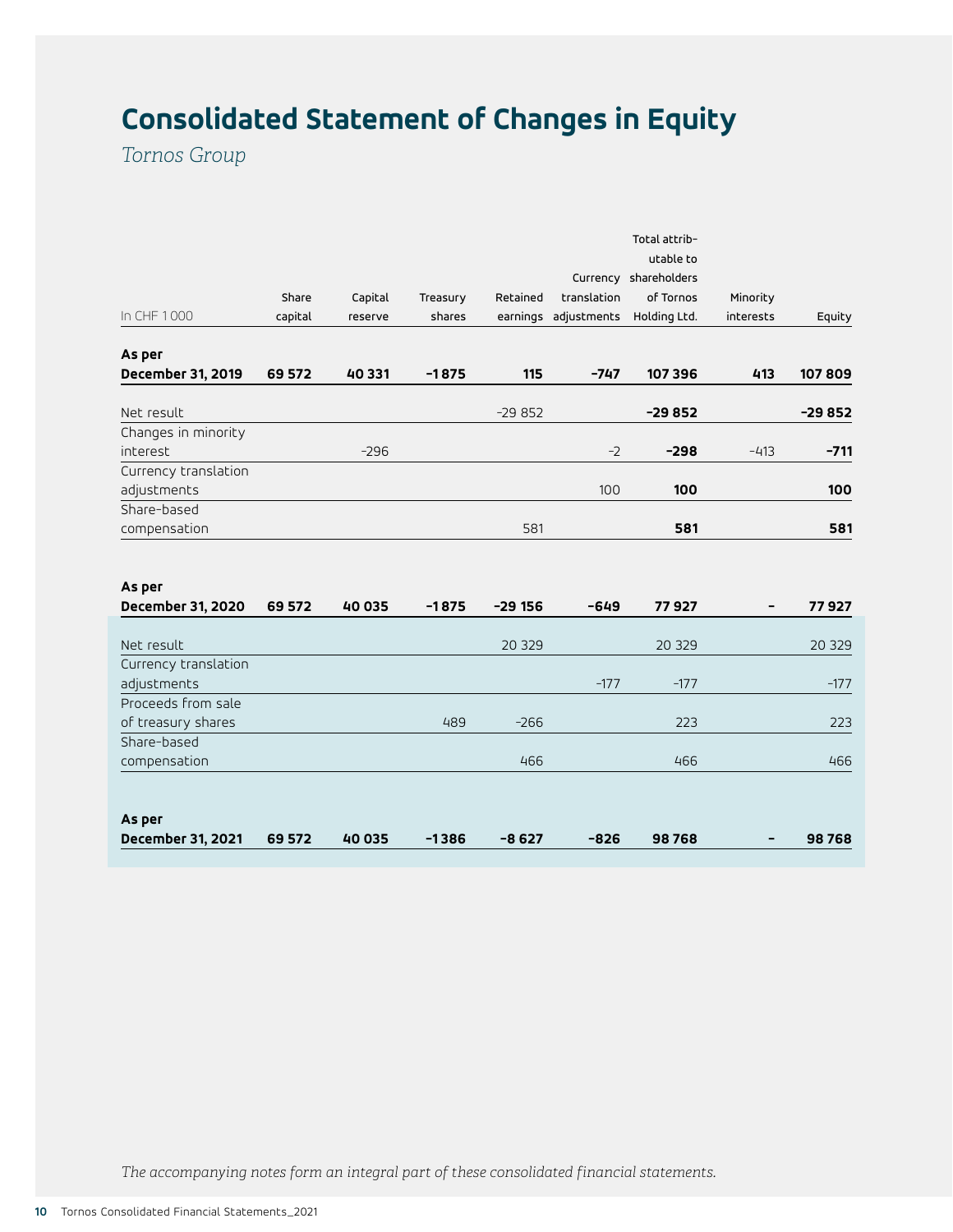## **Consolidated Statement of Changes in Equity**

*Tornos Group*

|                                    |         |         |          |          |                                   | Total attrib-         |                          |          |
|------------------------------------|---------|---------|----------|----------|-----------------------------------|-----------------------|--------------------------|----------|
|                                    |         |         |          |          |                                   | utable to             |                          |          |
|                                    |         |         |          |          |                                   | Currency shareholders |                          |          |
|                                    | Share   | Capital | Treasury | Retained | translation                       | of Tornos             | Minority                 |          |
| In CHF 1000                        | capital | reserve | shares   |          | earnings adjustments Holding Ltd. |                       | interests                | Equity   |
| As per                             |         |         |          |          |                                   |                       |                          |          |
| December 31, 2019                  | 69 572  | 40331   | $-1875$  | 115      | $-747$                            | 107 396               | 413                      | 107809   |
| Net result                         |         |         |          | $-29852$ |                                   | $-29852$              |                          | $-29852$ |
| Changes in minority                |         |         |          |          |                                   |                       |                          |          |
| interest                           |         | $-296$  |          |          | $-2$                              | $-298$                | $-413$                   | $-711$   |
| Currency translation               |         |         |          |          |                                   |                       |                          |          |
| adjustments                        |         |         |          |          | 100                               | 100                   |                          | 100      |
| Share-based                        |         |         |          |          |                                   |                       |                          |          |
| compensation                       |         |         |          | 581      |                                   | 581                   |                          | 581      |
| As per                             |         |         |          |          |                                   |                       |                          |          |
| <b>December 31, 2020</b>           | 69 572  | 40 035  | $-1875$  | $-29156$ | $-649$                            | 77927                 | $\overline{\phantom{a}}$ | 77927    |
| Net result                         |         |         |          | 20 329   |                                   | 20 329                |                          | 20 329   |
| Currency translation               |         |         |          |          |                                   |                       |                          |          |
| adjustments                        |         |         |          |          | $-177$                            | $-177$                |                          | $-177$   |
| Proceeds from sale                 |         |         |          |          |                                   |                       |                          |          |
| of treasury shares                 |         |         | 489      | $-266$   |                                   | 223                   |                          | 223      |
| Share-based                        |         |         |          |          |                                   |                       |                          |          |
| compensation                       |         |         |          | 466      |                                   | 466                   |                          | 466      |
|                                    |         |         |          |          |                                   |                       |                          |          |
| As per<br><b>December 31, 2021</b> | 69 572  | 40 035  | $-1386$  | $-8627$  | $-826$                            | 98768                 |                          | 98768    |

*The accompanying notes form an integral part of these consolidated financial statements.*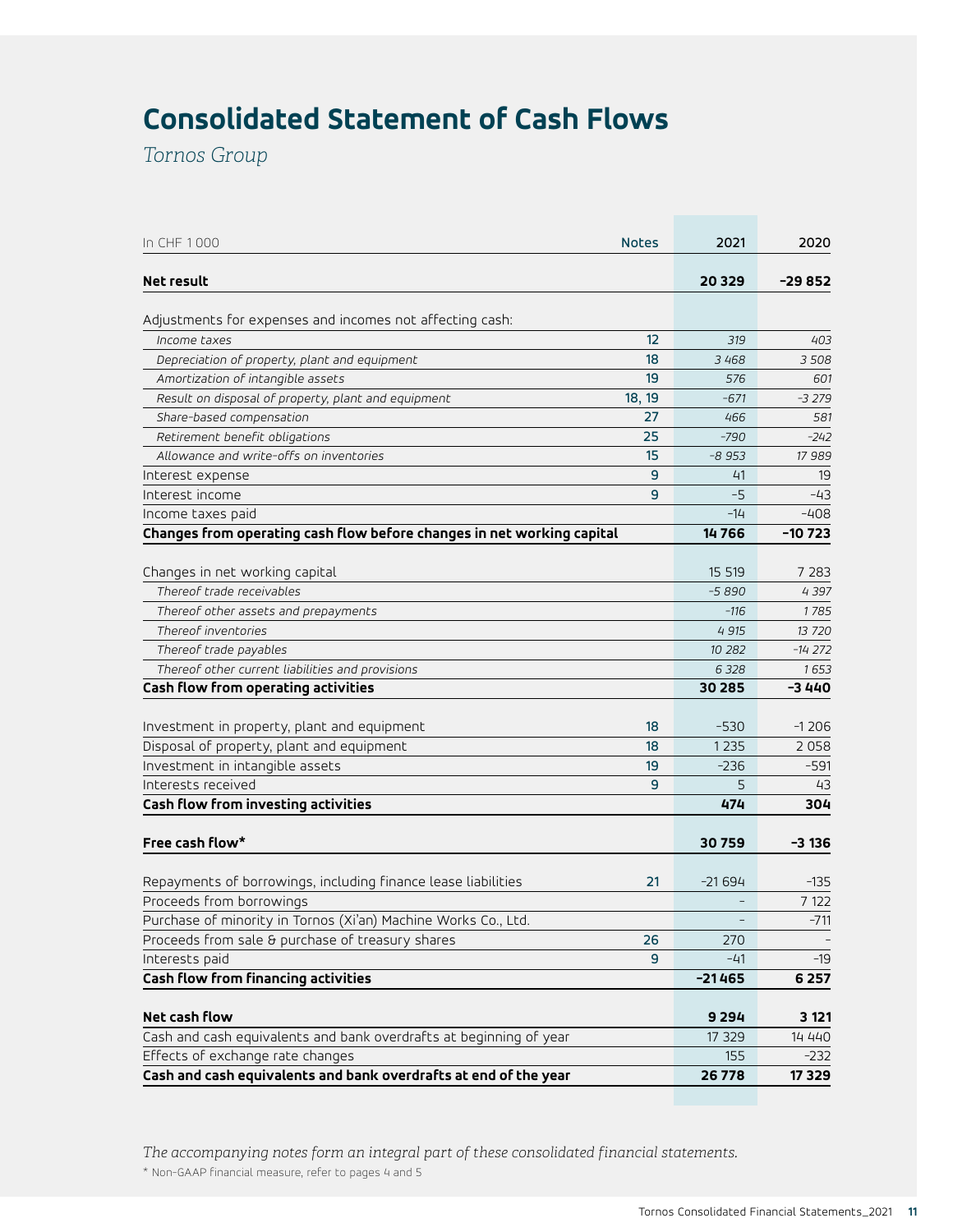## **Consolidated Statement of Cash Flows**

*Tornos Group*

| In CHF 1000                                                            | <b>Notes</b> | 2021     | 2020     |
|------------------------------------------------------------------------|--------------|----------|----------|
| Net result                                                             |              | 20 3 29  | $-29852$ |
| Adjustments for expenses and incomes not affecting cash:               |              |          |          |
| Income taxes                                                           | 12           | 319      | 403      |
| Depreciation of property, plant and equipment                          | 18           | 3468     | 3508     |
| Amortization of intangible assets                                      | 19           | 576      | 601      |
| Result on disposal of property, plant and equipment                    | 18, 19       | $-671$   | $-3279$  |
| Share-based compensation                                               | 27           | 466      | 581      |
| Retirement benefit obligations                                         | 25           | $-790$   | $-242$   |
| Allowance and write-offs on inventories                                | 15           | $-8953$  | 17989    |
| Interest expense                                                       | 9            | 41       | 19       |
| Interest income                                                        | 9            | -5       | $-43$    |
| Income taxes paid                                                      |              | $-14$    | $-408$   |
| Changes from operating cash flow before changes in net working capital |              | 14766    | $-10723$ |
|                                                                        |              |          |          |
| Changes in net working capital                                         |              | 15 519   | 7 283    |
| Thereof trade receivables                                              |              | $-5890$  | 4397     |
| Thereof other assets and prepayments                                   |              | $-116$   | 1785     |
| Thereof inventories                                                    |              | 4 915    | 13720    |
| Thereof trade payables                                                 |              | 10 28 2  | $-14272$ |
| Thereof other current liabilities and provisions                       |              | 6 3 28   | 1653     |
| Cash flow from operating activities                                    |              | 30 285   | $-3440$  |
|                                                                        |              |          |          |
| Investment in property, plant and equipment                            | 18           | $-530$   | $-1206$  |
| Disposal of property, plant and equipment                              | 18           | 1235     | 2058     |
| Investment in intangible assets                                        | 19           | $-236$   | $-591$   |
| Interests received                                                     | 9            | 5        | 43       |
| Cash flow from investing activities                                    |              | 474      | 304      |
| Free cash flow*                                                        |              | 30759    | $-3136$  |
| Repayments of borrowings, including finance lease liabilities          | 21           | $-21694$ | $-135$   |
| Proceeds from borrowings                                               |              |          | 7 1 2 2  |
| Purchase of minority in Tornos (Xi'an) Machine Works Co., Ltd.         |              |          | $-711$   |
| Proceeds from sale & purchase of treasury shares                       | 26           | 270      |          |
| Interests paid                                                         | $\mathbf{9}$ | $-41$    | $-19$    |
| Cash flow from financing activities                                    |              | $-21465$ | 6 2 5 7  |
|                                                                        |              |          |          |
| <b>Net cash flow</b>                                                   |              | 9 2 9 4  | 3 1 21   |
| Cash and cash equivalents and bank overdrafts at beginning of year     |              | 17 3 29  | 14 440   |
| Effects of exchange rate changes                                       |              | 155      | $-232$   |
| Cash and cash equivalents and bank overdrafts at end of the year       |              | 26778    | 17 3 29  |

*The accompanying notes form an integral part of these consolidated financial statements.*

\* Non-GAAP financial measure, refer to pages 4 and 5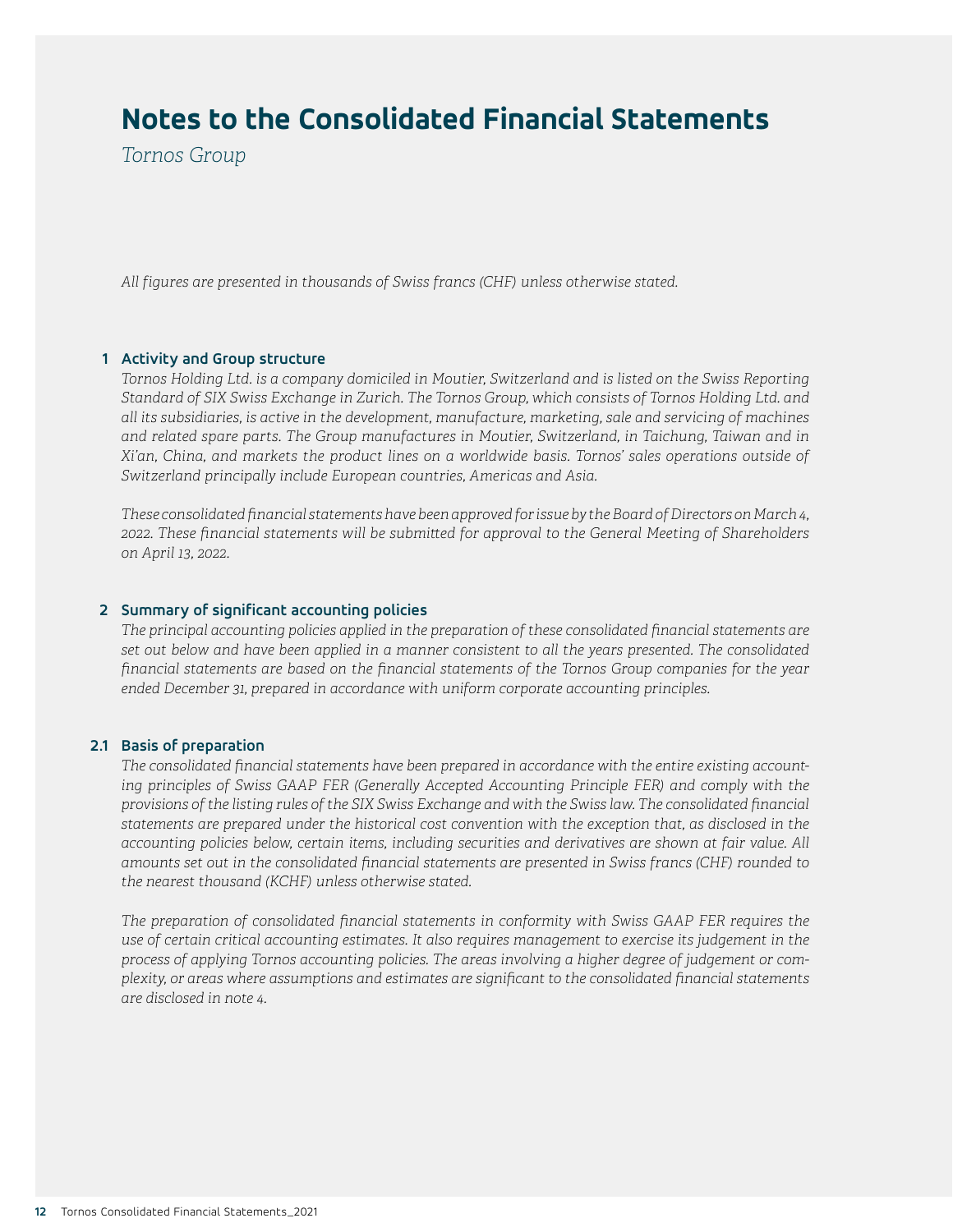### **Notes to the Consolidated Financial Statements**

*Tornos Group*

*All figures are presented in thousands of Swiss francs (CHF) unless otherwise stated.*

#### **Activity and Group structure 1**

*Tornos Holding Ltd. is a company domiciled in Moutier, Switzerland and is listed on the Swiss Reporting Standard of SIX Swiss Exchange in Zurich. The Tornos Group, which consists of Tornos Holding Ltd. and all its subsidiaries, is active in the development, manufacture, marketing, sale and servicing of machines and related spare parts. The Group manufactures in Moutier, Switzerland, in Taichung, Taiwan and in Xi'an, China, and markets the product lines on a worldwide basis. Tornos' sales operations outside of Switzerland principally include European countries, Americas and Asia.* 

*These consolidated financial statements have been approved for issue by the Board of Directors on March 4, 2022. These financial statements will be submitted for approval to the General Meeting of Shareholders on April 13, 2022.*

#### **Summary of significant accounting policies 2**

*The principal accounting policies applied in the preparation of these consolidated financial statements are set out below and have been applied in a manner consistent to all the years presented. The consolidated financial statements are based on the financial statements of the Tornos Group companies for the year ended December 31, prepared in accordance with uniform corporate accounting principles.* 

#### **Basis of preparation 2.1**

*The consolidated financial statements have been prepared in accordance with the entire existing accounting principles of Swiss GAAP FER (Generally Accepted Accounting Principle FER) and comply with the provisions of the listing rules of the SIX Swiss Exchange and with the Swiss law. The consolidated financial statements are prepared under the historical cost convention with the exception that, as disclosed in the accounting policies below, certain items, including securities and derivatives are shown at fair value. All amounts set out in the consolidated financial statements are presented in Swiss francs (CHF) rounded to the nearest thousand (KCHF) unless otherwise stated.*

*The preparation of consolidated financial statements in conformity with Swiss GAAP FER requires the use of certain critical accounting estimates. It also requires management to exercise its judgement in the process of applying Tornos accounting policies. The areas involving a higher degree of judgement or complexity, or areas where assumptions and estimates are significant to the consolidated financial statements are disclosed in note 4.*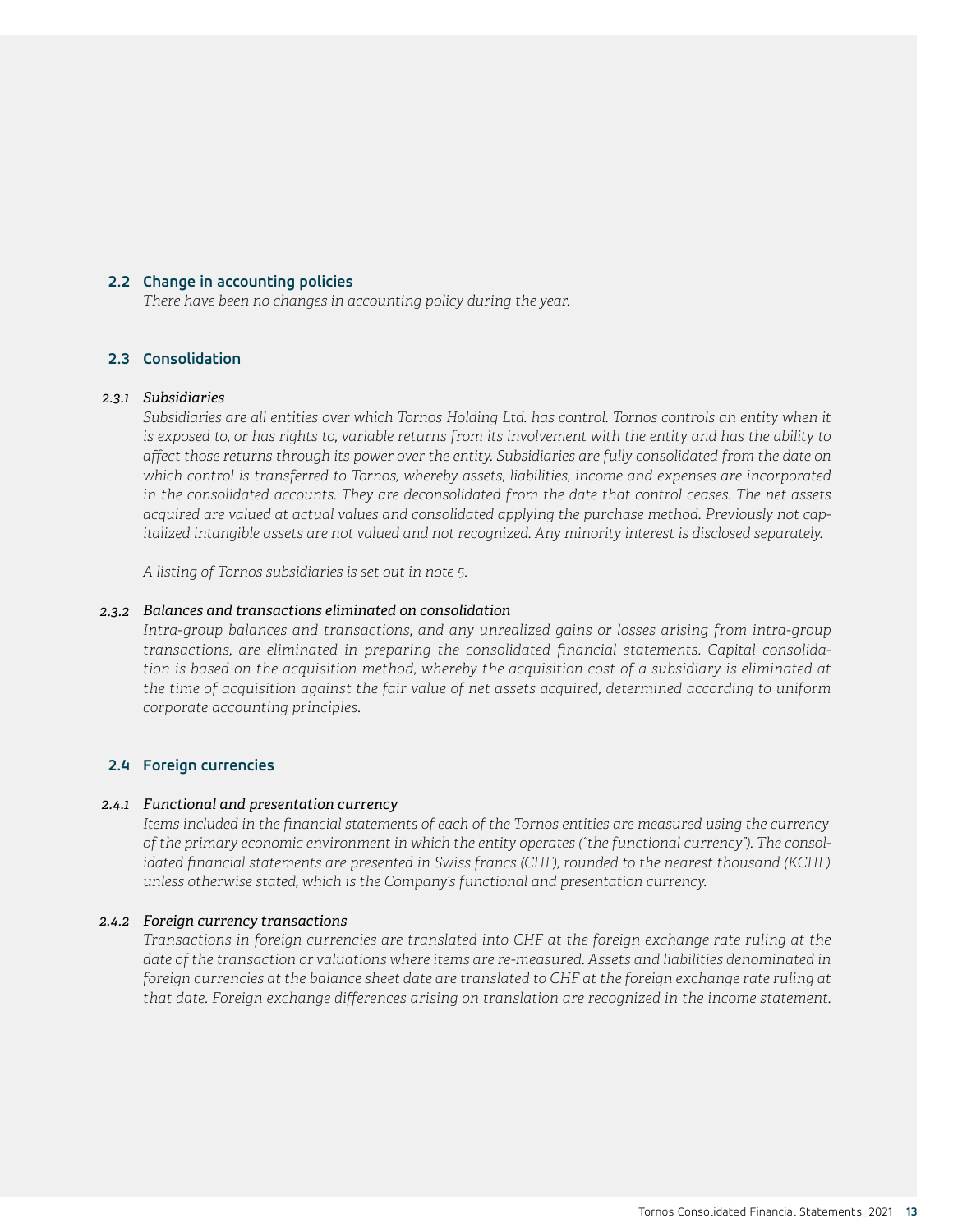#### **Change in accounting policies 2.2**

*There have been no changes in accounting policy during the year.*

#### **Consolidation 2.3**

#### *Subsidiaries 2.3.1*

*Subsidiaries are all entities over which Tornos Holding Ltd. has control. Tornos controls an entity when it is exposed to, or has rights to, variable returns from its involvement with the entity and has the ability to affect those returns through its power over the entity. Subsidiaries are fully consolidated from the date on which control is transferred to Tornos, whereby assets, liabilities, income and expenses are incorporated in the consolidated accounts. They are deconsolidated from the date that control ceases. The net assets acquired are valued at actual values and consolidated applying the purchase method. Previously not capitalized intangible assets are not valued and not recognized. Any minority interest is disclosed separately.*

*A listing of Tornos subsidiaries is set out in note 5.*

#### *Balances and transactions eliminated on consolidation 2.3.2*

*Intra-group balances and transactions, and any unrealized gains or losses arising from intra-group transactions, are eliminated in preparing the consolidated financial statements. Capital consolidation is based on the acquisition method, whereby the acquisition cost of a subsidiary is eliminated at the time of acquisition against the fair value of net assets acquired, determined according to uniform corporate accounting principles.* 

#### **Foreign currencies 2.4**

#### *Functional and presentation currency 2.4.1*

*Items included in the financial statements of each of the Tornos entities are measured using the currency of the primary economic environment in which the entity operates ("the functional currency"). The consolidated financial statements are presented in Swiss francs (CHF), rounded to the nearest thousand (KCHF) unless otherwise stated, which is the Company's functional and presentation currency.*

#### *Foreign currency transactions 2.4.2*

*Transactions in foreign currencies are translated into CHF at the foreign exchange rate ruling at the date of the transaction or valuations where items are re-measured. Assets and liabilities denominated in foreign currencies at the balance sheet date are translated to CHF at the foreign exchange rate ruling at that date. Foreign exchange differences arising on translation are recognized in the income statement.*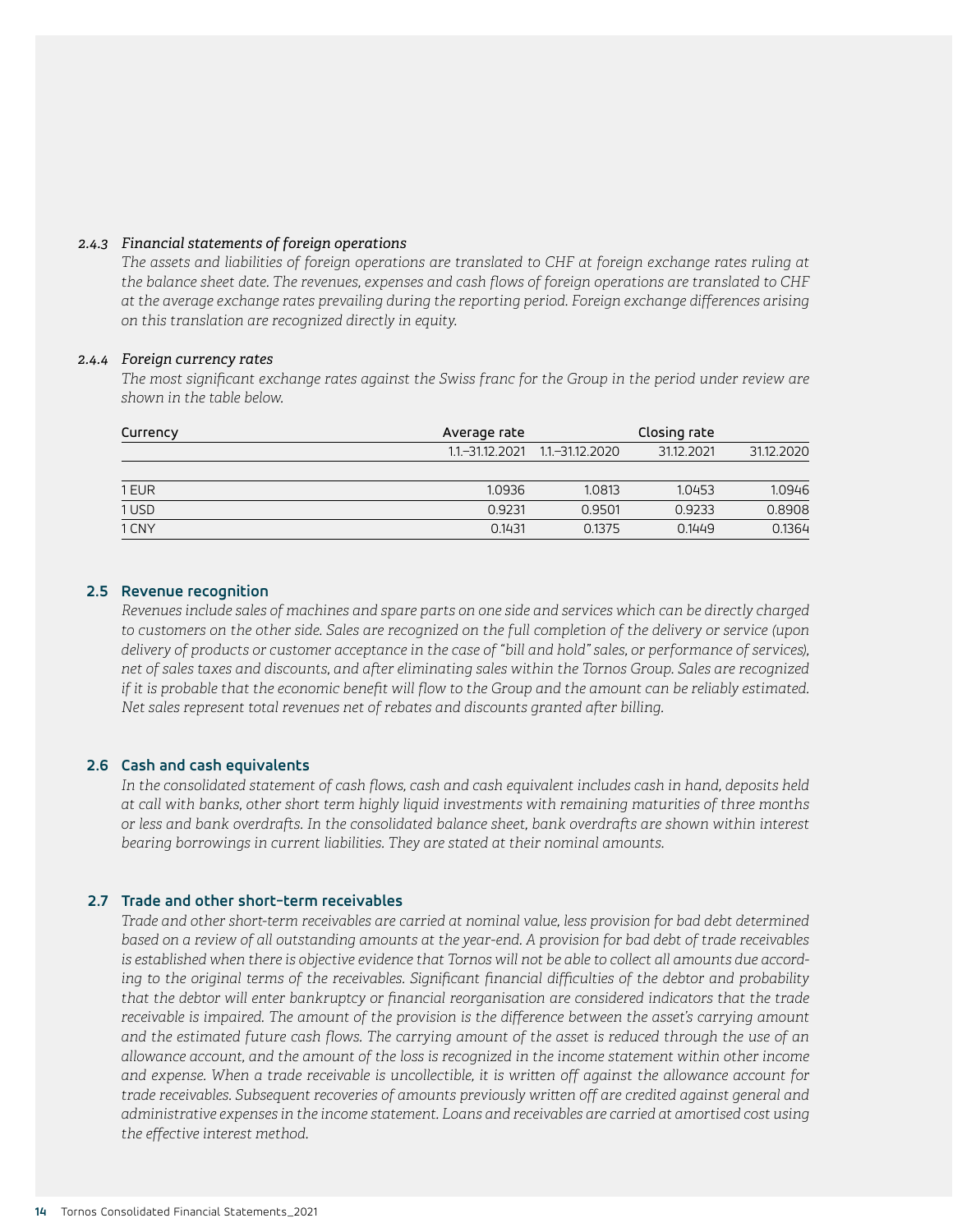#### *Financial statements of foreign operations 2.4.3*

*The assets and liabilities of foreign operations are translated to CHF at foreign exchange rates ruling at the balance sheet date. The revenues, expenses and cash flows of foreign operations are translated to CHF at the average exchange rates prevailing during the reporting period. Foreign exchange differences arising on this translation are recognized directly in equity.*

#### *2.4.4 Foreign currency rates*

*The most significant exchange rates against the Swiss franc for the Group in the period under review are shown in the table below.*

| Currency | Average rate |                                       |        |            |
|----------|--------------|---------------------------------------|--------|------------|
|          |              | $1.1 - 31.12.2021$ $1.1 - 31.12.2020$ |        | 31.12.2020 |
|          |              |                                       |        |            |
| 1 EUR    | 1.0936       | 1.0813                                | 1.0453 | 1.0946     |
| 1 USD    | 0.9231       | 0.9501                                | 0.9233 | 0.8908     |
| 1 CNY    | 0.1431       | 0.1375                                | 0.1449 | 0.1364     |

#### **Revenue recognition 2.5**

*Revenues include sales of machines and spare parts on one side and services which can be directly charged to customers on the other side. Sales are recognized on the full completion of the delivery or service (upon delivery of products or customer acceptance in the case of "bill and hold" sales, or performance of services), net of sales taxes and discounts, and after eliminating sales within the Tornos Group. Sales are recognized if it is probable that the economic benefit will flow to the Group and the amount can be reliably estimated. Net sales represent total revenues net of rebates and discounts granted after billing.*

#### **Cash and cash equivalents 2.6**

*In the consolidated statement of cash flows, cash and cash equivalent includes cash in hand, deposits held at call with banks, other short term highly liquid investments with remaining maturities of three months or less and bank overdrafts. In the consolidated balance sheet, bank overdrafts are shown within interest bearing borrowings in current liabilities. They are stated at their nominal amounts.*

#### **Trade and other short-term receivables 2.7**

*Trade and other short-term receivables are carried at nominal value, less provision for bad debt determined based on a review of all outstanding amounts at the year-end. A provision for bad debt of trade receivables is established when there is objective evidence that Tornos will not be able to collect all amounts due according to the original terms of the receivables. Significant financial difficulties of the debtor and probability that the debtor will enter bankruptcy or financial reorganisation are considered indicators that the trade receivable is impaired. The amount of the provision is the difference between the asset's carrying amount and the estimated future cash flows. The carrying amount of the asset is reduced through the use of an allowance account, and the amount of the loss is recognized in the income statement within other income and expense. When a trade receivable is uncollectible, it is written off against the allowance account for trade receivables. Subsequent recoveries of amounts previously written off are credited against general and administrative expenses in the income statement. Loans and receivables are carried at amortised cost using the effective interest method.*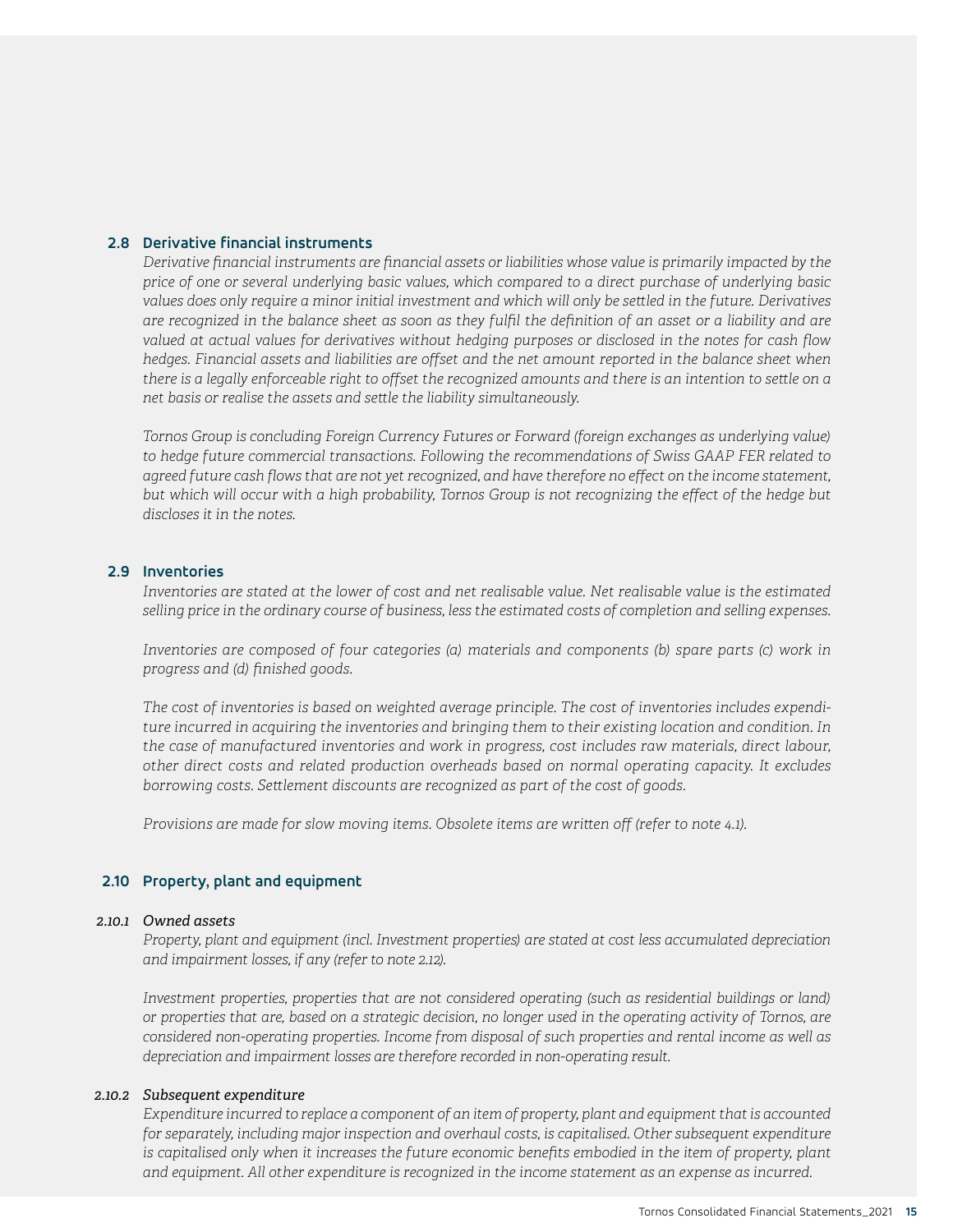#### **2.8 Derivative financial instruments**

*Derivative financial instruments are financial assets or liabilities whose value is primarily impacted by the price of one or several underlying basic values, which compared to a direct purchase of underlying basic values does only require a minor initial investment and which will only be settled in the future. Derivatives are recognized in the balance sheet as soon as they fulfil the definition of an asset or a liability and are valued at actual values for derivatives without hedging purposes or disclosed in the notes for cash flow hedges. Financial assets and liabilities are offset and the net amount reported in the balance sheet when there is a legally enforceable right to offset the recognized amounts and there is an intention to settle on a net basis or realise the assets and settle the liability simultaneously.* 

*Tornos Group is concluding Foreign Currency Futures or Forward (foreign exchanges as underlying value) to hedge future commercial transactions. Following the recommendations of Swiss GAAP FER related to agreed future cash flows that are not yet recognized, and have therefore no effect on the income statement, but which will occur with a high probability, Tornos Group is not recognizing the effect of the hedge but discloses it in the notes.* 

#### **Inventories 2.9**

*Inventories are stated at the lower of cost and net realisable value. Net realisable value is the estimated selling price in the ordinary course of business, less the estimated costs of completion and selling expenses.*

*Inventories are composed of four categories (a) materials and components (b) spare parts (c) work in progress and (d) finished goods.*

*The cost of inventories is based on weighted average principle. The cost of inventories includes expenditure incurred in acquiring the inventories and bringing them to their existing location and condition. In the case of manufactured inventories and work in progress, cost includes raw materials, direct labour, other direct costs and related production overheads based on normal operating capacity. It excludes borrowing costs. Settlement discounts are recognized as part of the cost of goods.* 

*Provisions are made for slow moving items. Obsolete items are written off (refer to note 4.1).*

#### **Property, plant and equipment 2.10**

#### *Owned assets 2.10.1*

*Property, plant and equipment (incl. Investment properties) are stated at cost less accumulated depreciation and impairment losses, if any (refer to note 2.12).* 

Investment properties, properties that are not considered operating (such as residential buildings or land) *or properties that are, based on a strategic decision, no longer used in the operating activity of Tornos, are considered non-operating properties. Income from disposal of such properties and rental income as well as depreciation and impairment losses are therefore recorded in non-operating result.*

#### *Subsequent expenditure 2.10.2*

*Expenditure incurred to replace a component of an item of property, plant and equipment that is accounted for separately, including major inspection and overhaul costs, is capitalised. Other subsequent expenditure is capitalised only when it increases the future economic benefits embodied in the item of property, plant and equipment. All other expenditure is recognized in the income statement as an expense as incurred.*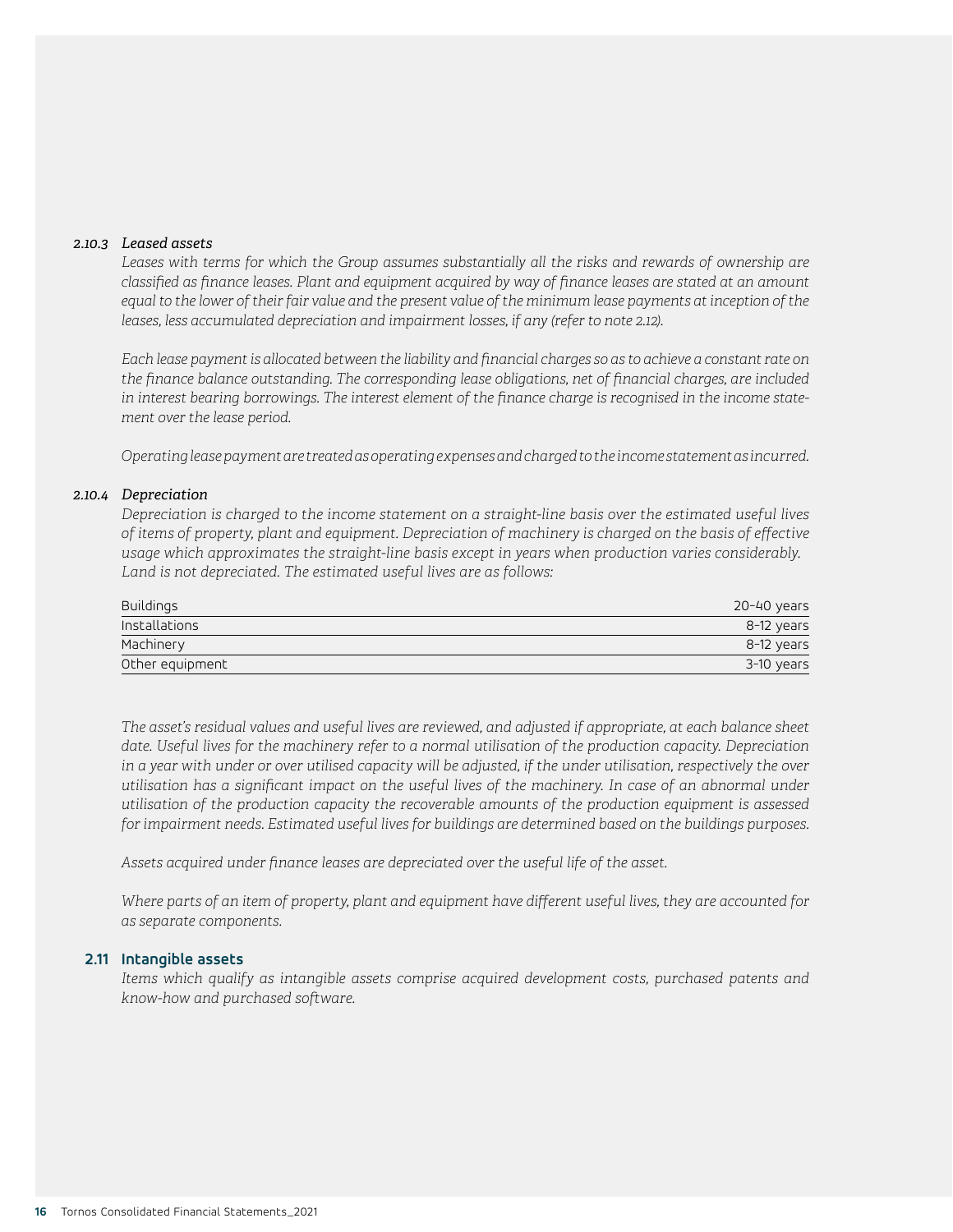#### *Leased assets 2.10.3*

*Leases with terms for which the Group assumes substantially all the risks and rewards of ownership are classified as finance leases. Plant and equipment acquired by way of finance leases are stated at an amount equal to the lower of their fair value and the present value of the minimum lease payments at inception of the leases, less accumulated depreciation and impairment losses, if any (refer to note 2.12).*

*Each lease payment is allocated between the liability and financial charges so as to achieve a constant rate on the finance balance outstanding. The corresponding lease obligations, net of financial charges, are included in interest bearing borrowings. The interest element of the finance charge is recognised in the income statement over the lease period.*

*Operating lease payment are treated as operating expenses and charged to the income statement as incurred.*

#### *Depreciation 2.10.4*

*Depreciation is charged to the income statement on a straight-line basis over the estimated useful lives of items of property, plant and equipment. Depreciation of machinery is charged on the basis of effective usage which approximates the straight-line basis except in years when production varies considerably. Land is not depreciated. The estimated useful lives are as follows:*

| Buildings       | $20 - 40$ years |
|-----------------|-----------------|
| Installations   | 8-12 years      |
| Machinery       | 8-12 years      |
| Other equipment | 3-10 years      |

*The asset's residual values and useful lives are reviewed, and adjusted if appropriate, at each balance sheet*  date. Useful lives for the machinery refer to a normal utilisation of the production capacity. Depreciation *in a year with under or over utilised capacity will be adjusted, if the under utilisation, respectively the over utilisation has a significant impact on the useful lives of the machinery. In case of an abnormal under utilisation of the production capacity the recoverable amounts of the production equipment is assessed for impairment needs. Estimated useful lives for buildings are determined based on the buildings purposes.*

*Assets acquired under finance leases are depreciated over the useful life of the asset.*

*Where parts of an item of property, plant and equipment have different useful lives, they are accounted for as separate components.*

#### **Intangible assets 2.11**

*Items which qualify as intangible assets comprise acquired development costs, purchased patents and know-how and purchased software.*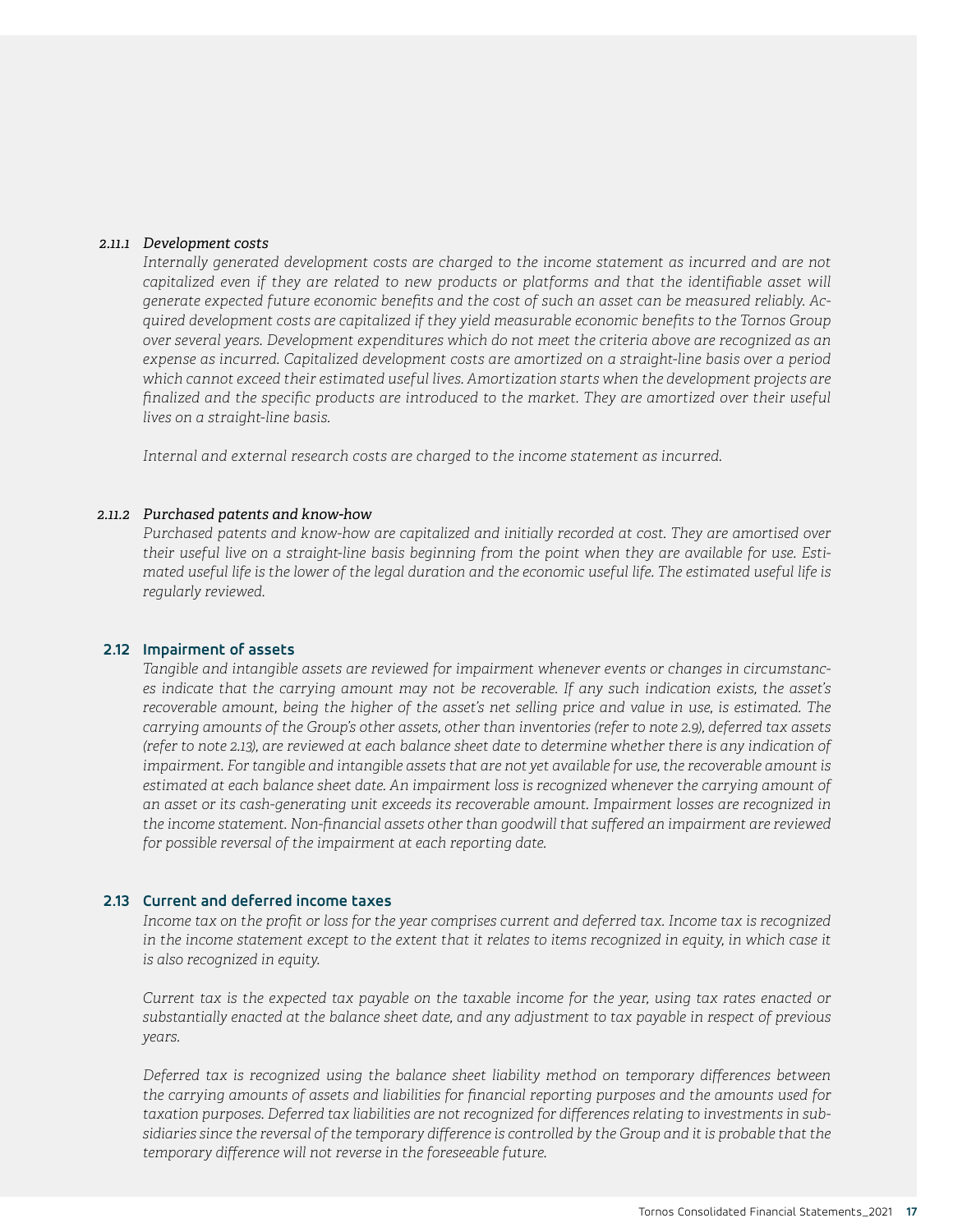#### *2.11.1 Development costs*

*Internally generated development costs are charged to the income statement as incurred and are not*  capitalized even if they are related to new products or platforms and that the identifiable asset will *generate expected future economic benefits and the cost of such an asset can be measured reliably. Acquired development costs are capitalized if they yield measurable economic benefits to the Tornos Group over several years. Development expenditures which do not meet the criteria above are recognized as an expense as incurred. Capitalized development costs are amortized on a straight-line basis over a period which cannot exceed their estimated useful lives. Amortization starts when the development projects are finalized and the specific products are introduced to the market. They are amortized over their useful lives on a straight-line basis.*

*Internal and external research costs are charged to the income statement as incurred.*

#### *Purchased patents and know-how 2.11.2*

*Purchased patents and know-how are capitalized and initially recorded at cost. They are amortised over their useful live on a straight-line basis beginning from the point when they are available for use. Estimated useful life is the lower of the legal duration and the economic useful life. The estimated useful life is regularly reviewed.*

#### **Impairment of assets 2.12**

*Tangible and intangible assets are reviewed for impairment whenever events or changes in circumstances indicate that the carrying amount may not be recoverable. If any such indication exists, the asset's recoverable amount, being the higher of the asset's net selling price and value in use, is estimated. The carrying amounts of the Group's other assets, other than inventories (refer to note 2.9), deferred tax assets (refer to note 2.13), are reviewed at each balance sheet date to determine whether there is any indication of impairment. For tangible and intangible assets that are not yet available for use, the recoverable amount is estimated at each balance sheet date. An impairment loss is recognized whenever the carrying amount of an asset or its cash-generating unit exceeds its recoverable amount. Impairment losses are recognized in the income statement. Non-financial assets other than goodwill that suffered an impairment are reviewed for possible reversal of the impairment at each reporting date.*

#### **Current and deferred income taxes 2.13**

*Income tax on the profit or loss for the year comprises current and deferred tax. Income tax is recognized*  in the income statement except to the extent that it relates to items recognized in equity, in which case it *is also recognized in equity.*

*Current tax is the expected tax payable on the taxable income for the year, using tax rates enacted or substantially enacted at the balance sheet date, and any adjustment to tax payable in respect of previous years.*

*Deferred tax is recognized using the balance sheet liability method on temporary differences between the carrying amounts of assets and liabilities for financial reporting purposes and the amounts used for taxation purposes. Deferred tax liabilities are not recognized for differences relating to investments in subsidiaries since the reversal of the temporary difference is controlled by the Group and it is probable that the temporary difference will not reverse in the foreseeable future.*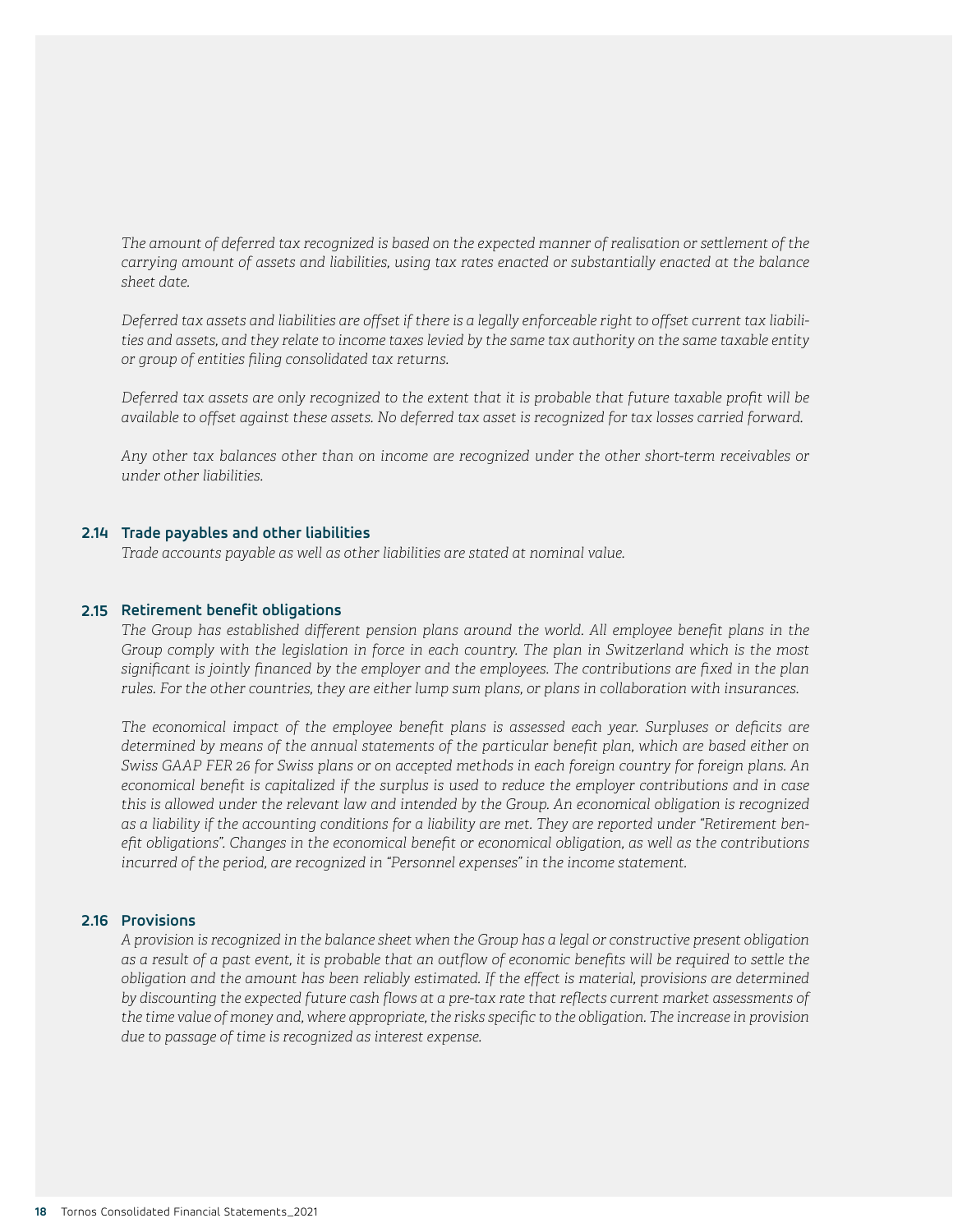*The amount of deferred tax recognized is based on the expected manner of realisation or settlement of the carrying amount of assets and liabilities, using tax rates enacted or substantially enacted at the balance sheet date.*

*Deferred tax assets and liabilities are offset if there is a legally enforceable right to offset current tax liabilities and assets, and they relate to income taxes levied by the same tax authority on the same taxable entity or group of entities filing consolidated tax returns.*

*Deferred tax assets are only recognized to the extent that it is probable that future taxable profit will be available to offset against these assets. No deferred tax asset is recognized for tax losses carried forward.*

*Any other tax balances other than on income are recognized under the other short-term receivables or under other liabilities.*

#### **2.14 Trade payables and other liabilities**

*Trade accounts payable as well as other liabilities are stated at nominal value.* 

#### **2.15 Retirement benefit obligations**

*The Group has established different pension plans around the world. All employee benefit plans in the Group comply with the legislation in force in each country. The plan in Switzerland which is the most significant is jointly financed by the employer and the employees. The contributions are fixed in the plan rules. For the other countries, they are either lump sum plans, or plans in collaboration with insurances.* 

*The economical impact of the employee benefit plans is assessed each year. Surpluses or deficits are determined by means of the annual statements of the particular benefit plan, which are based either on Swiss GAAP FER 26 for Swiss plans or on accepted methods in each foreign country for foreign plans. An economical benefit is capitalized if the surplus is used to reduce the employer contributions and in case this is allowed under the relevant law and intended by the Group. An economical obligation is recognized as a liability if the accounting conditions for a liability are met. They are reported under "Retirement benefit obligations". Changes in the economical benefit or economical obligation, as well as the contributions incurred of the period, are recognized in "Personnel expenses" in the income statement.* 

#### **2.16 Provisions**

*A provision is recognized in the balance sheet when the Group has a legal or constructive present obligation as a result of a past event, it is probable that an outflow of economic benefits will be required to settle the obligation and the amount has been reliably estimated. If the effect is material, provisions are determined by discounting the expected future cash flows at a pre-tax rate that reflects current market assessments of the time value of money and, where appropriate, the risks specific to the obligation. The increase in provision due to passage of time is recognized as interest expense.*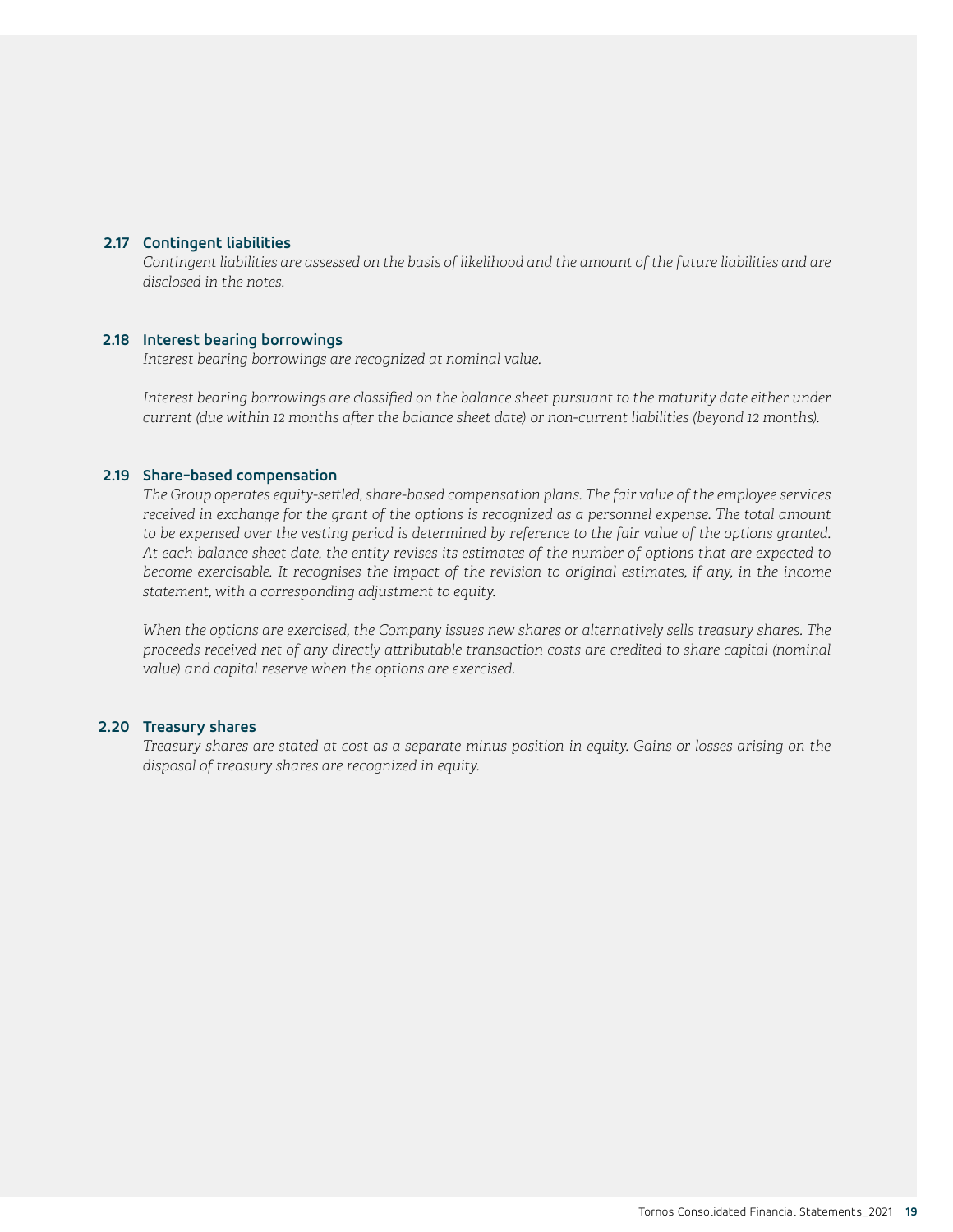#### **2.17 Contingent liabilities**

*Contingent liabilities are assessed on the basis of likelihood and the amount of the future liabilities and are disclosed in the notes.* 

#### **2.18 Interest bearing borrowings**

*Interest bearing borrowings are recognized at nominal value.* 

*Interest bearing borrowings are classified on the balance sheet pursuant to the maturity date either under current (due within 12 months after the balance sheet date) or non-current liabilities (beyond 12 months).* 

#### **2.19 Share-based compensation**

*The Group operates equity-settled, share-based compensation plans. The fair value of the employee services received in exchange for the grant of the options is recognized as a personnel expense. The total amount to be expensed over the vesting period is determined by reference to the fair value of the options granted. At each balance sheet date, the entity revises its estimates of the number of options that are expected to become exercisable. It recognises the impact of the revision to original estimates, if any, in the income statement, with a corresponding adjustment to equity.*

*When the options are exercised, the Company issues new shares or alternatively sells treasury shares. The proceeds received net of any directly attributable transaction costs are credited to share capital (nominal value) and capital reserve when the options are exercised.*

#### **2.20 Treasury shares**

*Treasury shares are stated at cost as a separate minus position in equity. Gains or losses arising on the disposal of treasury shares are recognized in equity.*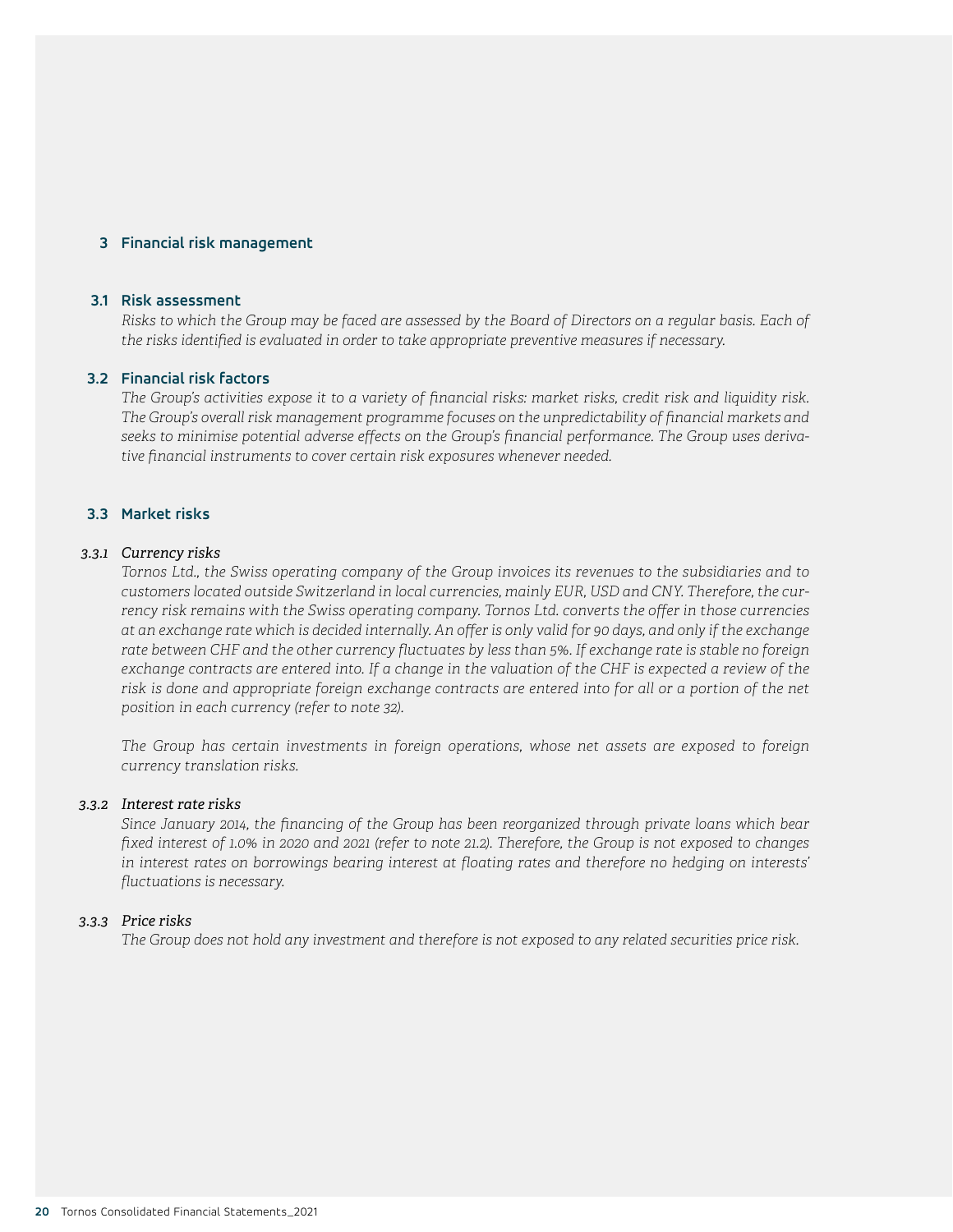#### **Financial risk management 3**

#### **Risk assessment 3.1**

*Risks to which the Group may be faced are assessed by the Board of Directors on a regular basis. Each of the risks identified is evaluated in order to take appropriate preventive measures if necessary.* 

#### **3.2 Financial risk factors**

*The Group's activities expose it to a variety of financial risks: market risks, credit risk and liquidity risk. The Group's overall risk management programme focuses on the unpredictability of financial markets and seeks to minimise potential adverse effects on the Group's financial performance. The Group uses derivative financial instruments to cover certain risk exposures whenever needed.*

#### **3.3 Market risks**

#### *Currency risks 3.3.1*

*Tornos Ltd., the Swiss operating company of the Group invoices its revenues to the subsidiaries and to customers located outside Switzerland in local currencies, mainly EUR, USD and CNY. Therefore, the currency risk remains with the Swiss operating company. Tornos Ltd. converts the offer in those currencies at an exchange rate which is decided internally. An offer is only valid for 90 days, and only if the exchange rate between CHF and the other currency fluctuates by less than 5%. If exchange rate is stable no foreign exchange contracts are entered into. If a change in the valuation of the CHF is expected a review of the risk is done and appropriate foreign exchange contracts are entered into for all or a portion of the net position in each currency (refer to note 32).*

*The Group has certain investments in foreign operations, whose net assets are exposed to foreign currency translation risks.* 

#### *Interest rate risks 3.3.2*

*Since January 2014, the financing of the Group has been reorganized through private loans which bear fixed interest of 1.0% in 2020 and 2021 (refer to note 21.2). Therefore, the Group is not exposed to changes in interest rates on borrowings bearing interest at floating rates and therefore no hedging on interests' fluctuations is necessary.*

#### *Price risks 3.3.3*

*The Group does not hold any investment and therefore is not exposed to any related securities price risk.*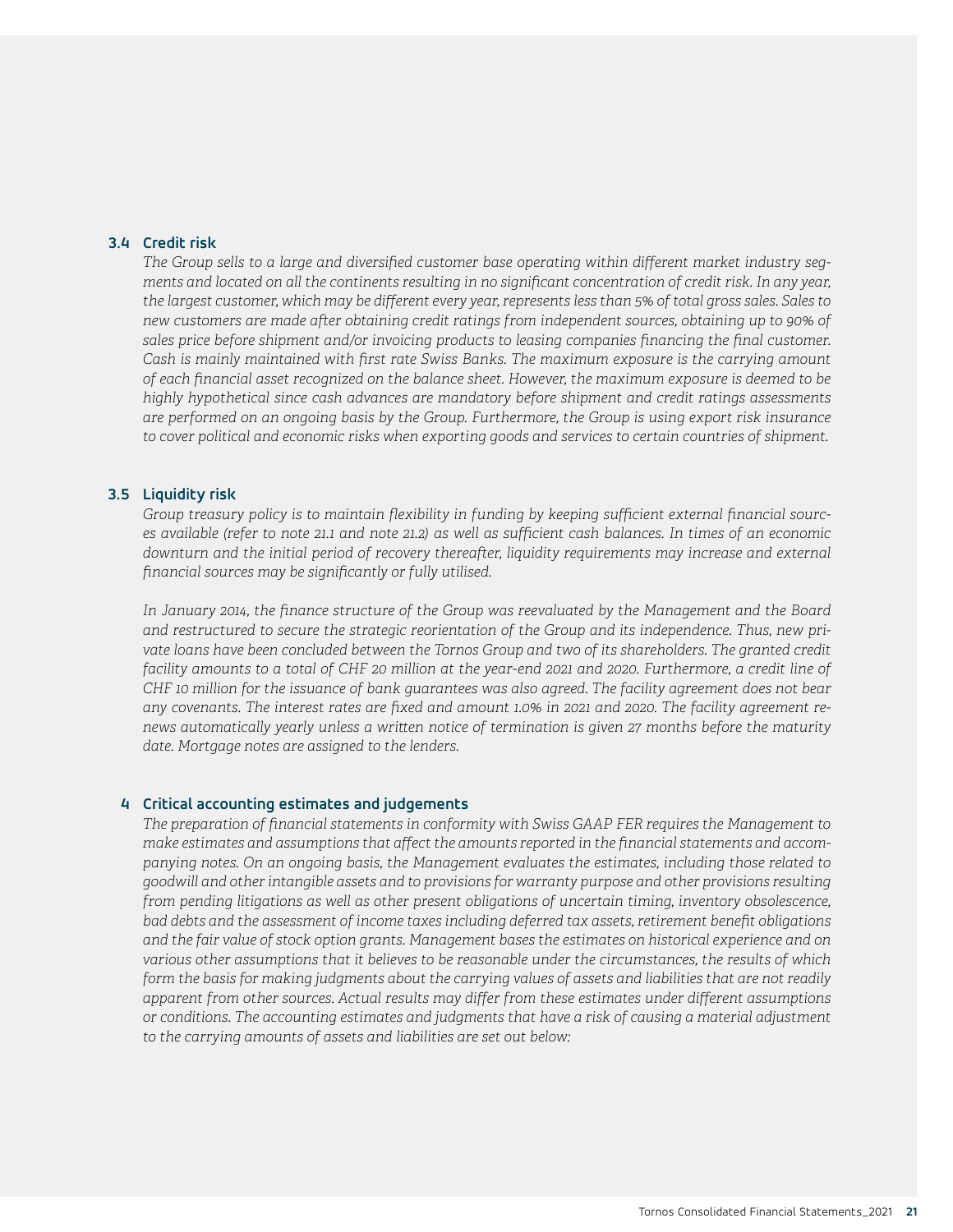#### **3.4 Credit risk**

*The Group sells to a large and diversified customer base operating within different market industry segments and located on all the continents resulting in no significant concentration of credit risk. In any year, the largest customer, which may be different every year, represents less than 5% of total gross sales. Sales to new customers are made after obtaining credit ratings from independent sources, obtaining up to 90% of sales price before shipment and/or invoicing products to leasing companies financing the final customer. Cash is mainly maintained with first rate Swiss Banks. The maximum exposure is the carrying amount of each financial asset recognized on the balance sheet. However, the maximum exposure is deemed to be highly hypothetical since cash advances are mandatory before shipment and credit ratings assessments are performed on an ongoing basis by the Group. Furthermore, the Group is using export risk insurance to cover political and economic risks when exporting goods and services to certain countries of shipment.*

#### **Liquidity risk 3.5**

*Group treasury policy is to maintain flexibility in funding by keeping sufficient external financial sources available (refer to note 21.1 and note 21.2) as well as sufficient cash balances. In times of an economic downturn and the initial period of recovery thereafter, liquidity requirements may increase and external financial sources may be significantly or fully utilised.*

*In January 2014, the finance structure of the Group was reevaluated by the Management and the Board and restructured to secure the strategic reorientation of the Group and its independence. Thus, new private loans have been concluded between the Tornos Group and two of its shareholders. The granted credit*  facility amounts to a total of CHF 20 million at the year-end 2021 and 2020. Furthermore, a credit line of *CHF 10 million for the issuance of bank guarantees was also agreed. The facility agreement does not bear any covenants. The interest rates are fixed and amount 1.0% in 2021 and 2020. The facility agreement renews automatically yearly unless a written notice of termination is given 27 months before the maturity date. Mortgage notes are assigned to the lenders.*

#### **4 Critical accounting estimates and judgements**

*The preparation of financial statements in conformity with Swiss GAAP FER requires the Management to make estimates and assumptions that affect the amounts reported in the financial statements and accompanying notes. On an ongoing basis, the Management evaluates the estimates, including those related to goodwill and other intangible assets and to provisions for warranty purpose and other provisions resulting from pending litigations as well as other present obligations of uncertain timing, inventory obsolescence, bad debts and the assessment of income taxes including deferred tax assets, retirement benefit obligations and the fair value of stock option grants. Management bases the estimates on historical experience and on various other assumptions that it believes to be reasonable under the circumstances, the results of which form the basis for making judgments about the carrying values of assets and liabilities that are not readily apparent from other sources. Actual results may differ from these estimates under different assumptions or conditions. The accounting estimates and judgments that have a risk of causing a material adjustment to the carrying amounts of assets and liabilities are set out below:*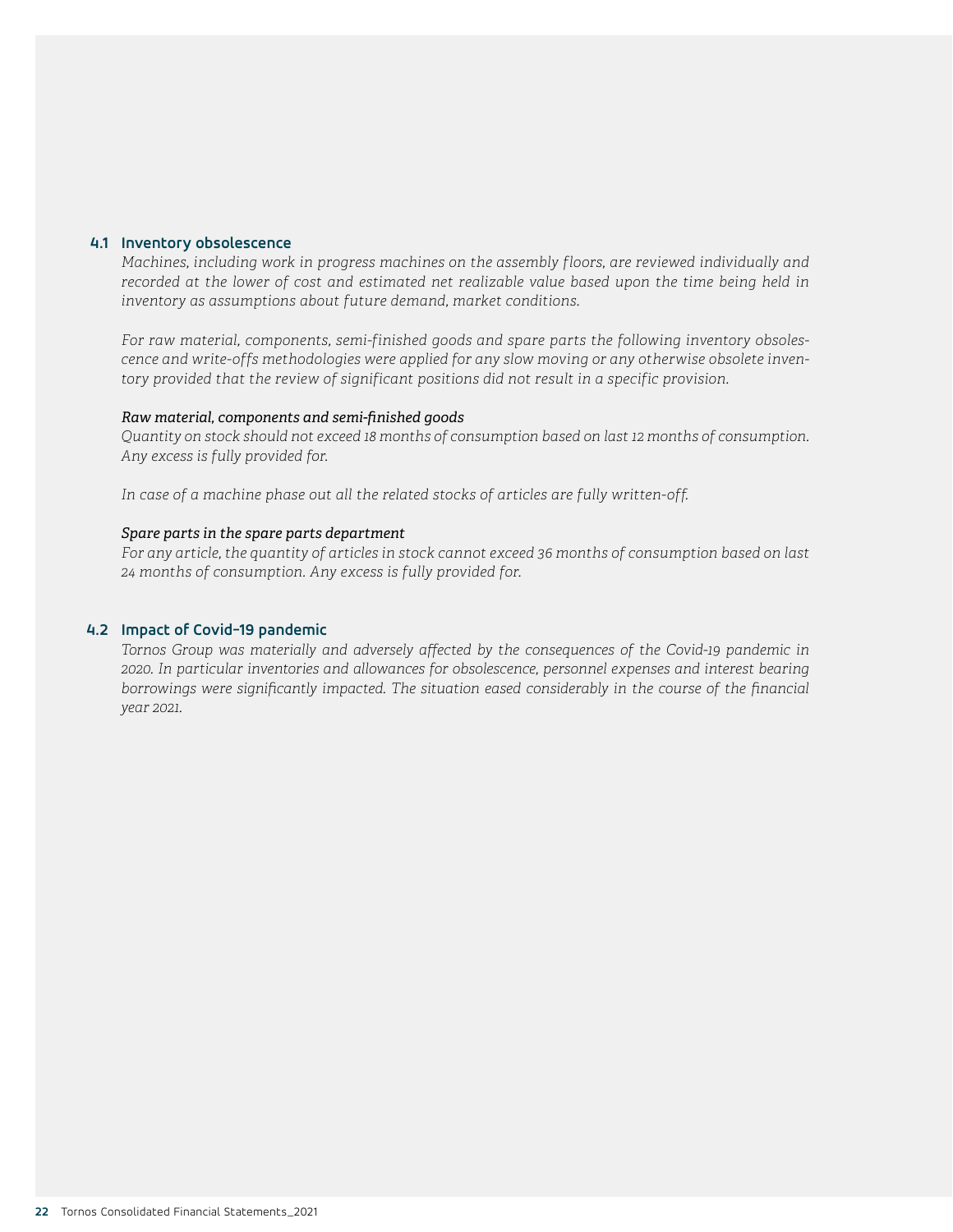#### **4.1 Inventory obsolescence**

*Machines, including work in progress machines on the assembly floors, are reviewed individually and recorded at the lower of cost and estimated net realizable value based upon the time being held in inventory as assumptions about future demand, market conditions.*

*For raw material, components, semi-finished goods and spare parts the following inventory obsolescence and write-offs methodologies were applied for any slow moving or any otherwise obsolete inventory provided that the review of significant positions did not result in a specific provision.*

#### *Raw material, components and semi-finished goods*

*Quantity on stock should not exceed 18 months of consumption based on last 12 months of consumption. Any excess is fully provided for.* 

*In case of a machine phase out all the related stocks of articles are fully written-off.*

#### *Spare parts in the spare parts department*

*For any article, the quantity of articles in stock cannot exceed 36 months of consumption based on last 24 months of consumption. Any excess is fully provided for.*

#### **4.2 Impact of Covid-19 pandemic**

*Tornos Group was materially and adversely affected by the consequences of the Covid-19 pandemic in 2020. In particular inventories and allowances for obsolescence, personnel expenses and interest bearing borrowings were significantly impacted. The situation eased considerably in the course of the financial year 2021.*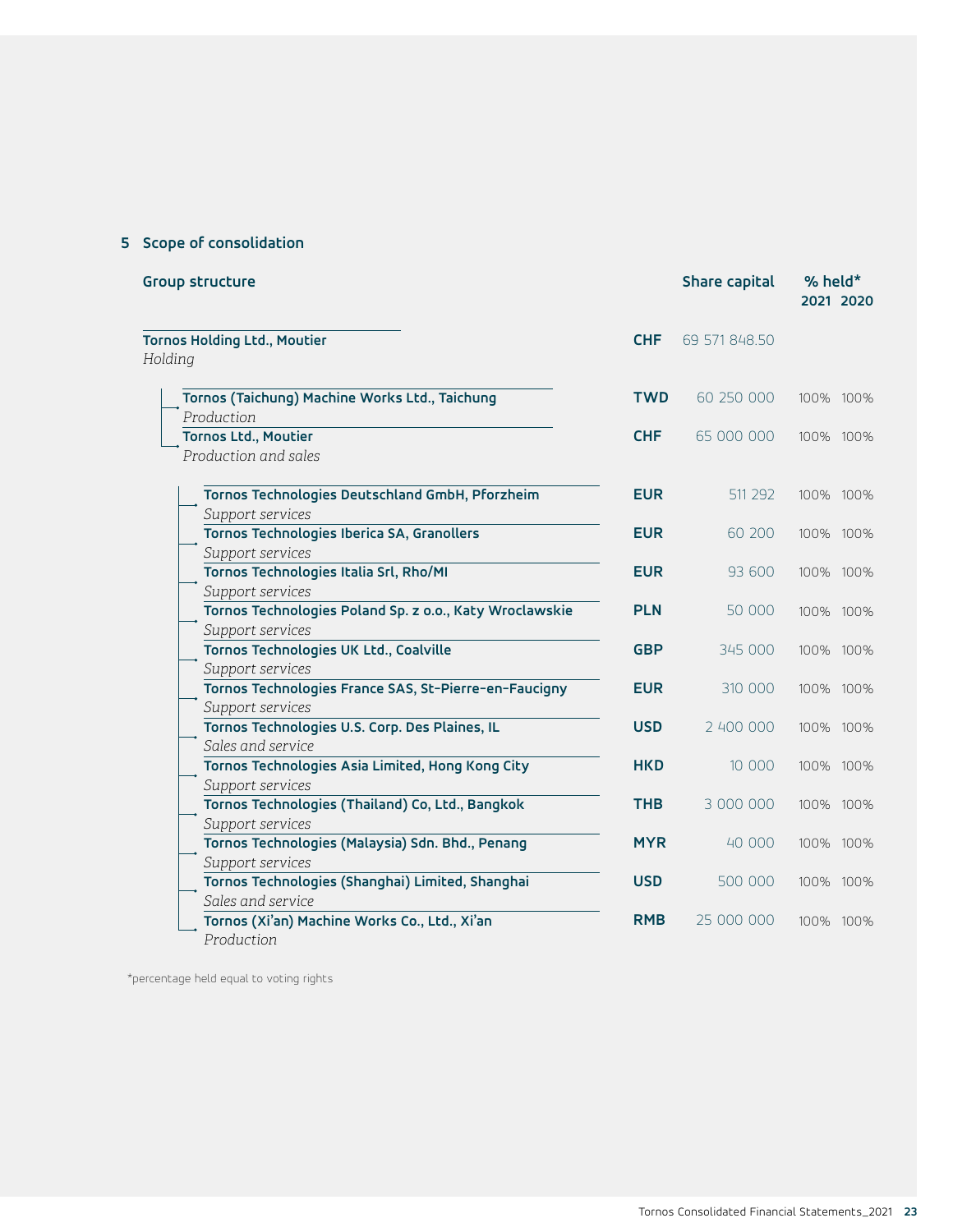### **5 Scope of consolidation**

| <b>Group structure</b>                                                                                                  |                          | Share capital       | % held*                | 2021 2020 |
|-------------------------------------------------------------------------------------------------------------------------|--------------------------|---------------------|------------------------|-----------|
| Tornos Holding Ltd., Moutier<br>Holding                                                                                 | <b>CHF</b>               | 69 571 848.50       |                        |           |
| Tornos (Taichung) Machine Works Ltd., Taichung<br>Production                                                            | <b>TWD</b>               | 60 250 000          | 100% 100%              |           |
| Tornos Ltd., Moutier<br>Production and sales                                                                            | <b>CHF</b>               | 65 000 000          | 100% 100%              |           |
| Tornos Technologies Deutschland GmbH, Pforzheim<br>Support services                                                     | <b>EUR</b>               | 511 292             | 100% 100%              |           |
| Tornos Technologies Iberica SA, Granollers<br>Support services                                                          | <b>EUR</b>               | 60 200              | 100% 100%              |           |
| Tornos Technologies Italia Srl, Rho/MI<br>Support services                                                              | <b>EUR</b>               | 93 600              | 100% 100%              |           |
| Tornos Technologies Poland Sp. z o.o., Katy Wroclawskie<br>Support services                                             | <b>PLN</b>               | 50 000              | 100% 100%              |           |
| Tornos Technologies UK Ltd., Coalville<br>Support services                                                              | <b>GBP</b>               | 345 000             | 100% 100%              |           |
| Tornos Technologies France SAS, St-Pierre-en-Faucigny<br>Support services                                               | <b>EUR</b>               | 310 000             | 100% 100%              |           |
| Tornos Technologies U.S. Corp. Des Plaines, IL<br>Sales and service<br>Tornos Technologies Asia Limited, Hong Kong City | <b>USD</b><br><b>HKD</b> | 2 400 000<br>10 000 | 100% 100%<br>100% 100% |           |
| Support services<br>Tornos Technologies (Thailand) Co, Ltd., Bangkok                                                    | <b>THB</b>               | 3 000 000           | 100% 100%              |           |
| Support services<br>Tornos Technologies (Malaysia) Sdn. Bhd., Penang                                                    | <b>MYR</b>               | 40 000              | 100% 100%              |           |
| Support services<br>Tornos Technologies (Shanghai) Limited, Shanghai                                                    | <b>USD</b>               | 500 000             | 100% 100%              |           |
| Sales and service<br>Tornos (Xi'an) Machine Works Co., Ltd., Xi'an                                                      | <b>RMB</b>               | 25 000 000          | 100% 100%              |           |
| Production                                                                                                              |                          |                     |                        |           |

\*percentage held equal to voting rights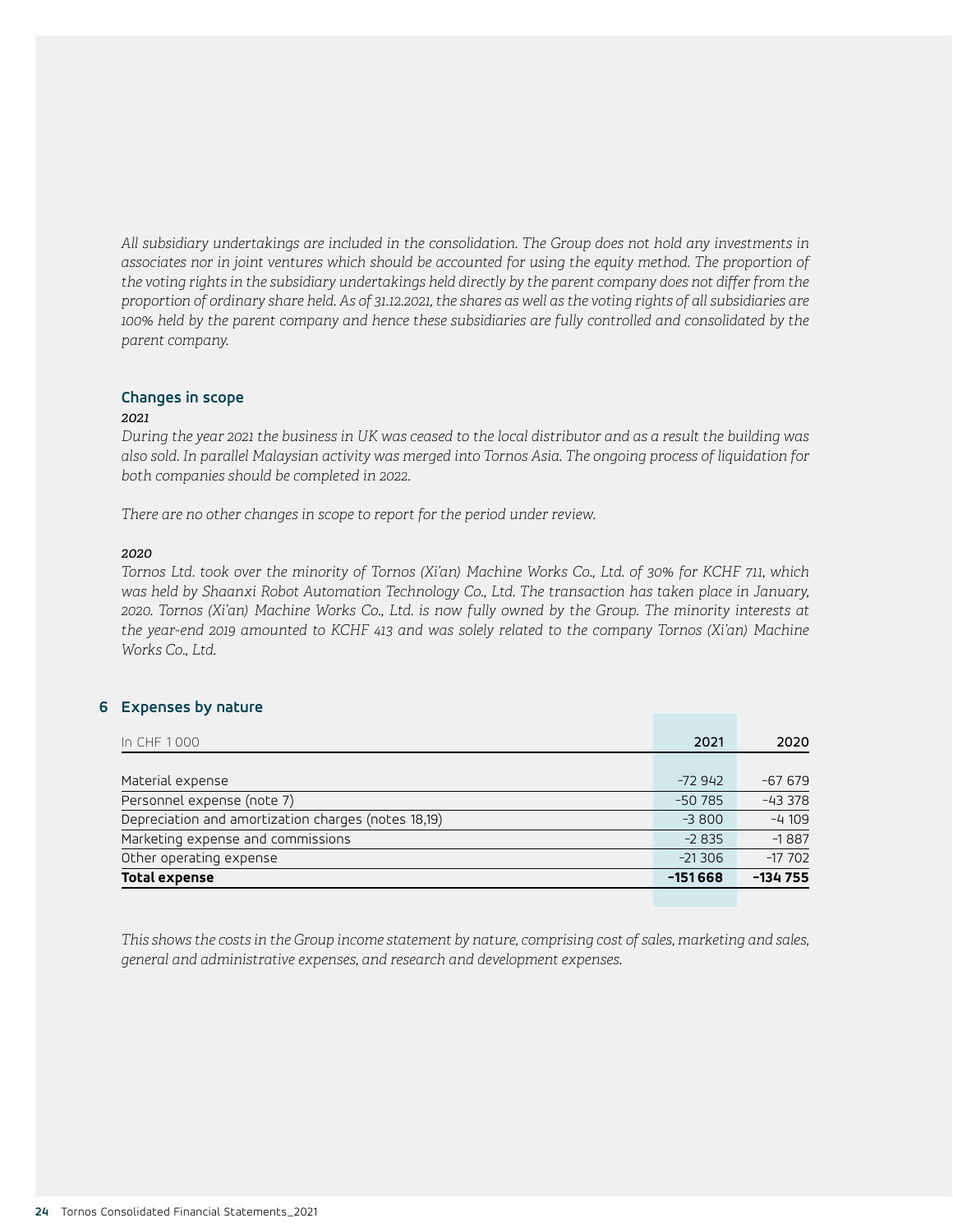*All subsidiary undertakings are included in the consolidation. The Group does not hold any investments in associates nor in joint ventures which should be accounted for using the equity method. The proportion of the voting rights in the subsidiary undertakings held directly by the parent company does not differ from the proportion of ordinary share held. As of 31.12.2021, the shares as well as the voting rights of all subsidiaries are 100% held by the parent company and hence these subsidiaries are fully controlled and consolidated by the parent company.*

#### **Changes in scope**

#### *2021*

*During the year 2021 the business in UK was ceased to the local distributor and as a result the building was also sold. In parallel Malaysian activity was merged into Tornos Asia. The ongoing process of liquidation for both companies should be completed in 2022.*

*There are no other changes in scope to report for the period under review.*

#### *2020*

*Tornos Ltd. took over the minority of Tornos (Xi'an) Machine Works Co., Ltd. of 30% for KCHF 711, which was held by Shaanxi Robot Automation Technology Co., Ltd. The transaction has taken place in January, 2020. Tornos (Xi'an) Machine Works Co., Ltd. is now fully owned by the Group. The minority interests at the year-end 2019 amounted to KCHF 413 and was solely related to the company Tornos (Xi'an) Machine Works Co., Ltd.*

#### **6 Expenses by nature**

| <b>Total expense</b>                                | $-151668$ | $-134755$ |
|-----------------------------------------------------|-----------|-----------|
| Other operating expense                             | $-21306$  | $-17702$  |
| Marketing expense and commissions                   | $-2835$   | $-1887$   |
| Depreciation and amortization charges (notes 18,19) | $-3800$   | $-4109$   |
| Personnel expense (note 7)                          | $-50785$  | $-43378$  |
| Material expense                                    | $-72942$  | $-67679$  |
|                                                     |           |           |
| In CHF 1000                                         | 2021      | 2020      |
|                                                     |           |           |

*This shows the costs in the Group income statement by nature, comprising cost of sales, marketing and sales, general and administrative expenses, and research and development expenses.*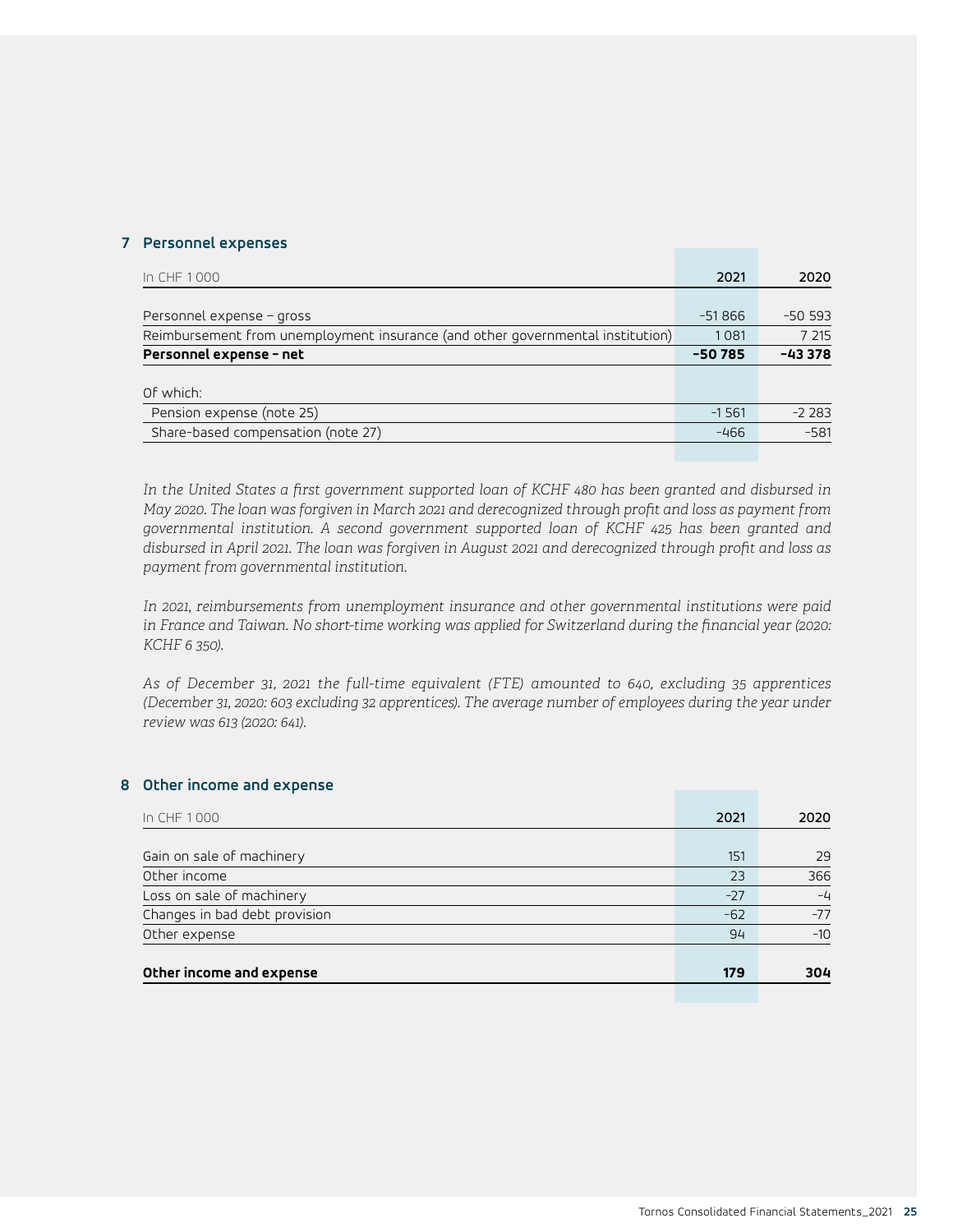#### **Personnel expenses 7**

| In CHF 1000                                                                    | 2021     | 2020     |
|--------------------------------------------------------------------------------|----------|----------|
|                                                                                |          |          |
| Personnel expense - gross                                                      | $-51866$ | $-50593$ |
| Reimbursement from unemployment insurance (and other governmental institution) | 1081     | 7 2 1 5  |
| Personnel expense - net                                                        |          | $-43378$ |
|                                                                                |          |          |
| Of which:                                                                      |          |          |
| Pension expense (note 25)                                                      | $-1561$  | $-2283$  |
| Share-based compensation (note 27)                                             | $-466$   | $-581$   |
|                                                                                |          |          |

*In the United States a first government supported loan of KCHF 480 has been granted and disbursed in May 2020. The loan was forgiven in March 2021 and derecognized through profit and loss as payment from governmental institution. A second government supported loan of KCHF 425 has been granted and disbursed in April 2021. The loan was forgiven in August 2021 and derecognized through profit and loss as payment from governmental institution.* 

*In 2021, reimbursements from unemployment insurance and other governmental institutions were paid in France and Taiwan. No short-time working was applied for Switzerland during the financial year (2020: KCHF 6 350).* 

*As of December 31, 2021 the full-time equivalent (FTE) amounted to 640, excluding 35 apprentices (December 31, 2020: 603 excluding 32 apprentices). The average number of employees during the year under review was 613 (2020: 641).*

#### **Other income and expense 8**

| In CHF 1000                   | 2021  | 2020  |
|-------------------------------|-------|-------|
|                               |       |       |
| Gain on sale of machinery     | 151   | 29    |
| Other income                  | 23    | 366   |
| Loss on sale of machinery     | $-27$ | $-4$  |
| Changes in bad debt provision | $-62$ | $-77$ |
| Other expense                 | 94    | $-10$ |
|                               |       |       |
| Other income and expense      | 179   | 304   |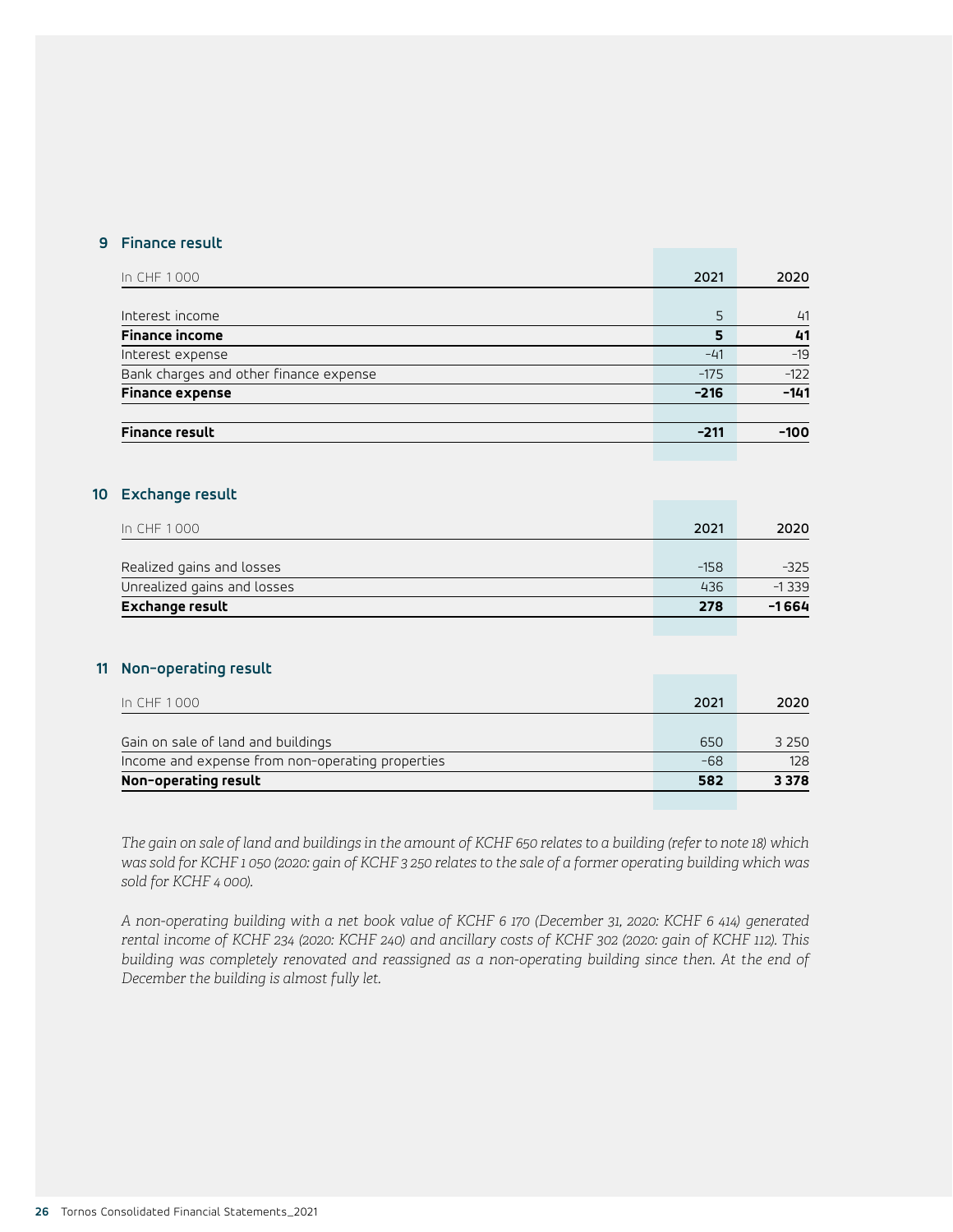#### **Finance result 9**

| <b>Finance result</b>                  | $-211$ | $-100$ |
|----------------------------------------|--------|--------|
|                                        |        |        |
| <b>Finance expense</b>                 | $-216$ | $-141$ |
| Bank charges and other finance expense | $-175$ | $-122$ |
| Interest expense                       | $-41$  | $-19$  |
| <b>Finance income</b>                  | 5      | 41     |
| Interest income                        | 5      | 41     |
|                                        |        |        |
| In CHF 1000                            | 2021   | 2020   |
|                                        |        |        |

#### **Exchange result 10**

| <b>Exchange result</b>      | 278    | -1664   |
|-----------------------------|--------|---------|
| Unrealized gains and losses | 436    | $-1339$ |
| Realized gains and losses   | $-158$ | $-325$  |
|                             |        |         |
| In CHF 1000                 | 2021   | 2020    |
|                             |        |         |

#### **11 Non-operating result**

| In CHF $1000$                                    | 2021  | 2020.   |
|--------------------------------------------------|-------|---------|
|                                                  |       |         |
| Gain on sale of land and buildings               | 650   | 3 2 5 0 |
| Income and expense from non-operating properties | $-68$ | 128     |
| Non-operating result                             | 582   | 3 3 7 8 |
|                                                  |       |         |

*The gain on sale of land and buildings in the amount of KCHF 650 relates to a building (refer to note 18) which was sold for KCHF 1 050 (2020: gain of KCHF 3 250 relates to the sale of a former operating building which was sold for KCHF 4 000).*

*A non-operating building with a net book value of KCHF 6 170 (December 31, 2020: KCHF 6 414) generated rental income of KCHF 234 (2020: KCHF 240) and ancillary costs of KCHF 302 (2020: gain of KCHF 112). This building was completely renovated and reassigned as a non-operating building since then. At the end of December the building is almost fully let.*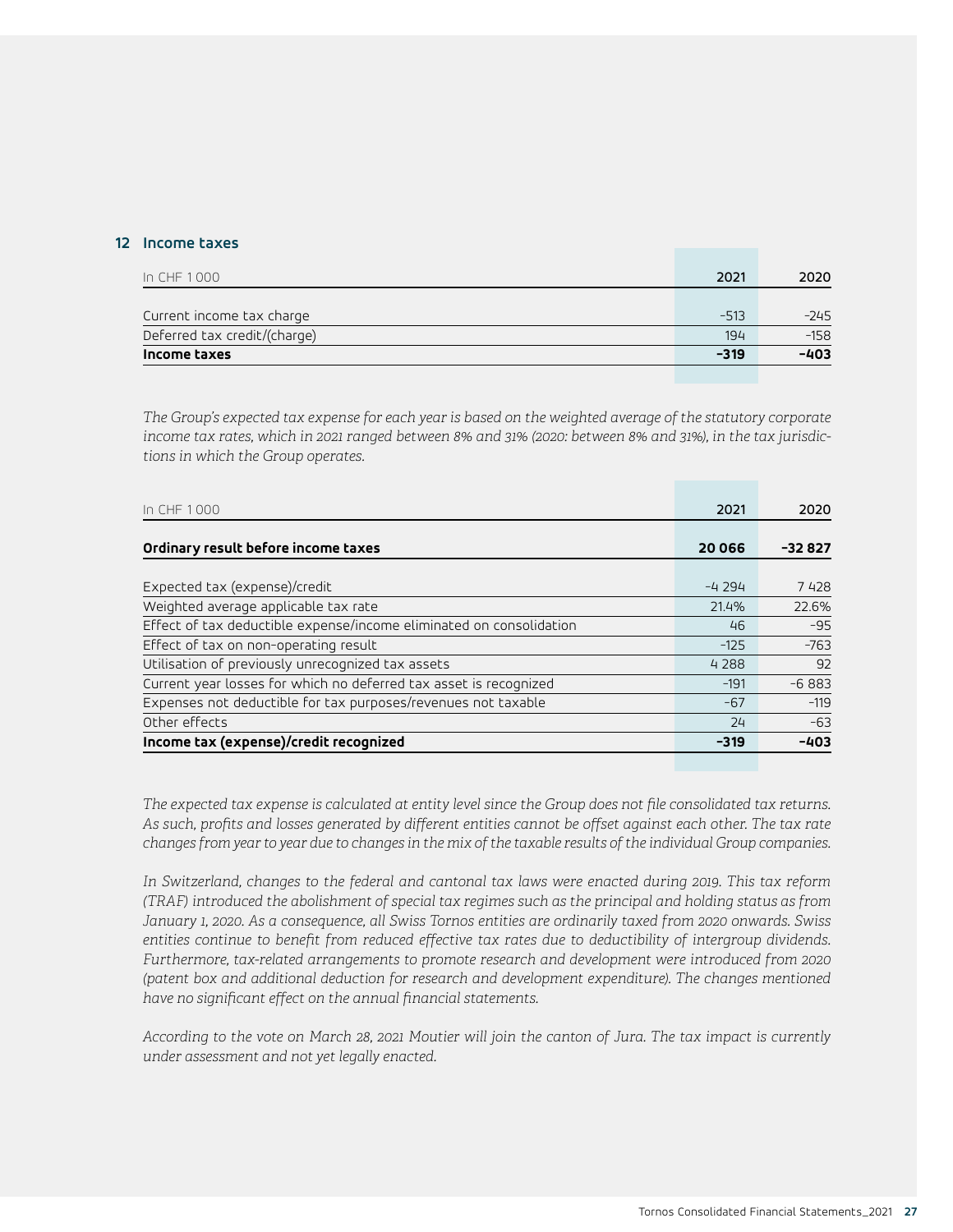#### **12 Income taxes**

| In CHF 1000                  | 2021   | 2020   |
|------------------------------|--------|--------|
|                              |        |        |
| Current income tax charge    | $-513$ | $-245$ |
| Deferred tax credit/(charge) | 194    | $-158$ |
| Income taxes                 | $-319$ | -403   |

*The Group's expected tax expense for each year is based on the weighted average of the statutory corporate income tax rates, which in 2021 ranged between 8% and 31% (2020: between 8% and 31%), in the tax jurisdictions in which the Group operates.*

| In CHF 1000                                                         | 2021    | 2020    |
|---------------------------------------------------------------------|---------|---------|
| Ordinary result before income taxes                                 | 20066   | -32 827 |
| Expected tax (expense)/credit                                       | -4 294  | 7428    |
| Weighted average applicable tax rate                                | 21.4%   | 22.6%   |
| Effect of tax deductible expense/income eliminated on consolidation | 46      | $-95$   |
| Effect of tax on non-operating result                               | $-125$  | $-763$  |
| Utilisation of previously unrecognized tax assets                   | 4 2 8 8 | 92      |
| Current year losses for which no deferred tax asset is recognized   | $-191$  | $-6883$ |
| Expenses not deductible for tax purposes/revenues not taxable       | $-67$   | $-119$  |
| Other effects                                                       | 24      | $-63$   |
| Income tax (expense)/credit recognized                              | $-319$  | $-403$  |

*The expected tax expense is calculated at entity level since the Group does not file consolidated tax returns. As such, profits and losses generated by different entities cannot be offset against each other. The tax rate changes from year to year due to changes in the mix of the taxable results of the individual Group companies.*

*In Switzerland, changes to the federal and cantonal tax laws were enacted during 2019. This tax reform (TRAF) introduced the abolishment of special tax regimes such as the principal and holding status as from January 1, 2020. As a consequence, all Swiss Tornos entities are ordinarily taxed from 2020 onwards. Swiss entities continue to benefit from reduced effective tax rates due to deductibility of intergroup dividends. Furthermore, tax-related arrangements to promote research and development were introduced from 2020 (patent box and additional deduction for research and development expenditure). The changes mentioned have no significant effect on the annual financial statements.*

*According to the vote on March 28, 2021 Moutier will join the canton of Jura. The tax impact is currently under assessment and not yet legally enacted.*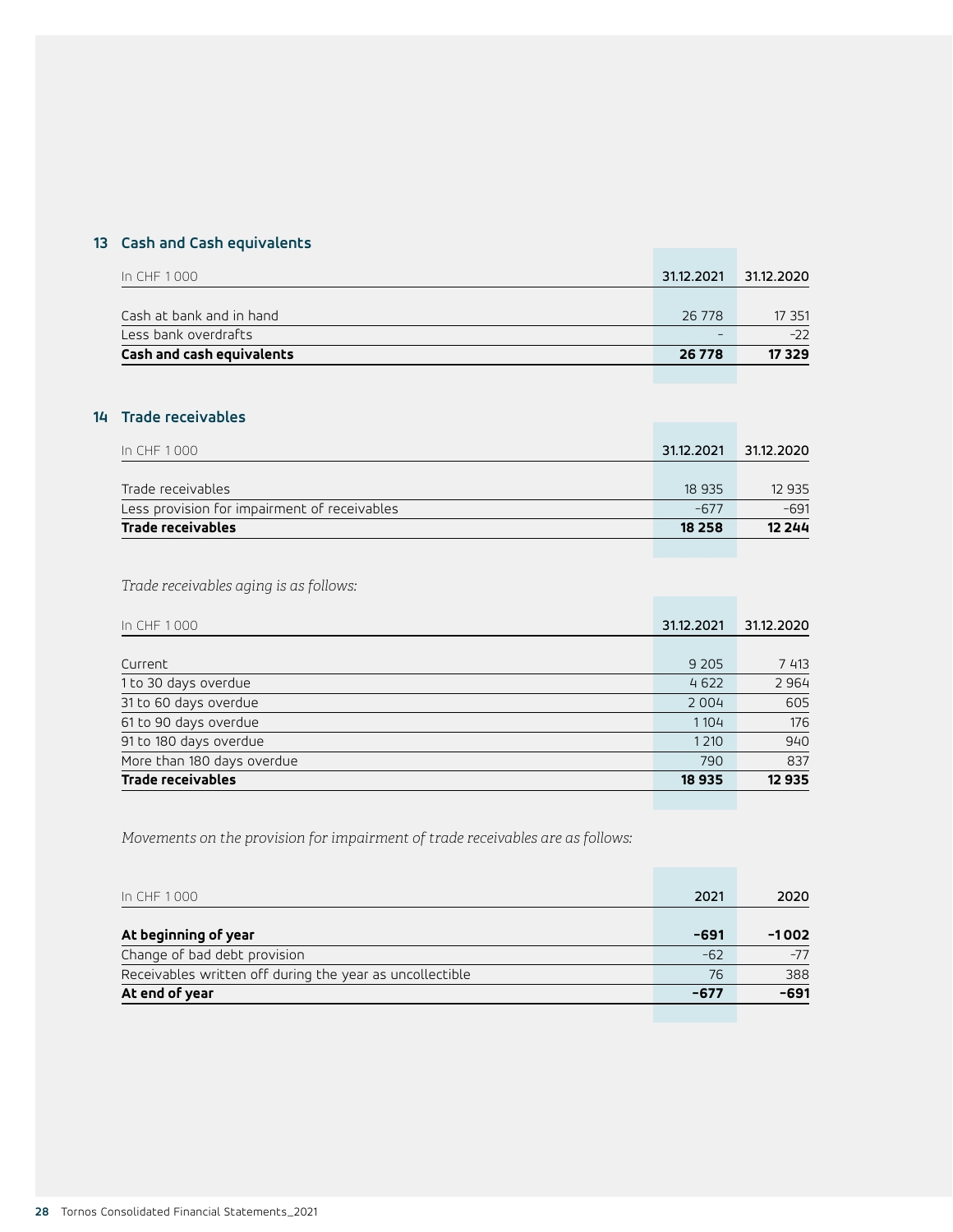#### **13 Cash and Cash equivalents**

| In CHF 1000               | 31.12.2021 | 31.12.2020 |
|---------------------------|------------|------------|
| Cash at bank and in hand  | 26 778     | 17 3 51    |
| Less bank overdrafts      |            | $-22$      |
| Cash and cash equivalents | 26 7 78    | 17 3 29    |

#### **14 Trade receivables**

| 18 2 5 8   | 12 244     |
|------------|------------|
| $-677$     | $-691$     |
| 18 935     | 12 935     |
|            |            |
| 31.12.2021 | 31.12.2020 |
|            |            |

*Trade receivables aging is as follows:*

| In CHF 1000                | 31.12.2021 | 31.12.2020 |
|----------------------------|------------|------------|
|                            |            |            |
| Current                    | 9 2 0 5    | 7 4 13     |
| 1 to 30 days overdue       | 4622       | 2964       |
| 31 to 60 days overdue      | 2 0 0 4    | 605        |
| 61 to 90 days overdue      | 1 1 0 4    | 176        |
| 91 to 180 days overdue     | 1 2 1 0    | 940        |
| More than 180 days overdue | 790        | 837        |
| <b>Trade receivables</b>   | 18 9 35    | 12935      |
|                            |            |            |

*Movements on the provision for impairment of trade receivables are as follows:*

| In CHF 1000                                              | 2021   | 2020   |
|----------------------------------------------------------|--------|--------|
|                                                          |        |        |
| At beginning of year                                     | -691   | -1002  |
| Change of bad debt provision                             | $-62$  | $-77$  |
| Receivables written off during the year as uncollectible | 76     | 388    |
| At end of year                                           | $-677$ | $-691$ |
|                                                          |        |        |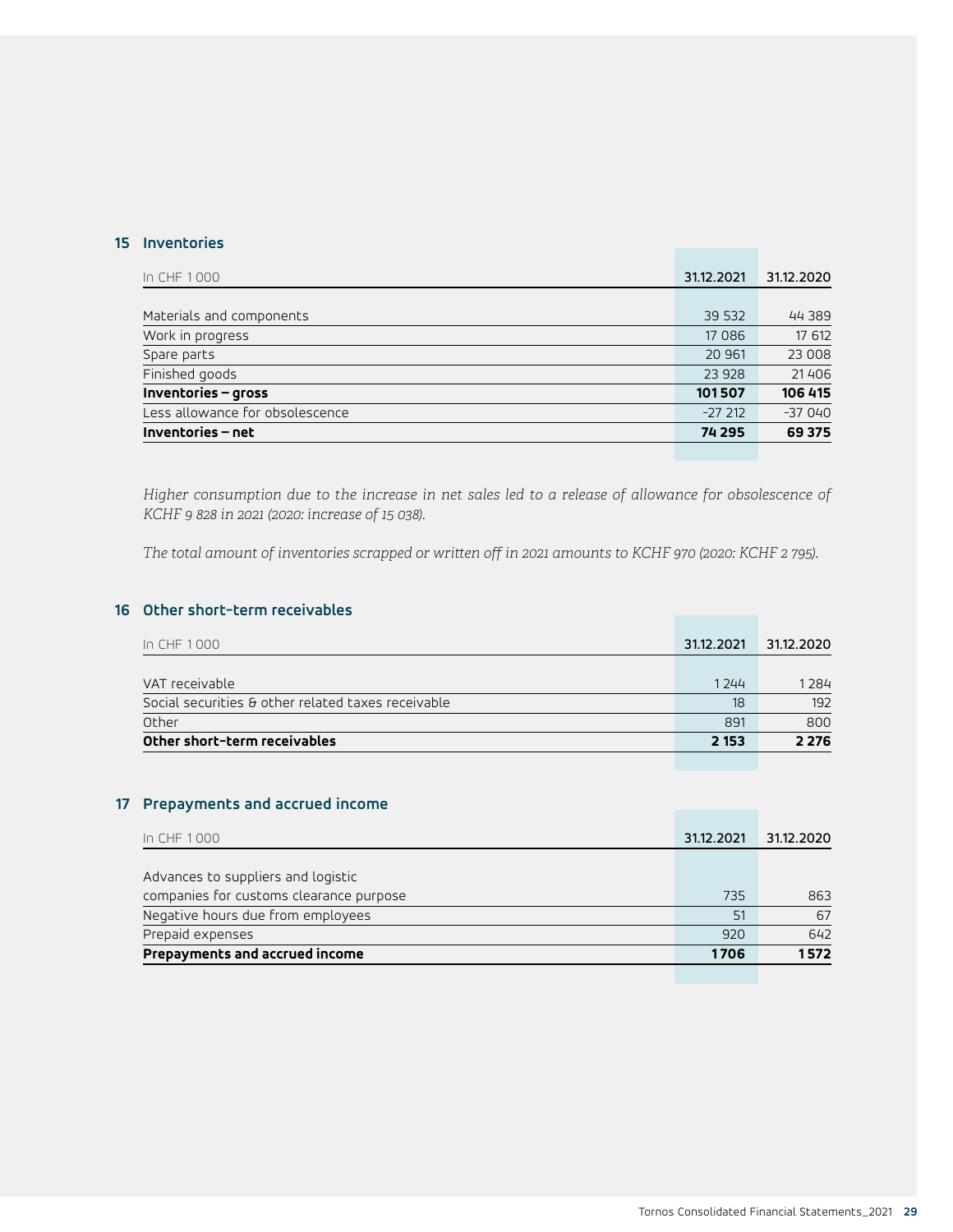#### **15 Inventories**

| In CHF 1000                     | 31.12.2021 | 31.12.2020 |
|---------------------------------|------------|------------|
|                                 |            |            |
| Materials and components        | 39 532     | 44 389     |
| Work in progress                | 17 086     | 17 612     |
| Spare parts                     | 20 961     | 23 008     |
| Finished goods                  | 23 928     | 21 4 0 6   |
| Inventories - gross             | 101507     | 106 415    |
| Less allowance for obsolescence | $-27212$   | $-37040$   |
| Inventories – net               | 74 295     | 69 375     |

*Higher consumption due to the increase in net sales led to a release of allowance for obsolescence of KCHF 9 828 in 2021 (2020: increase of 15 038).*

*The total amount of inventories scrapped or written off in 2021 amounts to KCHF 970 (2020: KCHF 2 795).*

#### **16 Other short-term receivables**

| Other short-term receivables                       | 2 1 5 3    | 2 2 7 6    |
|----------------------------------------------------|------------|------------|
| Other                                              | 891        | 800        |
| Social securities & other related taxes receivable | 18         | 192        |
| VAT receivable                                     | 1 2 4 4    | 1 284      |
|                                                    |            |            |
| In CHF 1000                                        | 31.12.2021 | 31.12.2020 |

#### **17 Prepayments and accrued income**

| Prepayments and accrued income          | 1706       | 1572       |
|-----------------------------------------|------------|------------|
| Prepaid expenses                        | 920        | 642        |
| Negative hours due from employees       | 51         | 67         |
| companies for customs clearance purpose | 735        | 863        |
| Advances to suppliers and logistic      |            |            |
|                                         |            |            |
| In CHF 1000                             | 31.12.2021 | 31.12.2020 |
|                                         |            |            |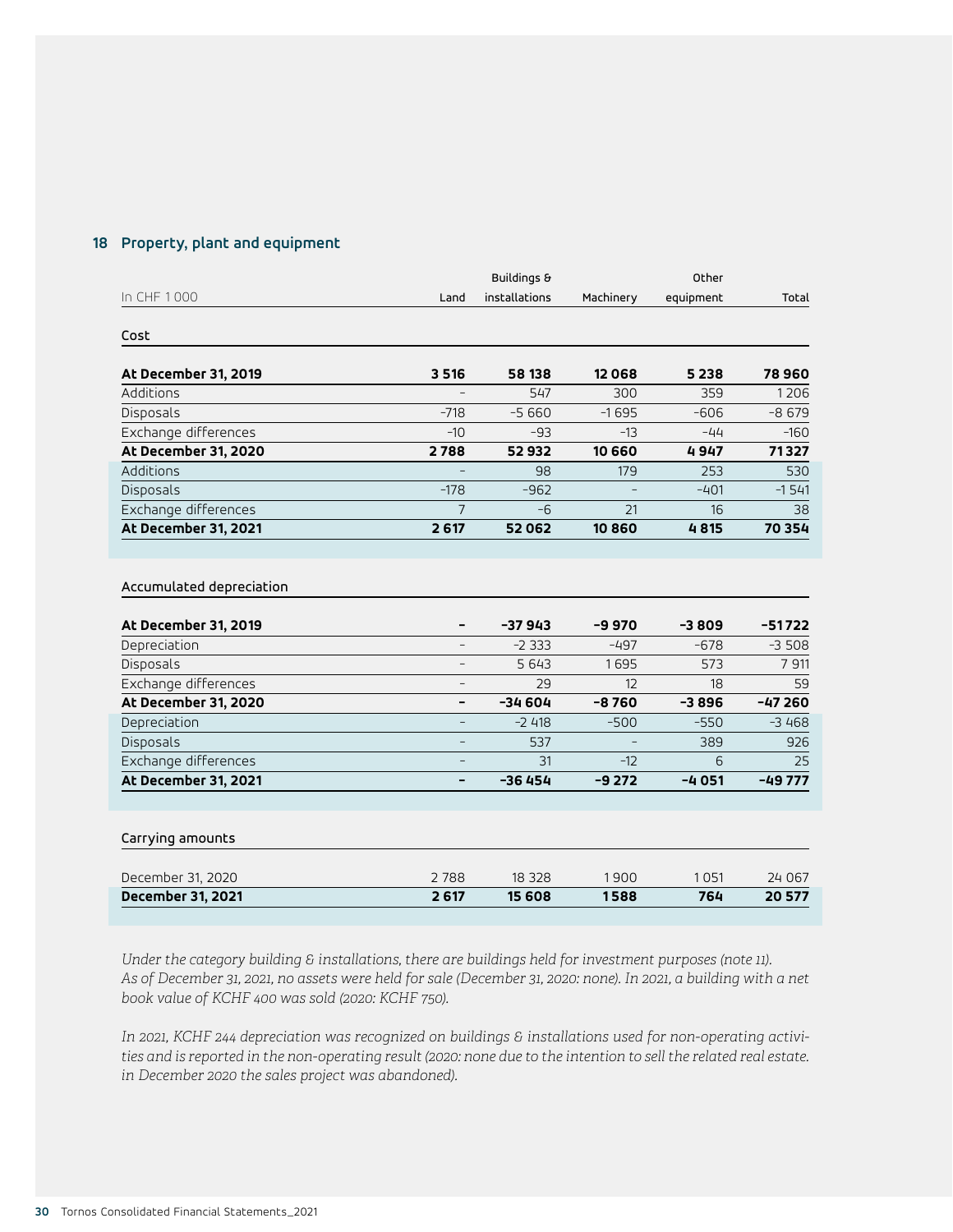#### **18 Property, plant and equipment**

|                                                  |                          | Buildings &   |           | Other     |          |
|--------------------------------------------------|--------------------------|---------------|-----------|-----------|----------|
| In CHF 1000                                      | Land                     | installations | Machinery | equipment | Total    |
|                                                  |                          |               |           |           |          |
| Cost                                             |                          |               |           |           |          |
| At December 31, 2019                             | 3516                     | 58 138        | 12068     | 5 2 3 8   | 78960    |
| Additions                                        |                          | 547           | 300       | 359       | 1206     |
| Disposals                                        | $-718$                   | $-5660$       | $-1695$   | $-606$    | $-8679$  |
| Exchange differences                             | $-10$                    | $-93$         | $-13$     | $-44$     | $-160$   |
| At December 31, 2020                             | 2788                     | 52932         | 10 660    | 4947      | 71327    |
| Additions                                        |                          | 98            | 179       | 253       | 530      |
| Disposals                                        | $-178$                   | $-962$        |           | $-401$    | $-1541$  |
| Exchange differences                             | $\overline{7}$           | $-6$          | 21        | 16        | 38       |
| At December 31, 2021                             | 2617                     | 52062         | 10860     | 4815      | 70 354   |
|                                                  |                          |               |           |           |          |
| Accumulated depreciation<br>At December 31, 2019 |                          | $-37943$      | $-9970$   | $-3809$   | $-51722$ |
| Depreciation                                     | $\overline{a}$           | $-2333$       | $-497$    | $-678$    | $-3508$  |
| Disposals                                        | $\overline{\phantom{a}}$ | 5 643         | 1695      | 573       | 7 911    |
| Exchange differences                             | $\overline{\phantom{0}}$ | 29            | 12        | 18        | 59       |
| At December 31, 2020                             | -                        | $-34604$      | $-8760$   | $-3896$   | $-47260$ |
| Depreciation                                     | $\overline{\phantom{0}}$ | $-2418$       | $-500$    | $-550$    | $-3468$  |
| Disposals                                        | $\overline{\phantom{0}}$ | 537           |           | 389       | 926      |
|                                                  |                          |               |           |           |          |
| Exchange differences                             | $\overline{a}$           | 31            | $-12$     | 6         | 25       |
| At December 31, 2021                             | $\overline{\phantom{0}}$ | $-36454$      | $-9272$   | $-4051$   | $-49777$ |
|                                                  |                          |               |           |           |          |
| Carrying amounts                                 |                          |               |           |           |          |
| December 31, 2020                                | 2788                     | 18 3 28       | 1900      | 1051      | 24 067   |
| <b>December 31, 2021</b>                         | 2 6 17                   | 15 608        | 1588      | 764       | 20 577   |

*Under the category building & installations, there are buildings held for investment purposes (note 11). As of December 31, 2021, no assets were held for sale (December 31, 2020: none). In 2021, a building with a net book value of KCHF 400 was sold (2020: KCHF 750).*

*In 2021, KCHF 244 depreciation was recognized on buildings & installations used for non-operating activities and is reported in the non-operating result (2020: none due to the intention to sell the related real estate. in December 2020 the sales project was abandoned).*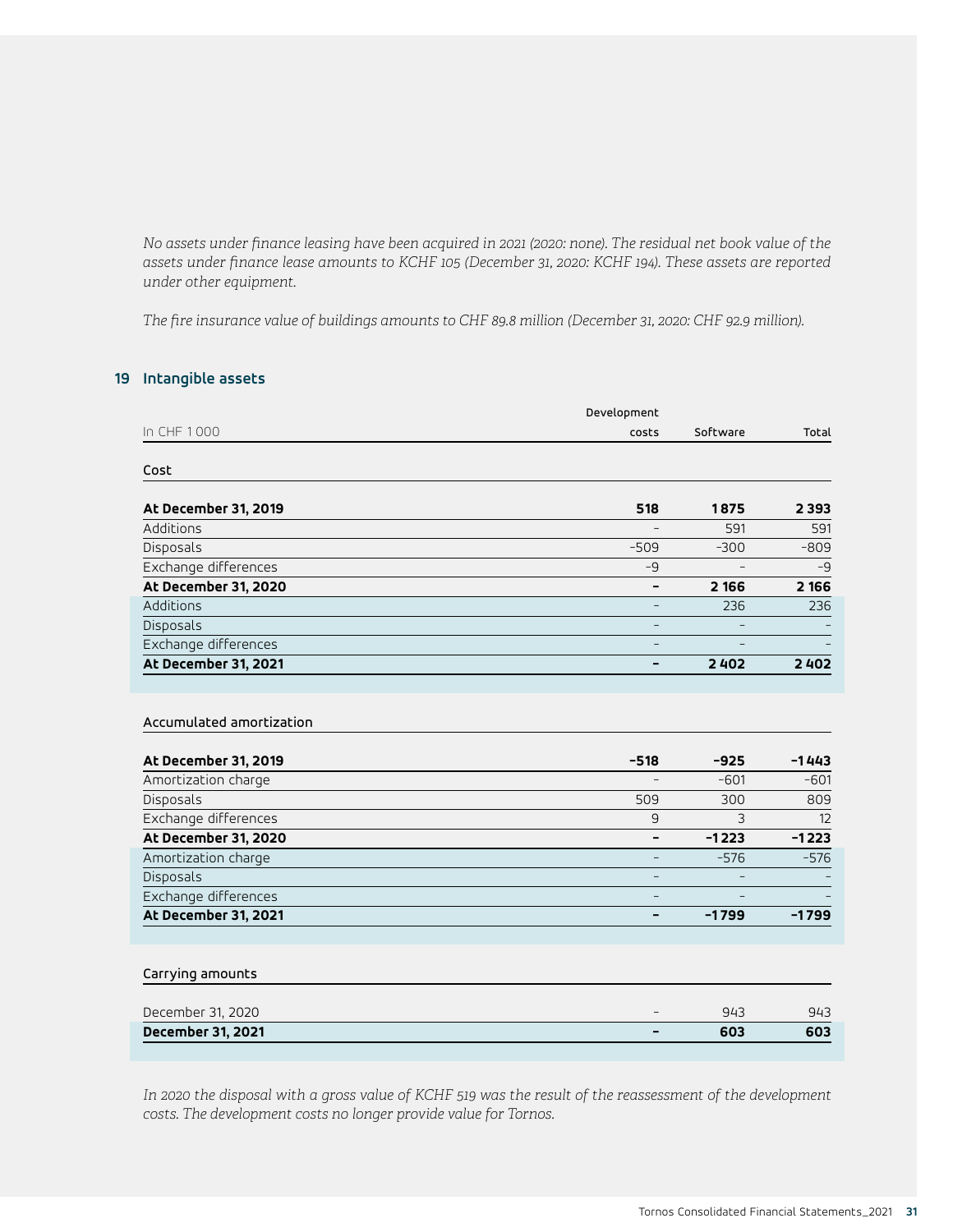*No assets under finance leasing have been acquired in 2021 (2020: none). The residual net book value of the assets under finance lease amounts to KCHF 105 (December 31, 2020: KCHF 194). These assets are reported under other equipment.*

*The fire insurance value of buildings amounts to CHF 89.8 million (December 31, 2020: CHF 92.9 million).*

#### **19 Intangible assets**

|                          | Development              |          |         |
|--------------------------|--------------------------|----------|---------|
| In CHF 1000              | costs                    | Software | Total   |
| Cost                     |                          |          |         |
| At December 31, 2019     | 518                      | 1875     | 2 3 9 3 |
| Additions                |                          | 591      | 591     |
| Disposals                | $-509$                   | $-300$   | $-809$  |
| Exchange differences     | -9                       | L.       | $-9$    |
| At December 31, 2020     | $\overline{\phantom{0}}$ | 2 1 6 6  | 2 166   |
| Additions                | $\overline{\phantom{0}}$ | 236      | 236     |
| Disposals                | $\overline{\phantom{a}}$ |          |         |
| Exchange differences     |                          |          |         |
| At December 31, 2021     | -                        | 2402     | 2402    |
| Accumulated amortization |                          |          |         |
| At December 31, 2019     | $-518$                   | $-925$   | $-1443$ |
| Amortization charge      |                          | $-601$   | $-601$  |
| Disposals                | 509                      | 300      | 809     |
| Exchange differences     | 9                        | 3        | 12      |
| At December 31, 2020     | -                        | $-1223$  | $-1223$ |
| Amortization charge      | $\qquad \qquad -$        | $-576$   | $-576$  |
| Disposals                | $\overline{\phantom{0}}$ |          |         |
| Exchange differences     |                          |          |         |
| At December 31, 2021     | -                        | $-1799$  | $-1799$ |
|                          |                          |          |         |
| Carrying amounts         |                          |          |         |
|                          |                          |          |         |

| December 31, 2020 | $\sim$ | 943 | 943 |
|-------------------|--------|-----|-----|
| December 31, 2021 | $\sim$ | 603 | 603 |
|                   |        |     |     |

*In 2020 the disposal with a gross value of KCHF 519 was the result of the reassessment of the development costs. The development costs no longer provide value for Tornos.*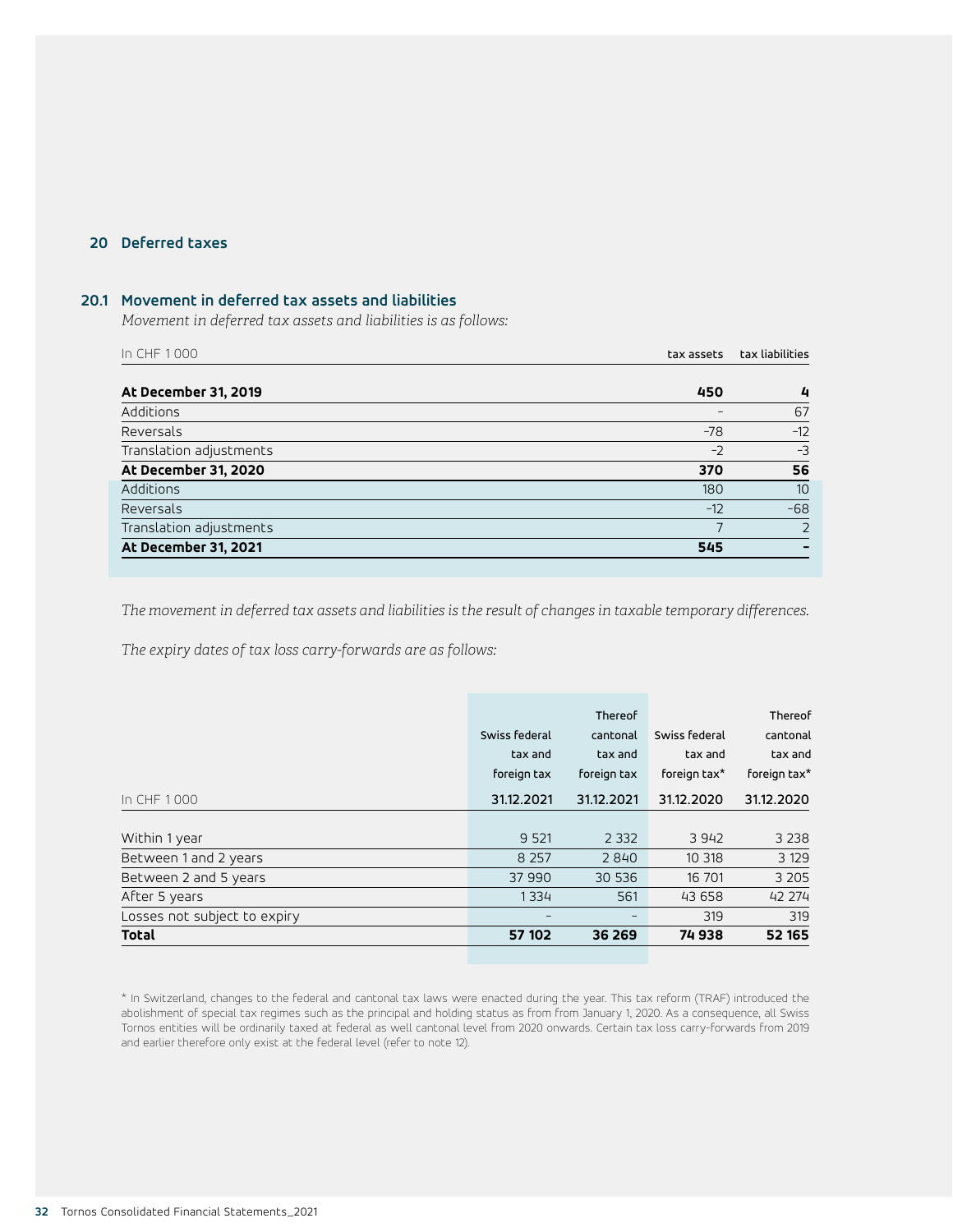#### **Deferred taxes 20**

#### **Movement in deferred tax assets and liabilities 20.1**

*Movement in deferred tax assets and liabilities is as follows:* 

| In CHF 1000             | tax assets | tax liabilities |
|-------------------------|------------|-----------------|
|                         |            |                 |
| At December 31, 2019    | 450        | 4               |
| Additions               | -          | 67              |
| Reversals               | $-78$      | $-12$           |
| Translation adjustments | $-2$       | $-3$            |
| At December 31, 2020    | 370        | 56              |
| Additions               | 180        | 10              |
| Reversals               | $-12$      | $-68$           |
| Translation adjustments |            |                 |
| At December 31, 2021    | 545        |                 |
|                         |            |                 |

*The movement in deferred tax assets and liabilities is the result of changes in taxable temporary differences.* 

*The expiry dates of tax loss carry-forwards are as follows:*

|                              |               | Thereof     |               | Thereof      |
|------------------------------|---------------|-------------|---------------|--------------|
|                              |               |             |               |              |
|                              | Swiss federal | cantonal    | Swiss federal | cantonal     |
|                              | tax and       | tax and     | tax and       | tax and      |
|                              | foreign tax   | foreign tax | foreign tax*  | foreign tax* |
| In CHF 1000                  | 31.12.2021    | 31.12.2021  | 31.12.2020    | 31.12.2020   |
|                              |               |             |               |              |
| Within 1 year                | 9 5 21        | 2 3 3 2     | 3 9 4 2       | 3 2 3 8      |
| Between 1 and 2 years        | 8 2 5 7       | 2840        | 10 318        | 3 1 2 9      |
| Between 2 and 5 years        | 37 990        | 30 536      | 16 701        | 3 2 0 5      |
| After 5 years                | 1334          | 561         | 43 658        | 42 274       |
| Losses not subject to expiry |               |             | 319           | 319          |
| <b>Total</b>                 | 57 102        | 36 269      | 74938         | 52 165       |
|                              |               |             |               |              |

\* In Switzerland, changes to the federal and cantonal tax laws were enacted during the year. This tax reform (TRAF) introduced the abolishment of special tax regimes such as the principal and holding status as from from January 1, 2020. As a consequence, all Swiss Tornos entities will be ordinarily taxed at federal as well cantonal level from 2020 onwards. Certain tax loss carry-forwards from 2019 and earlier therefore only exist at the federal level (refer to note 12).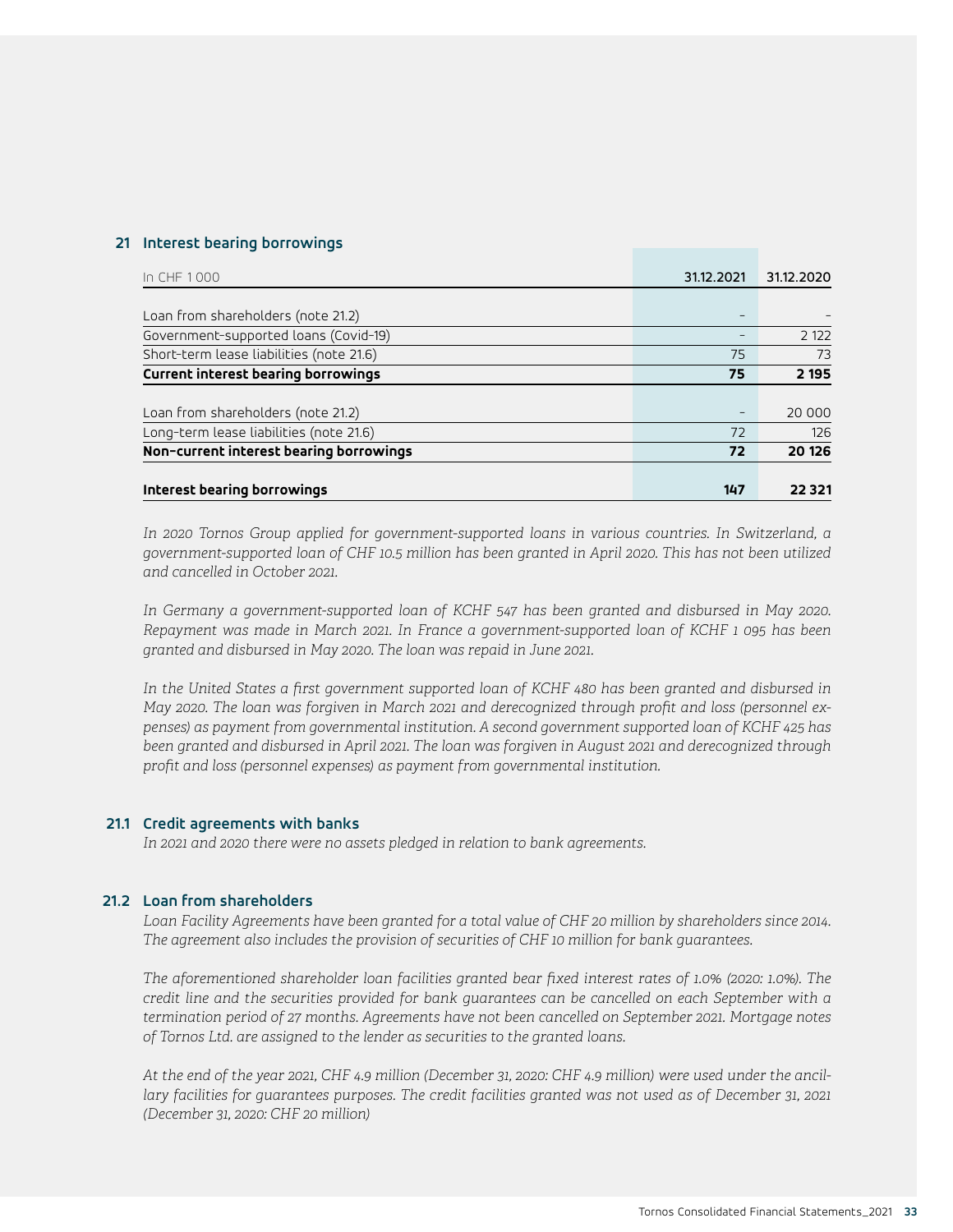#### **21 Interest bearing borrowings**

| In CHF 1000                                | 31.12.2021 | 31.12.2020 |
|--------------------------------------------|------------|------------|
|                                            |            |            |
| Loan from shareholders (note 21.2)         |            |            |
| Government-supported loans (Covid-19)      |            | 2 1 2 2    |
| Short-term lease liabilities (note 21.6)   | 75         | 73         |
| <b>Current interest bearing borrowings</b> | 75         | 2 195      |
|                                            |            |            |
| Loan from shareholders (note 21.2)         |            | 20 000     |
| Long-term lease liabilities (note 21.6)    | 72         | 126        |
| Non-current interest bearing borrowings    | 72         | 20 126     |
|                                            |            |            |
| Interest bearing borrowings                | 147        | 22321      |

*In 2020 Tornos Group applied for government-supported loans in various countries. In Switzerland, a government-supported loan of CHF 10.5 million has been granted in April 2020. This has not been utilized and cancelled in October 2021.*

In Germany a government-supported loan of KCHF 547 has been granted and disbursed in May 2020. *Repayment was made in March 2021. In France a government-supported loan of KCHF 1 095 has been granted and disbursed in May 2020. The loan was repaid in June 2021.*

*In the United States a first government supported loan of KCHF 480 has been granted and disbursed in May 2020. The loan was forgiven in March 2021 and derecognized through profit and loss (personnel expenses) as payment from governmental institution. A second government supported loan of KCHF 425 has been granted and disbursed in April 2021. The loan was forgiven in August 2021 and derecognized through profit and loss (personnel expenses) as payment from governmental institution.* 

#### **Credit agreements with banks 21.1**

*In 2021 and 2020 there were no assets pledged in relation to bank agreements.*

#### **Loan from shareholders 21.2**

*Loan Facility Agreements have been granted for a total value of CHF 20 million by shareholders since 2014. The agreement also includes the provision of securities of CHF 10 million for bank guarantees.*

*The aforementioned shareholder loan facilities granted bear fixed interest rates of 1.0% (2020: 1.0%). The credit line and the securities provided for bank guarantees can be cancelled on each September with a termination period of 27 months. Agreements have not been cancelled on September 2021. Mortgage notes of Tornos Ltd. are assigned to the lender as securities to the granted loans.*

*At the end of the year 2021, CHF 4.9 million (December 31, 2020: CHF 4.9 million) were used under the ancillary facilities for guarantees purposes. The credit facilities granted was not used as of December 31, 2021 (December 31, 2020: CHF 20 million)*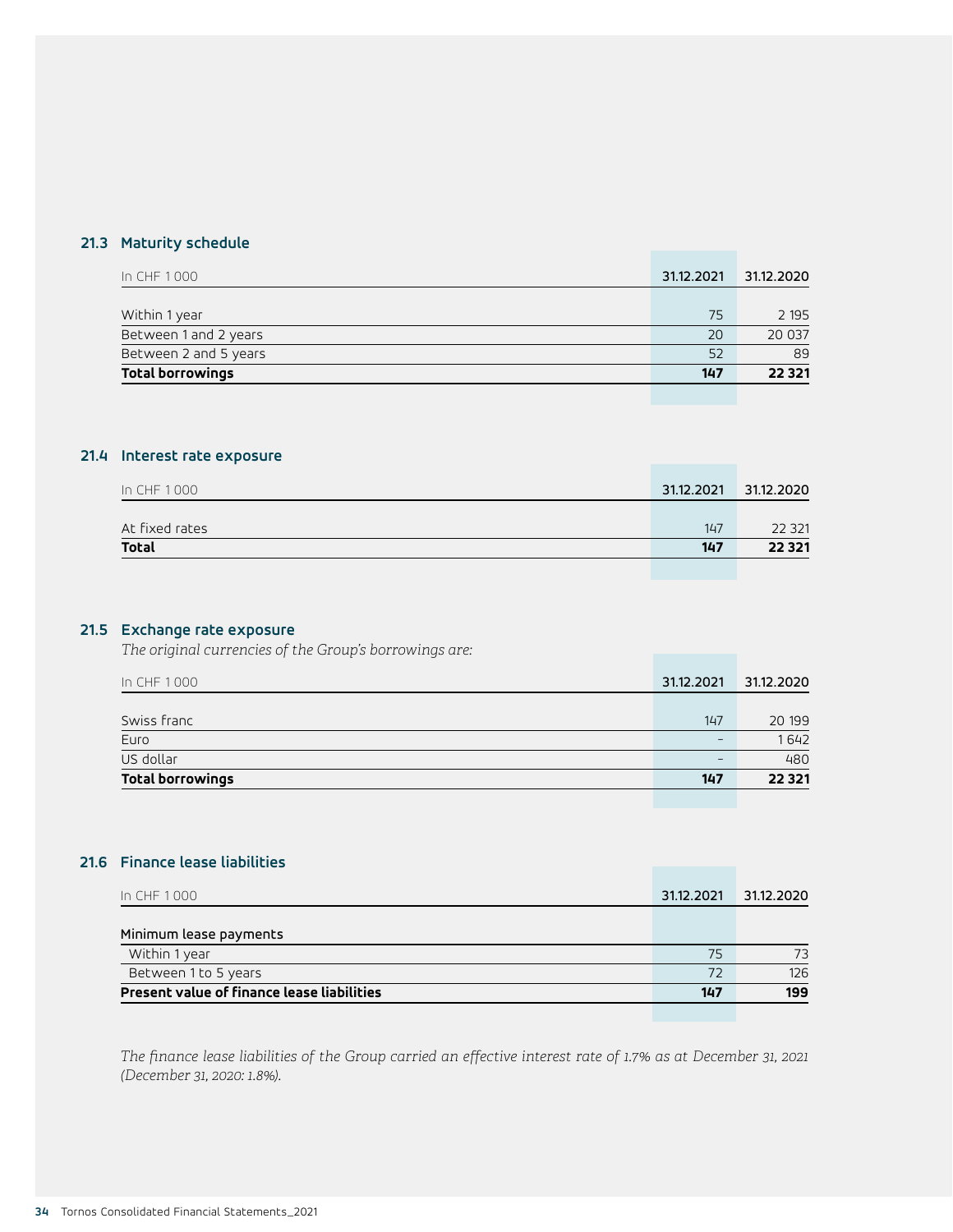#### **21.3 Maturity schedule**

| <b>Total borrowings</b> | 147        | 22 3 21    |
|-------------------------|------------|------------|
| Between 2 and 5 years   | 52         | 89         |
| Between 1 and 2 years   | 20         | 20 037     |
| Within 1 year           | 75         | 2 195      |
| In CHF 1000             | 31.12.2021 | 31.12.2020 |
|                         |            |            |

#### **21.4 Interest rate exposure**

| <b>Total</b>   | 147        | 22 3 21    |
|----------------|------------|------------|
| At fixed rates | 147        | 22 321     |
|                |            |            |
| In CHF 1000    | 31.12.2021 | 31.12.2020 |
|                |            |            |

#### **Exchange rate exposure 21.5**

*The original currencies of the Group's borrowings are:*

| <b>Total borrowings</b> | 147                      | 22 3 21    |
|-------------------------|--------------------------|------------|
| US dollar               |                          | 480        |
| Euro                    | $\overline{\phantom{a}}$ | 1642       |
| Swiss franc             | 147                      | 20 199     |
|                         |                          |            |
| In CHF 1000             | 31.12.2021               | 31.12.2020 |

#### **21.6 Finance lease liabilities**

| <b>Present value of finance lease liabilities</b> | 147        | 199        |
|---------------------------------------------------|------------|------------|
| Between 1 to 5 years                              | 72         | 126        |
| Within 1 year                                     | 75         | 73         |
| Minimum lease payments                            |            |            |
| In CHF 1000                                       | 31.12.2021 | 31.12.2020 |
|                                                   |            |            |

*The finance lease liabilities of the Group carried an effective interest rate of 1.7% as at December 31, 2021 (December 31, 2020: 1.8%).*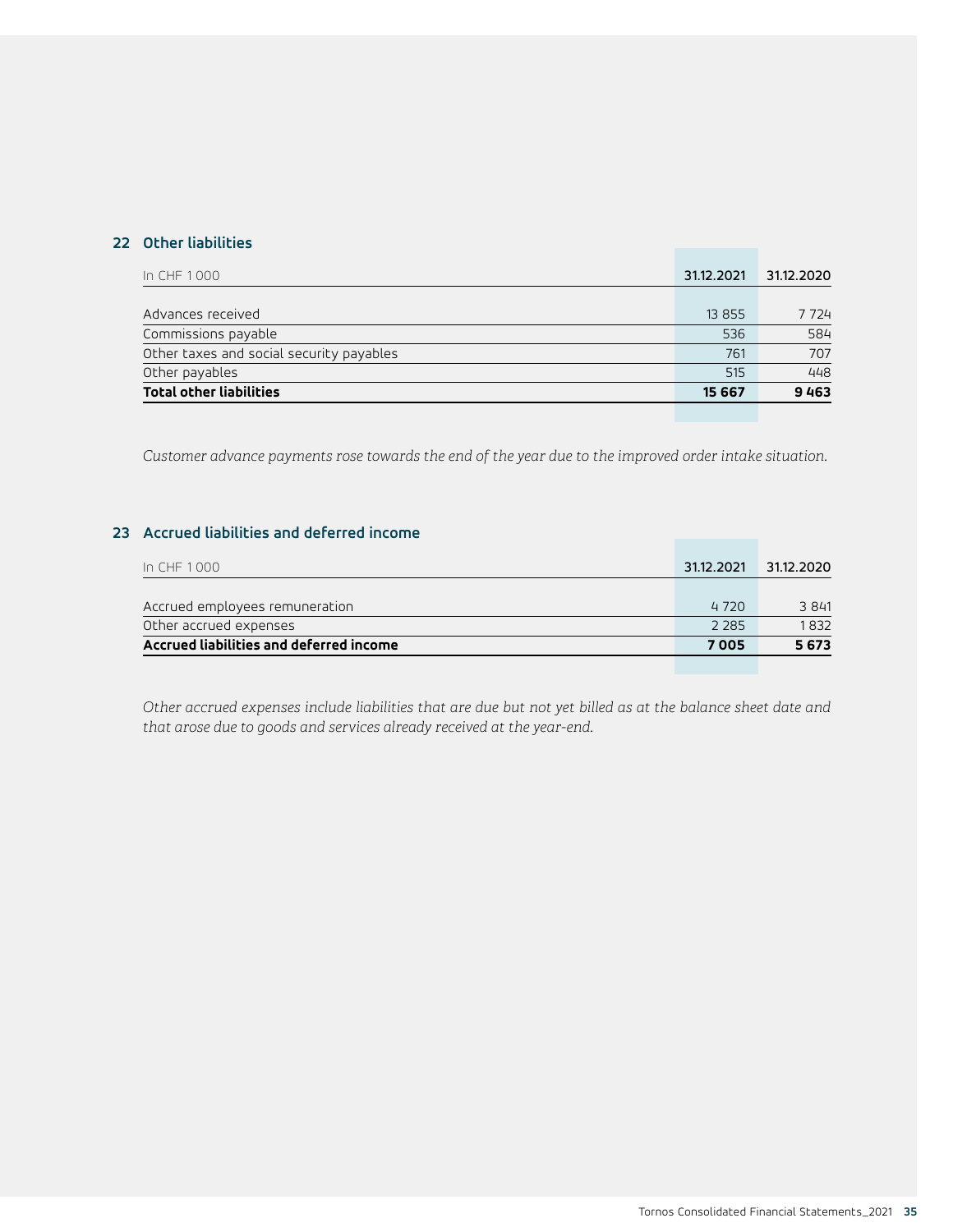#### **Other liabilities 22**

| <b>Total other liabilities</b>           | 15 6 67    | 9463       |
|------------------------------------------|------------|------------|
| Other payables                           | 515        | 448        |
| Other taxes and social security payables | 761        | 707        |
| Commissions payable                      | 536        | 584        |
| Advances received                        | 13 8 5 5   | 7 7 2 4    |
|                                          |            |            |
| In CHF 1000                              | 31.12.2021 | 31.12.2020 |
|                                          |            |            |

*Customer advance payments rose towards the end of the year due to the improved order intake situation.*

#### **Accrued liabilities and deferred income 23**

| In CHE 1000                             | 31.12.2021 | 31.12.2020 |
|-----------------------------------------|------------|------------|
|                                         |            |            |
| Accrued employees remuneration          | 4 7 2 0    | 3 841      |
| Other accrued expenses                  | 2 2 8 5    | 1832       |
| Accrued liabilities and deferred income | 7 005      | 5 6 7 3    |

*Other accrued expenses include liabilities that are due but not yet billed as at the balance sheet date and that arose due to goods and services already received at the year-end.*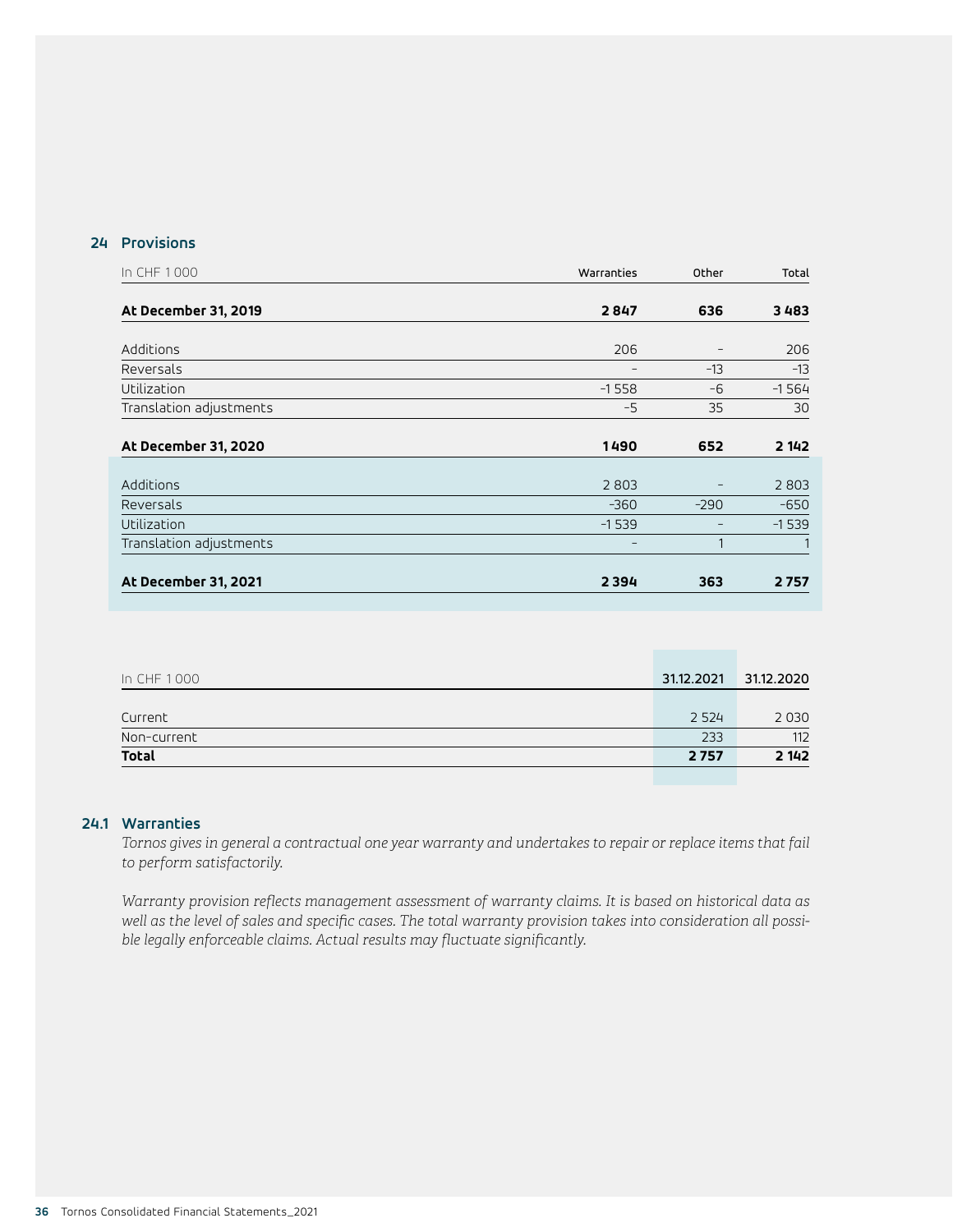#### **24 Provisions**

| In CHF 1000                 | Warranties | Other        | Total   |
|-----------------------------|------------|--------------|---------|
| At December 31, 2019        | 2847       | 636          | 3483    |
|                             |            |              |         |
| Additions                   | 206        |              | 206     |
| Reversals                   |            | $-13$        | $-13$   |
| Utilization                 | $-1558$    | -6           | $-1564$ |
| Translation adjustments     | $-5$       | 35           | 30      |
| At December 31, 2020        | 1490       | 652          | 2 14 2  |
| Additions                   | 2803       |              | 2 8 0 3 |
| Reversals                   | $-360$     | $-290$       | $-650$  |
| Utilization                 | $-1539$    |              | $-1539$ |
| Translation adjustments     | -          | $\mathbf{1}$ |         |
| <b>At December 31, 2021</b> | 2394       | 363          | 2757    |

| <b>Total</b> | 2757       | 2 14 2     |
|--------------|------------|------------|
| Non-current  | 233        | 112        |
| Current      | 2 5 2 4    | 2030       |
|              |            |            |
| In CHF 1000  | 31.12.2021 | 31.12.2020 |
|              |            |            |

#### **Warranties 24.1**

*Tornos gives in general a contractual one year warranty and undertakes to repair or replace items that fail to perform satisfactorily.*

*Warranty provision reflects management assessment of warranty claims. It is based on historical data as well as the level of sales and specific cases. The total warranty provision takes into consideration all possible legally enforceable claims. Actual results may fluctuate significantly.*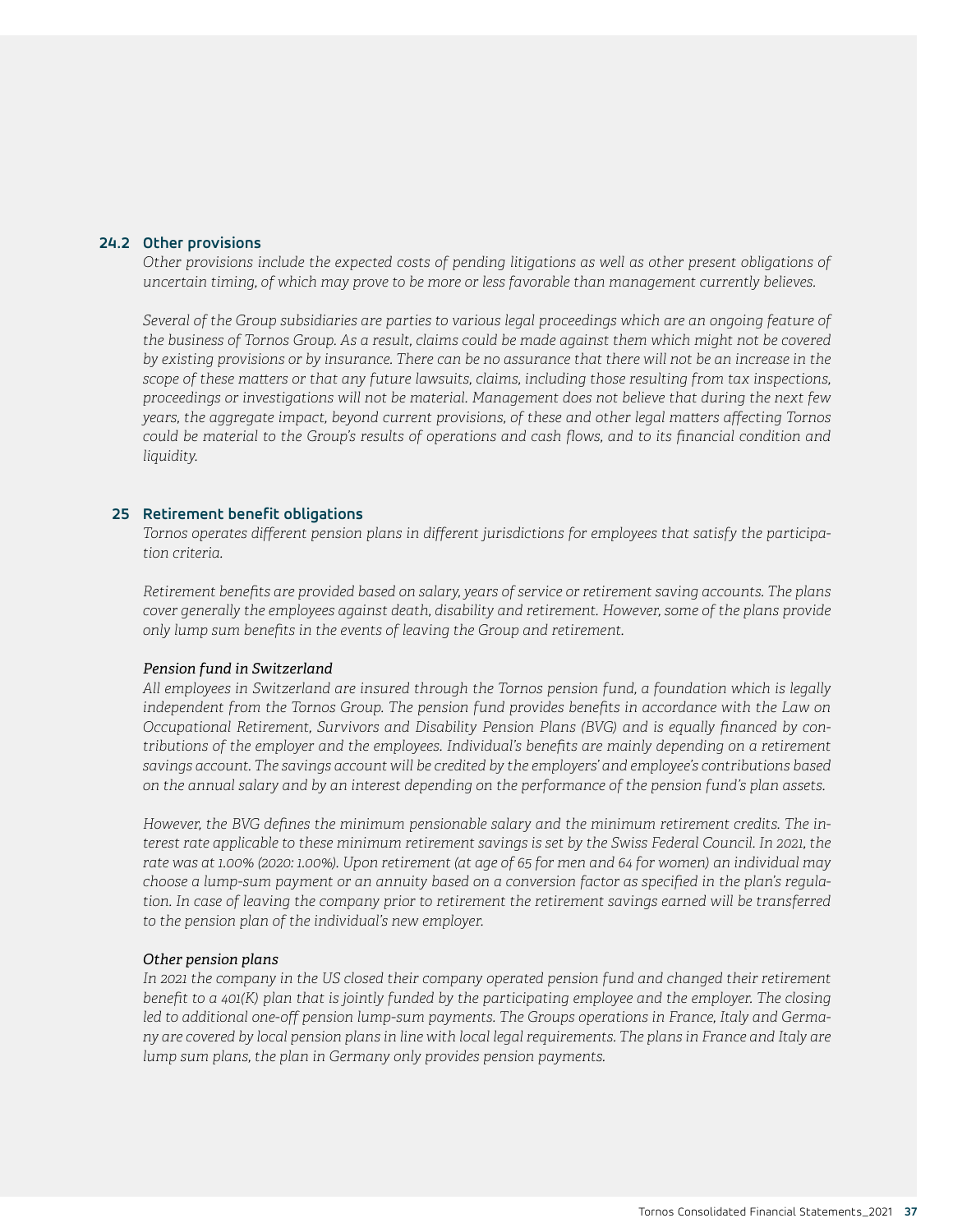### **24.2 Other provisions**

*Other provisions include the expected costs of pending litigations as well as other present obligations of uncertain timing, of which may prove to be more or less favorable than management currently believes.*

*Several of the Group subsidiaries are parties to various legal proceedings which are an ongoing feature of the business of Tornos Group. As a result, claims could be made against them which might not be covered by existing provisions or by insurance. There can be no assurance that there will not be an increase in the scope of these matters or that any future lawsuits, claims, including those resulting from tax inspections, proceedings or investigations will not be material. Management does not believe that during the next few years, the aggregate impact, beyond current provisions, of these and other legal matters affecting Tornos could be material to the Group's results of operations and cash flows, and to its financial condition and liquidity.*

### **Retirement benefit obligations 25**

*Tornos operates different pension plans in different jurisdictions for employees that satisfy the participation criteria.*

*Retirement benefits are provided based on salary, years of service or retirement saving accounts. The plans cover generally the employees against death, disability and retirement. However, some of the plans provide only lump sum benefits in the events of leaving the Group and retirement.*

### *Pension fund in Switzerland*

*All employees in Switzerland are insured through the Tornos pension fund, a foundation which is legally*  independent from the Tornos Group. The pension fund provides benefits in accordance with the Law on *Occupational Retirement, Survivors and Disability Pension Plans (BVG) and is equally financed by contributions of the employer and the employees. Individual's benefits are mainly depending on a retirement savings account. The savings account will be credited by the employers' and employee's contributions based on the annual salary and by an interest depending on the performance of the pension fund's plan assets.*

*However, the BVG defines the minimum pensionable salary and the minimum retirement credits. The interest rate applicable to these minimum retirement savings is set by the Swiss Federal Council. In 2021, the rate was at 1.00% (2020: 1.00%). Upon retirement (at age of 65 for men and 64 for women) an individual may choose a lump-sum payment or an annuity based on a conversion factor as specified in the plan's regulation. In case of leaving the company prior to retirement the retirement savings earned will be transferred to the pension plan of the individual's new employer.*

### *Other pension plans*

In 2021 the company in the US closed their company operated pension fund and changed their retirement *benefit to a 401(K) plan that is jointly funded by the participating employee and the employer. The closing led to additional one-off pension lump-sum payments. The Groups operations in France, Italy and Germany are covered by local pension plans in line with local legal requirements. The plans in France and Italy are lump sum plans, the plan in Germany only provides pension payments.*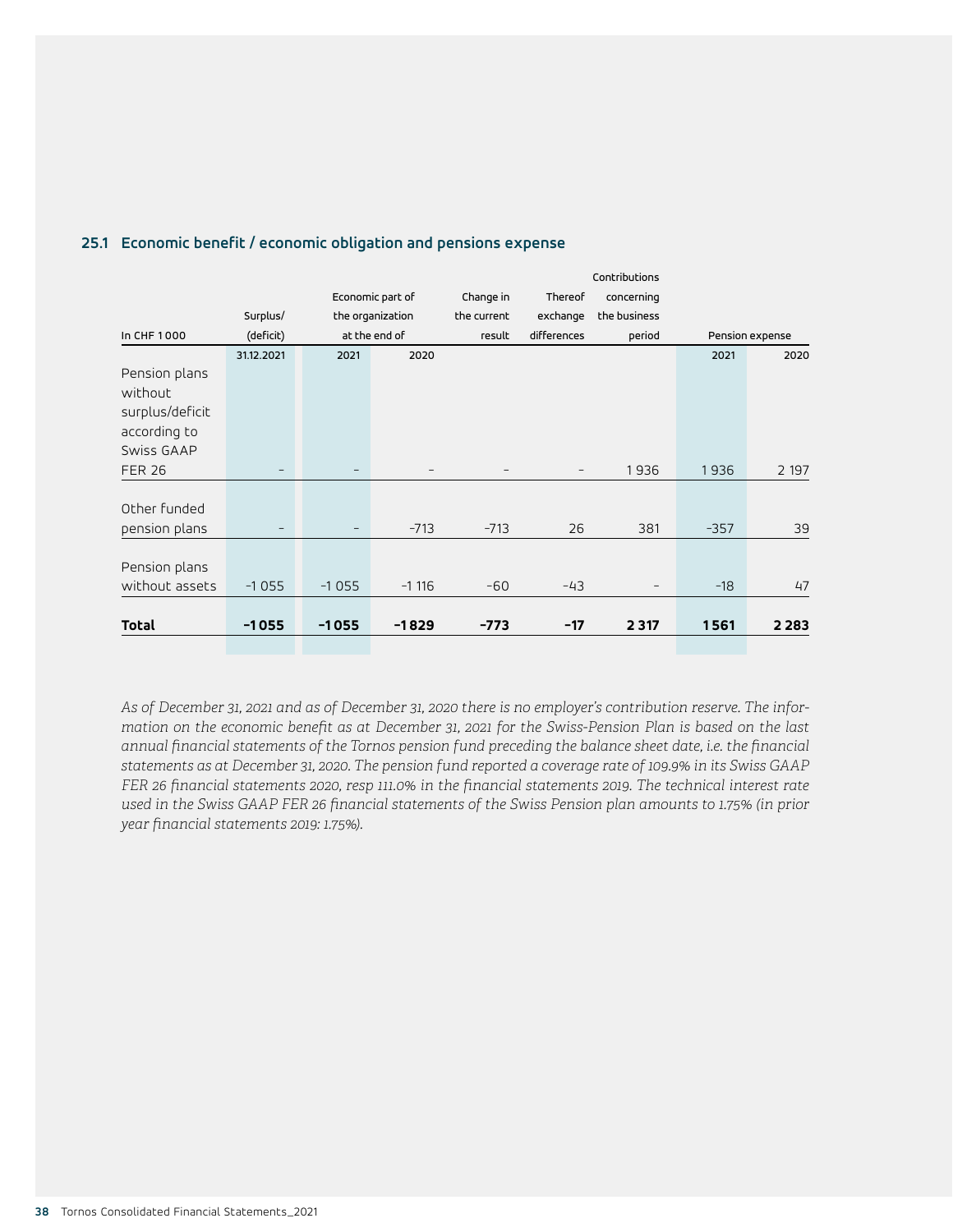|                 |            |                          |                  |             |                   | Contributions |        |                 |
|-----------------|------------|--------------------------|------------------|-------------|-------------------|---------------|--------|-----------------|
|                 |            |                          | Economic part of | Change in   | Thereof           | concerning    |        |                 |
|                 | Surplus/   |                          | the organization | the current | exchange          | the business  |        |                 |
| In CHF 1000     | (deficit)  |                          | at the end of    | result      | differences       | period        |        | Pension expense |
|                 | 31.12.2021 | 2021                     | 2020             |             |                   |               | 2021   | 2020            |
| Pension plans   |            |                          |                  |             |                   |               |        |                 |
| without         |            |                          |                  |             |                   |               |        |                 |
| surplus/deficit |            |                          |                  |             |                   |               |        |                 |
| according to    |            |                          |                  |             |                   |               |        |                 |
| Swiss GAAP      |            |                          |                  |             |                   |               |        |                 |
| <b>FER 26</b>   |            | $\overline{\phantom{0}}$ |                  |             | $\qquad \qquad -$ | 1936          | 1936   | 2 197           |
|                 |            |                          |                  |             |                   |               |        |                 |
| Other funded    |            |                          |                  |             |                   |               |        |                 |
| pension plans   |            | $\qquad \qquad -$        | $-713$           | $-713$      | 26                | 381           | $-357$ | 39              |
|                 |            |                          |                  |             |                   |               |        |                 |
| Pension plans   |            |                          |                  |             |                   |               |        |                 |
| without assets  | $-1055$    | $-1055$                  | $-1116$          | $-60$       | $-43$             |               | $-18$  | 47              |
|                 |            |                          |                  |             |                   |               |        |                 |
| <b>Total</b>    | $-1055$    | $-1055$                  | $-1829$          | $-773$      | $-17$             | 2 3 1 7       | 1561   | 2 2 8 3         |
|                 |            |                          |                  |             |                   |               |        |                 |

### **25.1 Economic benefit / economic obligation and pensions expense**

*As of December 31, 2021 and as of December 31, 2020 there is no employer's contribution reserve. The information on the economic benefit as at December 31, 2021 for the Swiss-Pension Plan is based on the last annual financial statements of the Tornos pension fund preceding the balance sheet date, i.e. the financial statements as at December 31, 2020. The pension fund reported a coverage rate of 109.9% in its Swiss GAAP FER 26 financial statements 2020, resp 111.0% in the financial statements 2019. The technical interest rate used in the Swiss GAAP FER 26 financial statements of the Swiss Pension plan amounts to 1.75% (in prior year financial statements 2019: 1.75%).*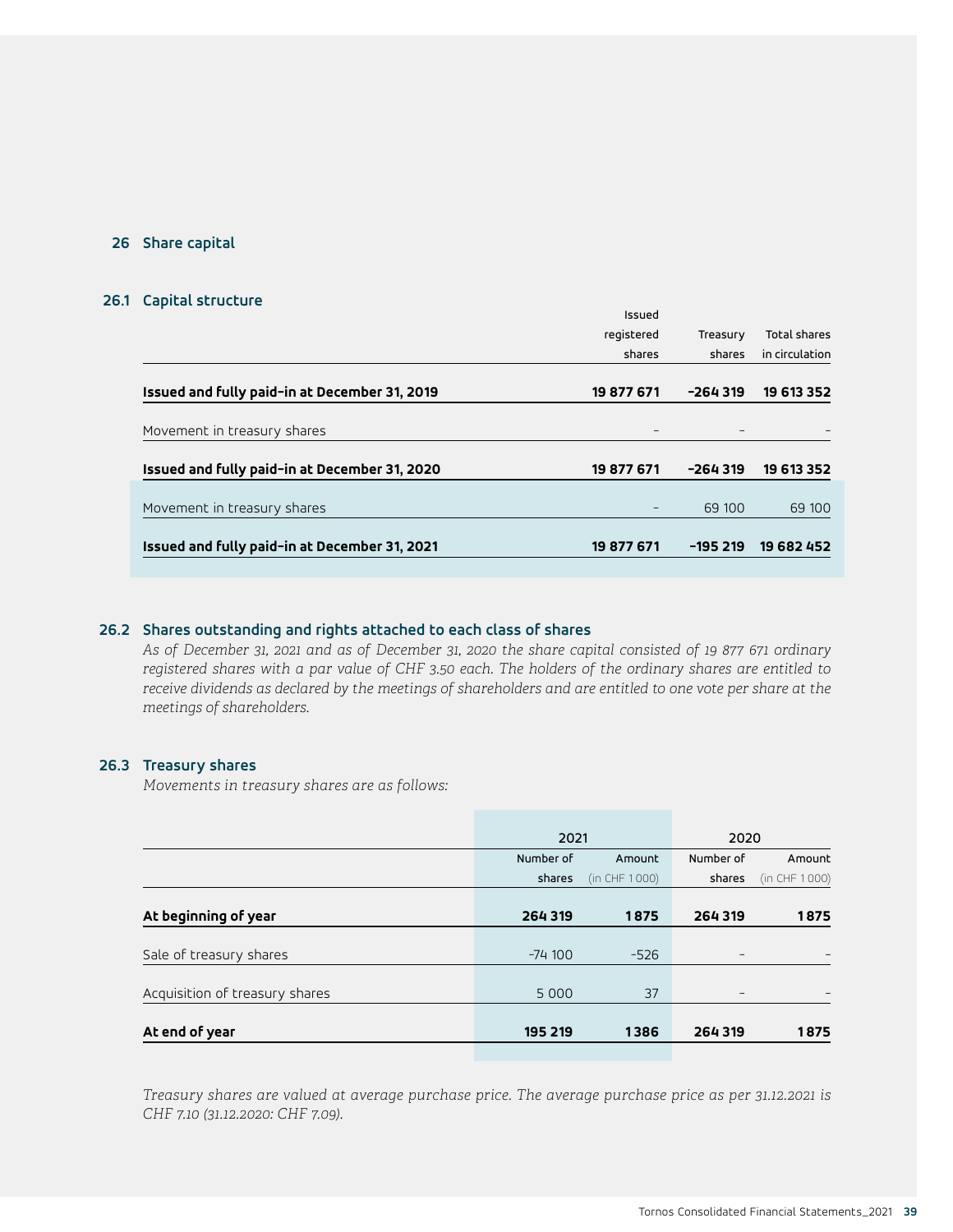### **Share capital 26**

### **Capital structure 26.1**

| Issued and fully paid-in at December 31, 2021 | 19 877 671               | $-195219$ | 19 682 452     |
|-----------------------------------------------|--------------------------|-----------|----------------|
| Movement in treasury shares                   |                          | 69 100    | 69 100         |
|                                               |                          |           |                |
| Issued and fully paid-in at December 31, 2020 | 19 877 671               | $-264319$ | 19 613 352     |
| Movement in treasury shares                   | $\overline{\phantom{a}}$ |           |                |
| Issued and fully paid-in at December 31, 2019 | 19 877 671               | $-264319$ | 19 613 352     |
|                                               |                          |           |                |
|                                               | shares                   | shares    | in circulation |
|                                               | registered               | Treasury  | Total shares   |
|                                               | Issued                   |           |                |

### **26.2 Shares outstanding and rights attached to each class of shares**

*As of December 31, 2021 and as of December 31, 2020 the share capital consisted of 19 877 671 ordinary registered shares with a par value of CHF 3.50 each. The holders of the ordinary shares are entitled to receive dividends as declared by the meetings of shareholders and are entitled to one vote per share at the meetings of shareholders.*

### **Treasury shares 26.3**

*Movements in treasury shares are as follows:*

|                                | 2021      |               | 2020            |               |
|--------------------------------|-----------|---------------|-----------------|---------------|
|                                | Number of | Amount        | Number of       | Amount        |
|                                | shares    | (in CHF 1000) | shares          | (in CHF 1000) |
|                                |           |               |                 |               |
| At beginning of year           | 264 319   | 1875          | 264 319         | 1875          |
|                                |           |               |                 |               |
| Sale of treasury shares        | $-74100$  | $-526$        | $\qquad \qquad$ | -             |
|                                |           |               |                 |               |
| Acquisition of treasury shares | 5 0 0 0   | 37            | $\qquad \qquad$ | -             |
|                                |           |               |                 |               |
| At end of year                 | 195 219   | 1386          | 264319          | 1875          |
|                                |           |               |                 |               |

*Treasury shares are valued at average purchase price. The average purchase price as per 31.12.2021 is CHF 7.10 (31.12.2020: CHF 7.09).*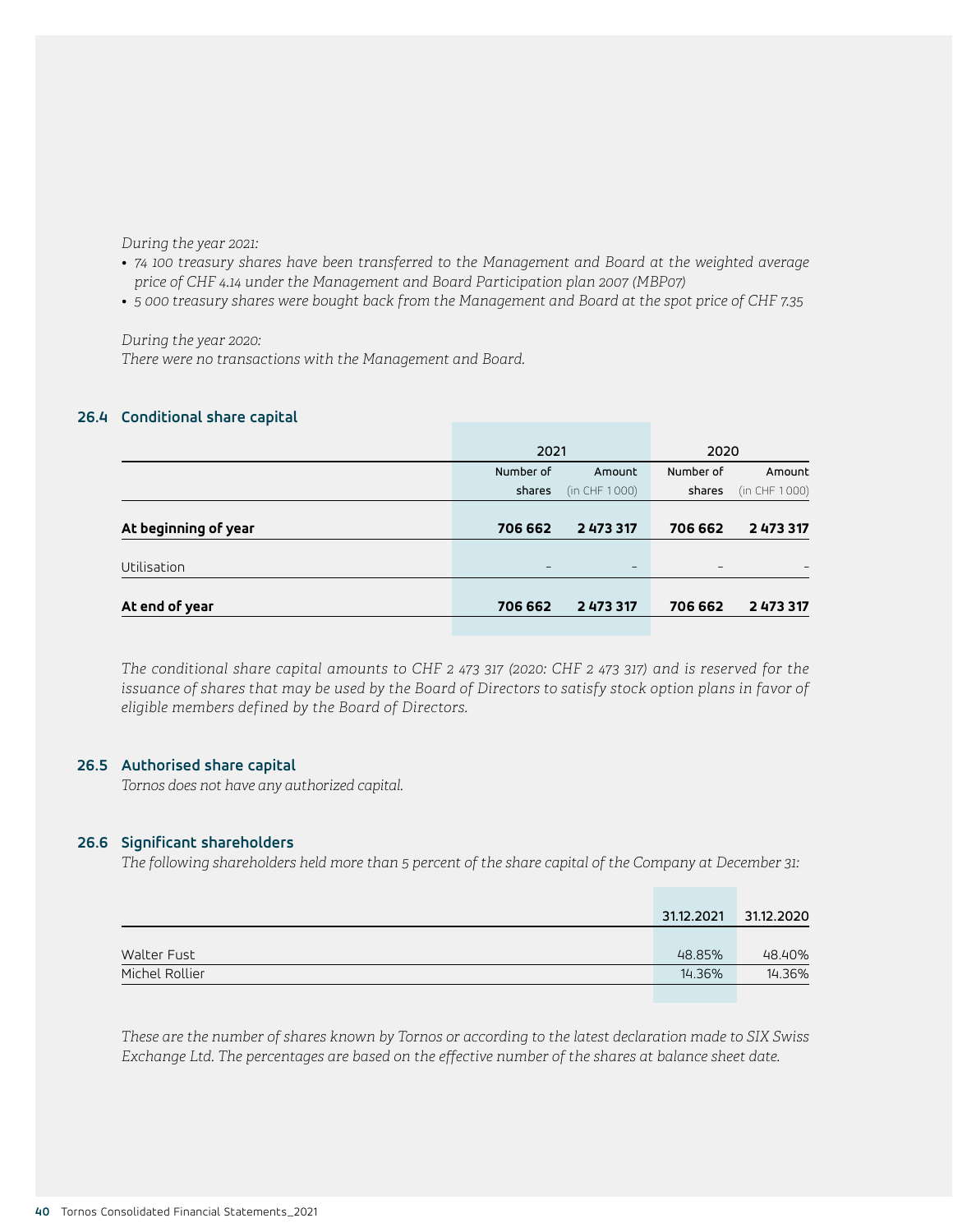*During the year 2021:*

- *• 74 100 treasury shares have been transferred to the Management and Board at the weighted average price of CHF 4.14 under the Management and Board Participation plan 2007 (MBP07)*
- *• 5 000 treasury shares were bought back from the Management and Board at the spot price of CHF 7.35*

*During the year 2020:*

*There were no transactions with the Management and Board.*

### **Conditional share capital 26.4**

|           |                          | 2020                     |               |
|-----------|--------------------------|--------------------------|---------------|
| Number of | Amount                   |                          | Amount        |
| shares    | (in CHF 1000)            | shares                   | (in CHF 1000) |
| 706 662   | 2 473 317                | 706 662                  | 2473317       |
| -         | $\overline{\phantom{m}}$ | $\overline{\phantom{m}}$ |               |
| 706 662   | 2 473 317                | 706 662                  | 2 473 317     |
|           |                          | 2021                     | Number of     |

*The conditional share capital amounts to CHF 2 473 317 (2020: CHF 2 473 317) and is reserved for the issuance of shares that may be used by the Board of Directors to satisfy stock option plans in favor of eligible members defined by the Board of Directors.*

### **Authorised share capital 26.5**

*Tornos does not have any authorized capital.* 

### **Significant shareholders 26.6**

*The following shareholders held more than 5 percent of the share capital of the Company at December 31:*

|                | 31.12.2021 | 31.12.2020 |
|----------------|------------|------------|
| Walter Fust    | 48.85%     | 48.40%     |
| Michel Rollier | 14.36%     | 14.36%     |

*These are the number of shares known by Tornos or according to the latest declaration made to SIX Swiss Exchange Ltd. The percentages are based on the effective number of the shares at balance sheet date.*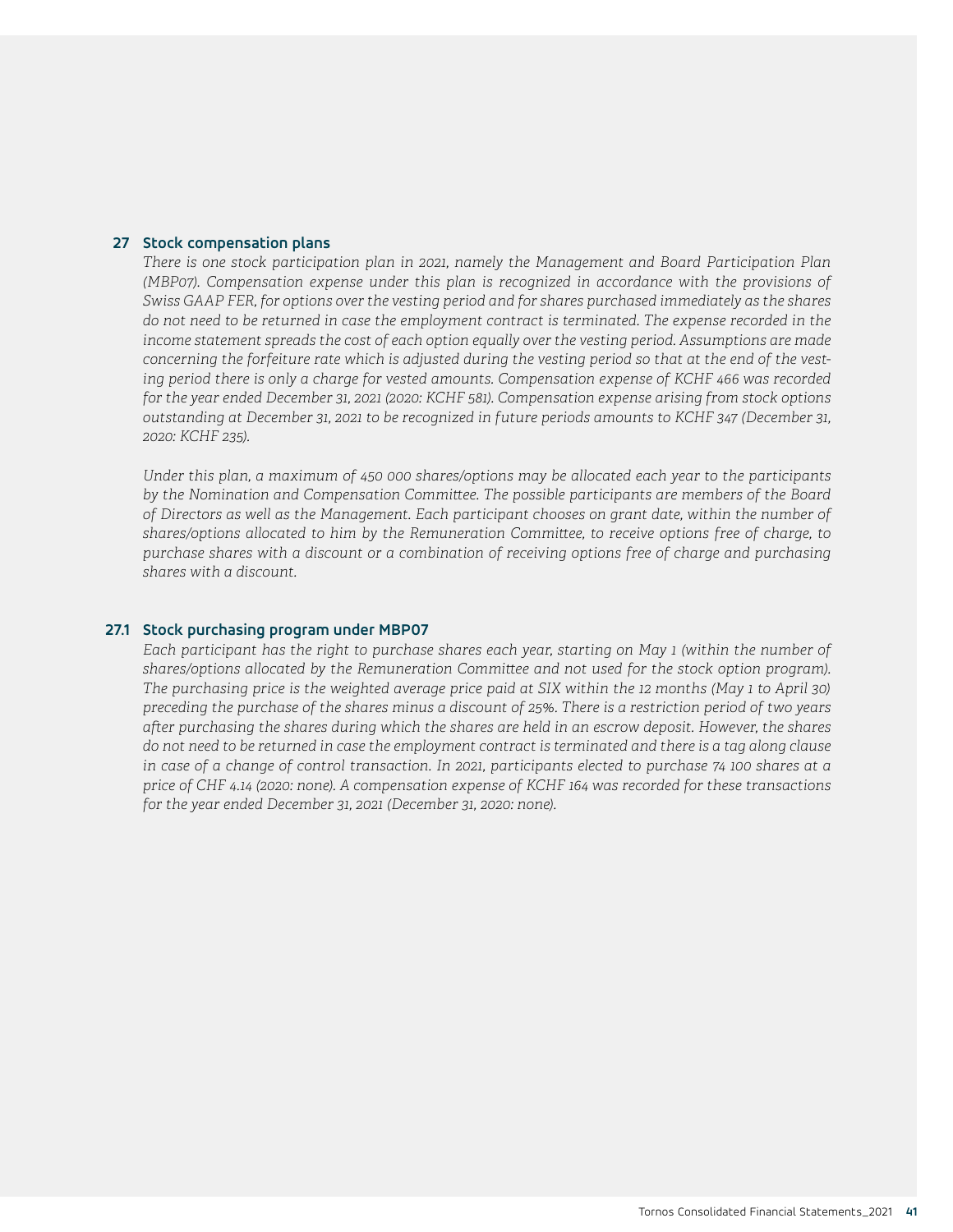### **27 Stock compensation plans**

*There is one stock participation plan in 2021, namely the Management and Board Participation Plan (MBP07). Compensation expense under this plan is recognized in accordance with the provisions of Swiss GAAP FER, for options over the vesting period and for shares purchased immediately as the shares do not need to be returned in case the employment contract is terminated. The expense recorded in the income statement spreads the cost of each option equally over the vesting period. Assumptions are made concerning the forfeiture rate which is adjusted during the vesting period so that at the end of the vesting period there is only a charge for vested amounts. Compensation expense of KCHF 466 was recorded for the year ended December 31, 2021 (2020: KCHF 581). Compensation expense arising from stock options outstanding at December 31, 2021 to be recognized in future periods amounts to KCHF 347 (December 31, 2020: KCHF 235).*

*Under this plan, a maximum of 450 000 shares/options may be allocated each year to the participants by the Nomination and Compensation Committee. The possible participants are members of the Board of Directors as well as the Management. Each participant chooses on grant date, within the number of shares/options allocated to him by the Remuneration Committee, to receive options free of charge, to purchase shares with a discount or a combination of receiving options free of charge and purchasing shares with a discount.*

### **Stock purchasing program under MBP07 27.1**

*Each participant has the right to purchase shares each year, starting on May 1 (within the number of shares/options allocated by the Remuneration Committee and not used for the stock option program). The purchasing price is the weighted average price paid at SIX within the 12 months (May 1 to April 30) preceding the purchase of the shares minus a discount of 25%. There is a restriction period of two years after purchasing the shares during which the shares are held in an escrow deposit. However, the shares do not need to be returned in case the employment contract is terminated and there is a tag along clause in case of a change of control transaction. In 2021, participants elected to purchase 74 100 shares at a price of CHF 4.14 (2020: none). A compensation expense of KCHF 164 was recorded for these transactions for the year ended December 31, 2021 (December 31, 2020: none).*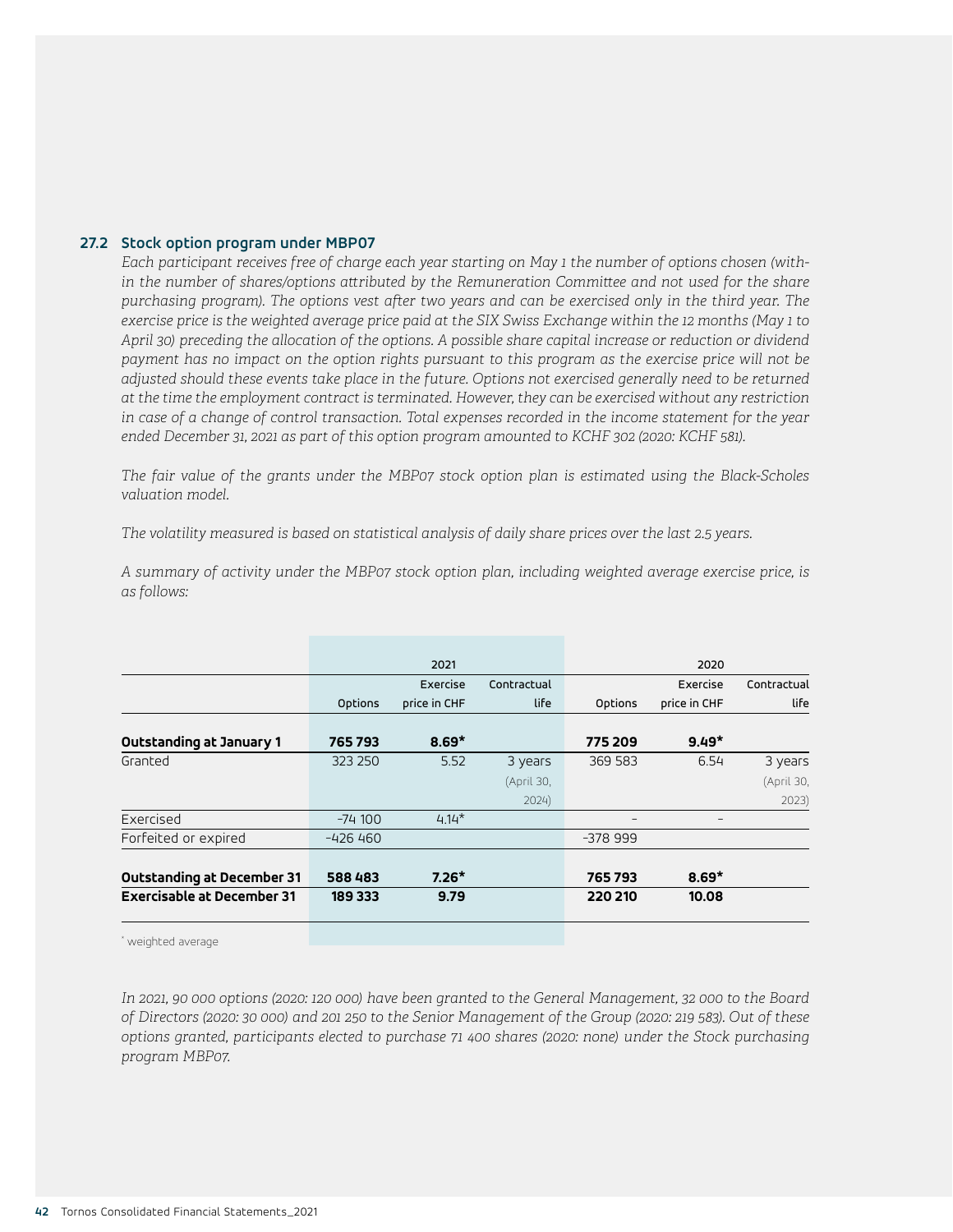### **Stock option program under MBP07 27.2**

*Each participant receives free of charge each year starting on May 1 the number of options chosen (within the number of shares/options attributed by the Remuneration Committee and not used for the share purchasing program). The options vest after two years and can be exercised only in the third year. The exercise price is the weighted average price paid at the SIX Swiss Exchange within the 12 months (May 1 to April 30) preceding the allocation of the options. A possible share capital increase or reduction or dividend payment has no impact on the option rights pursuant to this program as the exercise price will not be adjusted should these events take place in the future. Options not exercised generally need to be returned at the time the employment contract is terminated. However, they can be exercised without any restriction in case of a change of control transaction. Total expenses recorded in the income statement for the year ended December 31, 2021 as part of this option program amounted to KCHF 302 (2020: KCHF 581).*

*The fair value of the grants under the MBP07 stock option plan is estimated using the Black-Scholes valuation model.* 

*The volatility measured is based on statistical analysis of daily share prices over the last 2.5 years.*

*A summary of activity under the MBP07 stock option plan, including weighted average exercise price, is as follows:*

|                                   |           | 2021         |             |           | 2020         |             |
|-----------------------------------|-----------|--------------|-------------|-----------|--------------|-------------|
|                                   |           | Exercise     | Contractual |           | Exercise     | Contractual |
|                                   | Options   | price in CHF | life        | Options   | price in CHF | life        |
| <b>Outstanding at January 1</b>   | 765793    | $8.69*$      |             | 775 209   | $9.49*$      |             |
| Granted                           | 323 250   | 5.52         | 3 years     | 369 583   | 6.54         | 3 years     |
|                                   |           |              | (April 30,  |           |              | (April 30,  |
|                                   |           |              | 2024)       |           |              | 2023)       |
| Exercised                         | $-74100$  | $4.14*$      |             |           |              |             |
| Forfeited or expired              | $-426460$ |              |             | $-378999$ |              |             |
|                                   |           |              |             |           |              |             |
| <b>Outstanding at December 31</b> | 588483    | $7.26*$      |             | 765793    | $8.69*$      |             |
| <b>Exercisable at December 31</b> | 189 333   | 9.79         |             | 220 210   | 10.08        |             |

\* weighted average

*In 2021, 90 000 options (2020: 120 000) have been granted to the General Management, 32 000 to the Board of Directors (2020: 30 000) and 201 250 to the Senior Management of the Group (2020: 219 583). Out of these options granted, participants elected to purchase 71 400 shares (2020: none) under the Stock purchasing program MBP07.*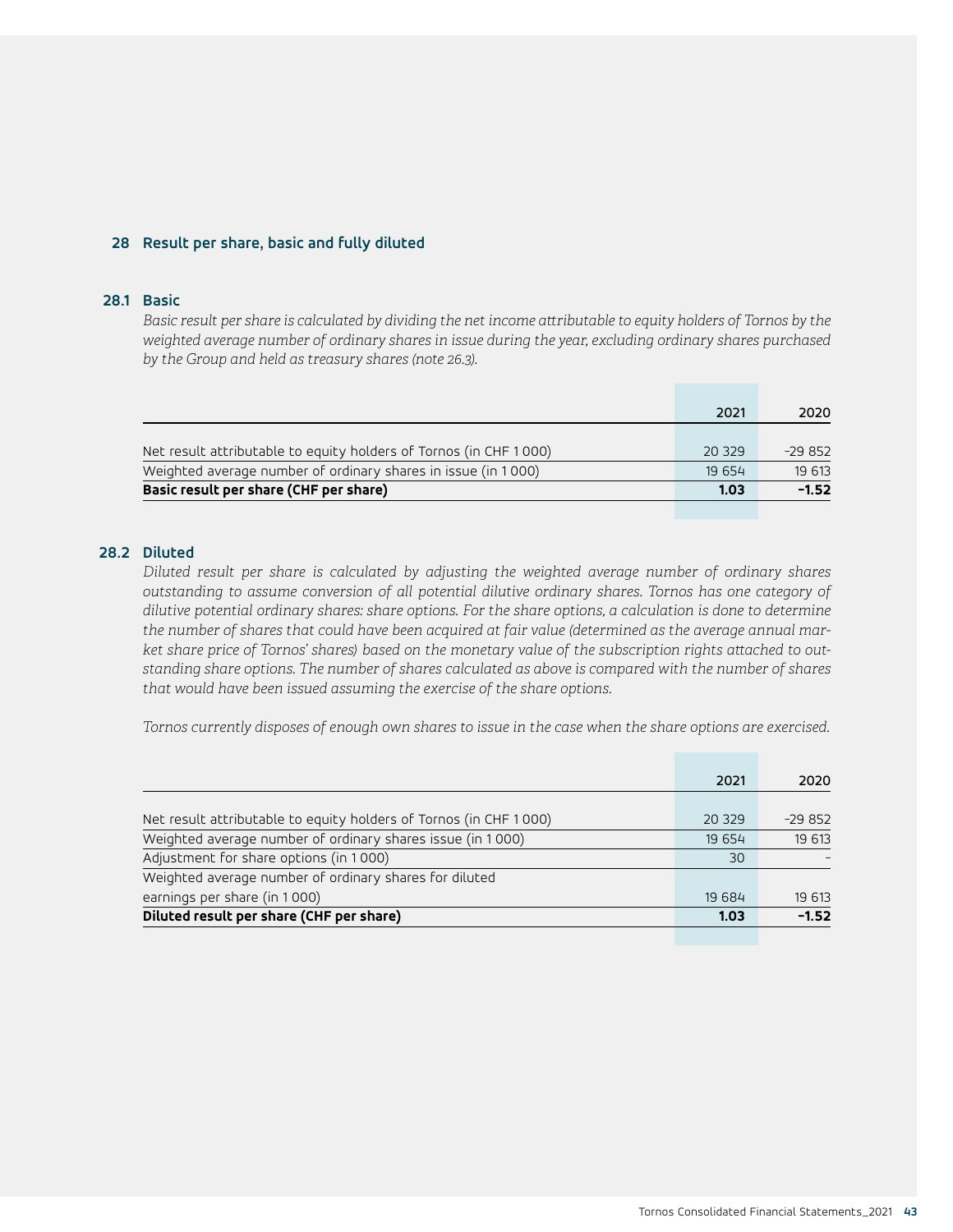### **Result per share, basic and fully diluted 28**

### **Basic 28.1**

*Basic result per share is calculated by dividing the net income attributable to equity holders of Tornos by the weighted average number of ordinary shares in issue during the year, excluding ordinary shares purchased by the Group and held as treasury shares (note 26.3).*

|                                                                   | 2021   | 2020     |
|-------------------------------------------------------------------|--------|----------|
|                                                                   |        |          |
| Net result attributable to equity holders of Tornos (in CHF 1000) | 20.329 | $-29852$ |
| Weighted average number of ordinary shares in issue (in 1000)     | 19 654 | 19 613   |
| Basic result per share (CHF per share)                            | 1.03   | $-1.52$  |

### **Diluted 28.2**

*Diluted result per share is calculated by adjusting the weighted average number of ordinary shares outstanding to assume conversion of all potential dilutive ordinary shares. Tornos has one category of dilutive potential ordinary shares: share options. For the share options, a calculation is done to determine the number of shares that could have been acquired at fair value (determined as the average annual market share price of Tornos' shares) based on the monetary value of the subscription rights attached to outstanding share options. The number of shares calculated as above is compared with the number of shares that would have been issued assuming the exercise of the share options.*

*Tornos currently disposes of enough own shares to issue in the case when the share options are exercised.*

|                                                                   | 2021   | 2020      |
|-------------------------------------------------------------------|--------|-----------|
|                                                                   |        |           |
| Net result attributable to equity holders of Tornos (in CHF 1000) | 20 329 | $-29.852$ |
| Weighted average number of ordinary shares issue (in 1000)        | 19 654 | 19 613    |
| Adjustment for share options (in 1000)                            | 30     |           |
| Weighted average number of ordinary shares for diluted            |        |           |
| earnings per share (in 1000)                                      | 19 684 | 19 613    |
| Diluted result per share (CHF per share)                          | 1.03   | $-1.52$   |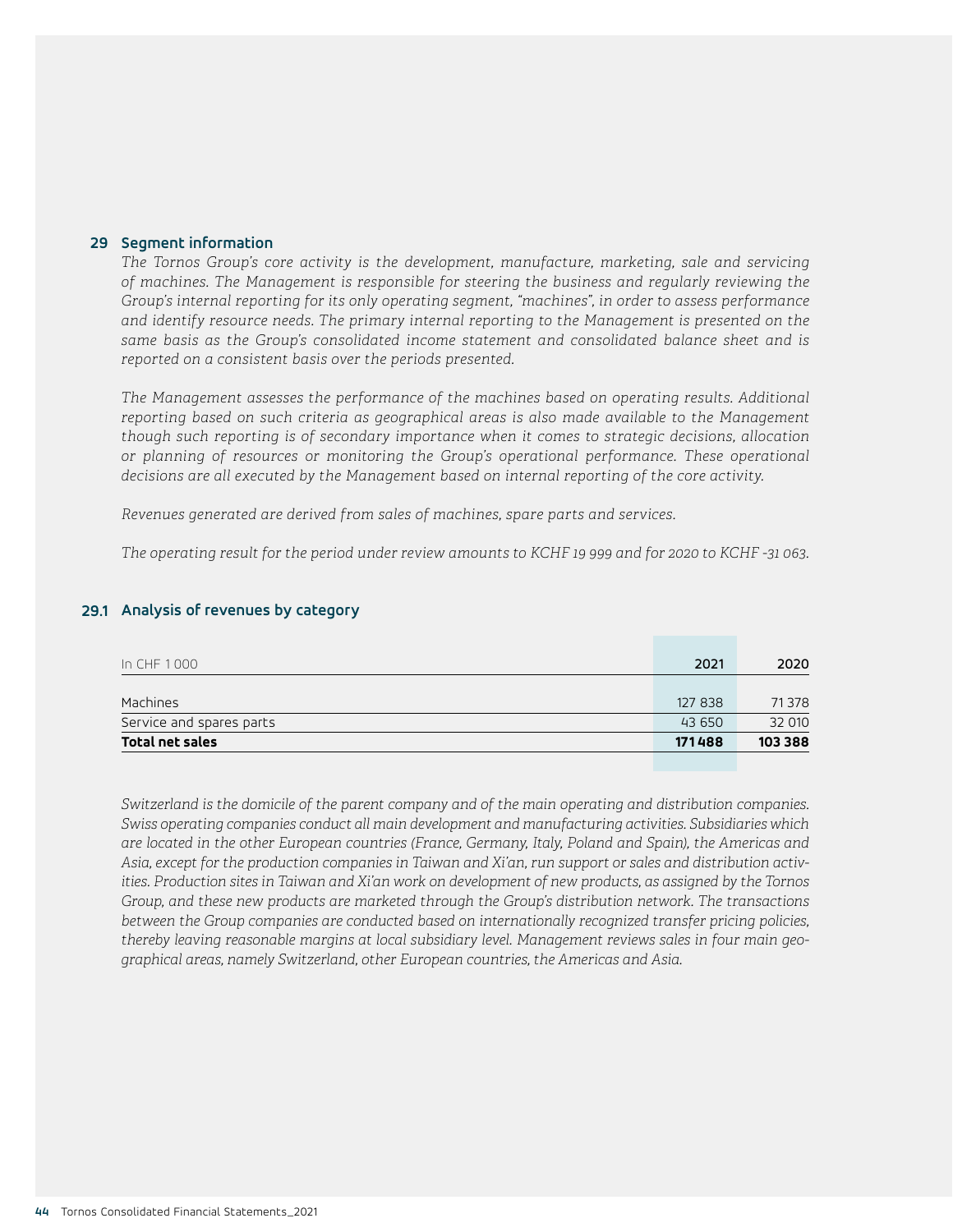### **29 Segment information**

*The Tornos Group's core activity is the development, manufacture, marketing, sale and servicing of machines. The Management is responsible for steering the business and regularly reviewing the Group's internal reporting for its only operating segment, "machines", in order to assess performance and identify resource needs. The primary internal reporting to the Management is presented on the same basis as the Group's consolidated income statement and consolidated balance sheet and is reported on a consistent basis over the periods presented.*

*The Management assesses the performance of the machines based on operating results. Additional reporting based on such criteria as geographical areas is also made available to the Management though such reporting is of secondary importance when it comes to strategic decisions, allocation or planning of resources or monitoring the Group's operational performance. These operational decisions are all executed by the Management based on internal reporting of the core activity.*

*Revenues generated are derived from sales of machines, spare parts and services.*

*The operating result for the period under review amounts to KCHF 19 999 and for 2020 to KCHF -31 063.*

| <b>Total net sales</b>   | 171488  | 103 388 |
|--------------------------|---------|---------|
| Service and spares parts | 43 650  | 32 010  |
| Machines                 | 127 838 | 71378   |
| In CHF 1000              | 2021    | 2020    |
|                          |         |         |

### **29.1 Analysis of revenues by category**

*Switzerland is the domicile of the parent company and of the main operating and distribution companies. Swiss operating companies conduct all main development and manufacturing activities. Subsidiaries which are located in the other European countries (France, Germany, Italy, Poland and Spain), the Americas and Asia, except for the production companies in Taiwan and Xi'an, run support or sales and distribution activities. Production sites in Taiwan and Xi'an work on development of new products, as assigned by the Tornos Group, and these new products are marketed through the Group's distribution network. The transactions between the Group companies are conducted based on internationally recognized transfer pricing policies, thereby leaving reasonable margins at local subsidiary level. Management reviews sales in four main geographical areas, namely Switzerland, other European countries, the Americas and Asia.*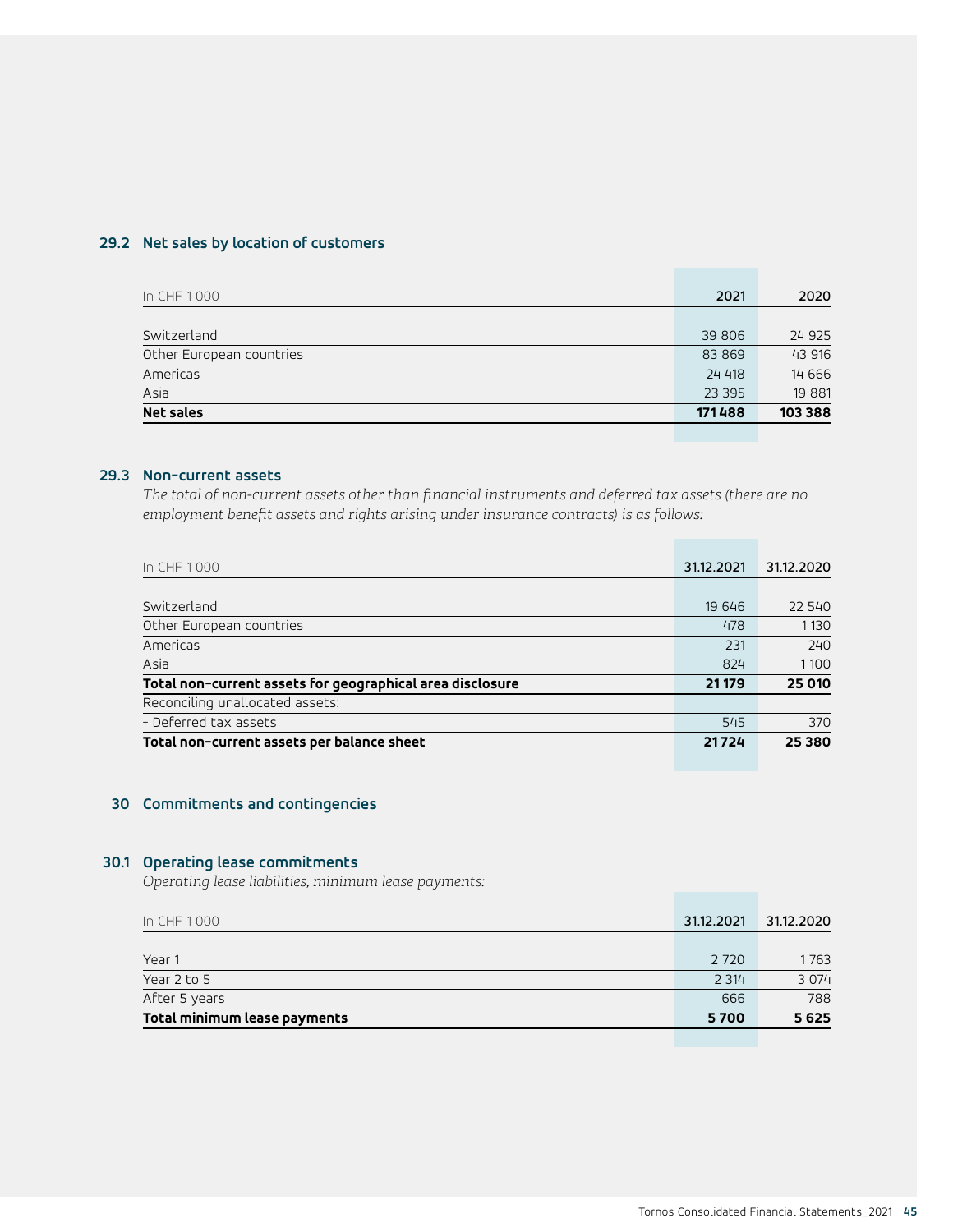### **29.2 Net sales by location of customers**

| <b>Net sales</b>         | 171488  | 103 388  |
|--------------------------|---------|----------|
| Asia                     | 23 3 95 | 19 8 81  |
| Americas                 | 24 418  | 14 6 6 6 |
| Other European countries | 83 869  | 43 916   |
| Switzerland              | 39 806  | 24 925   |
|                          |         |          |
| In CHF 1000              | 2021    | 2020     |
|                          |         |          |

### **29.3 Non-current assets**

*The total of non-current assets other than financial instruments and deferred tax assets (there are no employment benefit assets and rights arising under insurance contracts) is as follows:*

| In CHF 1000                                               | 31.12.2021 | 31.12.2020 |
|-----------------------------------------------------------|------------|------------|
|                                                           |            |            |
| Switzerland                                               | 19 646     | 22 540     |
| Other European countries                                  | 478        | 1 1 3 0    |
| Americas                                                  | 231        | 240        |
| Asia                                                      | 824        | 1 1 0 0    |
| Total non-current assets for geographical area disclosure | 21 17 9    | 25 010     |
| Reconciling unallocated assets:                           |            |            |
| - Deferred tax assets                                     | 545        | 370        |
| Total non-current assets per balance sheet                | 21724      | 25 3 8 0   |
|                                                           |            |            |

### **Commitments and contingencies 30**

### **Operating lease commitments 30.1**

*Operating lease liabilities, minimum lease payments:*

| In CHF 1000                  | 31.12.2021 | 31.12.2020 |
|------------------------------|------------|------------|
|                              |            |            |
| Year 1                       | 2 7 2 0    | 1763       |
| Year 2 to 5                  | 2 3 1 4    | 3 0 7 4    |
| After 5 years                | 666        | 788        |
| Total minimum lease payments | 5700       | 5625       |
|                              |            |            |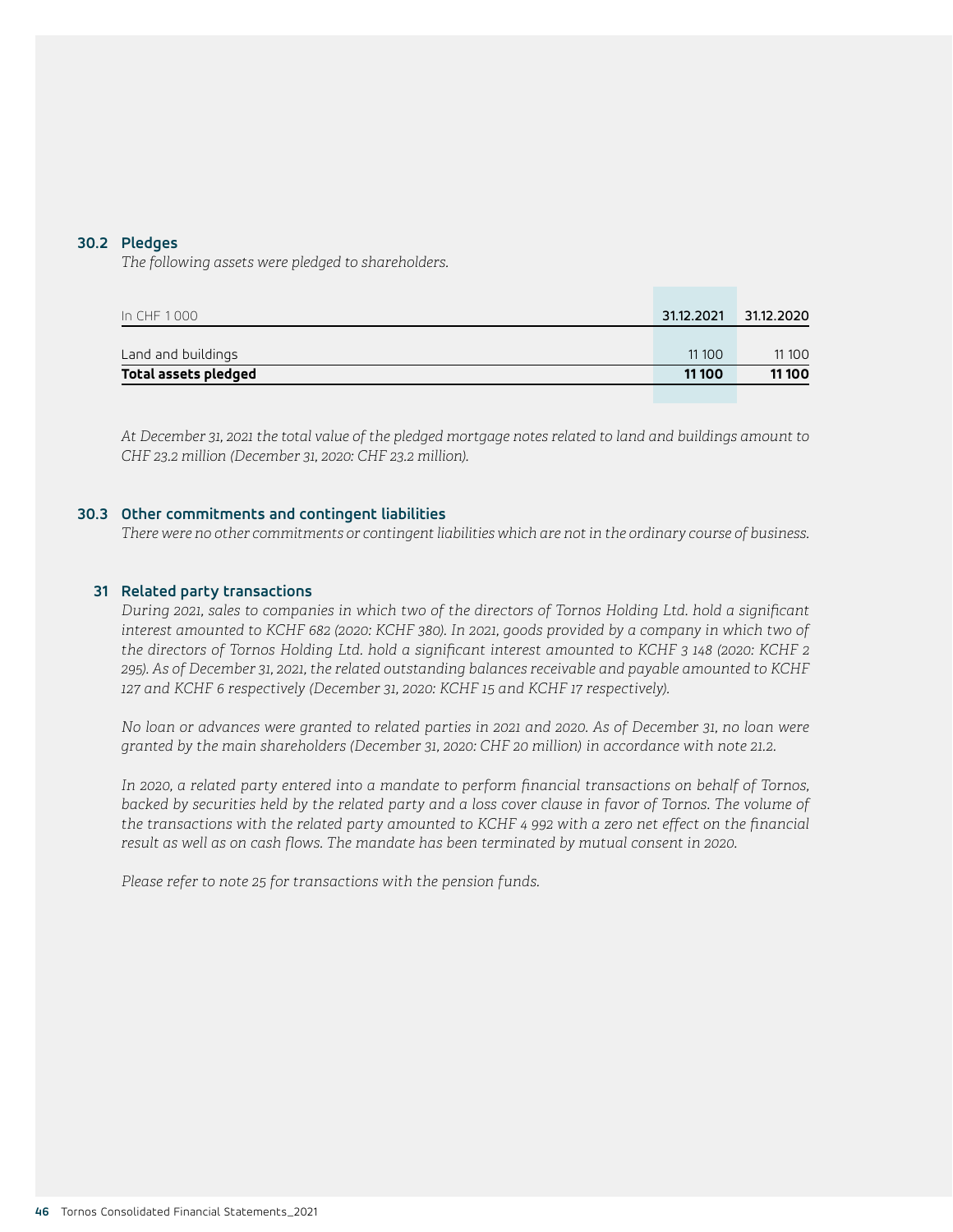### **Pledges 30.2**

*The following assets were pledged to shareholders.*

| Total assets pledged | 11 100     | 11 100     |
|----------------------|------------|------------|
| Land and buildings   | 11 100     | 11 100     |
|                      |            |            |
| In CHF 1000          | 31.12.2021 | 31.12.2020 |
|                      |            |            |

*At December 31, 2021 the total value of the pledged mortgage notes related to land and buildings amount to CHF 23.2 million (December 31, 2020: CHF 23.2 million).*

### **Other commitments and contingent liabilities 30.3**

*There were no other commitments or contingent liabilities which are not in the ordinary course of business.*

### **31 Related party transactions**

*During 2021, sales to companies in which two of the directors of Tornos Holding Ltd. hold a significant interest amounted to KCHF 682 (2020: KCHF 380). In 2021, goods provided by a company in which two of the directors of Tornos Holding Ltd. hold a significant interest amounted to KCHF 3 148 (2020: KCHF 2 295). As of December 31, 2021, the related outstanding balances receivable and payable amounted to KCHF 127 and KCHF 6 respectively (December 31, 2020: KCHF 15 and KCHF 17 respectively).*

*No loan or advances were granted to related parties in 2021 and 2020. As of December 31, no loan were granted by the main shareholders (December 31, 2020: CHF 20 million) in accordance with note 21.2.*

*In 2020, a related party entered into a mandate to perform financial transactions on behalf of Tornos, backed by securities held by the related party and a loss cover clause in favor of Tornos. The volume of the transactions with the related party amounted to KCHF 4 992 with a zero net effect on the financial result as well as on cash flows. The mandate has been terminated by mutual consent in 2020.*

*Please refer to note 25 for transactions with the pension funds.*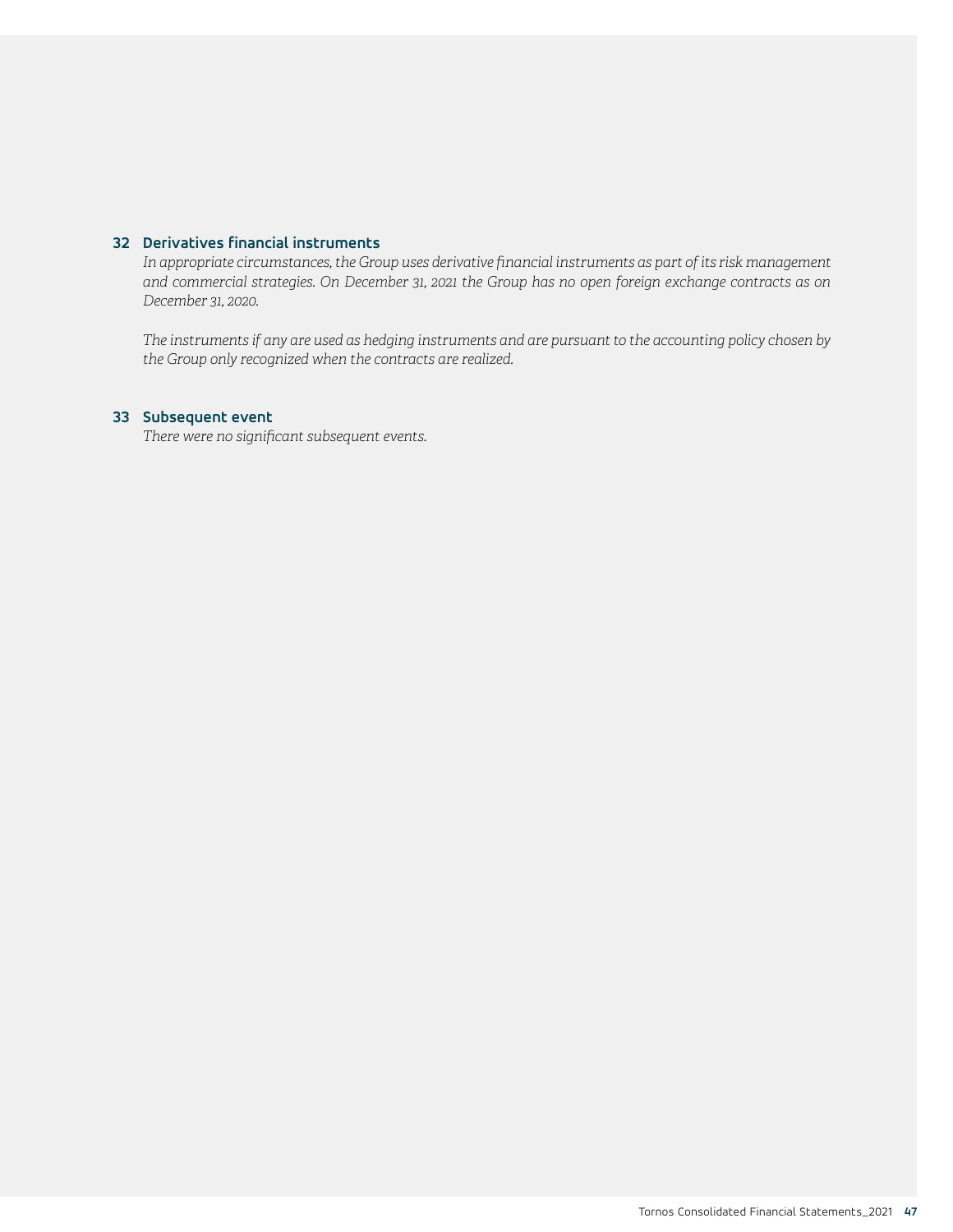### **32 Derivatives financial instruments**

*In appropriate circumstances, the Group uses derivative financial instruments as part of its risk management and commercial strategies. On December 31, 2021 the Group has no open foreign exchange contracts as on December 31, 2020.*

*The instruments if any are used as hedging instruments and are pursuant to the accounting policy chosen by the Group only recognized when the contracts are realized.*

### **33 Subsequent event**

*There were no significant subsequent events.*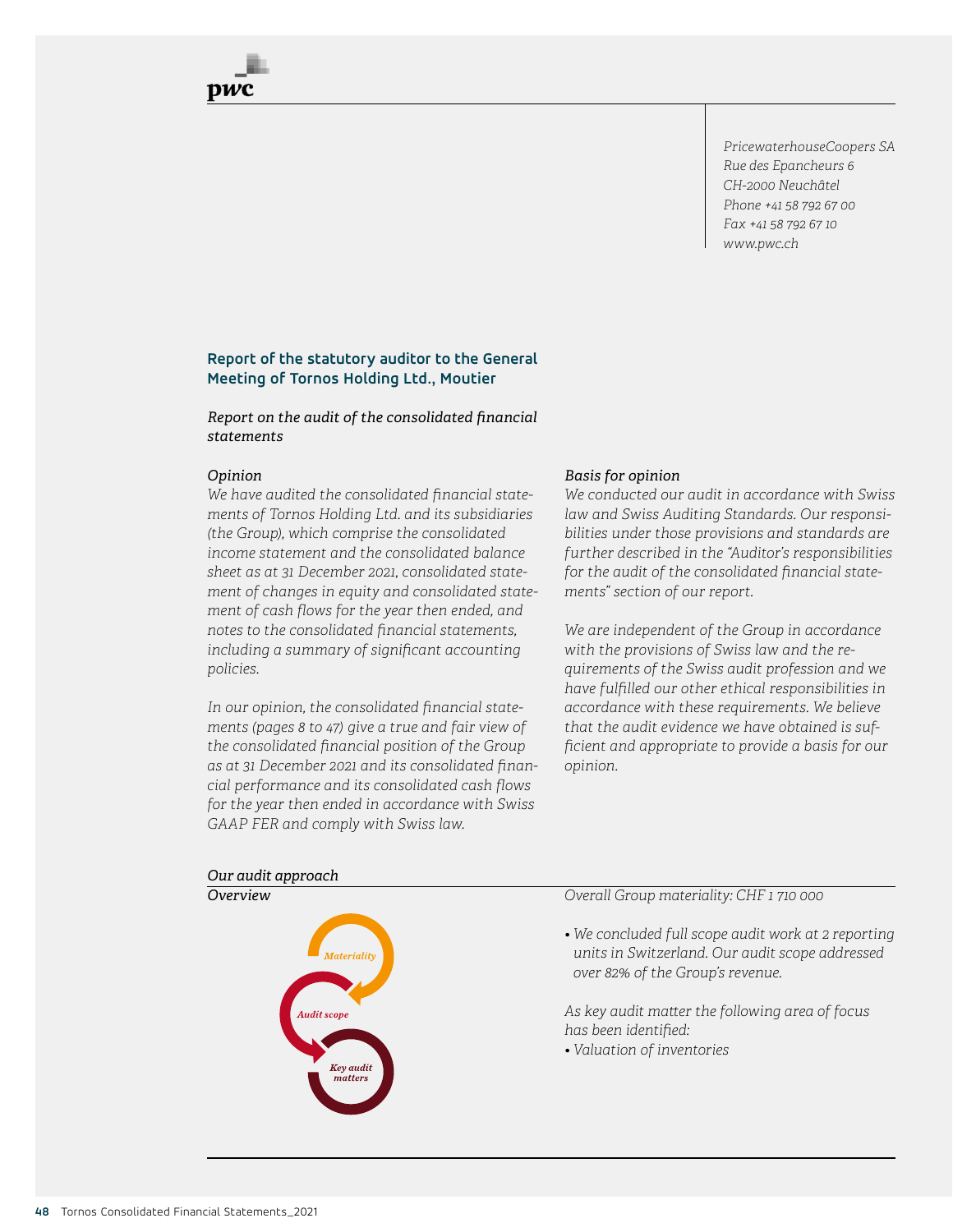*PricewaterhouseCoopers SA Rue des Epancheurs 6 CH-2000 Neuchâtel Phone +41 58 792 67 00 Fax +41 58 792 67 10 www.pwc.ch*

### **Report of the statutory auditor to the General Meeting of Tornos Holding Ltd., Moutier**

*Report on the audit of the consolidated financial statements*

#### *Opinion*

IWC

*We have audited the consolidated financial statements of Tornos Holding Ltd. and its subsidiaries (the Group), which comprise the consolidated income statement and the consolidated balance sheet as at 31 December 2021, consolidated statement of changes in equity and consolidated statement of cash flows for the year then ended, and notes to the consolidated financial statements, including a summary of significant accounting policies.*

*In our opinion, the consolidated financial statements (pages 8 to 47) give a true and fair view of the consolidated financial position of the Group as at 31 December 2021 and its consolidated financial performance and its consolidated cash flows for the year then ended in accordance with Swiss GAAP FER and comply with Swiss law.*

### *Basis for opinion*

*We conducted our audit in accordance with Swiss law and Swiss Auditing Standards. Our responsibilities under those provisions and standards are further described in the "Auditor's responsibilities for the audit of the consolidated financial statements" section of our report.*

*We are independent of the Group in accordance with the provisions of Swiss law and the requirements of the Swiss audit profession and we have fulfilled our other ethical responsibilities in accordance with these requirements. We believe that the audit evidence we have obtained is sufficient and appropriate to provide a basis for our opinion.*



### *Our audit approach*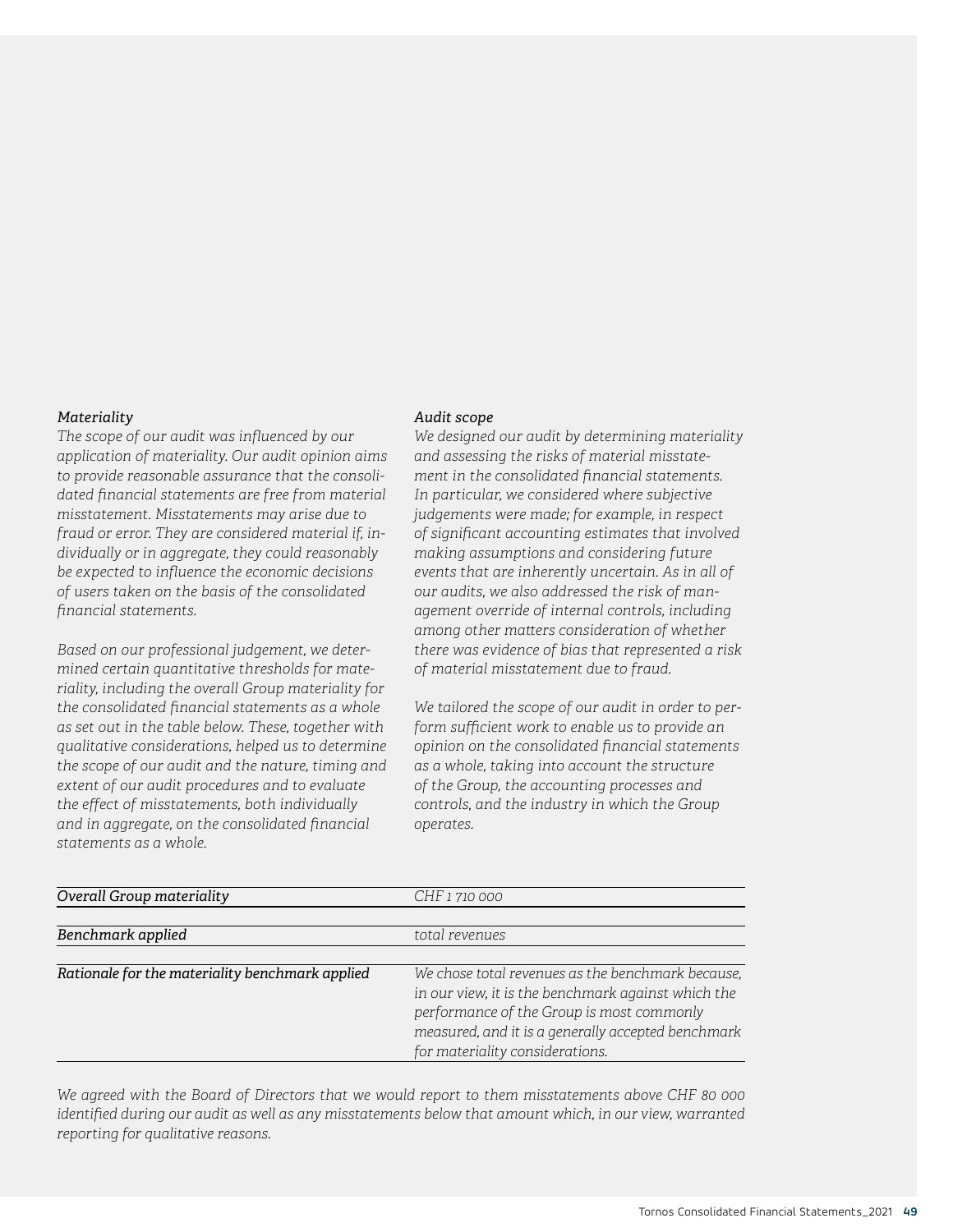### *Materiality*

*The scope of our audit was influenced by our application of materiality. Our audit opinion aims to provide reasonable assurance that the consolidated financial statements are free from material misstatement. Misstatements may arise due to fraud or error. They are considered material if, individually or in aggregate, they could reasonably be expected to influence the economic decisions of users taken on the basis of the consolidated financial statements.*

*Based on our professional judgement, we determined certain quantitative thresholds for materiality, including the overall Group materiality for the consolidated financial statements as a whole as set out in the table below. These, together with qualitative considerations, helped us to determine the scope of our audit and the nature, timing and extent of our audit procedures and to evaluate the effect of misstatements, both individually and in aggregate, on the consolidated financial statements as a whole.*

#### *Audit scope*

*We designed our audit by determining materiality and assessing the risks of material misstatement in the consolidated financial statements. In particular, we considered where subjective judgements were made; for example, in respect of significant accounting estimates that involved making assumptions and considering future events that are inherently uncertain. As in all of our audits, we also addressed the risk of management override of internal controls, including among other matters consideration of whether there was evidence of bias that represented a risk of material misstatement due to fraud.*

*We tailored the scope of our audit in order to perform sufficient work to enable us to provide an opinion on the consolidated financial statements as a whole, taking into account the structure of the Group, the accounting processes and controls, and the industry in which the Group operates.*

| Overall Group materiality                       | CHF 1 710 000                                                                                                                                                                                                                                 |
|-------------------------------------------------|-----------------------------------------------------------------------------------------------------------------------------------------------------------------------------------------------------------------------------------------------|
|                                                 |                                                                                                                                                                                                                                               |
| Benchmark applied                               | total revenues                                                                                                                                                                                                                                |
|                                                 |                                                                                                                                                                                                                                               |
| Rationale for the materiality benchmark applied | We chose total revenues as the benchmark because,<br>in our view, it is the benchmark against which the<br>performance of the Group is most commonly<br>measured, and it is a generally accepted benchmark<br>for materiality considerations. |

*We agreed with the Board of Directors that we would report to them misstatements above CHF 80 000 identified during our audit as well as any misstatements below that amount which, in our view, warranted reporting for qualitative reasons.*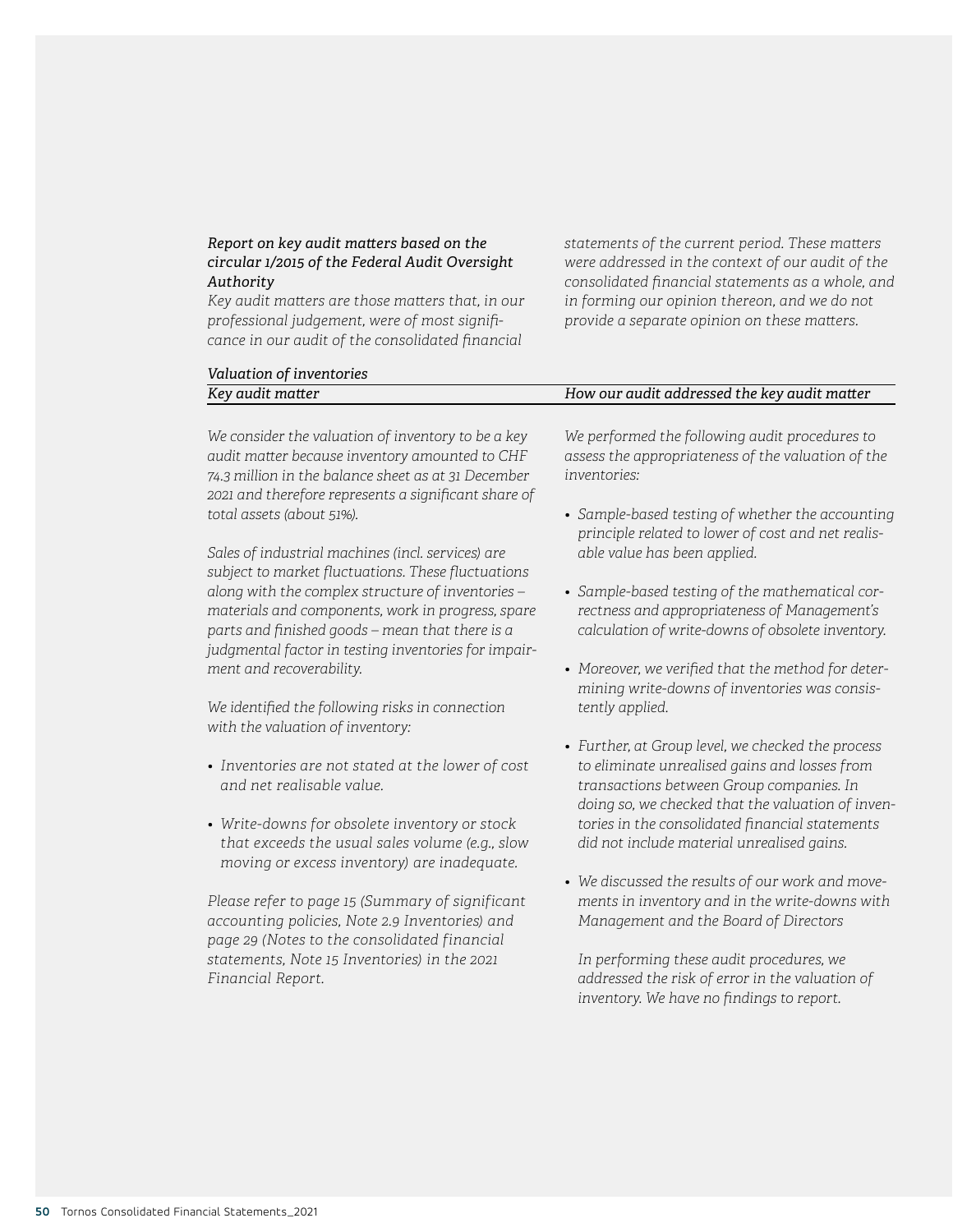### *Report on key audit matters based on the circular 1/2015 of the Federal Audit Oversight Authority*

*Key audit matters are those matters that, in our professional judgement, were of most significance in our audit of the consolidated financial* 

*statements of the current period. These matters were addressed in the context of our audit of the consolidated financial statements as a whole, and in forming our opinion thereon, and we do not provide a separate opinion on these matters.*

| Valuation of inventories |                                              |
|--------------------------|----------------------------------------------|
| Key audit matter         | How our audit addressed the key audit matter |
|                          |                                              |

*We consider the valuation of inventory to be a key audit matter because inventory amounted to CHF 74.3 million in the balance sheet as at 31 December 2021 and therefore represents a significant share of total assets (about 51%).*

*Sales of industrial machines (incl. services) are subject to market fluctuations. These fluctuations along with the complex structure of inventories – materials and components, work in progress, spare parts and finished goods – mean that there is a judgmental factor in testing inventories for impairment and recoverability.*

*We identified the following risks in connection with the valuation of inventory:*

- *Inventories are not stated at the lower of cost and net realisable value.*
- *Write-downs for obsolete inventory or stock that exceeds the usual sales volume (e.g., slow moving or excess inventory) are inadequate.*

*Please refer to page 15 (Summary of significant accounting policies, Note 2.9 Inventories) and page 29 (Notes to the consolidated financial statements, Note 15 Inventories) in the 2021 Financial Report.*

*We performed the following audit procedures to assess the appropriateness of the valuation of the inventories:*

- *Sample-based testing of whether the accounting principle related to lower of cost and net realisable value has been applied.*
- *Sample-based testing of the mathematical correctness and appropriateness of Management's calculation of write-downs of obsolete inventory.*
- *Moreover, we verified that the method for determining write-downs of inventories was consistently applied.*
- *Further, at Group level, we checked the process to eliminate unrealised gains and losses from transactions between Group companies. In doing so, we checked that the valuation of inventories in the consolidated financial statements did not include material unrealised gains.*
- *We discussed the results of our work and movements in inventory and in the write-downs with Management and the Board of Directors*

*In performing these audit procedures, we addressed the risk of error in the valuation of inventory. We have no findings to report.*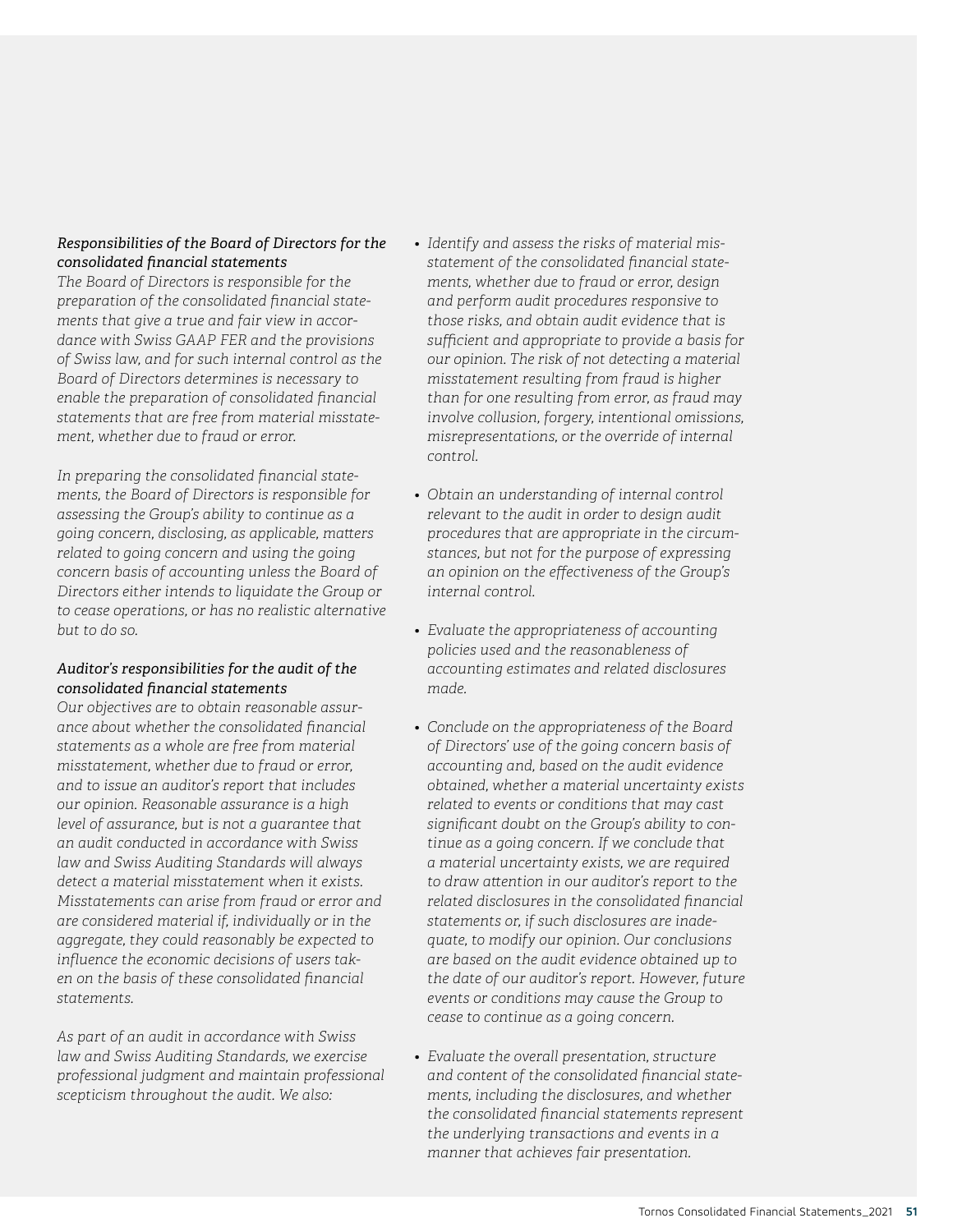### *Responsibilities of the Board of Directors for the consolidated financial statements*

*The Board of Directors is responsible for the preparation of the consolidated financial statements that give a true and fair view in accordance with Swiss GAAP FER and the provisions of Swiss law, and for such internal control as the Board of Directors determines is necessary to enable the preparation of consolidated financial statements that are free from material misstatement, whether due to fraud or error.*

*In preparing the consolidated financial statements, the Board of Directors is responsible for assessing the Group's ability to continue as a going concern, disclosing, as applicable, matters related to going concern and using the going concern basis of accounting unless the Board of Directors either intends to liquidate the Group or to cease operations, or has no realistic alternative but to do so.*

### *Auditor's responsibilities for the audit of the consolidated financial statements*

*Our objectives are to obtain reasonable assurance about whether the consolidated financial statements as a whole are free from material misstatement, whether due to fraud or error, and to issue an auditor's report that includes our opinion. Reasonable assurance is a high level of assurance, but is not a guarantee that an audit conducted in accordance with Swiss law and Swiss Auditing Standards will always detect a material misstatement when it exists. Misstatements can arise from fraud or error and are considered material if, individually or in the aggregate, they could reasonably be expected to influence the economic decisions of users taken on the basis of these consolidated financial statements.*

*As part of an audit in accordance with Swiss law and Swiss Auditing Standards, we exercise professional judgment and maintain professional scepticism throughout the audit. We also:*

- *• Identify and assess the risks of material misstatement of the consolidated financial statements, whether due to fraud or error, design and perform audit procedures responsive to those risks, and obtain audit evidence that is sufficient and appropriate to provide a basis for our opinion. The risk of not detecting a material misstatement resulting from fraud is higher than for one resulting from error, as fraud may involve collusion, forgery, intentional omissions, misrepresentations, or the override of internal control.*
- *• Obtain an understanding of internal control relevant to the audit in order to design audit procedures that are appropriate in the circumstances, but not for the purpose of expressing an opinion on the effectiveness of the Group's internal control.*
- *• Evaluate the appropriateness of accounting policies used and the reasonableness of accounting estimates and related disclosures made.*
- *• Conclude on the appropriateness of the Board of Directors' use of the going concern basis of accounting and, based on the audit evidence obtained, whether a material uncertainty exists related to events or conditions that may cast significant doubt on the Group's ability to continue as a going concern. If we conclude that a material uncertainty exists, we are required to draw attention in our auditor's report to the related disclosures in the consolidated financial statements or, if such disclosures are inadequate, to modify our opinion. Our conclusions are based on the audit evidence obtained up to the date of our auditor's report. However, future events or conditions may cause the Group to cease to continue as a going concern.*
- *• Evaluate the overall presentation, structure and content of the consolidated financial statements, including the disclosures, and whether the consolidated financial statements represent the underlying transactions and events in a manner that achieves fair presentation.*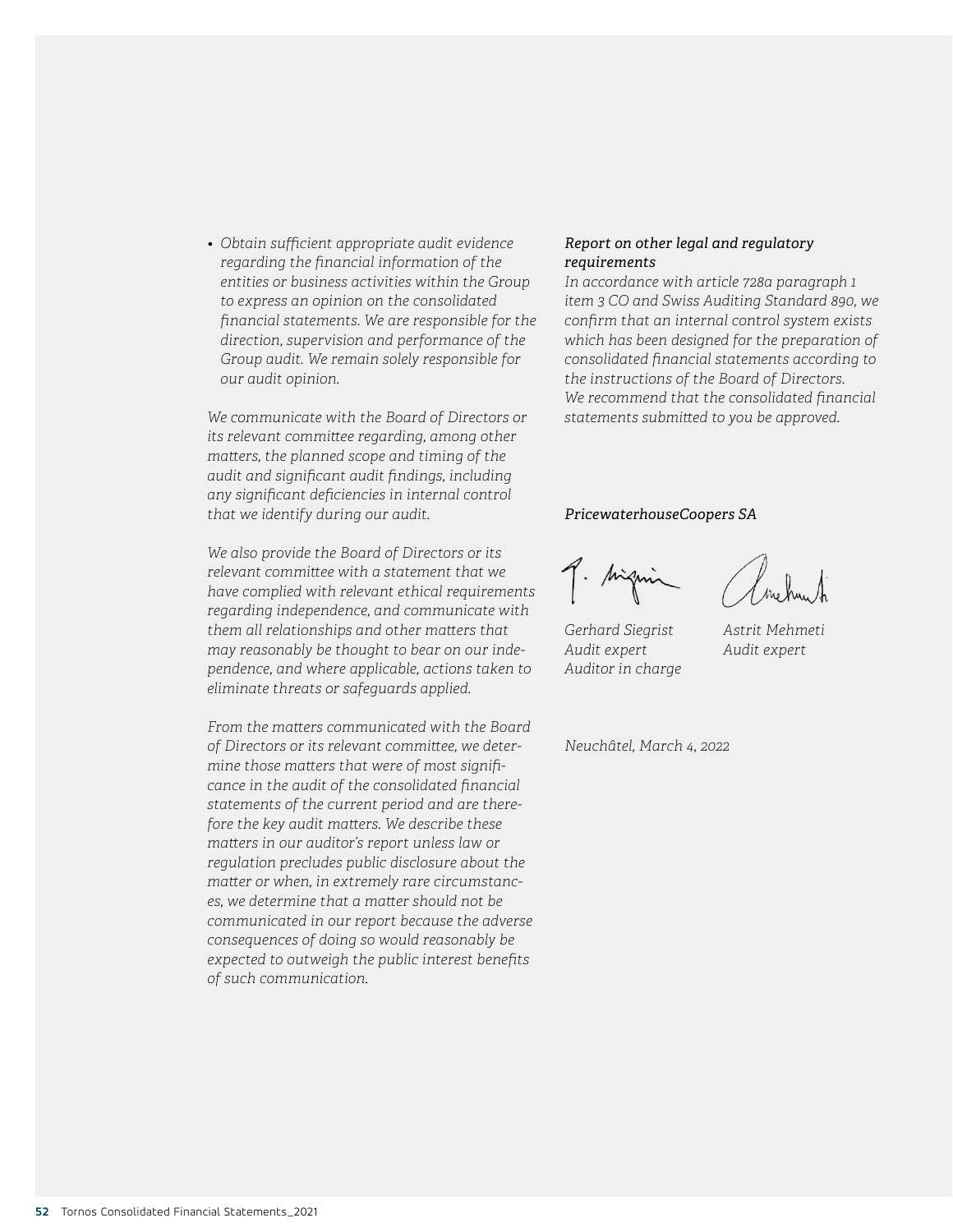*• Obtain sufficient appropriate audit evidence regarding the financial information of the entities or business activities within the Group to express an opinion on the consolidated financial statements. We are responsible for the direction, supervision and performance of the Group audit. We remain solely responsible for our audit opinion.*

*We communicate with the Board of Directors or its relevant committee regarding, among other matters, the planned scope and timing of the audit and significant audit findings, including any significant deficiencies in internal control that we identify during our audit.*

*We also provide the Board of Directors or its relevant committee with a statement that we have complied with relevant ethical requirements regarding independence, and communicate with them all relationships and other matters that may reasonably be thought to bear on our independence, and where applicable, actions taken to eliminate threats or safeguards applied.*

*From the matters communicated with the Board of Directors or its relevant committee, we determine those matters that were of most significance in the audit of the consolidated financial statements of the current period and are therefore the key audit matters. We describe these matters in our auditor's report unless law or regulation precludes public disclosure about the matter or when, in extremely rare circumstances, we determine that a matter should not be communicated in our report because the adverse consequences of doing so would reasonably be expected to outweigh the public interest benefits of such communication.*

### *Report on other legal and regulatory requirements*

*In accordance with article 728a paragraph 1 item 3 CO and Swiss Auditing Standard 890, we confirm that an internal control system exists which has been designed for the preparation of consolidated financial statements according to the instructions of the Board of Directors. We recommend that the consolidated financial statements submitted to you be approved.*

### *PricewaterhouseCoopers SA*

9. signing

*Gerhard Siegrist Astrit Mehmeti Audit expert Audit expert Auditor in charge*

*Neuchâtel, March 4, 2022*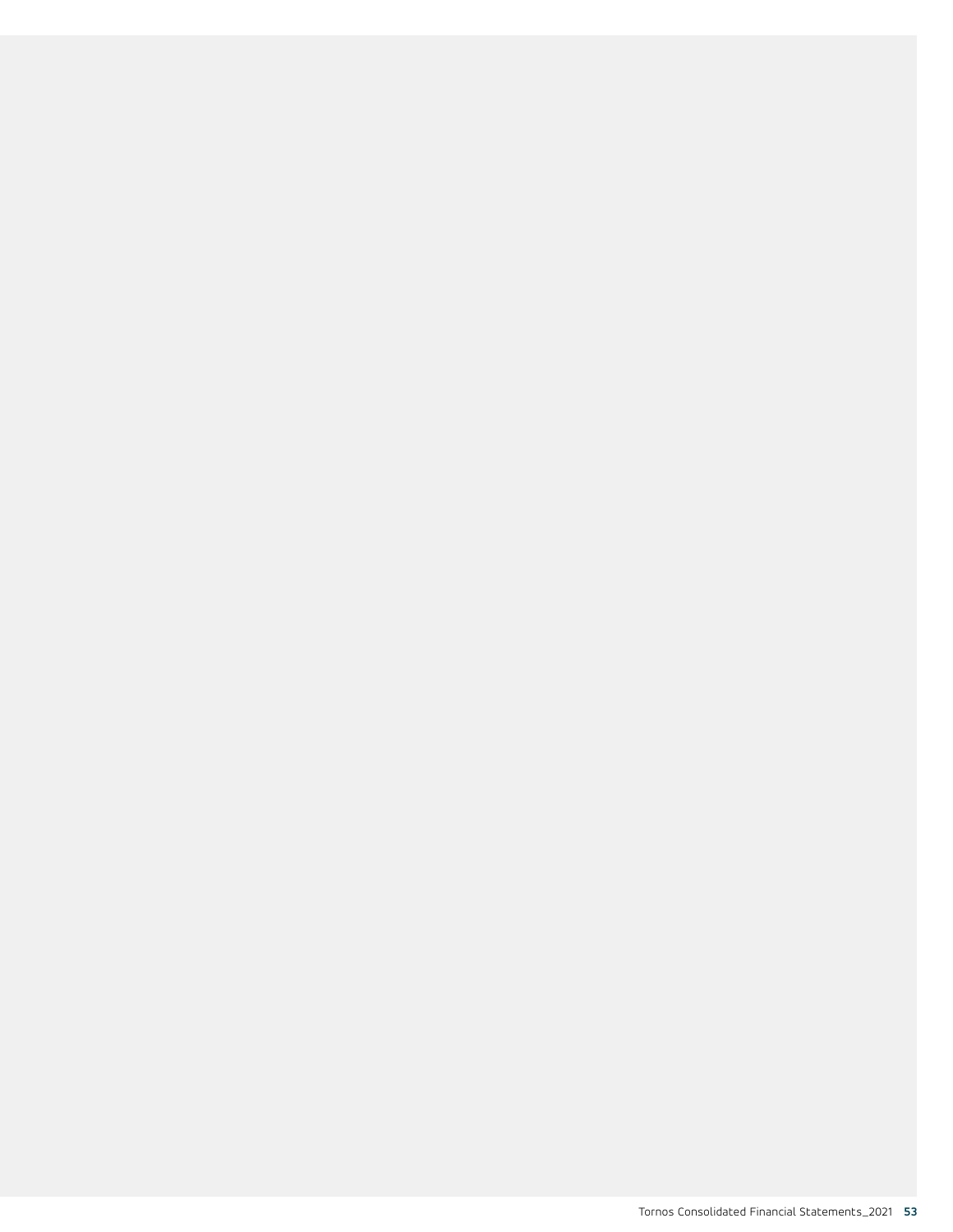Tornos Consolidated Financial Statements\_2021 **53**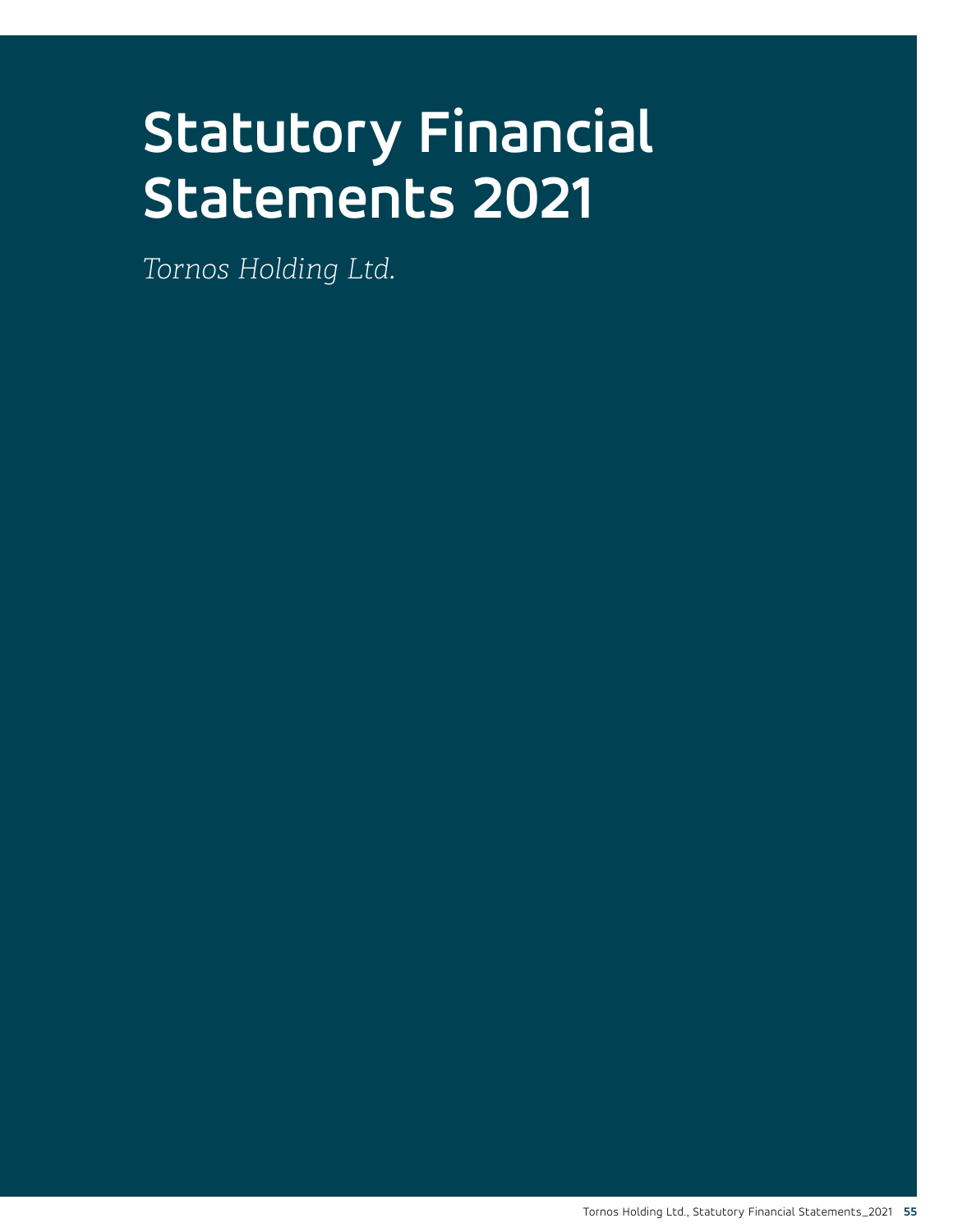# **Statutory Financial Statements 2021**

*Tornos Holding Ltd.*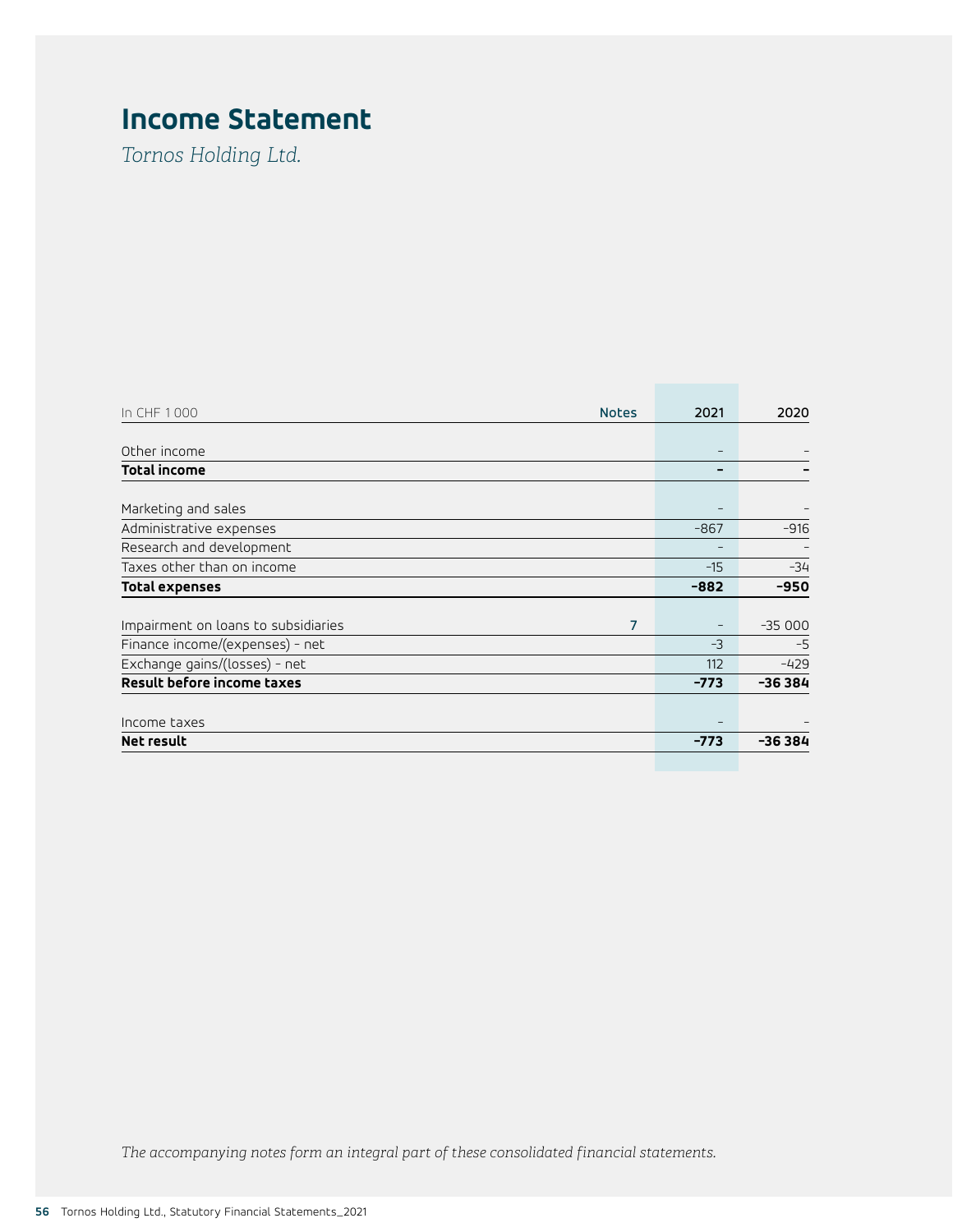### **Income Statement**

*Tornos Holding Ltd.*

| In CHF 1000                         | <b>Notes</b> | 2021   | 2020     |
|-------------------------------------|--------------|--------|----------|
|                                     |              |        |          |
| Other income                        |              |        |          |
| <b>Total income</b>                 |              |        |          |
| Marketing and sales                 |              |        |          |
| Administrative expenses             |              | $-867$ | $-916$   |
| Research and development            |              |        |          |
| Taxes other than on income          |              | $-15$  | $-34$    |
| <b>Total expenses</b>               |              | -882   | $-950$   |
|                                     |              |        |          |
| Impairment on loans to subsidiaries | 7            |        | $-35000$ |
| Finance income/(expenses) - net     |              | $-3$   | $-5$     |
| Exchange gains/(losses) - net       |              | 112    | $-429$   |
| <b>Result before income taxes</b>   |              | $-773$ | $-36384$ |
| Income taxes                        |              |        |          |
| Net result                          |              | $-773$ | -36384   |
|                                     |              |        |          |

*The accompanying notes form an integral part of these consolidated financial statements.*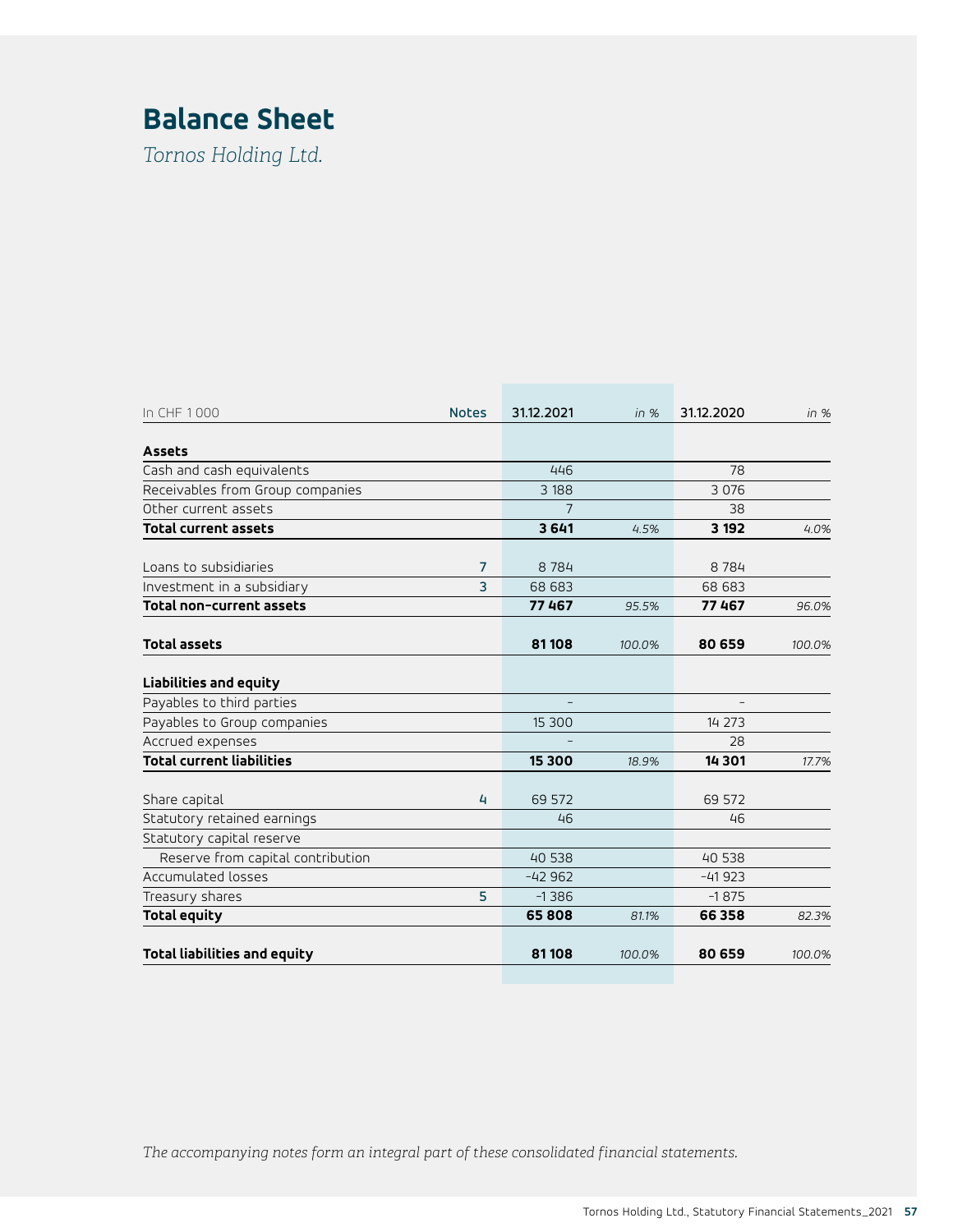## **Balance Sheet**

*Tornos Holding Ltd.*

| In CHF 1000                                                   | <b>Notes</b>   | 31.12.2021 | in %   | 31.12.2020 | in %   |
|---------------------------------------------------------------|----------------|------------|--------|------------|--------|
|                                                               |                |            |        |            |        |
| <b>Assets</b>                                                 |                | 446        |        | 78         |        |
| Cash and cash equivalents<br>Receivables from Group companies |                | 3 188      |        | 3 0 7 6    |        |
| Other current assets                                          |                | 7          |        | 38         |        |
| <b>Total current assets</b>                                   |                | 3641       |        | 3 192      |        |
|                                                               |                |            | 4.5%   |            | 4.0%   |
| Loans to subsidiaries                                         | $\overline{7}$ | 8 7 8 4    |        | 8 7 8 4    |        |
| Investment in a subsidiary                                    | 3              | 68 683     |        | 68 683     |        |
| Total non-current assets                                      |                | 77467      | 95.5%  | 77467      | 96.0%  |
|                                                               |                |            |        |            |        |
| <b>Total assets</b>                                           |                | 81108      | 100.0% | 80 659     | 100.0% |
| <b>Liabilities and equity</b>                                 |                |            |        |            |        |
| Payables to third parties                                     |                |            |        |            |        |
| Payables to Group companies                                   |                | 15 300     |        | 14 273     |        |
| Accrued expenses                                              |                |            |        | 28         |        |
| <b>Total current liabilities</b>                              |                | 15 300     | 18.9%  | 14 3 0 1   | 17.7%  |
|                                                               |                |            |        |            |        |
| Share capital                                                 | $\overline{4}$ | 69 572     |        | 69 572     |        |
| Statutory retained earnings                                   |                | 46         |        | 46         |        |
| Statutory capital reserve                                     |                |            |        |            |        |
| Reserve from capital contribution                             |                | 40 538     |        | 40 538     |        |
| Accumulated losses                                            |                | $-42962$   |        | $-41923$   |        |
| Treasury shares                                               | 5              | $-1386$    |        | $-1875$    |        |
| <b>Total equity</b>                                           |                | 65808      | 81.1%  | 66358      | 82.3%  |
| <b>Total liabilities and equity</b>                           |                | 81108      | 100.0% | 80 659     | 100.0% |

*The accompanying notes form an integral part of these consolidated financial statements.*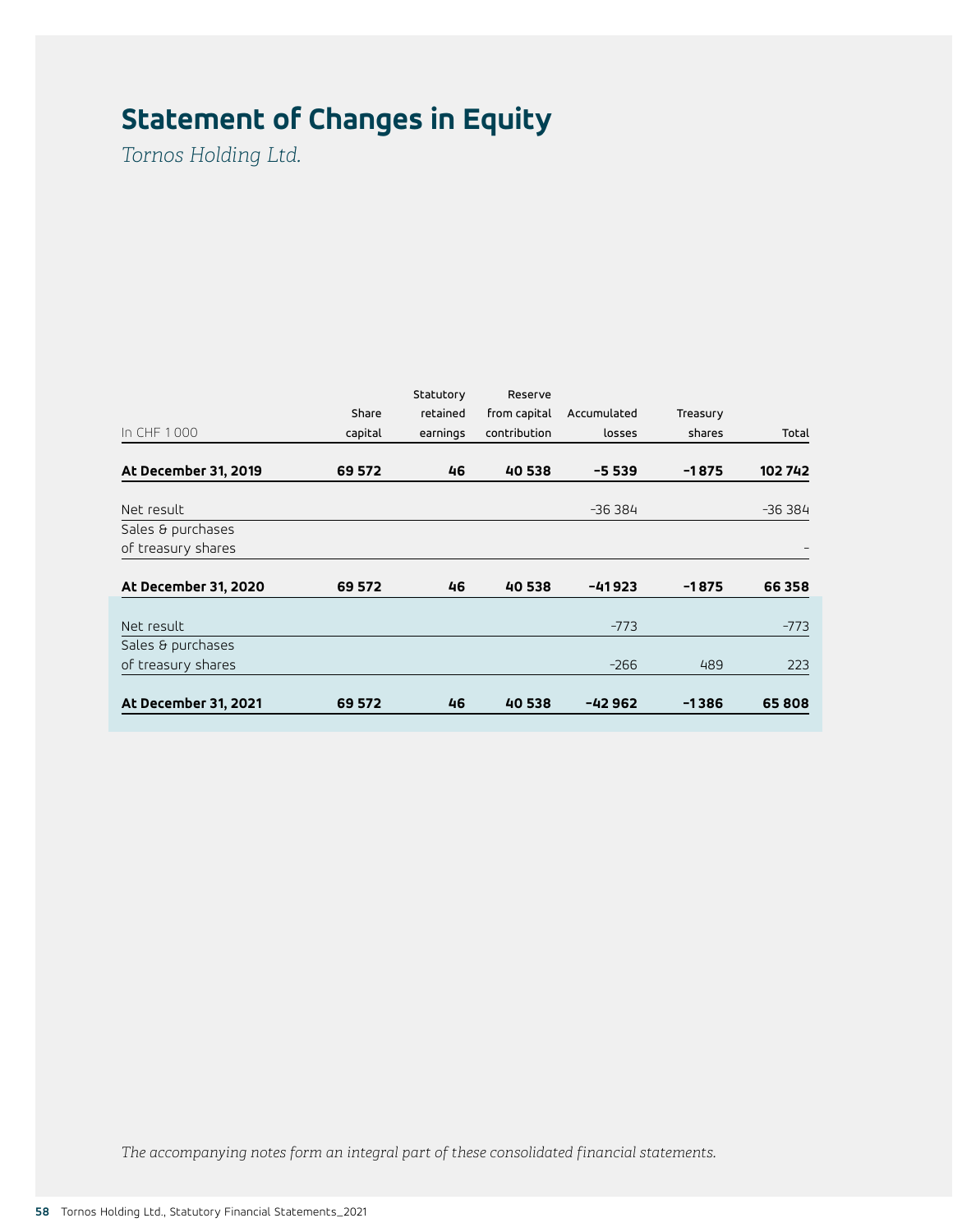## **Statement of Changes in Equity**

*Tornos Holding Ltd.*

|                      |         | Statutory | Reserve      |             |          |         |
|----------------------|---------|-----------|--------------|-------------|----------|---------|
|                      | Share   | retained  | from capital | Accumulated | Treasury |         |
| In CHF 1000          | capital | earnings  | contribution | losses      | shares   | Total   |
| At December 31, 2019 | 69 572  | 46        | 40 538       | $-5539$     | $-1875$  | 102 742 |
| Net result           |         |           |              | $-36384$    |          | -36 384 |
| Sales & purchases    |         |           |              |             |          |         |
| of treasury shares   |         |           |              |             |          |         |
| At December 31, 2020 | 69 572  | 46        | 40 538       | -41923      | $-1875$  | 66358   |
| Net result           |         |           |              | $-773$      |          | $-773$  |
| Sales & purchases    |         |           |              |             |          |         |
| of treasury shares   |         |           |              | $-266$      | 489      | 223     |
| At December 31, 2021 | 69 572  | 46        | 40 538       | -42962      | $-1386$  | 65808   |

*The accompanying notes form an integral part of these consolidated financial statements.*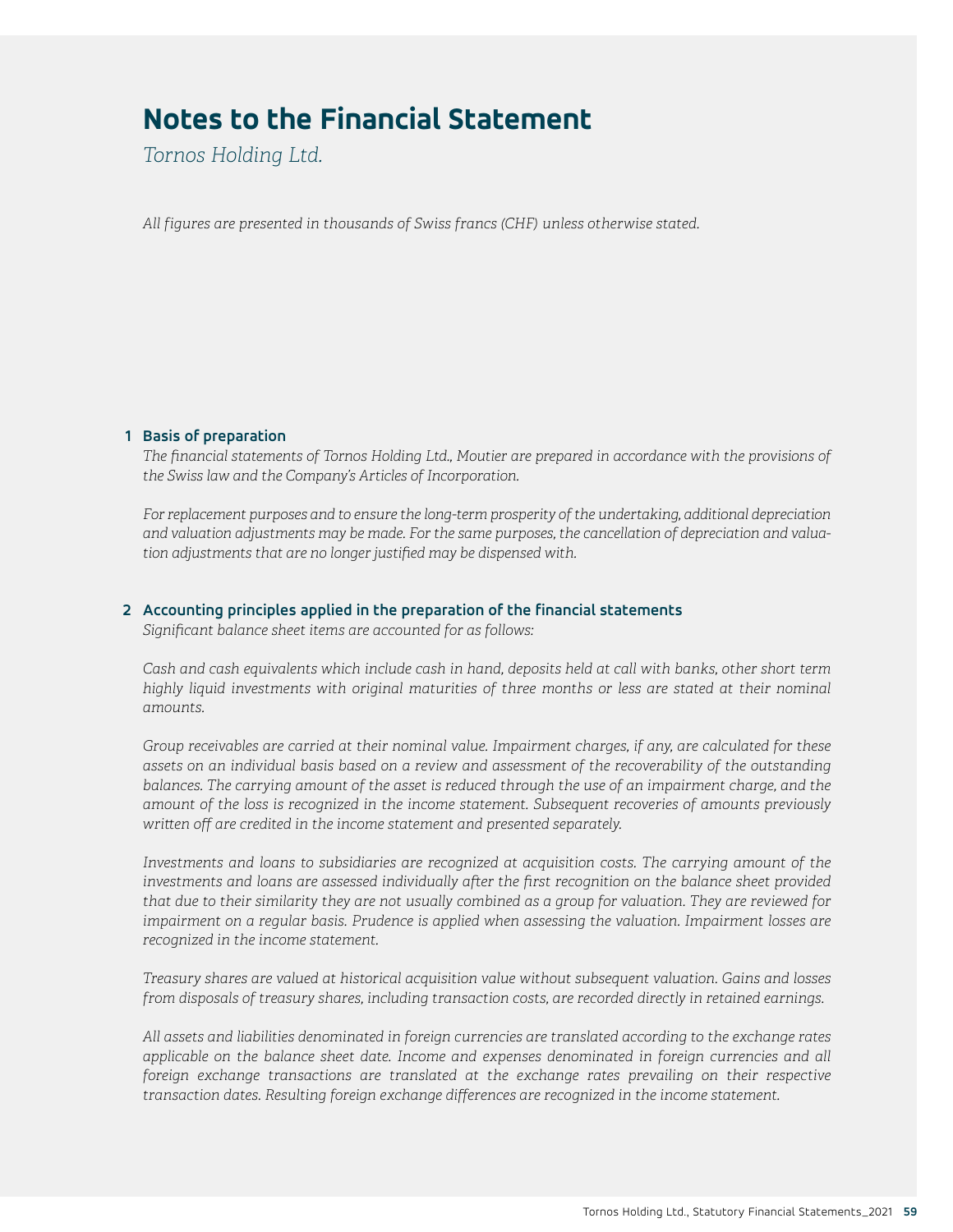### **Notes to the Financial Statement**

*Tornos Holding Ltd.*

*All figures are presented in thousands of Swiss francs (CHF) unless otherwise stated.*

### **1 Basis of preparation**

*The financial statements of Tornos Holding Ltd., Moutier are prepared in accordance with the provisions of the Swiss law and the Company's Articles of Incorporation.* 

For replacement purposes and to ensure the long-term prosperity of the undertaking, additional depreciation *and valuation adjustments may be made. For the same purposes, the cancellation of depreciation and valuation adjustments that are no longer justified may be dispensed with.*

### **2 Accounting principles applied in the preparation of the financial statements**

*Significant balance sheet items are accounted for as follows:*

*Cash and cash equivalents which include cash in hand, deposits held at call with banks, other short term highly liquid investments with original maturities of three months or less are stated at their nominal amounts.* 

*Group receivables are carried at their nominal value. Impairment charges, if any, are calculated for these assets on an individual basis based on a review and assessment of the recoverability of the outstanding balances. The carrying amount of the asset is reduced through the use of an impairment charge, and the amount of the loss is recognized in the income statement. Subsequent recoveries of amounts previously written off are credited in the income statement and presented separately.*

*Investments and loans to subsidiaries are recognized at acquisition costs. The carrying amount of the investments and loans are assessed individually after the first recognition on the balance sheet provided that due to their similarity they are not usually combined as a group for valuation. They are reviewed for impairment on a regular basis. Prudence is applied when assessing the valuation. Impairment losses are recognized in the income statement.* 

*Treasury shares are valued at historical acquisition value without subsequent valuation. Gains and losses from disposals of treasury shares, including transaction costs, are recorded directly in retained earnings.* 

*All assets and liabilities denominated in foreign currencies are translated according to the exchange rates applicable on the balance sheet date. Income and expenses denominated in foreign currencies and all*  foreign exchange transactions are translated at the exchange rates prevailing on their respective *transaction dates. Resulting foreign exchange differences are recognized in the income statement.*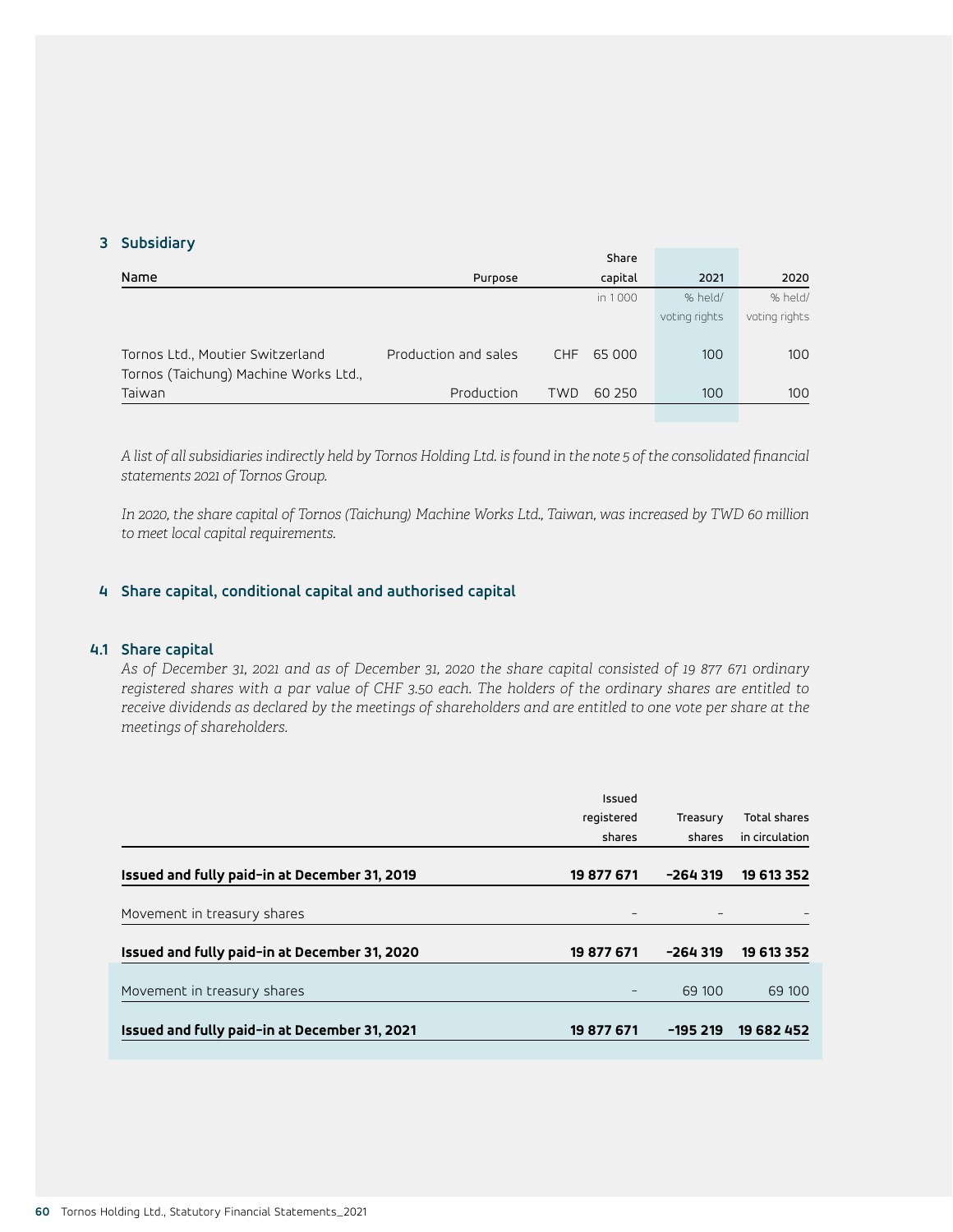### **3**

| <b>Subsidiary</b>                               |                      |     |         |               |               |
|-------------------------------------------------|----------------------|-----|---------|---------------|---------------|
|                                                 |                      |     | Share   |               |               |
| Name                                            | Purpose              |     | capital | 2021          | 2020          |
|                                                 |                      |     | in 1000 | % held/       | % held/       |
|                                                 |                      |     |         | voting rights | voting rights |
| Tornos Ltd., Moutier Switzerland                | Production and sales | CHF | 65 000  | 100           | 100           |
| Tornos (Taichung) Machine Works Ltd.,<br>Taiwan | Production           | TWD | 60 250  | 100           | 100           |

*A list of all subsidiaries indirectly held by Tornos Holding Ltd. is found in the note 5 of the consolidated financial statements 2021 of Tornos Group.*

*In 2020, the share capital of Tornos (Taichung) Machine Works Ltd., Taiwan, was increased by TWD 60 million to meet local capital requirements.*

### **4 Share capital, conditional capital and authorised capital**

### **Share capital 4.1**

*As of December 31, 2021 and as of December 31, 2020 the share capital consisted of 19 877 671 ordinary registered shares with a par value of CHF 3.50 each. The holders of the ordinary shares are entitled to receive dividends as declared by the meetings of shareholders and are entitled to one vote per share at the meetings of shareholders.*

| Issued and fully paid-in at December 31, 2021 | 19 877 671 | $-195219$ | 19 682 452     |
|-----------------------------------------------|------------|-----------|----------------|
| Movement in treasury shares                   |            | 69 100    | 69 100         |
|                                               |            |           |                |
| Issued and fully paid-in at December 31, 2020 | 19 877 671 | $-264319$ | 19 613 352     |
| Movement in treasury shares                   |            |           |                |
| Issued and fully paid-in at December 31, 2019 | 19 877 671 | $-264319$ | 19 613 352     |
|                                               | shares     | shares    | in circulation |
|                                               | registered | Treasury  | Total shares   |
|                                               | Issued     |           |                |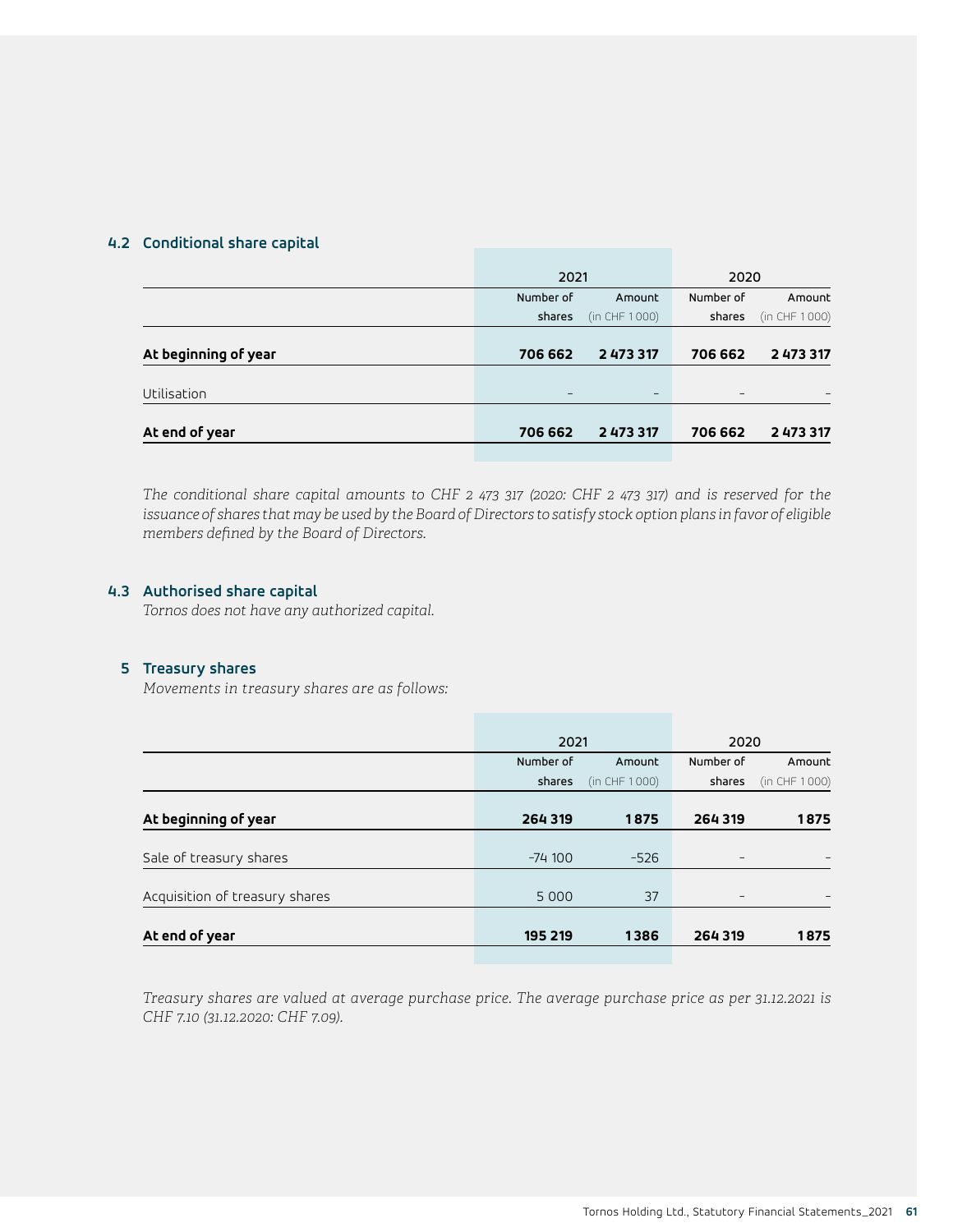### **Conditional share capital 4.2**

|                      |                          | 2021                     |                   | 2020              |  |
|----------------------|--------------------------|--------------------------|-------------------|-------------------|--|
|                      | Number of                | Amount                   | Number of         | Amount            |  |
|                      | shares                   | (in CHF 1000)            | shares            | (in CHF 1000)     |  |
|                      |                          |                          |                   |                   |  |
| At beginning of year | 706 662                  | 2 473 317                | 706 662           | 2 473 317         |  |
|                      |                          |                          |                   |                   |  |
| Utilisation          | $\overline{\phantom{m}}$ | $\overline{\phantom{0}}$ | $\qquad \qquad -$ | $\qquad \qquad -$ |  |
|                      |                          |                          |                   |                   |  |
| At end of year       | 706 662                  | 2 473 317                | 706 662           | 2 473 317         |  |
|                      |                          |                          |                   |                   |  |

*The conditional share capital amounts to CHF 2 473 317 (2020: CHF 2 473 317) and is reserved for the issuance of shares that may be used by the Board of Directors to satisfy stock option plans in favor of eligible members defined by the Board of Directors.*

### **Authorised share capital 4.3**

*Tornos does not have any authorized capital.*

### **Treasury shares 5**

*Movements in treasury shares are as follows:*

|                                | 2021      |               | 2020      |               |
|--------------------------------|-----------|---------------|-----------|---------------|
|                                | Number of | Amount        | Number of | Amount        |
|                                | shares    | (in CHF 1000) | shares    | (in CHF 1000) |
|                                |           |               |           |               |
| At beginning of year           | 264 319   | 1875          | 264 319   | 1875          |
|                                |           |               |           |               |
| Sale of treasury shares        | $-74100$  | $-526$        |           |               |
|                                |           |               |           |               |
| Acquisition of treasury shares | 5 0 0 0   | 37            |           |               |
|                                |           |               |           |               |
| At end of year                 | 195 219   | 1386          | 264 319   | 1875          |
|                                |           |               |           |               |

*Treasury shares are valued at average purchase price. The average purchase price as per 31.12.2021 is CHF 7.10 (31.12.2020: CHF 7.09).*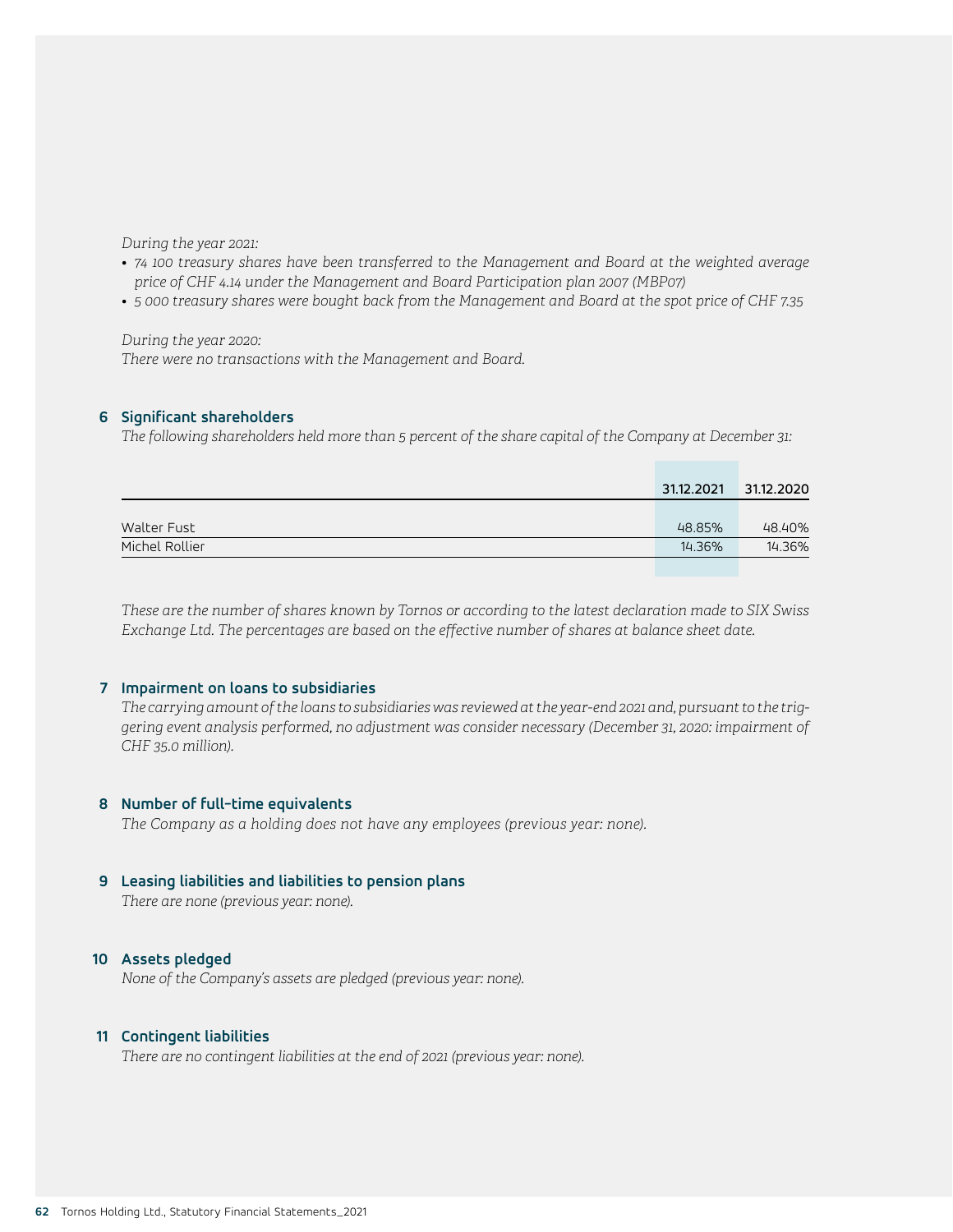*During the year 2021:*

- *• 74 100 treasury shares have been transferred to the Management and Board at the weighted average price of CHF 4.14 under the Management and Board Participation plan 2007 (MBP07)*
- *• 5 000 treasury shares were bought back from the Management and Board at the spot price of CHF 7.35*

*During the year 2020: There were no transactions with the Management and Board.*

### **Significant shareholders 6**

*The following shareholders held more than 5 percent of the share capital of the Company at December 31:*

|                | 31.12.2021 | 31.12.2020 |
|----------------|------------|------------|
|                |            |            |
| Walter Fust    | 48.85%     | 48.40%     |
| Michel Rollier | 14.36%     | 14.36%     |
|                |            |            |

*These are the number of shares known by Tornos or according to the latest declaration made to SIX Swiss Exchange Ltd. The percentages are based on the effective number of shares at balance sheet date.*

### **Impairment on loans to subsidiaries 7**

*The carrying amount of the loans to subsidiaries was reviewed at the year-end 2021 and, pursuant to the triggering event analysis performed, no adjustment was consider necessary (December 31, 2020: impairment of CHF 35.0 million).*

### **Number of full-time equivalents 8**

*The Company as a holding does not have any employees (previous year: none).*

### **Leasing liabilities and liabilities to pension plans 9**

*There are none (previous year: none).*

### **Assets pledged 10**

*None of the Company's assets are pledged (previous year: none).*

### **Contingent liabilities 11**

*There are no contingent liabilities at the end of 2021 (previous year: none).*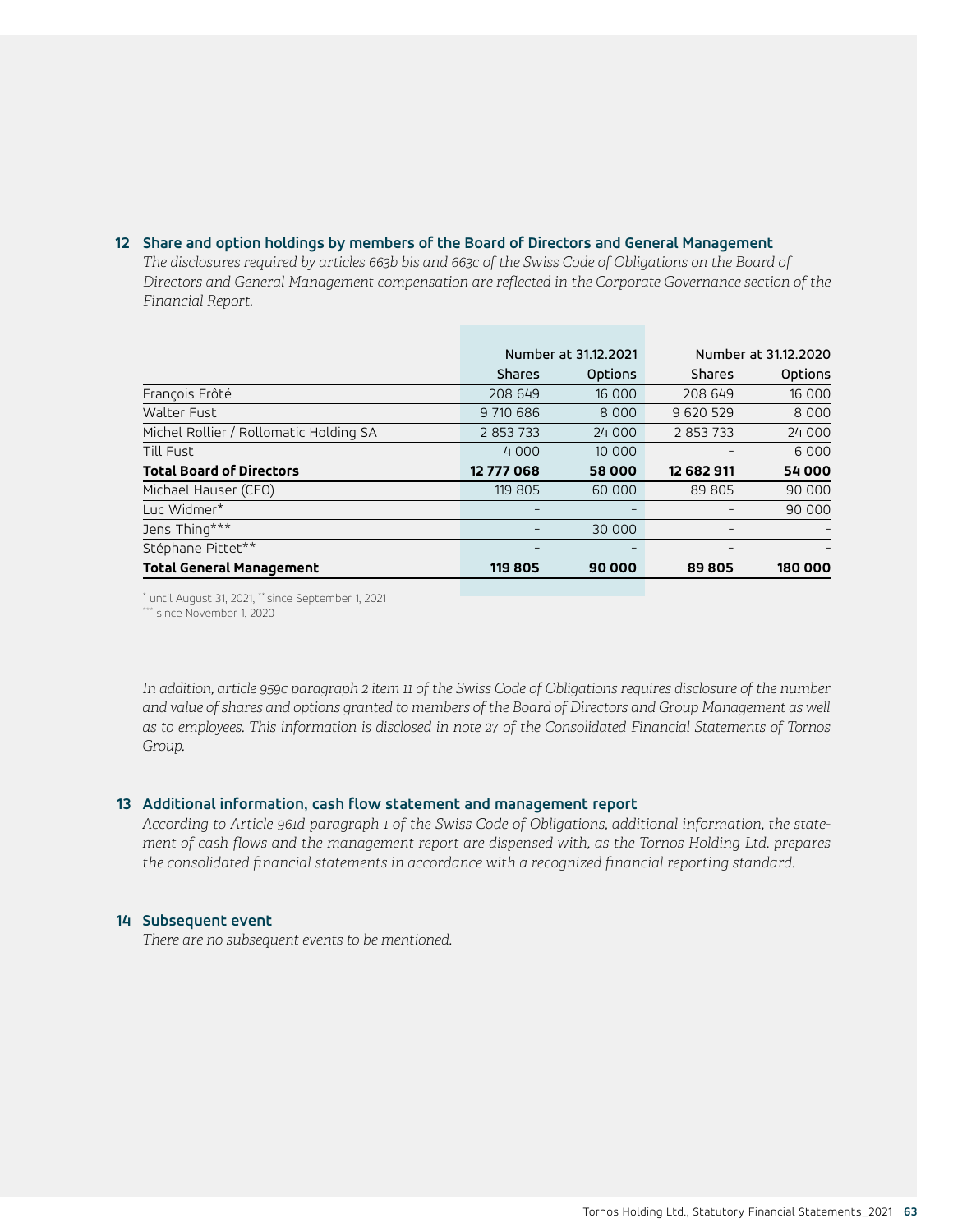### **Share and option holdings by members of the Board of Directors and General Management 12**

*The disclosures required by articles 663b bis and 663c of the Swiss Code of Obligations on the Board of Directors and General Management compensation are reflected in the Corporate Governance section of the Financial Report.*

|                                        | Number at 31.12.2021 |                |               | Number at 31.12.2020 |
|----------------------------------------|----------------------|----------------|---------------|----------------------|
|                                        | <b>Shares</b>        | <b>Options</b> | <b>Shares</b> | Options              |
| François Frôté                         | 208 649              | 16 000         | 208 649       | 16 000               |
| Walter Fust                            | 9 710 686            | 8 0 0 0        | 9 620 529     | 8 0 0 0              |
| Michel Rollier / Rollomatic Holding SA | 2 853 733            | 24 000         | 2853733       | 24 000               |
| Till Fust                              | 4 0 0 0              | 10 000         |               | 6 0 0 0              |
| <b>Total Board of Directors</b>        | 12777068             | 58 000         | 12 682 911    | 54000                |
| Michael Hauser (CEO)                   | 119 805              | 60 000         | 89 805        | 90 000               |
| Luc Widmer*                            |                      |                |               | 90 000               |
| Jens Thing***                          |                      | 30 000         |               |                      |
| Stéphane Pittet**                      |                      |                | -             |                      |
| <b>Total General Management</b>        | 119805               | 90 000         | 89805         | 180 000              |

\* until August 31, 2021, \*\* since September 1, 2021<br>\*\*\* since November 1, 2020

*In addition, article 959c paragraph 2 item 11 of the Swiss Code of Obligations requires disclosure of the number and value of shares and options granted to members of the Board of Directors and Group Management as well as to employees. This information is disclosed in note 27 of the Consolidated Financial Statements of Tornos Group.*

### **13 Additional information, cash flow statement and management report**

*According to Article 961d paragraph 1 of the Swiss Code of Obligations, additional information, the statement of cash flows and the management report are dispensed with, as the Tornos Holding Ltd. prepares the consolidated financial statements in accordance with a recognized financial reporting standard.*

### **14 Subsequent event**

*There are no subsequent events to be mentioned.*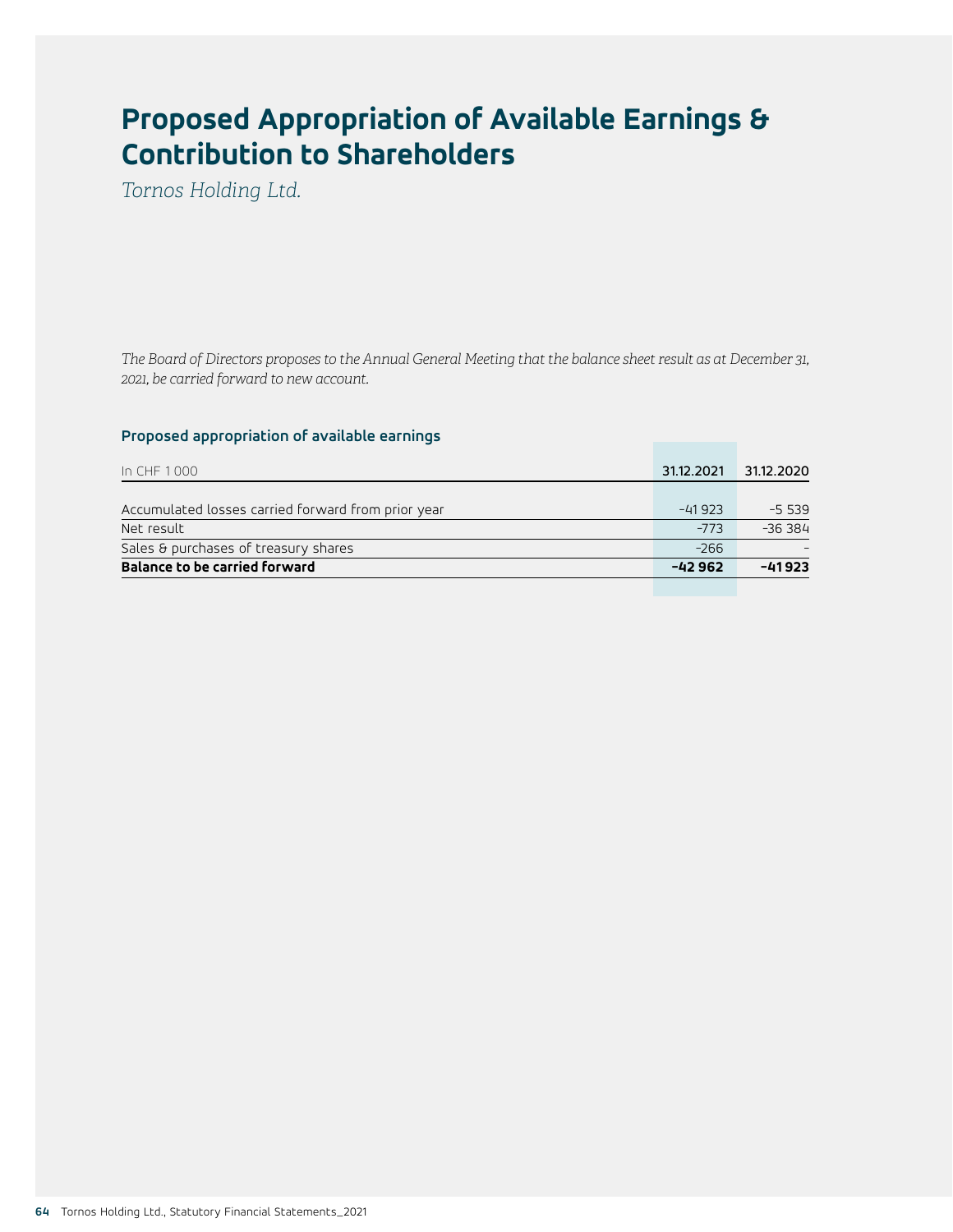### **Proposed Appropriation of Available Earnings & Contribution to Shareholders**

*Tornos Holding Ltd.*

*The Board of Directors proposes to the Annual General Meeting that the balance sheet result as at December 31, 2021, be carried forward to new account.*

### **Proposed appropriation of available earnings**

| <b>Balance to be carried forward</b>               | -42 962    | $-41923$   |
|----------------------------------------------------|------------|------------|
| Sales & purchases of treasury shares               | $-266$     |            |
| Net result                                         | $-773$     | $-36.384$  |
| Accumulated losses carried forward from prior year | $-41923$   | $-5.539$   |
|                                                    |            |            |
| In CHF 1000                                        | 31.12.2021 | 31.12.2020 |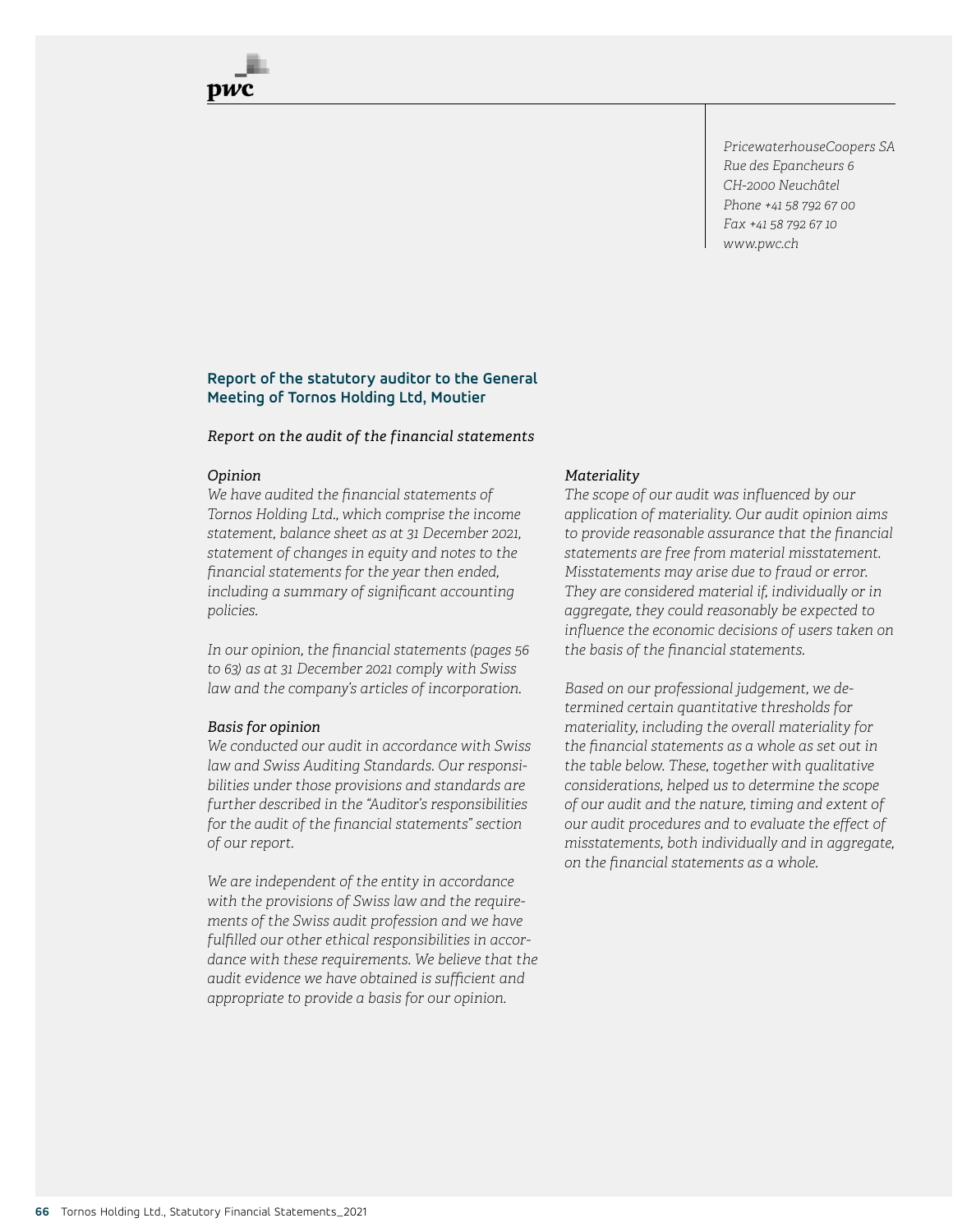*PricewaterhouseCoopers SA Rue des Epancheurs 6 CH-2000 Neuchâtel Phone +41 58 792 67 00 Fax +41 58 792 67 10 www.pwc.ch*

### **Report of the statutory auditor to the General Meeting of Tornos Holding Ltd, Moutier**

*Report on the audit of the financial statements*

### *Opinion*

DWC

*We have audited the financial statements of Tornos Holding Ltd., which comprise the income statement, balance sheet as at 31 December 2021, statement of changes in equity and notes to the financial statements for the year then ended, including a summary of significant accounting policies.*

*In our opinion, the financial statements (pages 56 to 63) as at 31 December 2021 comply with Swiss law and the company's articles of incorporation.* 

### *Basis for opinion*

*We conducted our audit in accordance with Swiss law and Swiss Auditing Standards. Our responsibilities under those provisions and standards are further described in the "Auditor's responsibilities for the audit of the financial statements" section of our report.*

*We are independent of the entity in accordance with the provisions of Swiss law and the requirements of the Swiss audit profession and we have fulfilled our other ethical responsibilities in accordance with these requirements. We believe that the audit evidence we have obtained is sufficient and appropriate to provide a basis for our opinion.*

### *Materiality*

*The scope of our audit was influenced by our application of materiality. Our audit opinion aims to provide reasonable assurance that the financial statements are free from material misstatement. Misstatements may arise due to fraud or error. They are considered material if, individually or in aggregate, they could reasonably be expected to influence the economic decisions of users taken on the basis of the financial statements.*

*Based on our professional judgement, we determined certain quantitative thresholds for materiality, including the overall materiality for the financial statements as a whole as set out in the table below. These, together with qualitative considerations, helped us to determine the scope of our audit and the nature, timing and extent of our audit procedures and to evaluate the effect of misstatements, both individually and in aggregate, on the financial statements as a whole.*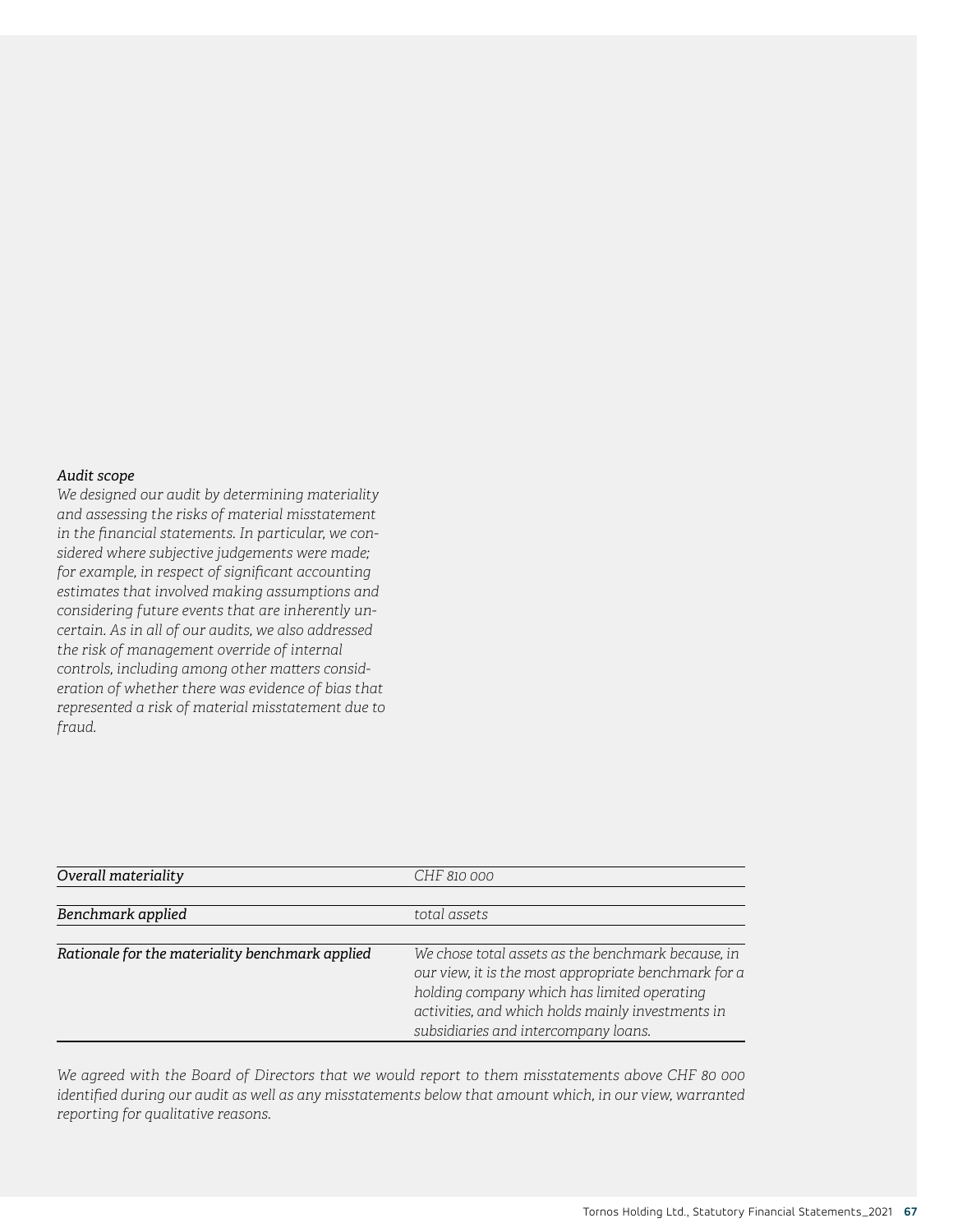### *Audit scope*

*We designed our audit by determining materiality and assessing the risks of material misstatement in the financial statements. In particular, we considered where subjective judgements were made; for example, in respect of significant accounting estimates that involved making assumptions and considering future events that are inherently uncertain. As in all of our audits, we also addressed the risk of management override of internal controls, including among other matters consideration of whether there was evidence of bias that represented a risk of material misstatement due to fraud.*

| Overall materiality                             | CHF 810 000                                                                                                |
|-------------------------------------------------|------------------------------------------------------------------------------------------------------------|
|                                                 |                                                                                                            |
| Benchmark applied                               | total assets                                                                                               |
|                                                 |                                                                                                            |
| Rationale for the materiality benchmark applied | We chose total assets as the benchmark because, in<br>our view, it is the most appropriate benchmark for a |
|                                                 | holding company which has limited operating                                                                |
|                                                 | activities, and which holds mainly investments in                                                          |
|                                                 | subsidiaries and intercompany loans.                                                                       |

*We agreed with the Board of Directors that we would report to them misstatements above CHF 80 000 identified during our audit as well as any misstatements below that amount which, in our view, warranted reporting for qualitative reasons.*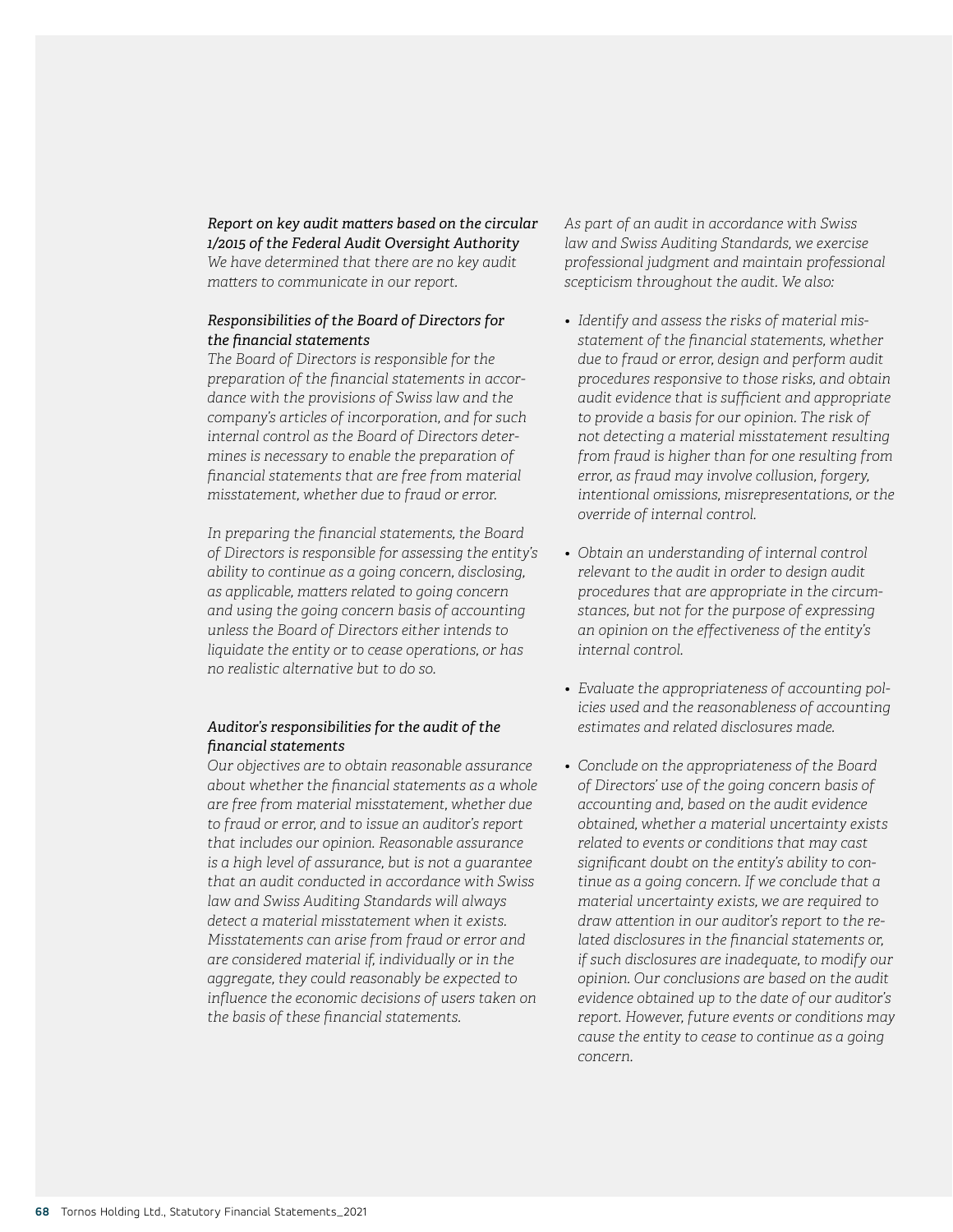*Report on key audit matters based on the circular 1/2015 of the Federal Audit Oversight Authority We have determined that there are no key audit matters to communicate in our report.*

### *Responsibilities of the Board of Directors for the financial statements*

*The Board of Directors is responsible for the preparation of the financial statements in accordance with the provisions of Swiss law and the company's articles of incorporation, and for such internal control as the Board of Directors determines is necessary to enable the preparation of financial statements that are free from material misstatement, whether due to fraud or error.*

*In preparing the financial statements, the Board of Directors is responsible for assessing the entity's ability to continue as a going concern, disclosing, as applicable, matters related to going concern and using the going concern basis of accounting unless the Board of Directors either intends to liquidate the entity or to cease operations, or has no realistic alternative but to do so.*

### *Auditor's responsibilities for the audit of the financial statements*

*Our objectives are to obtain reasonable assurance about whether the financial statements as a whole are free from material misstatement, whether due to fraud or error, and to issue an auditor's report that includes our opinion. Reasonable assurance is a high level of assurance, but is not a guarantee that an audit conducted in accordance with Swiss law and Swiss Auditing Standards will always detect a material misstatement when it exists. Misstatements can arise from fraud or error and are considered material if, individually or in the aggregate, they could reasonably be expected to influence the economic decisions of users taken on the basis of these financial statements.*

*As part of an audit in accordance with Swiss law and Swiss Auditing Standards, we exercise professional judgment and maintain professional scepticism throughout the audit. We also:*

- *• Identify and assess the risks of material misstatement of the financial statements, whether due to fraud or error, design and perform audit procedures responsive to those risks, and obtain audit evidence that is sufficient and appropriate to provide a basis for our opinion. The risk of not detecting a material misstatement resulting from fraud is higher than for one resulting from error, as fraud may involve collusion, forgery, intentional omissions, misrepresentations, or the override of internal control.*
- *• Obtain an understanding of internal control relevant to the audit in order to design audit procedures that are appropriate in the circumstances, but not for the purpose of expressing an opinion on the effectiveness of the entity's internal control.*
- *• Evaluate the appropriateness of accounting policies used and the reasonableness of accounting estimates and related disclosures made.*
- *• Conclude on the appropriateness of the Board of Directors' use of the going concern basis of accounting and, based on the audit evidence obtained, whether a material uncertainty exists related to events or conditions that may cast significant doubt on the entity's ability to continue as a going concern. If we conclude that a material uncertainty exists, we are required to draw attention in our auditor's report to the related disclosures in the financial statements or, if such disclosures are inadequate, to modify our opinion. Our conclusions are based on the audit evidence obtained up to the date of our auditor's report. However, future events or conditions may cause the entity to cease to continue as a going concern.*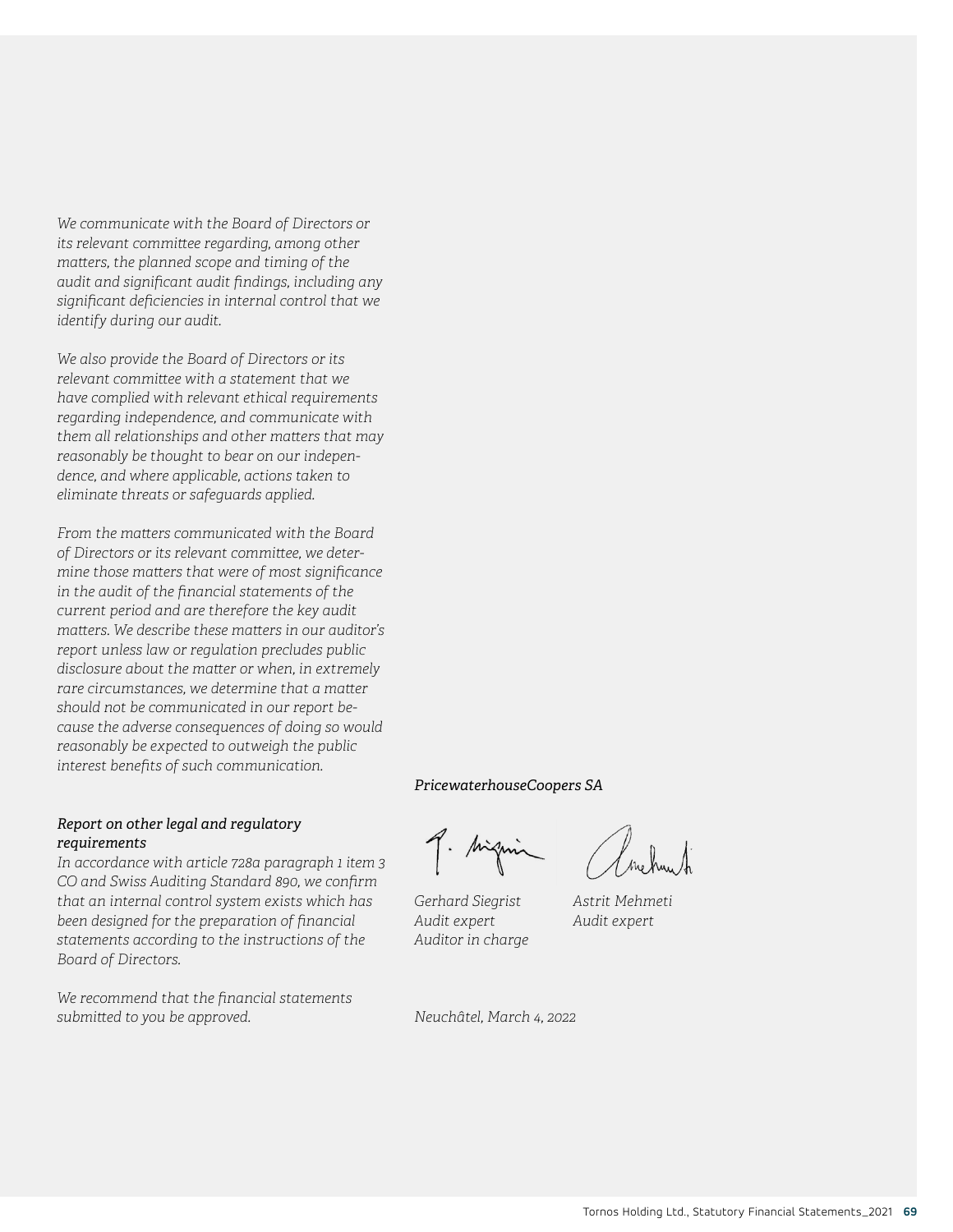*We communicate with the Board of Directors or its relevant committee regarding, among other matters, the planned scope and timing of the audit and significant audit findings, including any significant deficiencies in internal control that we identify during our audit.*

*We also provide the Board of Directors or its relevant committee with a statement that we have complied with relevant ethical requirements regarding independence, and communicate with them all relationships and other matters that may reasonably be thought to bear on our independence, and where applicable, actions taken to eliminate threats or safeguards applied.*

*From the matters communicated with the Board of Directors or its relevant committee, we determine those matters that were of most significance in the audit of the financial statements of the current period and are therefore the key audit matters. We describe these matters in our auditor's report unless law or regulation precludes public disclosure about the matter or when, in extremely rare circumstances, we determine that a matter should not be communicated in our report because the adverse consequences of doing so would reasonably be expected to outweigh the public interest benefits of such communication.*

### *Report on other legal and regulatory requirements*

*In accordance with article 728a paragraph 1 item 3 CO and Swiss Auditing Standard 890, we confirm that an internal control system exists which has been designed for the preparation of financial statements according to the instructions of the Board of Directors.*

*We recommend that the financial statements submitted to you be approved.*

### *PricewaterhouseCoopers SA*

9. Sizmin

*Gerhard Siegrist Astrit Mehmeti Audit expert Audit expert Auditor in charge* 

*Neuchâtel, March 4, 2022*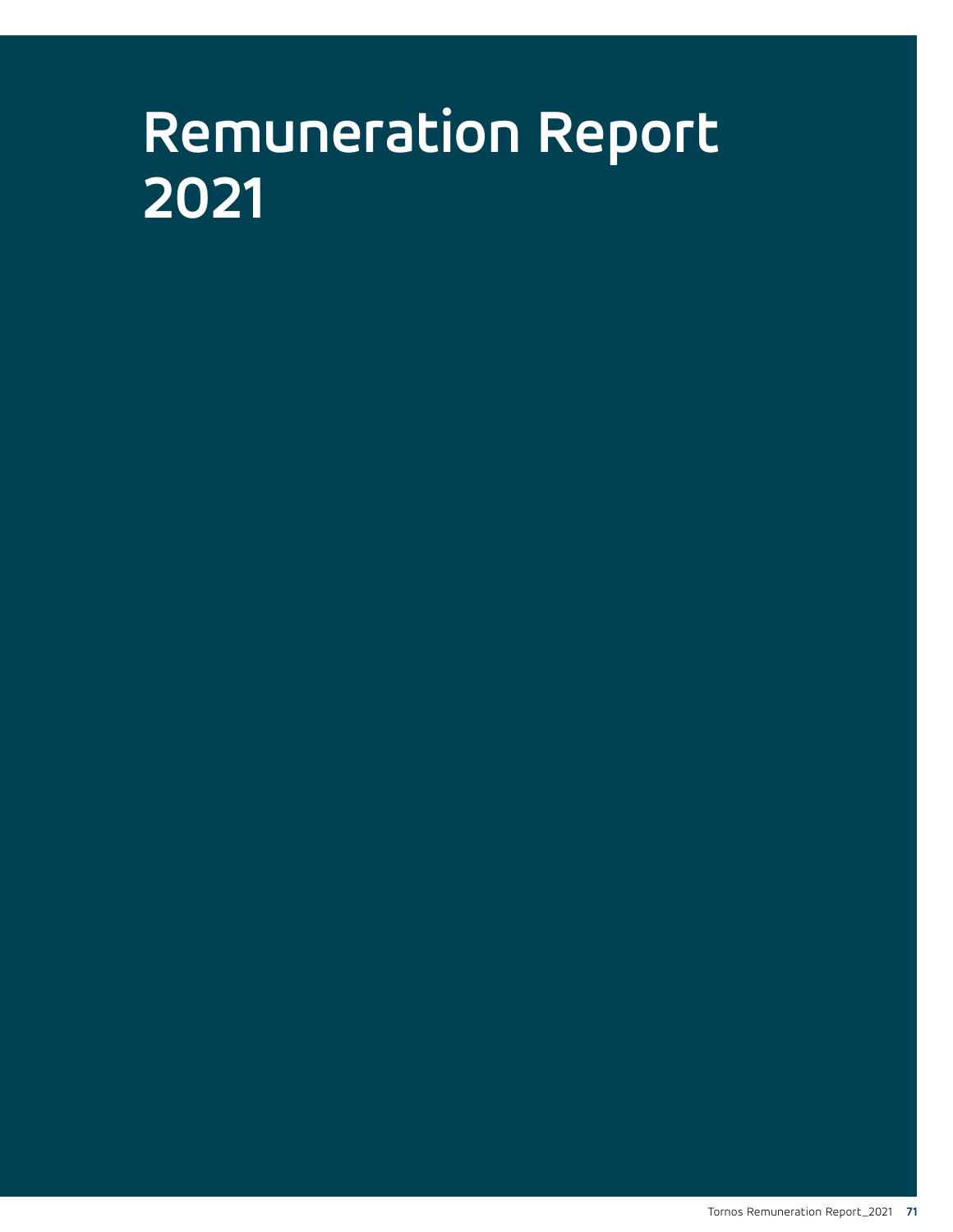# **Remuneration Report 2021**

Tornos Remuneration Report\_2021 **71**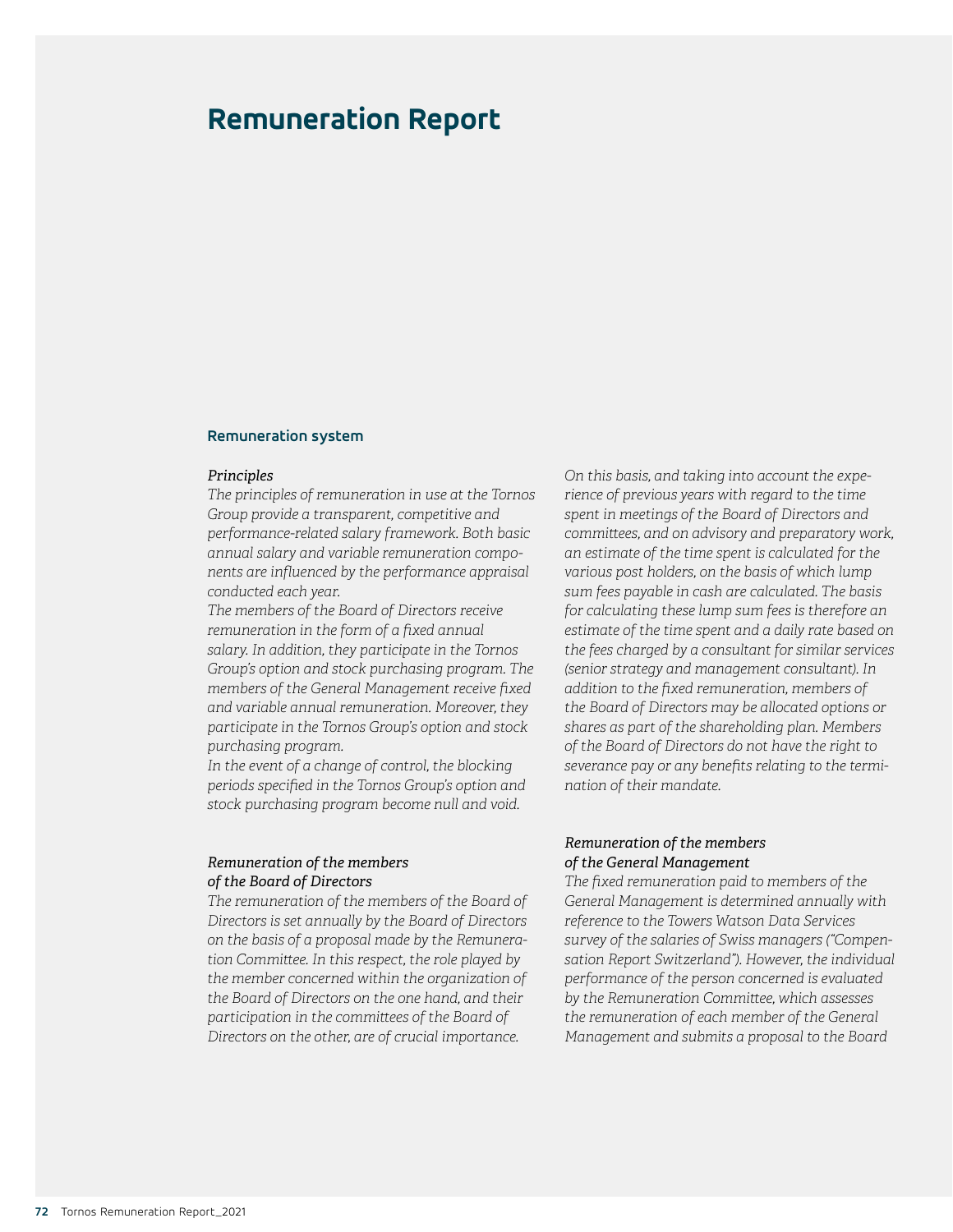### **Remuneration Report**

### **Remuneration system**

#### *Principles*

*The principles of remuneration in use at the Tornos Group provide a transparent, competitive and performance-related salary framework. Both basic annual salary and variable remuneration components are influenced by the performance appraisal conducted each year.*

*The members of the Board of Directors receive remuneration in the form of a fixed annual salary. In addition, they participate in the Tornos Group's option and stock purchasing program. The members of the General Management receive fixed and variable annual remuneration. Moreover, they participate in the Tornos Group's option and stock purchasing program.*

*In the event of a change of control, the blocking periods specified in the Tornos Group's option and stock purchasing program become null and void.*

### *Remuneration of the members of the Board of Directors*

*The remuneration of the members of the Board of Directors is set annually by the Board of Directors on the basis of a proposal made by the Remuneration Committee. In this respect, the role played by the member concerned within the organization of the Board of Directors on the one hand, and their participation in the committees of the Board of Directors on the other, are of crucial importance.*

*On this basis, and taking into account the experience of previous years with regard to the time spent in meetings of the Board of Directors and committees, and on advisory and preparatory work, an estimate of the time spent is calculated for the various post holders, on the basis of which lump sum fees payable in cash are calculated. The basis for calculating these lump sum fees is therefore an estimate of the time spent and a daily rate based on the fees charged by a consultant for similar services (senior strategy and management consultant). In addition to the fixed remuneration, members of the Board of Directors may be allocated options or shares as part of the shareholding plan. Members of the Board of Directors do not have the right to severance pay or any benefits relating to the termination of their mandate.*

### *Remuneration of the members of the General Management*

*The fixed remuneration paid to members of the General Management is determined annually with reference to the Towers Watson Data Services survey of the salaries of Swiss managers ("Compensation Report Switzerland"). However, the individual performance of the person concerned is evaluated by the Remuneration Committee, which assesses the remuneration of each member of the General Management and submits a proposal to the Board*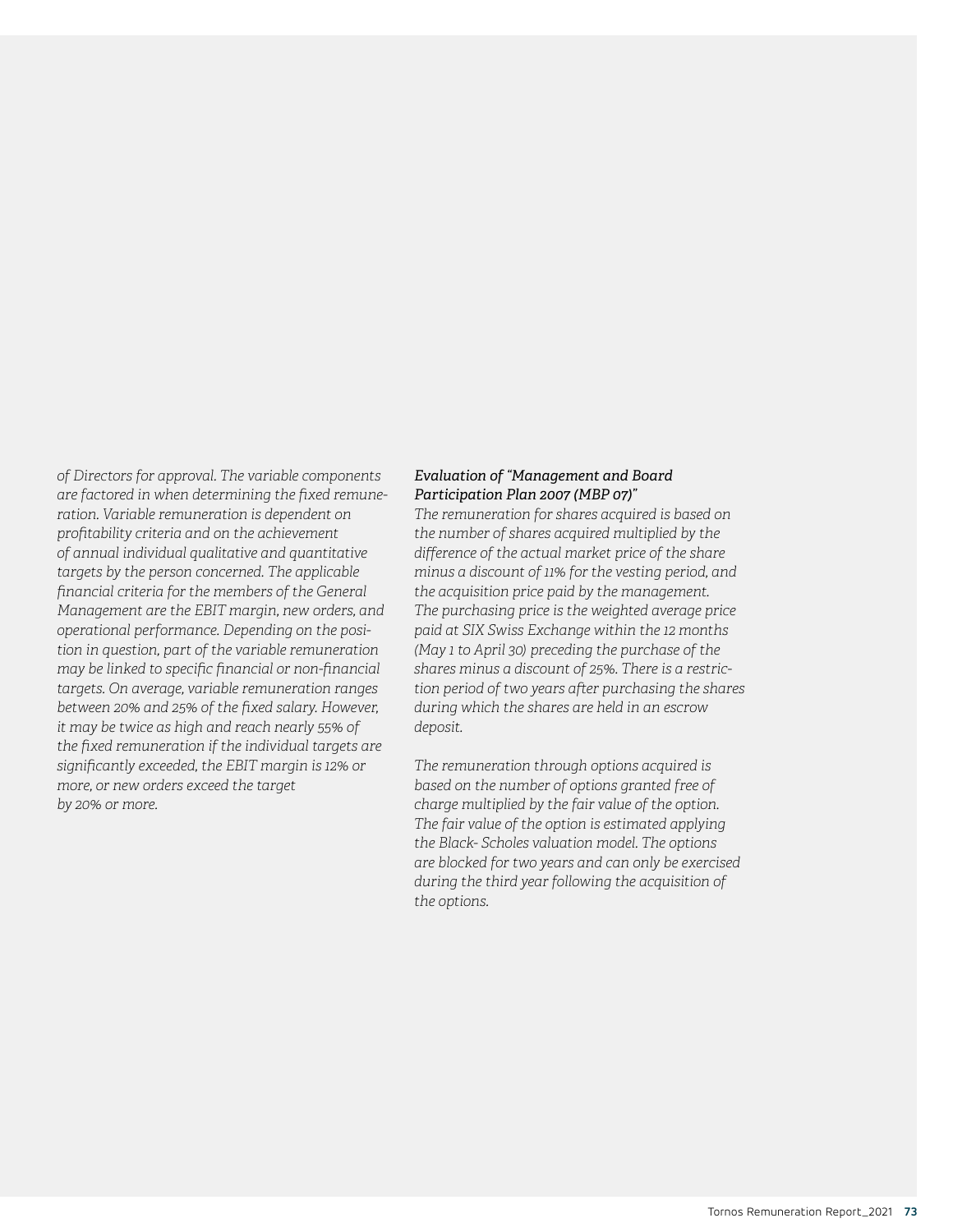*of Directors for approval. The variable components are factored in when determining the fixed remuneration. Variable remuneration is dependent on profitability criteria and on the achievement of annual individual qualitative and quantitative targets by the person concerned. The applicable financial criteria for the members of the General Management are the EBIT margin, new orders, and operational performance. Depending on the position in question, part of the variable remuneration may be linked to specific financial or non-financial targets. On average, variable remuneration ranges between 20% and 25% of the fixed salary. However, it may be twice as high and reach nearly 55% of the fixed remuneration if the individual targets are significantly exceeded, the EBIT margin is 12% or more, or new orders exceed the target by 20% or more.*

#### *Evaluation of "Management and Board Participation Plan 2007 (MBP 07)"*

*The remuneration for shares acquired is based on the number of shares acquired multiplied by the difference of the actual market price of the share minus a discount of 11% for the vesting period, and the acquisition price paid by the management. The purchasing price is the weighted average price paid at SIX Swiss Exchange within the 12 months (May 1 to April 30) preceding the purchase of the shares minus a discount of 25%. There is a restriction period of two years after purchasing the shares during which the shares are held in an escrow deposit.*

*The remuneration through options acquired is based on the number of options granted free of charge multiplied by the fair value of the option. The fair value of the option is estimated applying the Black- Scholes valuation model. The options are blocked for two years and can only be exercised during the third year following the acquisition of the options.*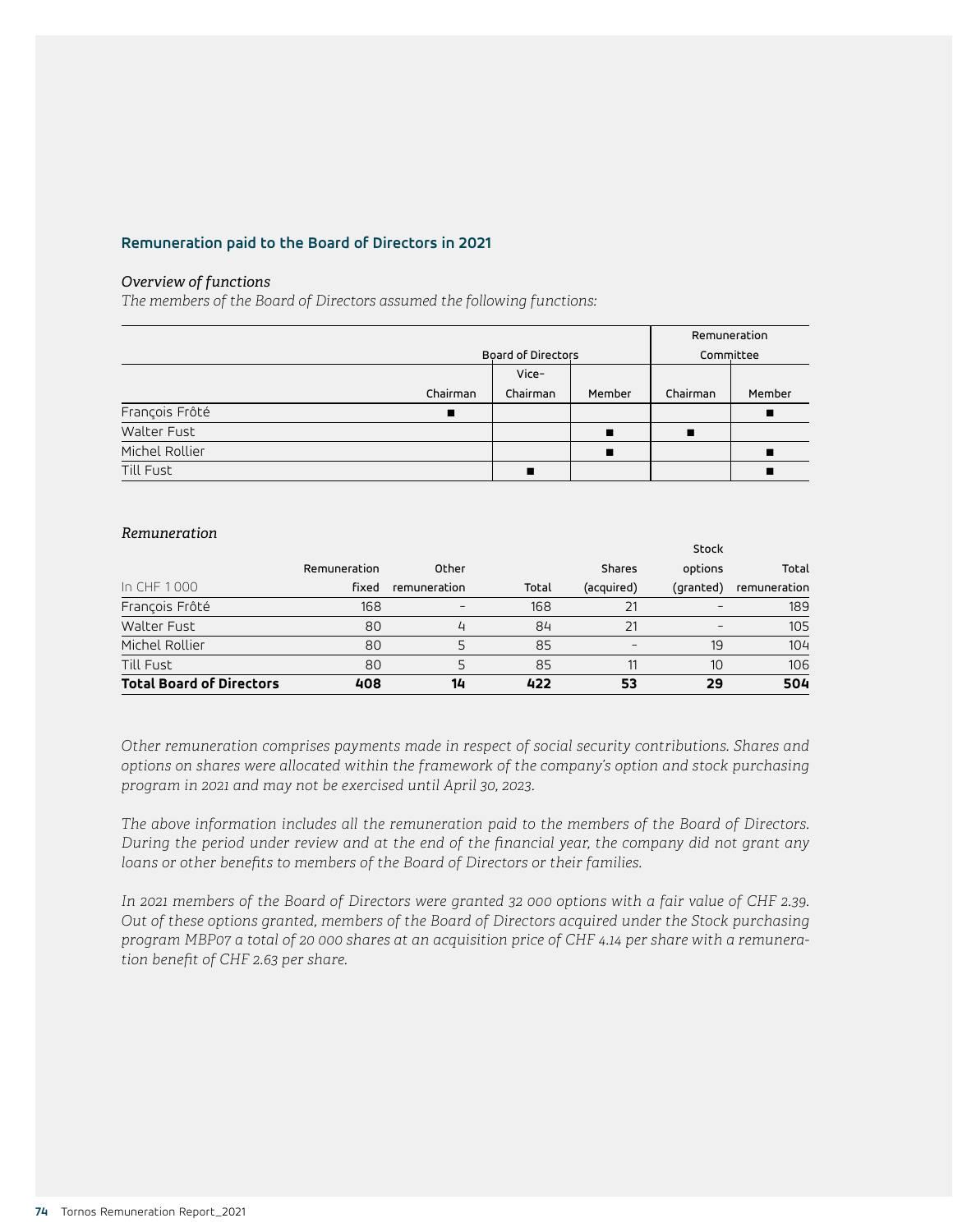#### **Remuneration paid to the Board of Directors in 2021**

#### *Overview of functions*

*The members of the Board of Directors assumed the following functions:*

|                | Remuneration              |        |          |        |  |
|----------------|---------------------------|--------|----------|--------|--|
|                | <b>Board of Directors</b> |        |          |        |  |
|                | Vice-                     |        |          |        |  |
| Chairman       | Chairman                  | Member | Chairman | Member |  |
| François Frôté |                           |        |          |        |  |
| Walter Fust    |                           |        |          |        |  |
| Michel Rollier |                           |        |          |        |  |
| Till Fust      |                           |        |          |        |  |

| Remuneration                    |              |              |       |                 |           |              |
|---------------------------------|--------------|--------------|-------|-----------------|-----------|--------------|
|                                 |              |              |       |                 | Stock     |              |
|                                 | Remuneration | Other        |       | <b>Shares</b>   | options   | Total        |
| In CHF 1000                     | fixed        | remuneration | Total | (acquired)      | (granted) | remuneration |
| François Frôté                  | 168          |              | 168   |                 |           | 189          |
| Walter Fust                     | 80           | Ц            | 84    | 21              |           | 105          |
| Michel Rollier                  | 80           |              | 85    | $\qquad \qquad$ | 19        | 104          |
| Till Fust                       | 80           |              | 85    | 11              | 10        | 106          |
| <b>Total Board of Directors</b> | 408          | 14           | 422   | 53              | 29        | 504          |

*Other remuneration comprises payments made in respect of social security contributions. Shares and options on shares were allocated within the framework of the company's option and stock purchasing program in 2021 and may not be exercised until April 30, 2023.*

*The above information includes all the remuneration paid to the members of the Board of Directors. During the period under review and at the end of the financial year, the company did not grant any loans or other benefits to members of the Board of Directors or their families.*

*In 2021 members of the Board of Directors were granted 32 000 options with a fair value of CHF 2.39. Out of these options granted, members of the Board of Directors acquired under the Stock purchasing program MBP07 a total of 20 000 shares at an acquisition price of CHF 4.14 per share with a remuneration benefit of CHF 2.63 per share.*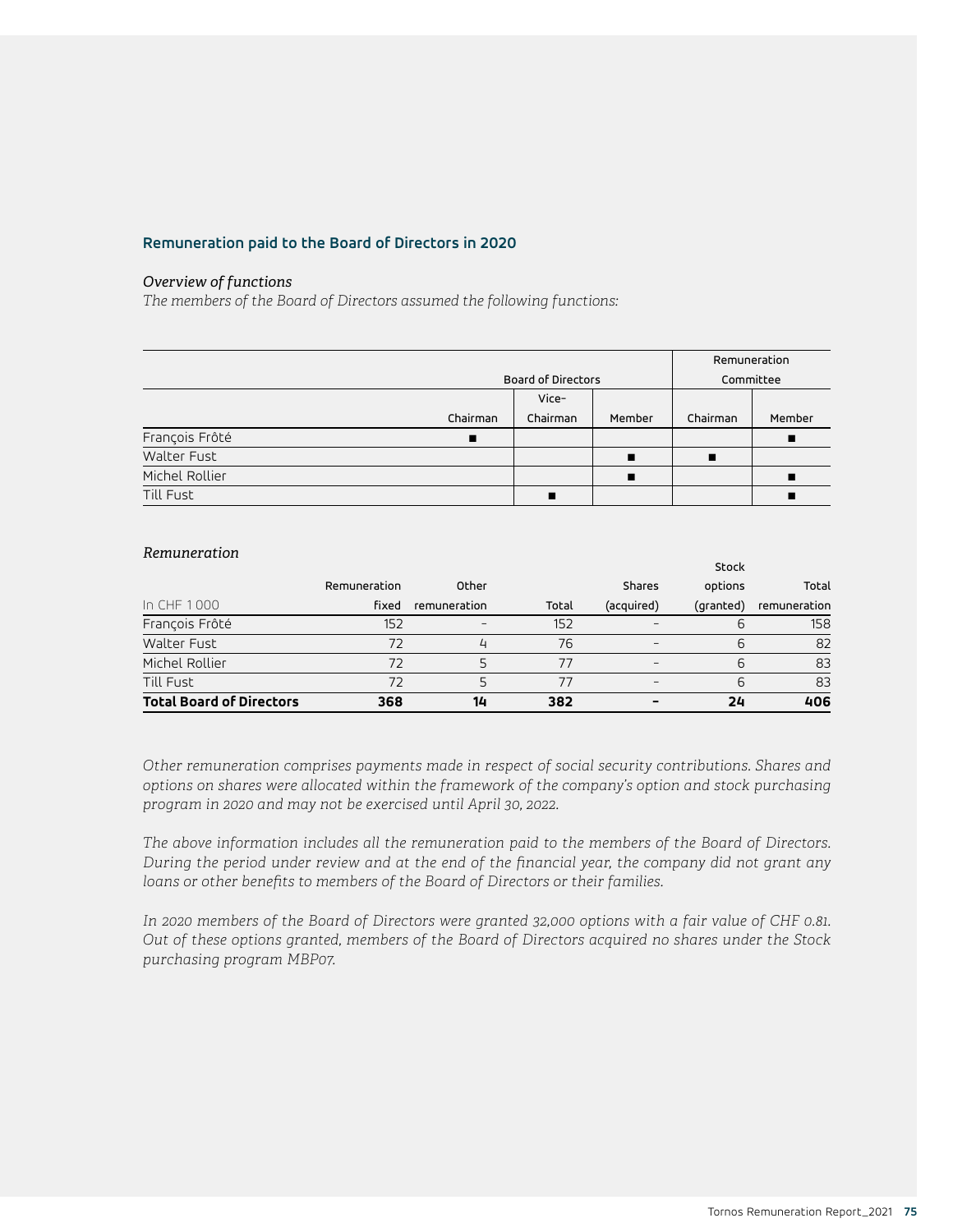#### **Remuneration paid to the Board of Directors in 2020**

#### *Overview of functions*

*The members of the Board of Directors assumed the following functions:*

|                | <b>Board of Directors</b> |        |          |        |
|----------------|---------------------------|--------|----------|--------|
|                | Vice-                     |        |          |        |
| Chairman       | Chairman                  | Member | Chairman | Member |
| François Frôté |                           |        |          |        |
| Walter Fust    |                           |        |          |        |
| Michel Rollier |                           |        |          |        |
| Till Fust      | ■                         |        |          |        |

| <b>Total Board of Directors</b> | 368          | 14             | 382   | -                 | 24           | 406          |
|---------------------------------|--------------|----------------|-------|-------------------|--------------|--------------|
| Till Fust                       | 72           | 5              | 77    | $\qquad \qquad -$ | 6            | 83           |
| Michel Rollier                  | 72           |                | 77    | $\qquad \qquad$   | 6            | 83           |
| Walter Fust                     | 72           | $\overline{4}$ | 76    | $\qquad \qquad -$ | 6            | 82           |
| François Frôté                  | 152          |                | 152   |                   | 6            | 158          |
| In CHF 1000                     | fixed        | remuneration   | Total | (acquired)        | (granted)    | remuneration |
|                                 | Remuneration | Other          |       | <b>Shares</b>     | options      | Total        |
|                                 |              |                |       |                   | <b>Stock</b> |              |
| Remuneration                    |              |                |       |                   |              |              |

*Other remuneration comprises payments made in respect of social security contributions. Shares and options on shares were allocated within the framework of the company's option and stock purchasing program in 2020 and may not be exercised until April 30, 2022.*

*The above information includes all the remuneration paid to the members of the Board of Directors. During the period under review and at the end of the financial year, the company did not grant any loans or other benefits to members of the Board of Directors or their families.*

*In 2020 members of the Board of Directors were granted 32,000 options with a fair value of CHF 0.81. Out of these options granted, members of the Board of Directors acquired no shares under the Stock purchasing program MBP07.*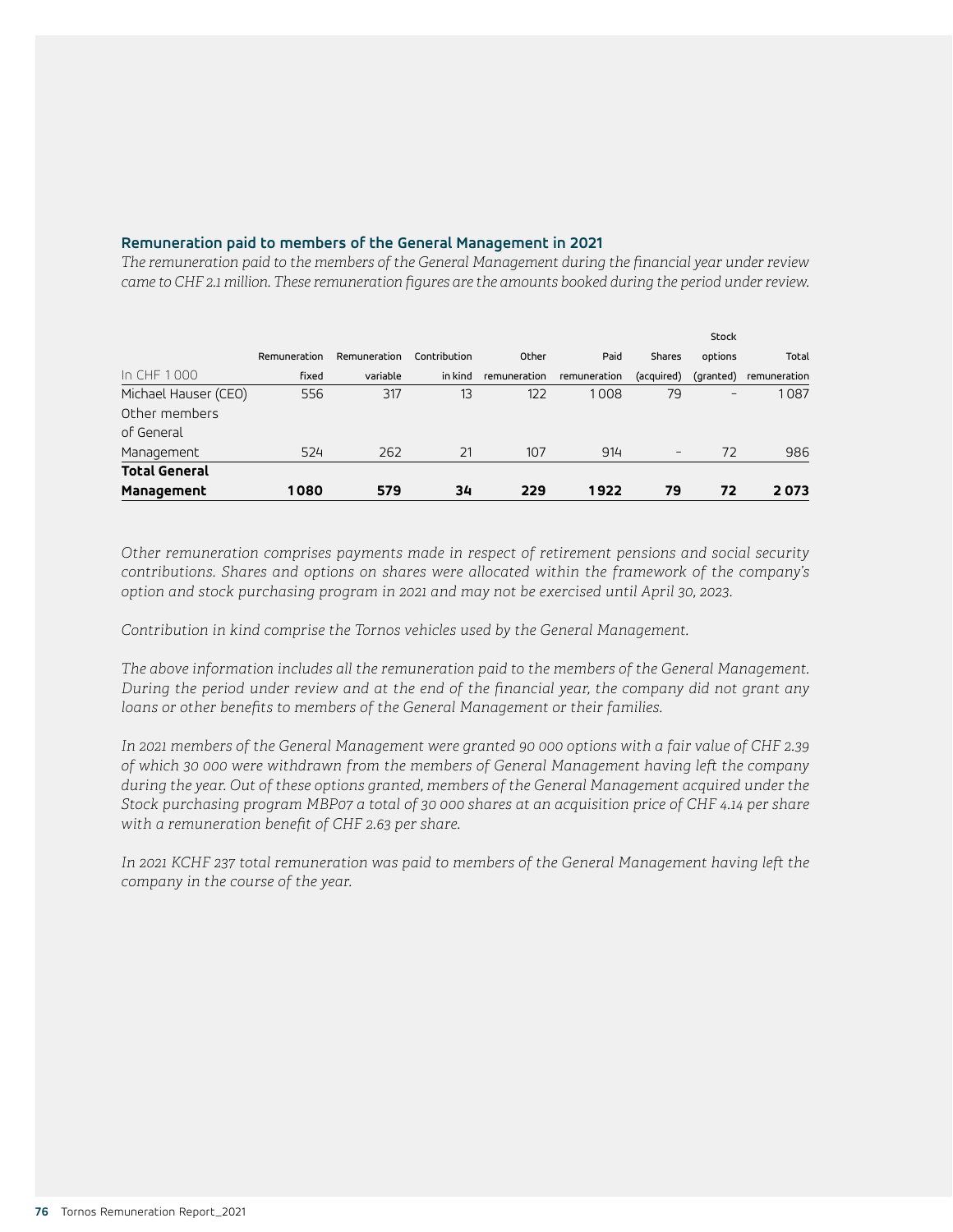#### **Remuneration paid to members of the General Management in 2021**

*The remuneration paid to the members of the General Management during the financial year under review came to CHF 2.1 million. These remuneration figures are the amounts booked during the period under review.* 

|                      |              |              |              |              |              |                          | Stock                    |              |
|----------------------|--------------|--------------|--------------|--------------|--------------|--------------------------|--------------------------|--------------|
|                      | Remuneration | Remuneration | Contribution | Other        | Paid         | Shares                   | options                  | Total        |
| In CHF 1000          | fixed        | variable     | in kind      | remuneration | remuneration | (acquired)               | (granted)                | remuneration |
| Michael Hauser (CEO) | 556          | 317          | 13           | 122          | 1008         | 79                       | $\overline{\phantom{0}}$ | 1087         |
| Other members        |              |              |              |              |              |                          |                          |              |
| of General           |              |              |              |              |              |                          |                          |              |
| Management           | 524          | 262          | 21           | 107          | 914          | $\overline{\phantom{m}}$ | 72                       | 986          |
| <b>Total General</b> |              |              |              |              |              |                          |                          |              |
| Management           | 1080         | 579          | 34           | 229          | 1922         | 79                       | 72                       | 2073         |

*Other remuneration comprises payments made in respect of retirement pensions and social security contributions. Shares and options on shares were allocated within the framework of the company's option and stock purchasing program in 2021 and may not be exercised until April 30, 2023.*

*Contribution in kind comprise the Tornos vehicles used by the General Management.*

*The above information includes all the remuneration paid to the members of the General Management. During the period under review and at the end of the financial year, the company did not grant any loans or other benefits to members of the General Management or their families.*

*In 2021 members of the General Management were granted 90 000 options with a fair value of CHF 2.39 of which 30 000 were withdrawn from the members of General Management having left the company during the year. Out of these options granted, members of the General Management acquired under the Stock purchasing program MBP07 a total of 30 000 shares at an acquisition price of CHF 4.14 per share with a remuneration benefit of CHF 2.63 per share.*

*In 2021 KCHF 237 total remuneration was paid to members of the General Management having left the company in the course of the year.*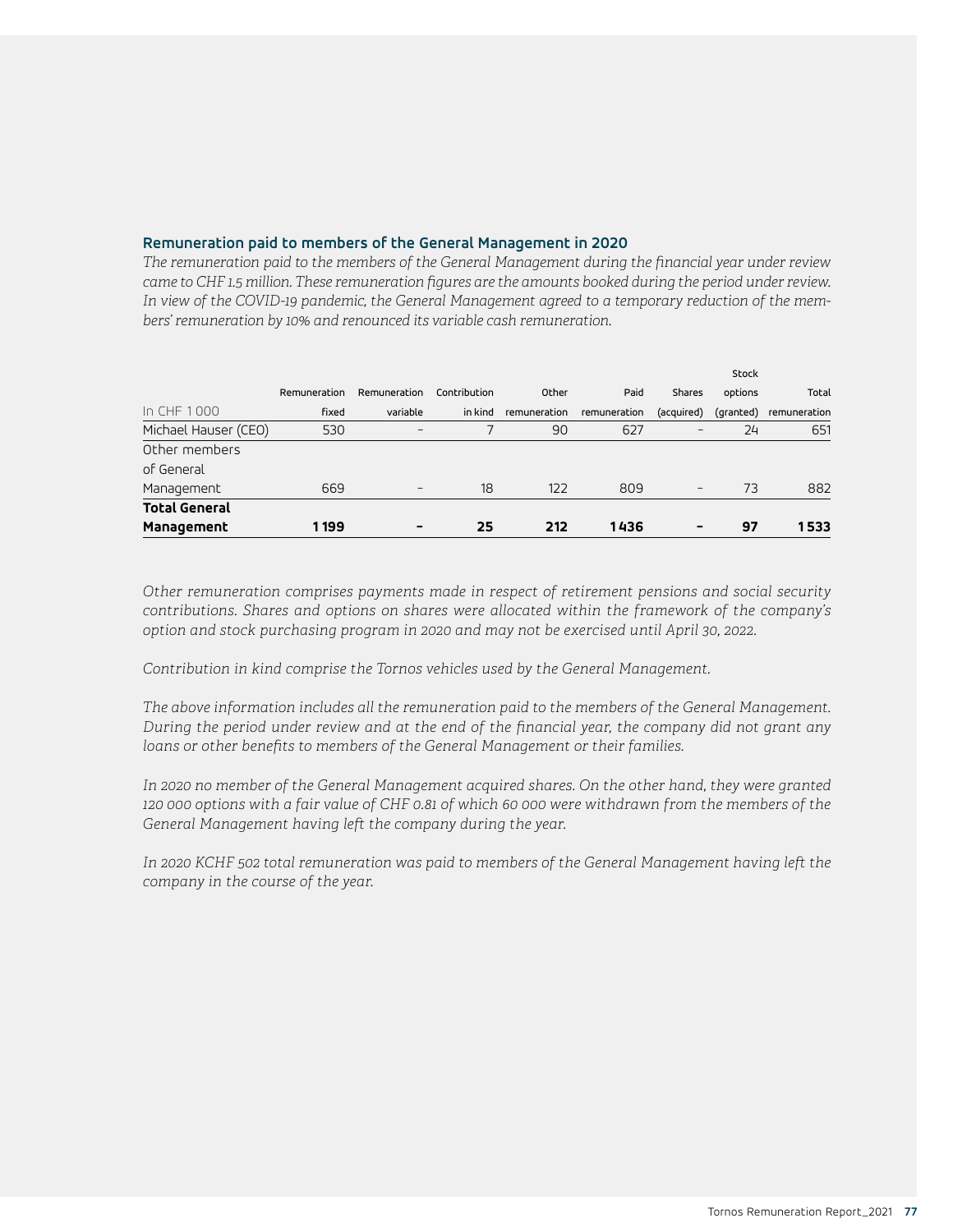#### **Remuneration paid to members of the General Management in 2020**

*The remuneration paid to the members of the General Management during the financial year under review came to CHF 1.5 million. These remuneration figures are the amounts booked during the period under review. In view of the COVID-19 pandemic, the General Management agreed to a temporary reduction of the members' remuneration by 10% and renounced its variable cash remuneration.*

|                      |              |                          |              |              |              |                   | Stock     |              |
|----------------------|--------------|--------------------------|--------------|--------------|--------------|-------------------|-----------|--------------|
|                      | Remuneration | Remuneration             | Contribution | Other        | Paid         | <b>Shares</b>     | options   | Total        |
| In CHF 1000          | fixed        | variable                 | in kind      | remuneration | remuneration | (acquired)        | (granted) | remuneration |
| Michael Hauser (CEO) | 530          |                          |              | 90           | 627          | -                 | 24        | 651          |
| Other members        |              |                          |              |              |              |                   |           |              |
| of General           |              |                          |              |              |              |                   |           |              |
| Management           | 669          | $\overline{\phantom{a}}$ | 18           | 122          | 809          | $\qquad \qquad -$ | 73        | 882          |
| <b>Total General</b> |              |                          |              |              |              |                   |           |              |
| Management           | 1 199        |                          | 25           | 212          | 1436         |                   | 97        | 1533         |

*Other remuneration comprises payments made in respect of retirement pensions and social security contributions. Shares and options on shares were allocated within the framework of the company's option and stock purchasing program in 2020 and may not be exercised until April 30, 2022.*

*Contribution in kind comprise the Tornos vehicles used by the General Management.*

*The above information includes all the remuneration paid to the members of the General Management. During the period under review and at the end of the financial year, the company did not grant any loans or other benefits to members of the General Management or their families.*

*In 2020 no member of the General Management acquired shares. On the other hand, they were granted 120 000 options with a fair value of CHF 0.81 of which 60 000 were withdrawn from the members of the General Management having left the company during the year.*

*In 2020 KCHF 502 total remuneration was paid to members of the General Management having left the company in the course of the year.*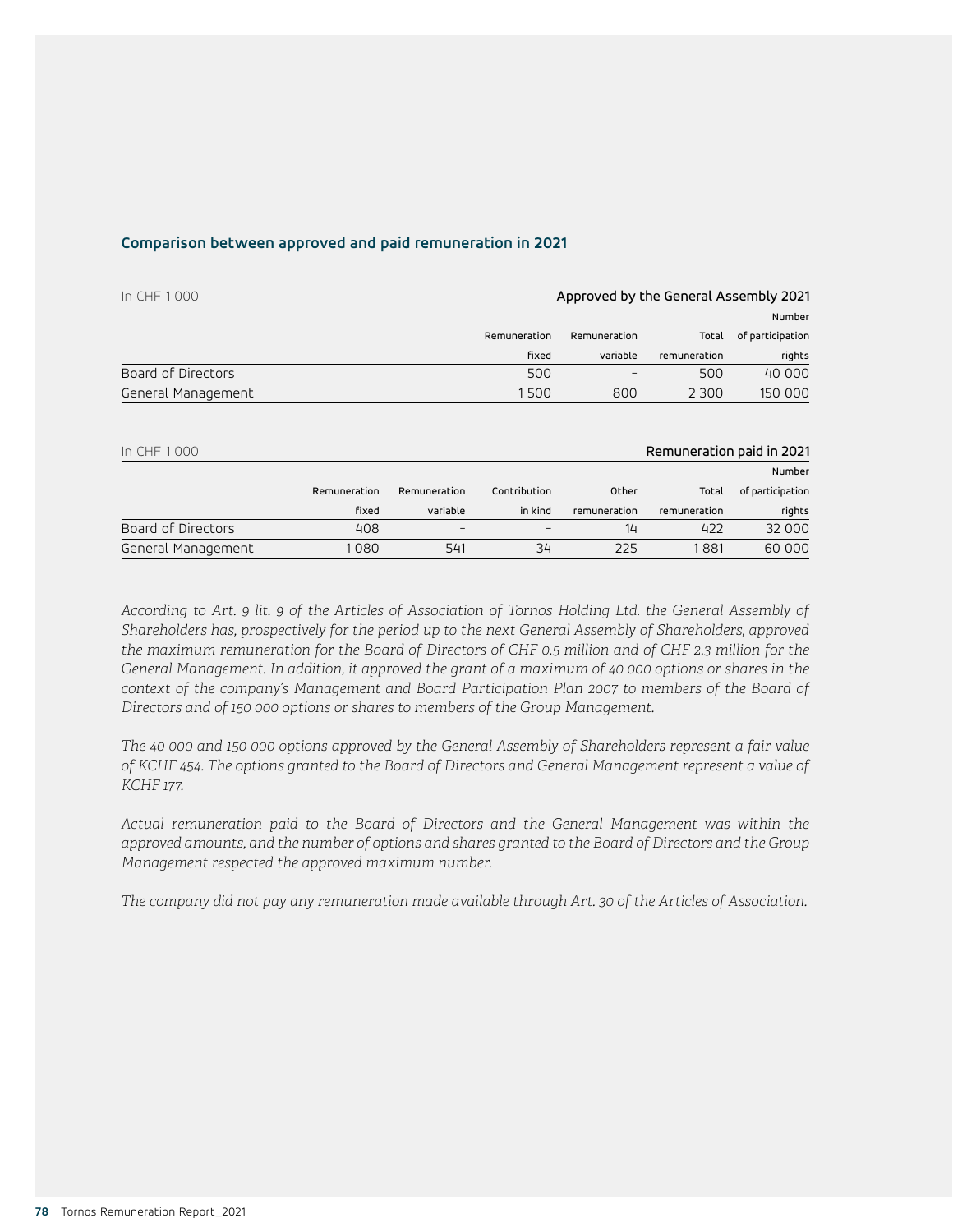#### **Comparison between approved and paid remuneration in 2021**

| In CHF 1000        |              | Approved by the General Assembly 2021 |              |                  |
|--------------------|--------------|---------------------------------------|--------------|------------------|
|                    |              |                                       |              | Number           |
|                    | Remuneration | Remuneration                          | Total        | of participation |
|                    | fixed        | variable                              | remuneration | rights           |
| Board of Directors | 500          | -                                     | 500          | 40 000           |
| General Management | 1500         | 800                                   | 2 3 0 0      | 150 000          |

| In CHF 1000        |              |                          |              |              | Remuneration paid in 2021 |                  |
|--------------------|--------------|--------------------------|--------------|--------------|---------------------------|------------------|
|                    |              |                          |              |              |                           | Number           |
|                    | Remuneration | Remuneration             | Contribution | Other        | Total                     | of participation |
|                    | fixed        | variable                 | in kind      | remuneration | remuneration              | rights           |
| Board of Directors | 408          | $\overline{\phantom{a}}$ |              | 14           | 422                       | 32 000           |
| General Management | 080          | 541                      | 34           | 225          | 1881                      | 60 000           |

*According to Art. 9 lit. 9 of the Articles of Association of Tornos Holding Ltd. the General Assembly of Shareholders has, prospectively for the period up to the next General Assembly of Shareholders, approved the maximum remuneration for the Board of Directors of CHF 0.5 million and of CHF 2.3 million for the General Management. In addition, it approved the grant of a maximum of 40 000 options or shares in the context of the company's Management and Board Participation Plan 2007 to members of the Board of Directors and of 150 000 options or shares to members of the Group Management.*

*The 40 000 and 150 000 options approved by the General Assembly of Shareholders represent a fair value of KCHF 454. The options granted to the Board of Directors and General Management represent a value of KCHF 177.*

*Actual remuneration paid to the Board of Directors and the General Management was within the approved amounts, and the number of options and shares granted to the Board of Directors and the Group Management respected the approved maximum number.*

*The company did not pay any remuneration made available through Art. 30 of the Articles of Association.*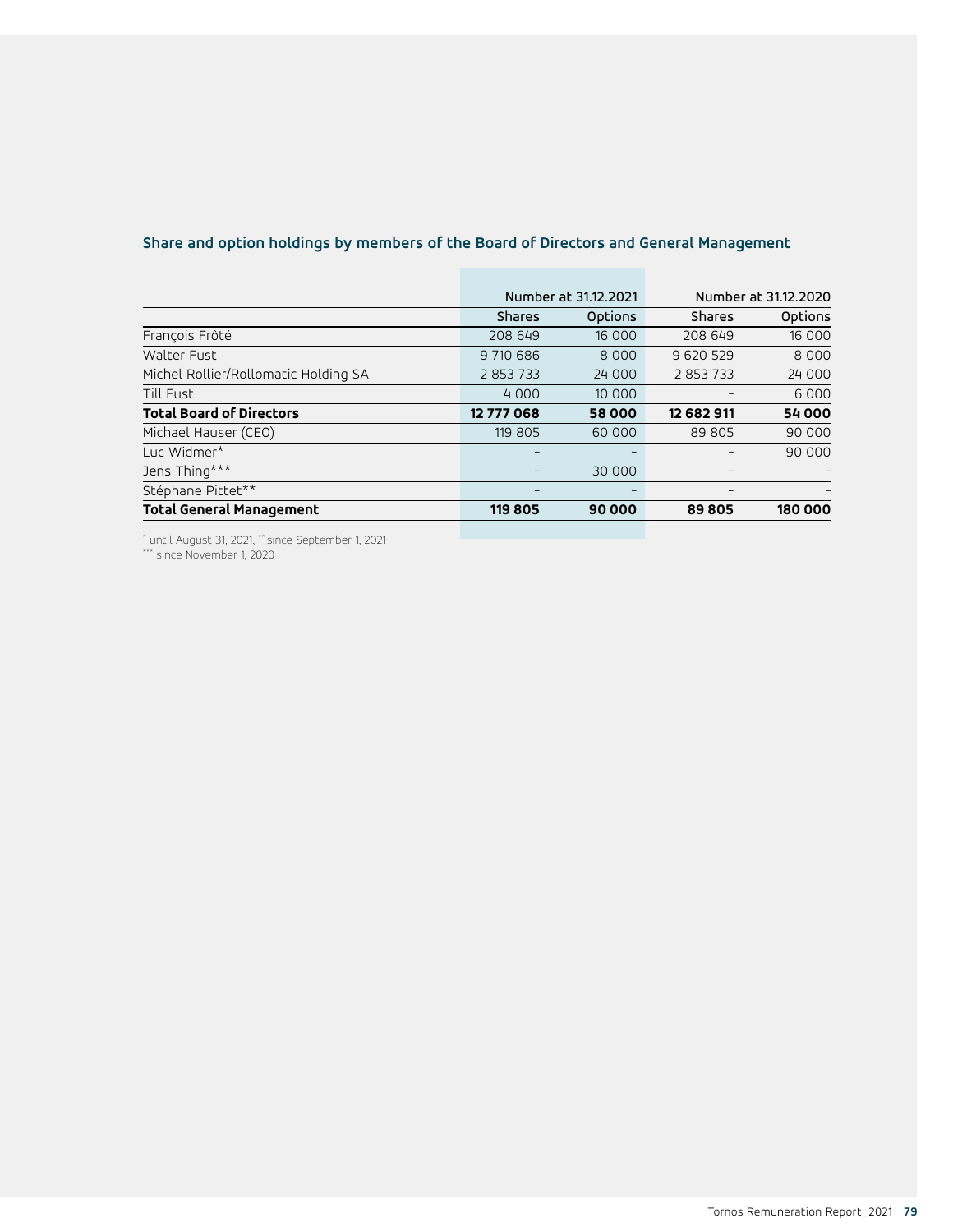### **Share and option holdings by members of the Board of Directors and General Management**

|                                      | Number at 31.12.2021 |         |               | Number at 31.12.2020 |  |
|--------------------------------------|----------------------|---------|---------------|----------------------|--|
|                                      | <b>Shares</b>        | Options | <b>Shares</b> | Options              |  |
| François Frôté                       | 208 649              | 16 000  | 208 649       | 16 000               |  |
| Walter Fust                          | 9 710 686            | 8 0 0 0 | 9 620 529     | 8 0 0 0              |  |
| Michel Rollier/Rollomatic Holding SA | 2 853 733            | 24 000  | 2 853 733     | 24 000               |  |
| Till Fust                            | 4 0 0 0              | 10 000  |               | 6 0 0 0              |  |
| <b>Total Board of Directors</b>      | 12 777 068           | 58 000  | 12 682 911    | 54000                |  |
| Michael Hauser (CEO)                 | 119 805              | 60 000  | 89 805        | 90 000               |  |
| Luc Widmer*                          |                      |         |               | 90 000               |  |
| Jens Thing***                        |                      | 30 000  |               |                      |  |
| Stéphane Pittet**                    |                      | -       | -             |                      |  |
| <b>Total General Management</b>      | 119805               | 90 000  | 89805         | 180 000              |  |

\* until August 31, 2021, \*\* since September 1, 2021<br>\*\*\* since November 1, 2020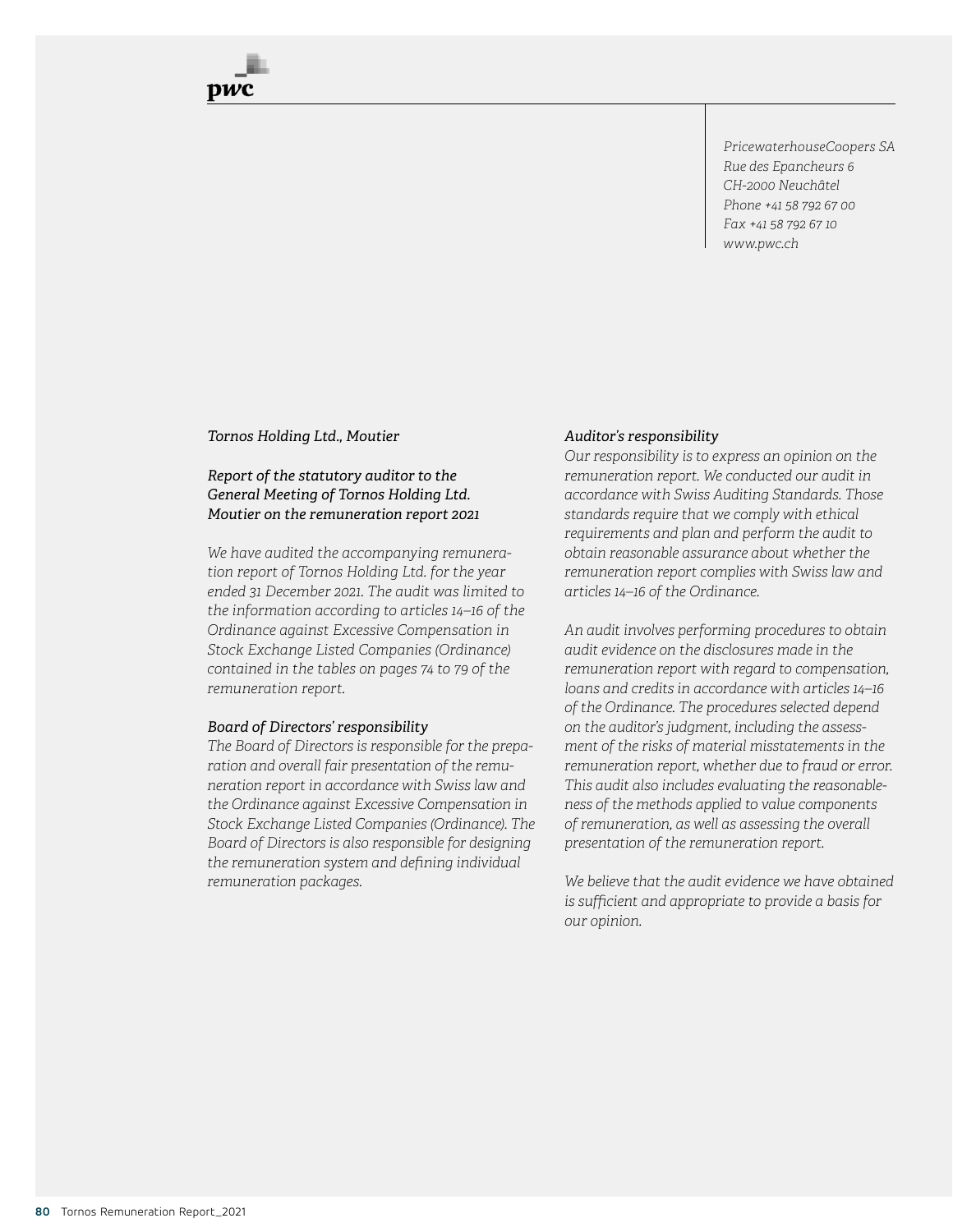*PricewaterhouseCoopers SA Rue des Epancheurs 6 CH-2000 Neuchâtel Phone +41 58 792 67 00 Fax +41 58 792 67 10 www.pwc.ch*

*Tornos Holding Ltd., Moutier*

DWC

#### *Report of the statutory auditor to the General Meeting of Tornos Holding Ltd. Moutier on the remuneration report 2021*

*We have audited the accompanying remuneration report of Tornos Holding Ltd. for the year ended 31 December 2021. The audit was limited to the information according to articles 14–16 of the Ordinance against Excessive Compensation in Stock Exchange Listed Companies (Ordinance) contained in the tables on pages 74 to 79 of the remuneration report.*

#### *Board of Directors' responsibility*

*The Board of Directors is responsible for the preparation and overall fair presentation of the remuneration report in accordance with Swiss law and the Ordinance against Excessive Compensation in Stock Exchange Listed Companies (Ordinance). The Board of Directors is also responsible for designing the remuneration system and defining individual remuneration packages.*

#### *Auditor's responsibility*

*Our responsibility is to express an opinion on the remuneration report. We conducted our audit in accordance with Swiss Auditing Standards. Those standards require that we comply with ethical requirements and plan and perform the audit to obtain reasonable assurance about whether the remuneration report complies with Swiss law and articles 14–16 of the Ordinance.*

*An audit involves performing procedures to obtain audit evidence on the disclosures made in the remuneration report with regard to compensation, loans and credits in accordance with articles 14–16 of the Ordinance. The procedures selected depend on the auditor's judgment, including the assessment of the risks of material misstatements in the remuneration report, whether due to fraud or error. This audit also includes evaluating the reasonableness of the methods applied to value components of remuneration, as well as assessing the overall presentation of the remuneration report.*

*We believe that the audit evidence we have obtained is sufficient and appropriate to provide a basis for our opinion.*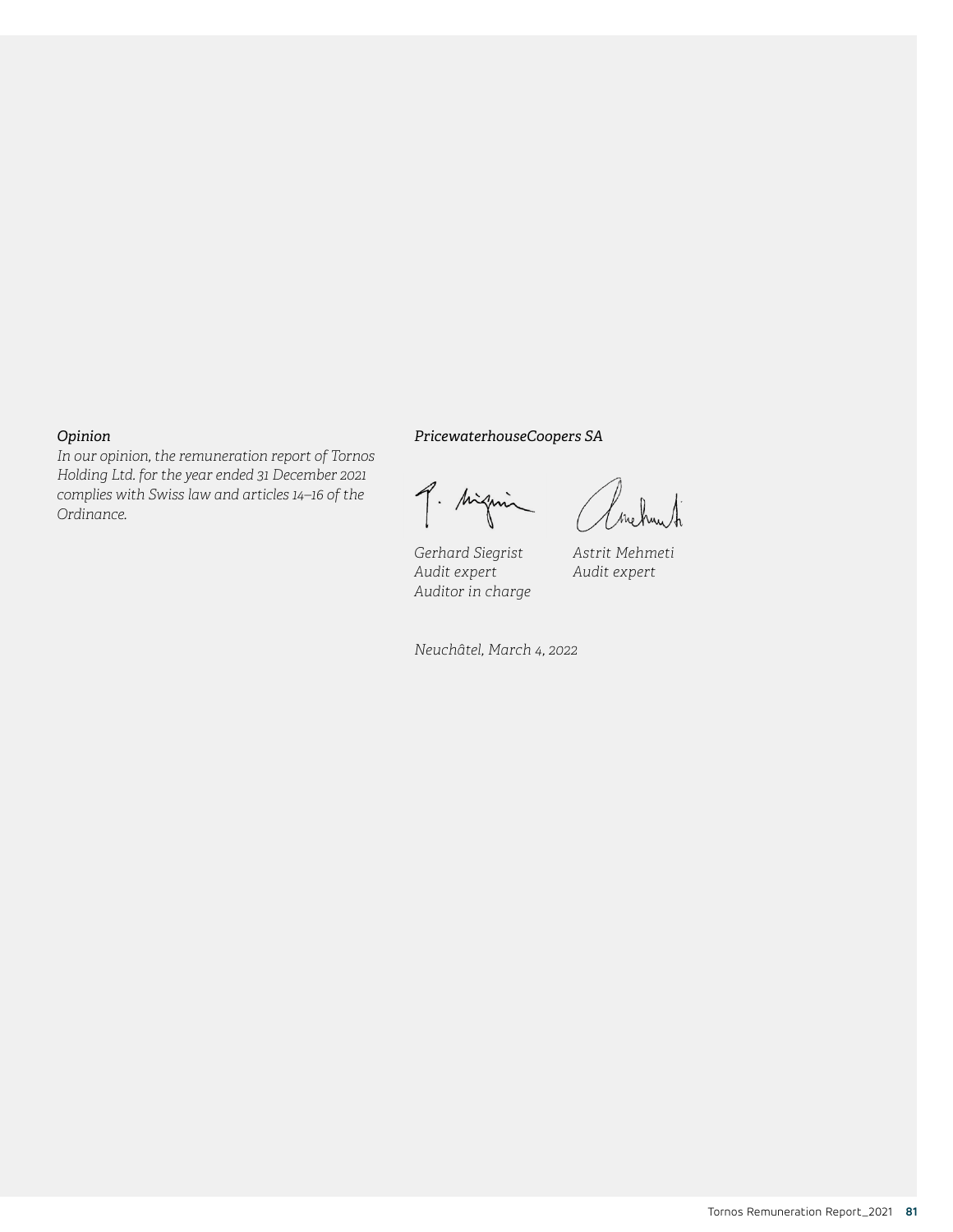#### *Opinion*

*In our opinion, the remuneration report of Tornos Holding Ltd. for the year ended 31 December 2021 complies with Swiss law and articles 14–16 of the Ordinance.*

#### *PricewaterhouseCoopers SA*

9. signin

Amehant

*Gerhard Siegrist Astrit Mehmeti Audit expert Audit expert Auditor in charge* 

*Neuchâtel, March 4, 2022*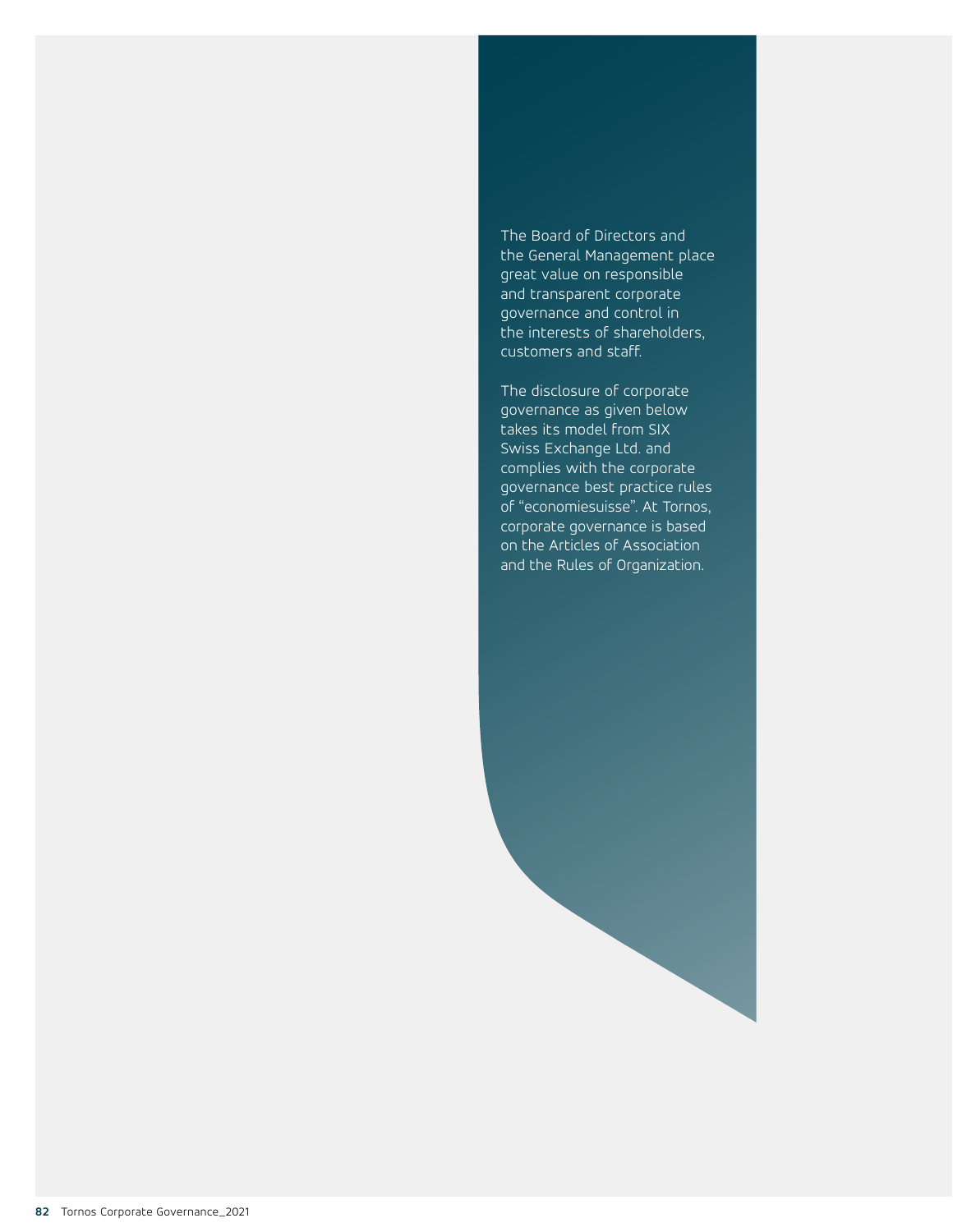The Board of Directors and the General Management place great value on responsible and transparent corporate governance and control in the interests of shareholders, customers and staff.

The disclosure of corporate governance as given below takes its model from SIX Swiss Exchange Ltd. and complies with the corporate governance best practice rules of "economiesuisse". At Tornos, corporate governance is based on the Articles of Association and the Rules of Organization.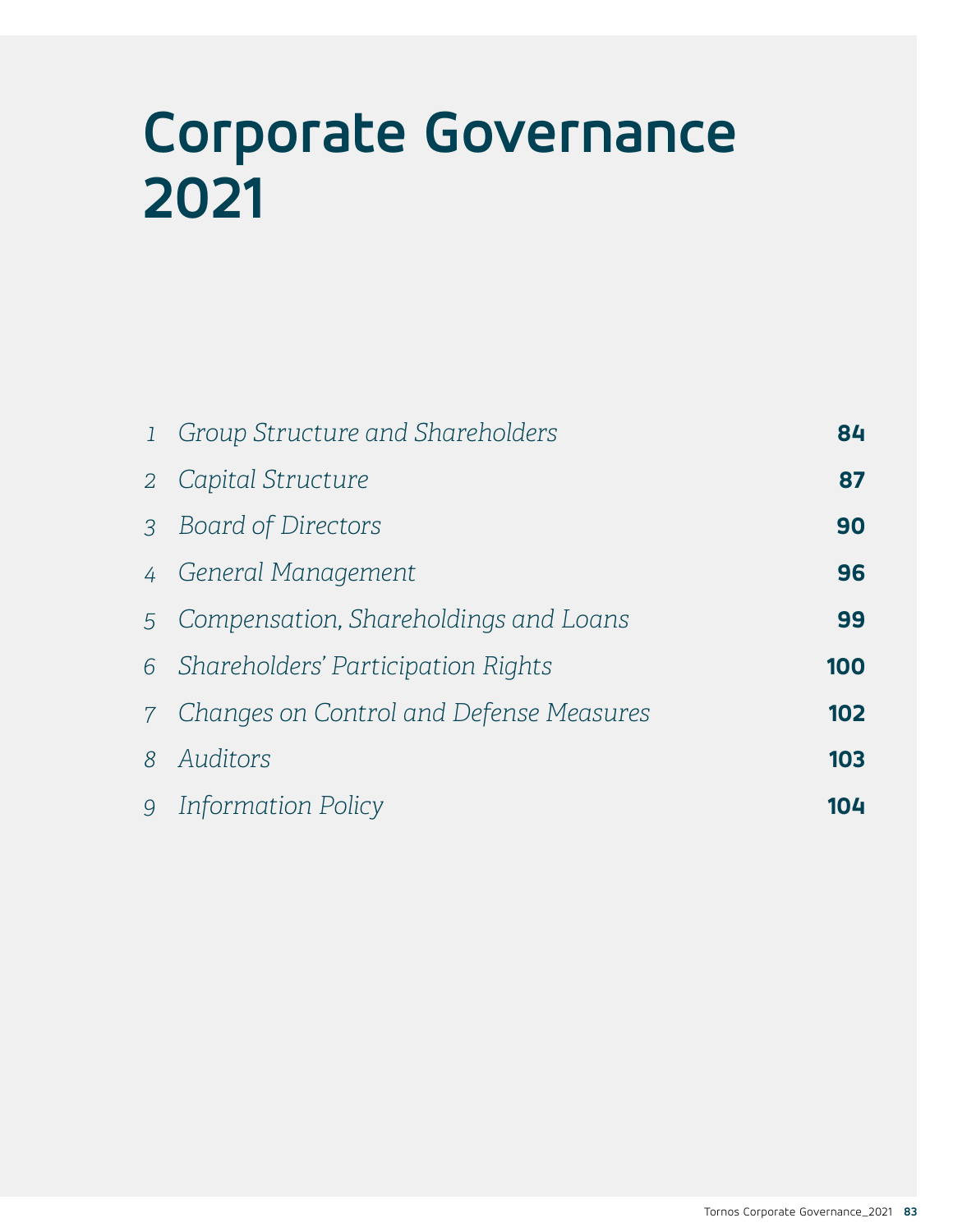# **Corporate Governance 2021**

|                | 1 Group Structure and Shareholders        | 84  |
|----------------|-------------------------------------------|-----|
| $\overline{2}$ | Capital Structure                         | 87  |
| $\mathcal{S}$  | <b>Board of Directors</b>                 | 90  |
|                | 4 General Management                      | 96  |
|                | 5 Compensation, Shareholdings and Loans   | 99  |
| 6              | <b>Shareholders' Participation Rights</b> | 100 |
|                | 7 Changes on Control and Defense Measures | 102 |
| 8              | Auditors                                  | 103 |
| 9              | <b>Information Policy</b>                 | 104 |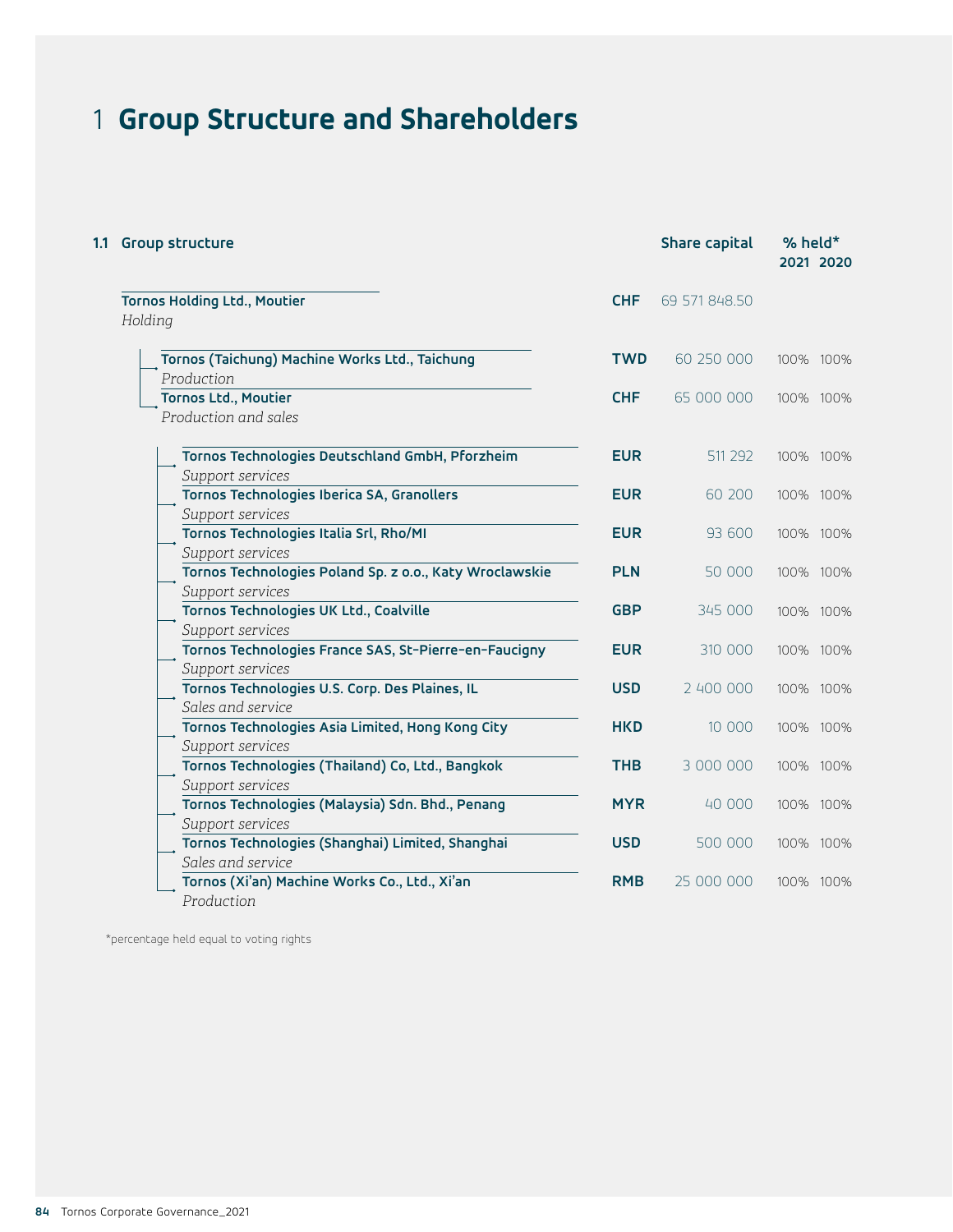## 1 **Group Structure and Shareholders**

| 1.1 Group structure                                                                                                      |                          | Share capital         | % held* | 2021 2020 |
|--------------------------------------------------------------------------------------------------------------------------|--------------------------|-----------------------|---------|-----------|
| <b>Tornos Holding Ltd., Moutier</b><br>Holding                                                                           | <b>CHF</b>               | 69 571 848.50         |         |           |
| Tornos (Taichung) Machine Works Ltd., Taichung<br>Production                                                             | <b>TWD</b>               | 60 250 000            |         | 100% 100% |
| Tornos Ltd., Moutier<br>Production and sales                                                                             | <b>CHF</b>               | 65 000 000            |         | 100% 100% |
| Tornos Technologies Deutschland GmbH, Pforzheim<br>Support services                                                      | <b>EUR</b>               | 511 292               |         | 100% 100% |
| Tornos Technologies Iberica SA, Granollers<br>Support services                                                           | <b>EUR</b>               | 60 200                |         | 100% 100% |
| Tornos Technologies Italia Srl, Rho/MI<br>Support services                                                               | <b>EUR</b>               | 93 600                |         | 100% 100% |
| Tornos Technologies Poland Sp. z o.o., Katy Wroclawskie<br>Support services                                              | <b>PLN</b>               | 50 000                |         | 100% 100% |
| Tornos Technologies UK Ltd., Coalville<br>Support services                                                               | <b>GBP</b>               | 345 000               |         | 100% 100% |
| Tornos Technologies France SAS, St-Pierre-en-Faucigny<br>Support services                                                | <b>EUR</b>               | 310 000               |         | 100% 100% |
| Tornos Technologies U.S. Corp. Des Plaines, IL<br>Sales and service                                                      | <b>USD</b><br><b>HKD</b> | 2 400 000             |         | 100% 100% |
| Tornos Technologies Asia Limited, Hong Kong City<br>Support services<br>Tornos Technologies (Thailand) Co, Ltd., Bangkok | <b>THB</b>               | 10 000<br>3 000 000   |         | 100% 100% |
| Support services                                                                                                         | <b>MYR</b>               |                       |         | 100% 100% |
| Tornos Technologies (Malaysia) Sdn. Bhd., Penang<br>Support services                                                     | <b>USD</b>               | 40 000                |         | 100% 100% |
| Tornos Technologies (Shanghai) Limited, Shanghai<br>Sales and service                                                    | <b>RMB</b>               | 500 000<br>25 000 000 |         | 100% 100% |
| Tornos (Xi'an) Machine Works Co., Ltd., Xi'an<br>Production                                                              |                          |                       | 100%    | 100%      |

\*percentage held equal to voting rights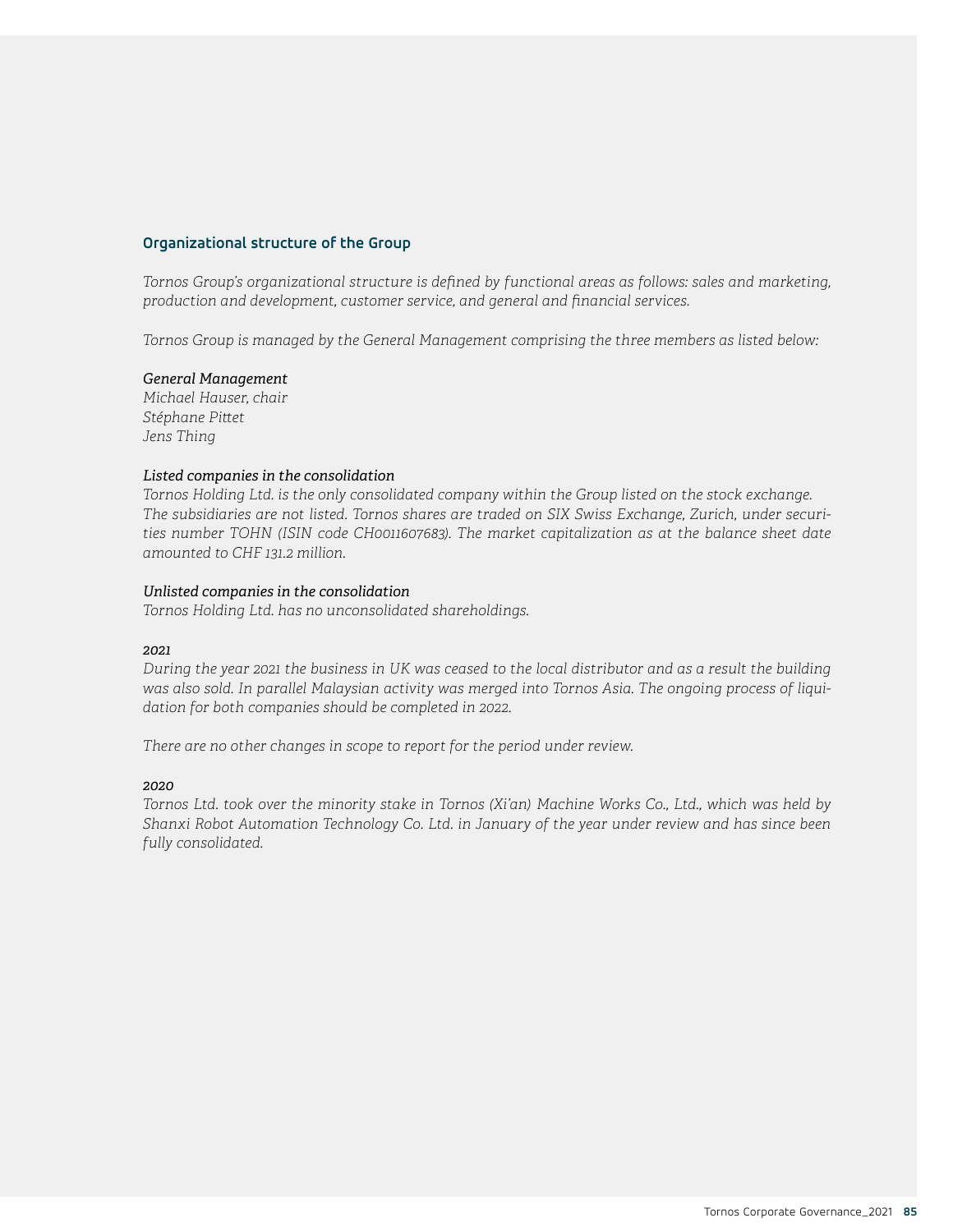#### **Organizational structure of the Group**

*Tornos Group's organizational structure is defined by functional areas as follows: sales and marketing, production and development, customer service, and general and financial services.*

*Tornos Group is managed by the General Management comprising the three members as listed below:*

#### *General Management*

*Michael Hauser, chair Stéphane Pittet Jens Thing*

#### *Listed companies in the consolidation*

*Tornos Holding Ltd. is the only consolidated company within the Group listed on the stock exchange. The subsidiaries are not listed. Tornos shares are traded on SIX Swiss Exchange, Zurich, under securities number TOHN (ISIN code CH0011607683). The market capitalization as at the balance sheet date amounted to CHF 131.2 million.*

#### *Unlisted companies in the consolidation*

*Tornos Holding Ltd. has no unconsolidated shareholdings.*

#### *2021*

*During the year 2021 the business in UK was ceased to the local distributor and as a result the building was also sold. In parallel Malaysian activity was merged into Tornos Asia. The ongoing process of liquidation for both companies should be completed in 2022.*

*There are no other changes in scope to report for the period under review.*

#### *2020*

*Tornos Ltd. took over the minority stake in Tornos (Xi'an) Machine Works Co., Ltd., which was held by Shanxi Robot Automation Technology Co. Ltd. in January of the year under review and has since been fully consolidated.*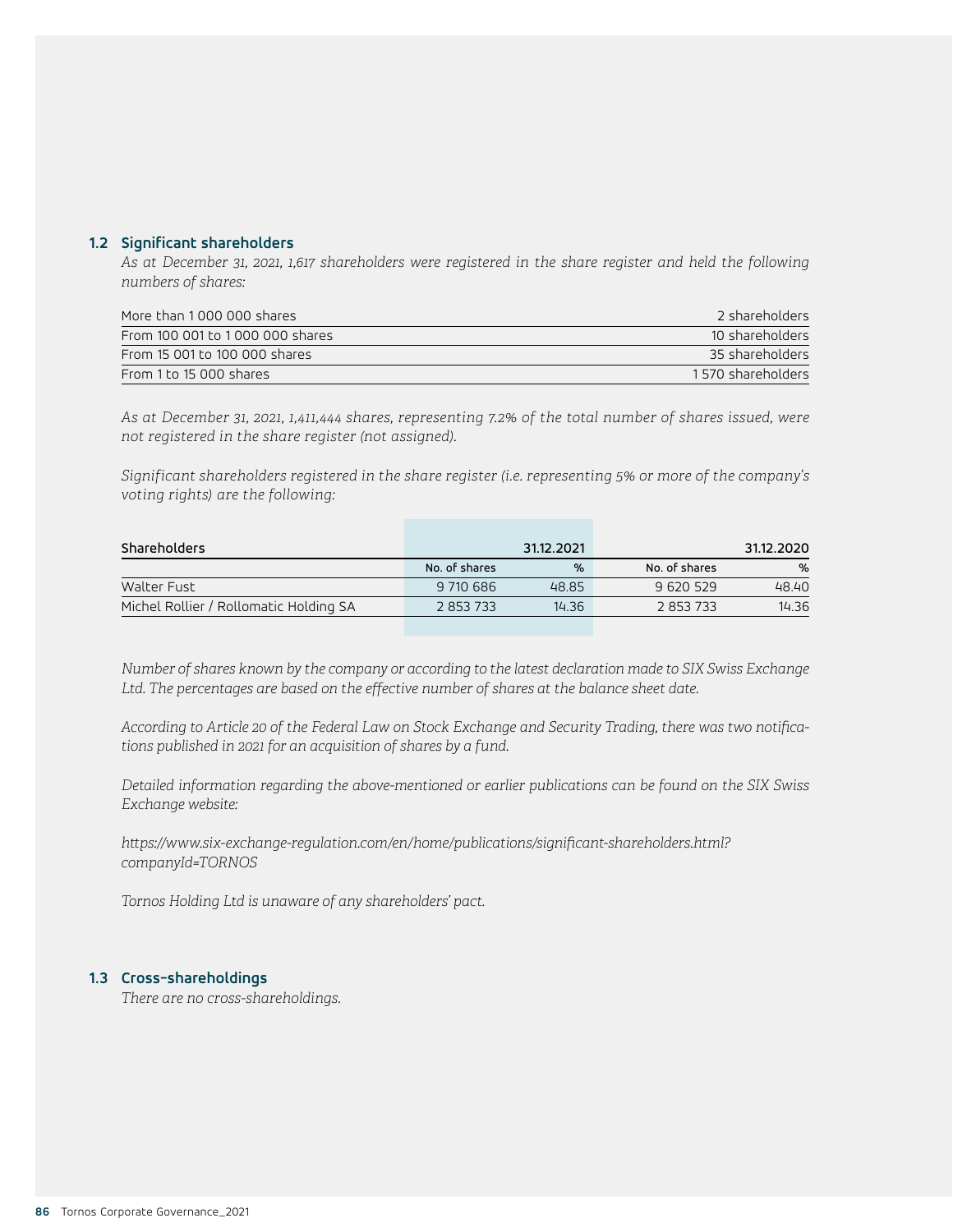#### **Significant shareholders 1.2**

*As at December 31, 2021, 1,617 shareholders were registered in the share register and held the following numbers of shares:*

| More than 1,000,000 shares       | 2 shareholders     |
|----------------------------------|--------------------|
| From 100 001 to 1 000 000 shares | 10 shareholders    |
| From 15 001 to 100 000 shares    | 35 shareholders    |
| From 1 to 15 000 shares          | 1.570 shareholders |

*As at December 31, 2021, 1,411,444 shares, representing 7.2% of the total number of shares issued, were not registered in the share register (not assigned).*

*Significant shareholders registered in the share register (i.e. representing 5% or more of the company's voting rights) are the following:*

| No. of shares<br>$\%$ | No. of shares          | %     |
|-----------------------|------------------------|-------|
| 48.85                 | 9 620 529              | 48.40 |
| 14.36                 | 2 853 733              | 14.36 |
|                       | 9 710 686<br>2 853 733 |       |

*Number of shares known by the company or according to the latest declaration made to SIX Swiss Exchange Ltd. The percentages are based on the effective number of shares at the balance sheet date.*

*According to Article 20 of the Federal Law on Stock Exchange and Security Trading, there was two notifications published in 2021 for an acquisition of shares by a fund.* 

*Detailed information regarding the above-mentioned or earlier publications can be found on the SIX Swiss Exchange website:* 

*[https://www.six-exchange-regulation.com/en/home/publications/significant-shareholders.html?](https://www.six-exchange-regulation.com/en/home/publications/significant-shareholders.html?com-panyI) [companyId=TORNOS](https://www.six-exchange-regulation.com/en/home/publications/significant-shareholders.html?com-panyI)* 

*Tornos Holding Ltd is unaware of any shareholders' pact.*

#### **Cross-shareholdings 1.3**

*There are no cross-shareholdings.*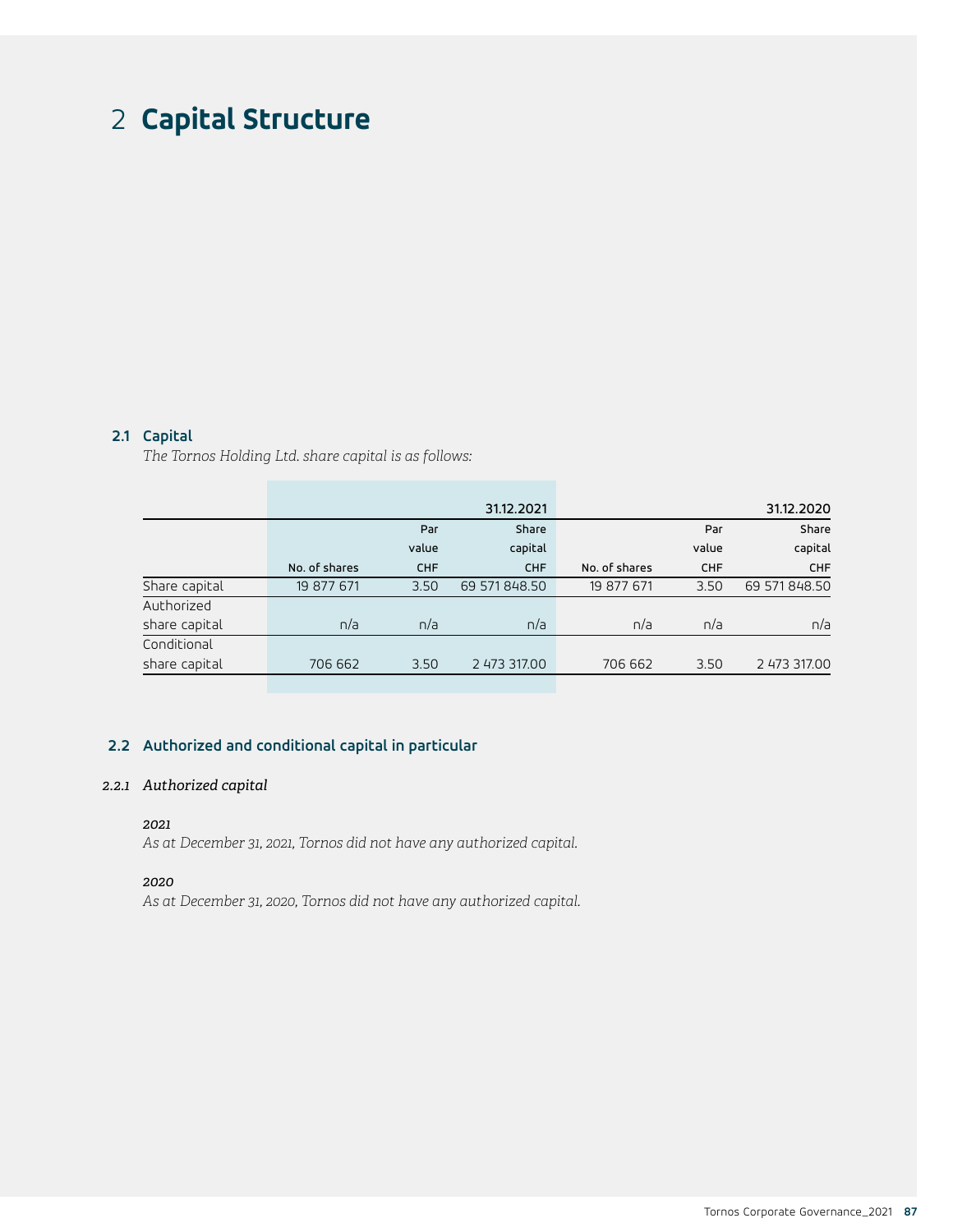### 2 **Capital Structure**

#### **Capital 2.1**

*The Tornos Holding Ltd. share capital is as follows:*

|               |               |            | 31.12.2021    |               |            | 31.12.2020    |
|---------------|---------------|------------|---------------|---------------|------------|---------------|
|               |               | Par        | Share         |               | Par        | Share         |
|               |               | value      | capital       |               | value      | capital       |
|               | No. of shares | <b>CHF</b> | <b>CHF</b>    | No. of shares | <b>CHF</b> | CHF           |
| Share capital | 19 877 671    | 3.50       | 69 571 848.50 | 19 877 671    | 3.50       | 69 571 848.50 |
| Authorized    |               |            |               |               |            |               |
| share capital | n/a           | n/a        | n/a           | n/a           | n/a        | n/a           |
| Conditional   |               |            |               |               |            |               |
| share capital | 706 662       | 3.50       | 2 473 317.00  | 706 662       | 3.50       | 2 473 317.00  |
|               |               |            |               |               |            |               |

#### **Authorized and conditional capital in particular 2.2**

#### *Authorized capital 2.2.1*

#### *2021*

*As at December 31, 2021, Tornos did not have any authorized capital.* 

#### *2020*

*As at December 31, 2020, Tornos did not have any authorized capital.*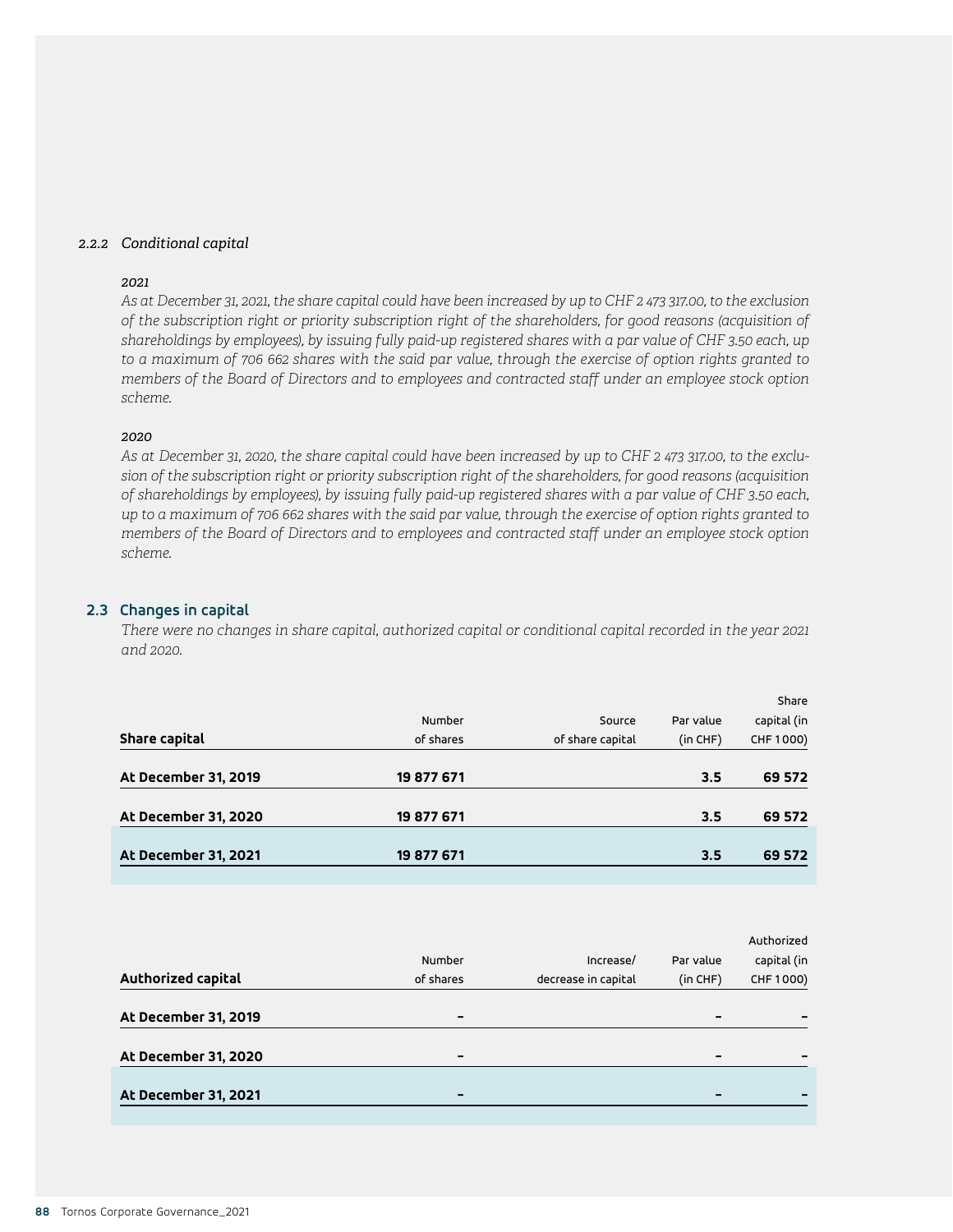#### *Conditional capital 2.2.2*

#### *2021*

*As at December 31, 2021, the share capital could have been increased by up to CHF 2 473 317.00, to the exclusion of the subscription right or priority subscription right of the shareholders, for good reasons (acquisition of shareholdings by employees), by issuing fully paid-up registered shares with a par value of CHF 3.50 each, up to a maximum of 706 662 shares with the said par value, through the exercise of option rights granted to members of the Board of Directors and to employees and contracted staff under an employee stock option scheme.*

#### *2020*

*As at December 31, 2020, the share capital could have been increased by up to CHF 2 473 317.00, to the exclusion of the subscription right or priority subscription right of the shareholders, for good reasons (acquisition of shareholdings by employees), by issuing fully paid-up registered shares with a par value of CHF 3.50 each, up to a maximum of 706 662 shares with the said par value, through the exercise of option rights granted to members of the Board of Directors and to employees and contracted staff under an employee stock option scheme.*

#### **Changes in capital 2.3**

*There were no changes in share capital, authorized capital or conditional capital recorded in the year 2021 and 2020.*

|                      |            |                  |              | Share       |
|----------------------|------------|------------------|--------------|-------------|
|                      | Number     | Source           | Par value    | capital (in |
| Share capital        | of shares  | of share capital | $(in$ $CHF)$ | CHF 1000)   |
|                      |            |                  |              |             |
| At December 31, 2019 | 19 877 671 |                  | 3.5          | 69 572      |
| At December 31, 2020 | 19 877 671 |                  | 3.5          | 69 572      |
|                      |            |                  |              |             |
| At December 31, 2021 | 19 877 671 |                  | 3.5          | 69 572      |

|                          |                     |                          | Authorized  |
|--------------------------|---------------------|--------------------------|-------------|
| Number                   | Increase/           | Par value                | capital (in |
| of shares                | decrease in capital | (in CHF)                 | CHF 1000)   |
|                          |                     |                          |             |
| $\overline{\phantom{0}}$ |                     | $\overline{\phantom{a}}$ |             |
|                          |                     |                          |             |
| $\overline{\phantom{0}}$ |                     | $\overline{\phantom{a}}$ |             |
|                          |                     |                          |             |
| -                        |                     | $\qquad \qquad$          |             |
|                          |                     |                          |             |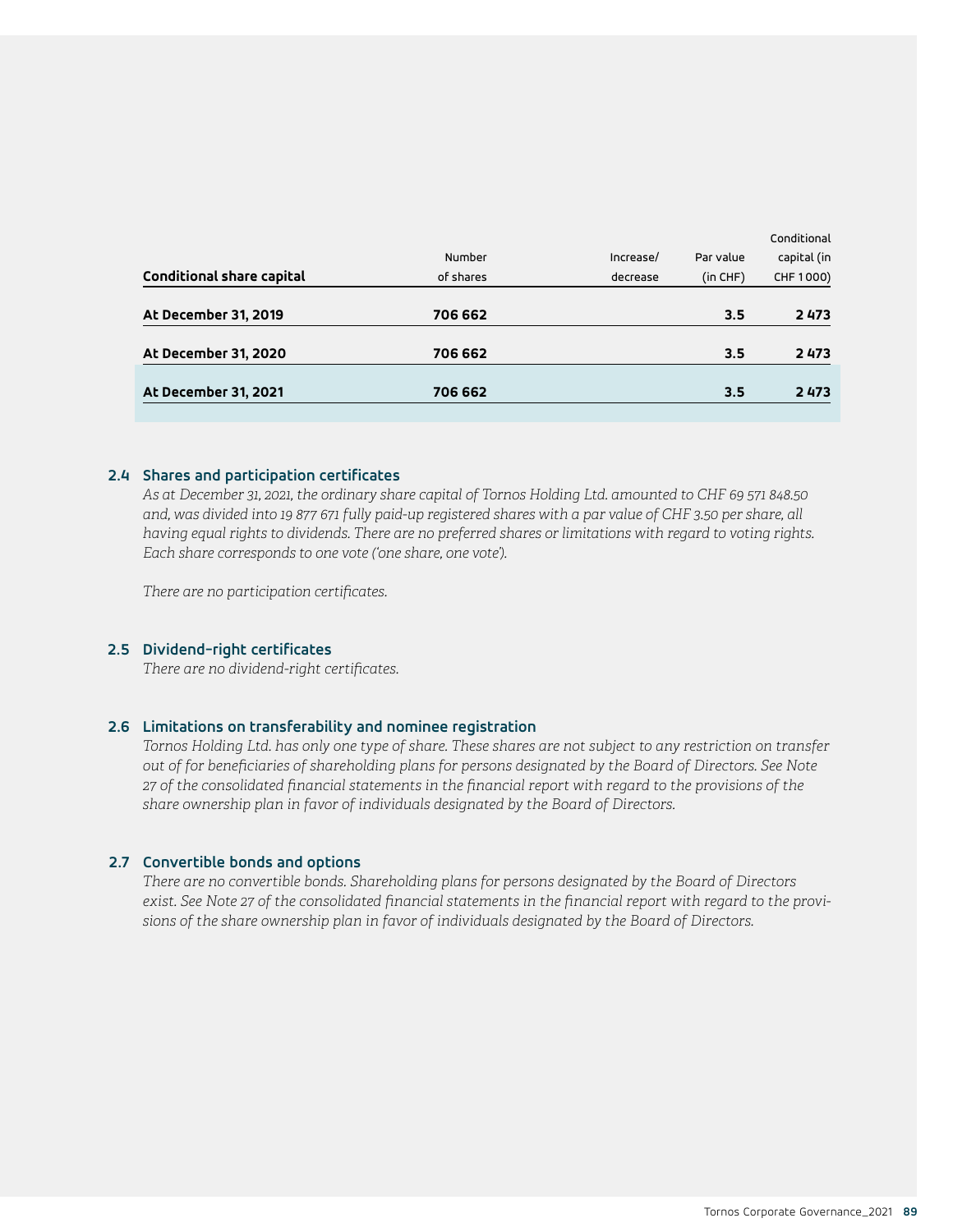|                                  |           |           |           | Conditional |
|----------------------------------|-----------|-----------|-----------|-------------|
|                                  | Number    | Increase/ | Par value | capital (in |
| <b>Conditional share capital</b> | of shares | decrease  | (in CHF)  | CHF 1000)   |
|                                  |           |           |           |             |
| At December 31, 2019             | 706 662   |           | 3.5       | 2473        |
|                                  |           |           |           |             |
| At December 31, 2020             | 706 662   |           | 3.5       | 2473        |
|                                  |           |           |           |             |
| At December 31, 2021             | 706 662   |           | 3.5       | 2473        |
|                                  |           |           |           |             |

#### **Shares and participation certificates 2.4**

*As at December 31, 2021, the ordinary share capital of Tornos Holding Ltd. amounted to CHF 69 571 848.50 and, was divided into 19 877 671 fully paid-up registered shares with a par value of CHF 3.50 per share, all having equal rights to dividends. There are no preferred shares or limitations with regard to voting rights. Each share corresponds to one vote ('one share, one vote').*

*There are no participation certificates.*

#### **Dividend-right certificates 2.5**

*There are no dividend-right certificates.*

#### **Limitations on transferability and nominee registration 2.6**

*Tornos Holding Ltd. has only one type of share. These shares are not subject to any restriction on transfer out of for beneficiaries of shareholding plans for persons designated by the Board of Directors. See Note 27 of the consolidated financial statements in the financial report with regard to the provisions of the share ownership plan in favor of individuals designated by the Board of Directors.*

#### **Convertible bonds and options 2.7**

*There are no convertible bonds. Shareholding plans for persons designated by the Board of Directors exist. See Note 27 of the consolidated financial statements in the financial report with regard to the provisions of the share ownership plan in favor of individuals designated by the Board of Directors.*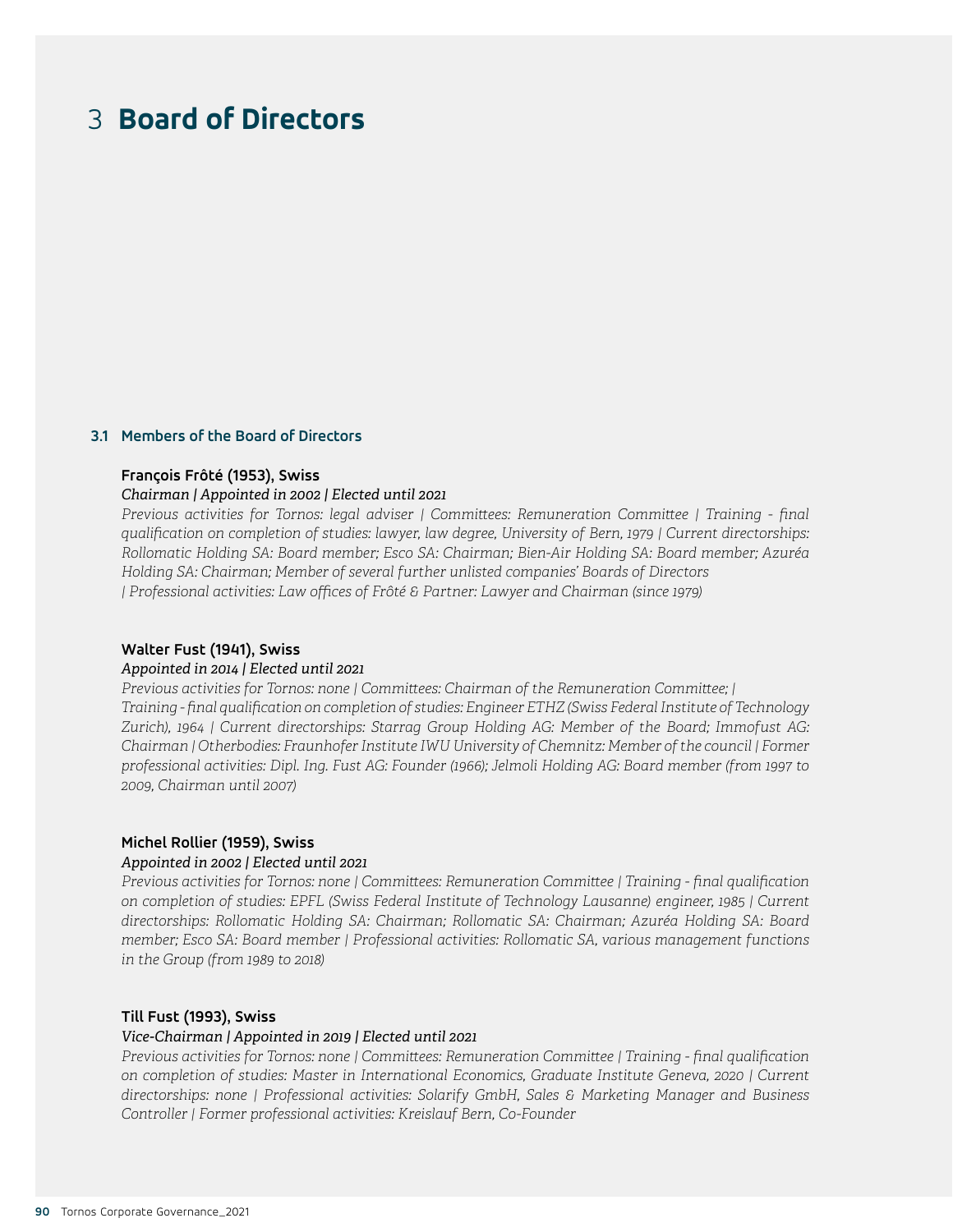### 3 **Board of Directors**

#### **3.1 Members of the Board of Directors**

#### **François Frôté (1953), Swiss**

#### *Chairman | Appointed in 2002 | Elected until 2021*

*Previous activities for Tornos: legal adviser | Committees: Remuneration Committee | Training - final qualification on completion of studies: lawyer, law degree, University of Bern, 1979 | Current directorships: Rollomatic Holding SA: Board member; Esco SA: Chairman; Bien-Air Holding SA: Board member; Azuréa Holding SA: Chairman; Member of several further unlisted companies' Boards of Directors | Professional activities: Law offices of Frôté & Partner: Lawyer and Chairman (since 1979)*

#### **Walter Fust (1941), Swiss**

#### *Appointed in 2014 | Elected until 2021*

*Previous activities for Tornos: none | Committees: Chairman of the Remuneration Committee; | Training - final qualification on completion of studies: Engineer ETHZ (Swiss Federal Institute of Technology Zurich), 1964 | Current directorships: Starrag Group Holding AG: Member of the Board; Immofust AG: Chairman | Otherbodies: Fraunhofer Institute IWU University of Chemnitz: Member of the council | Former professional activities: Dipl. Ing. Fust AG: Founder (1966); Jelmoli Holding AG: Board member (from 1997 to 2009, Chairman until 2007)*

#### **Michel Rollier (1959), Swiss**

#### *Appointed in 2002 | Elected until 2021*

*Previous activities for Tornos: none | Committees: Remuneration Committee | Training - final qualification on completion of studies: EPFL (Swiss Federal Institute of Technology Lausanne) engineer, 1985 | Current directorships: Rollomatic Holding SA: Chairman; Rollomatic SA: Chairman; Azuréa Holding SA: Board member; Esco SA: Board member | Professional activities: Rollomatic SA, various management functions in the Group (from 1989 to 2018)*

#### **Till Fust (1993), Swiss**

#### *Vice-Chairman | Appointed in 2019 | Elected until 2021*

*Previous activities for Tornos: none | Committees: Remuneration Committee | Training - final qualification on completion of studies: Master in International Economics, Graduate Institute Geneva, 2020 | Current directorships: none | Professional activities: Solarify GmbH, Sales & Marketing Manager and Business Controller | Former professional activities: Kreislauf Bern, Co-Founder*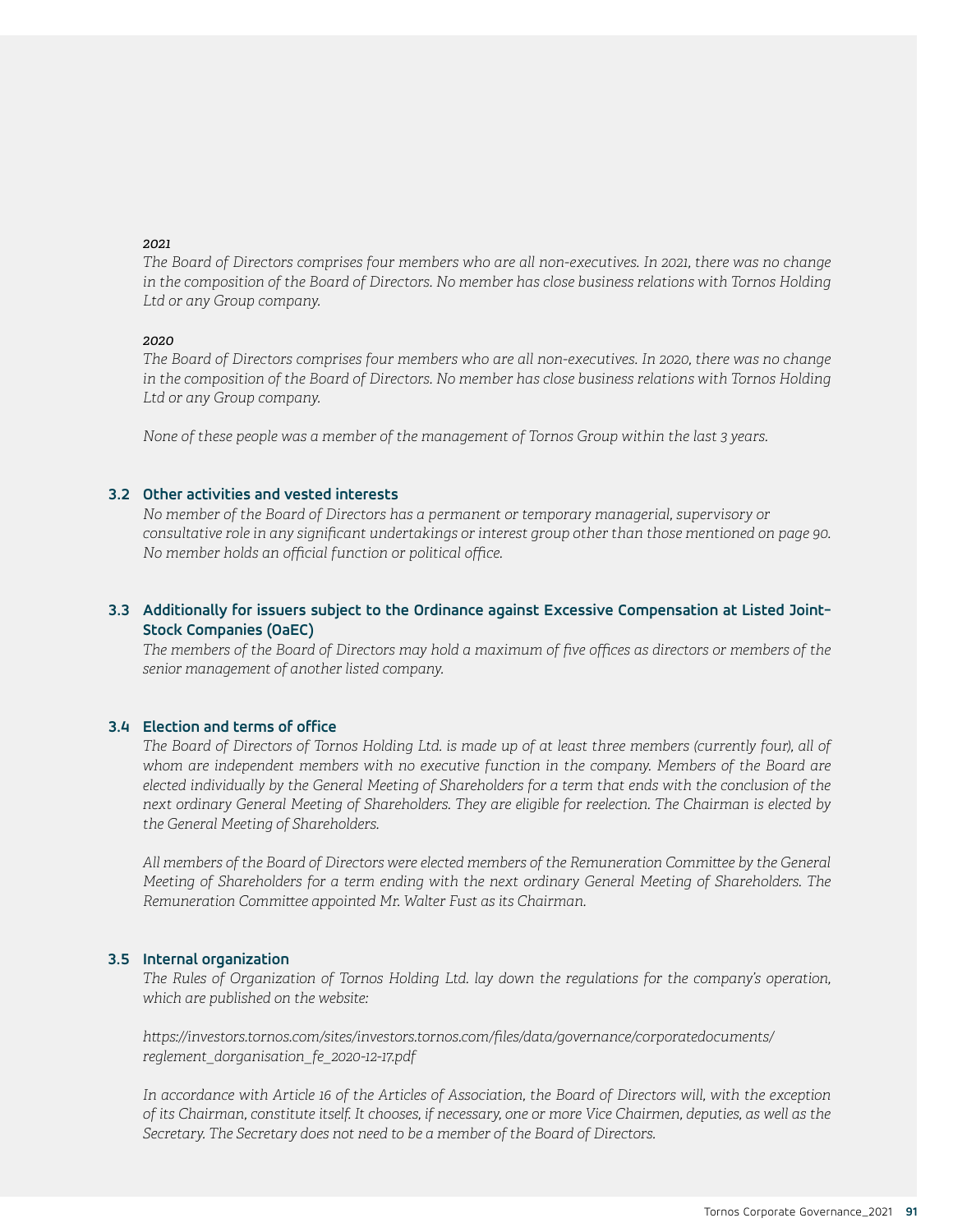#### *2021*

*The Board of Directors comprises four members who are all non-executives. In 2021, there was no change in the composition of the Board of Directors. No member has close business relations with Tornos Holding Ltd or any Group company.*

#### *2020*

*The Board of Directors comprises four members who are all non-executives. In 2020, there was no change in the composition of the Board of Directors. No member has close business relations with Tornos Holding Ltd or any Group company.*

*None of these people was a member of the management of Tornos Group within the last 3 years.*

#### **Other activities and vested interests 3.2**

*No member of the Board of Directors has a permanent or temporary managerial, supervisory or consultative role in any significant undertakings or interest group other than those mentioned on page 90. No member holds an official function or political office.*

#### **Additionally for issuers subject to the Ordinance against Excessive Compensation at Listed Joint-3.3 Stock Companies (OaEC)**

*The members of the Board of Directors may hold a maximum of five offices as directors or members of the senior management of another listed company.*

#### **Election and terms of office 3.4**

*The Board of Directors of Tornos Holding Ltd. is made up of at least three members (currently four), all of whom are independent members with no executive function in the company. Members of the Board are elected individually by the General Meeting of Shareholders for a term that ends with the conclusion of the next ordinary General Meeting of Shareholders. They are eligible for reelection. The Chairman is elected by the General Meeting of Shareholders.*

*All members of the Board of Directors were elected members of the Remuneration Committee by the General Meeting of Shareholders for a term ending with the next ordinary General Meeting of Shareholders. The Remuneration Committee appointed Mr. Walter Fust as its Chairman.*

#### **Internal organization 3.5**

*The Rules of Organization of Tornos Holding Ltd. lay down the regulations for the company's operation, which are published on the website:* 

*[https://investors.tornos.com/sites/investors.tornos.com/files/data/governance/corporatedocuments/](https://investors.tornos.com/sites/investors.tornos.com/files/data/governance/corporatedocuments/reglement_dorganisation_fe_2020-12-17.pdf) [reglement\\_dorganisation\\_fe\\_2020-12-17.pdf](https://investors.tornos.com/sites/investors.tornos.com/files/data/governance/corporatedocuments/reglement_dorganisation_fe_2020-12-17.pdf)*

*In accordance with Article 16 of the Articles of Association, the Board of Directors will, with the exception of its Chairman, constitute itself. It chooses, if necessary, one or more Vice Chairmen, deputies, as well as the Secretary. The Secretary does not need to be a member of the Board of Directors.*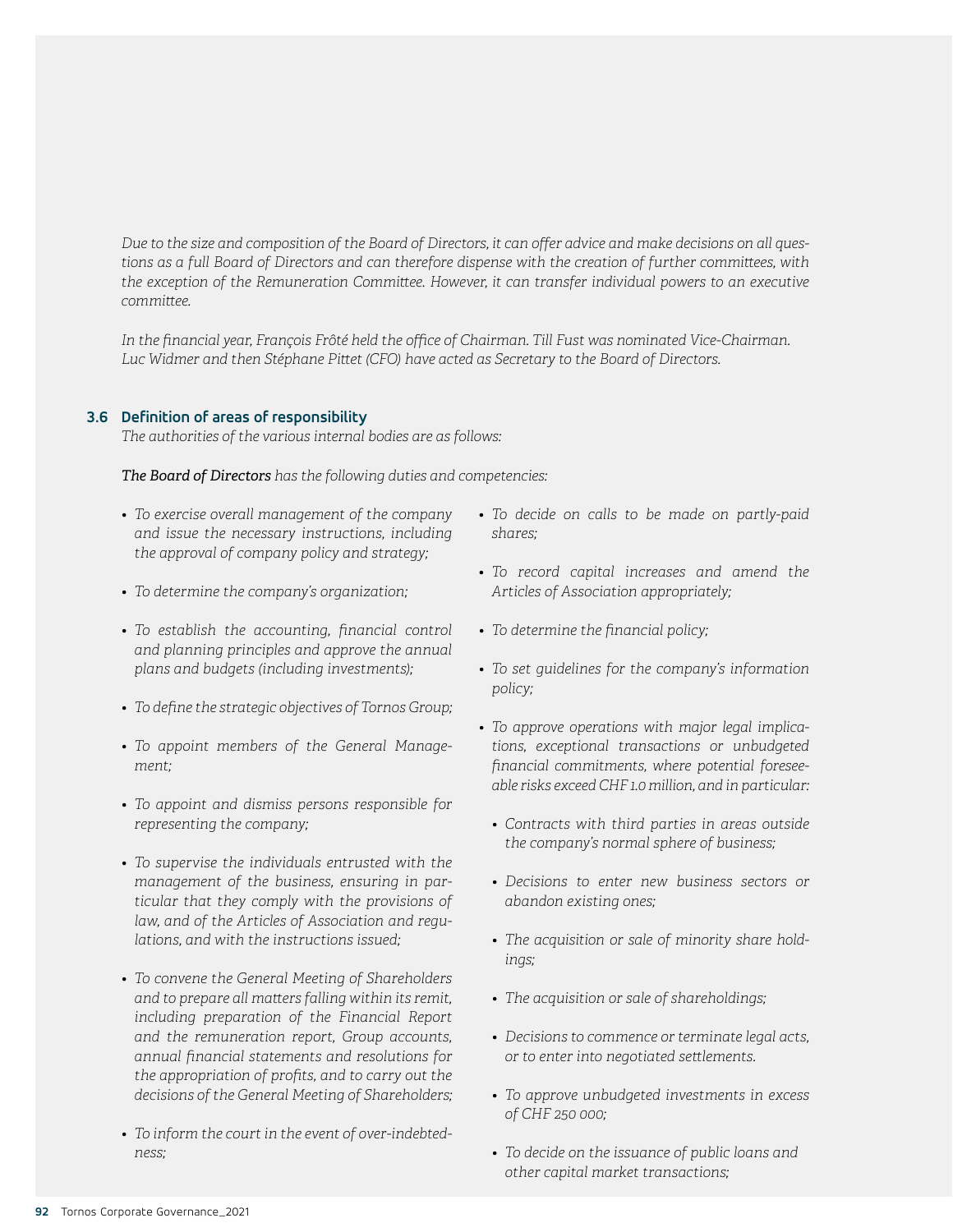*Due to the size and composition of the Board of Directors, it can offer advice and make decisions on all questions as a full Board of Directors and can therefore dispense with the creation of further committees, with the exception of the Remuneration Committee. However, it can transfer individual powers to an executive committee.*

*In the financial year, François Frôté held the office of Chairman. Till Fust was nominated Vice-Chairman. Luc Widmer and then Stéphane Pittet (CFO) have acted as Secretary to the Board of Directors.*

#### **Definition of areas of responsibility 3.6**

*The authorities of the various internal bodies are as follows:*

*The Board of Directors has the following duties and competencies:*

- *• To exercise overall management of the company and issue the necessary instructions, including the approval of company policy and strategy;*
- *• To determine the company's organization;*
- *• To establish the accounting, financial control and planning principles and approve the annual plans and budgets (including investments);*
- *• To define the strategic objectives of Tornos Group;*
- *• To appoint members of the General Management;*
- *• To appoint and dismiss persons responsible for representing the company;*
- *• To supervise the individuals entrusted with the management of the business, ensuring in particular that they comply with the provisions of law, and of the Articles of Association and regulations, and with the instructions issued;*
- *• To convene the General Meeting of Shareholders and to prepare all matters falling within its remit, including preparation of the Financial Report and the remuneration report, Group accounts, annual financial statements and resolutions for the appropriation of profits, and to carry out the decisions of the General Meeting of Shareholders;*
- *• To inform the court in the event of over-indebtedness;*
- *• To decide on calls to be made on partly-paid shares;*
- *• To record capital increases and amend the Articles of Association appropriately;*
- *• To determine the financial policy;*
- *• To set guidelines for the company's information policy;*
- *• To approve operations with major legal implications, exceptional transactions or unbudgeted financial commitments, where potential foreseeable risks exceed CHF 1.0 million, and in particular:*
	- *• Contracts with third parties in areas outside the company's normal sphere of business;*
	- *• Decisions to enter new business sectors or abandon existing ones;*
	- *• The acquisition or sale of minority share holdings;*
	- *• The acquisition or sale of shareholdings;*
	- *• Decisions to commence or terminate legal acts, or to enter into negotiated settlements.*
	- *• To approve unbudgeted investments in excess of CHF 250 000;*
	- *• To decide on the issuance of public loans and other capital market transactions;*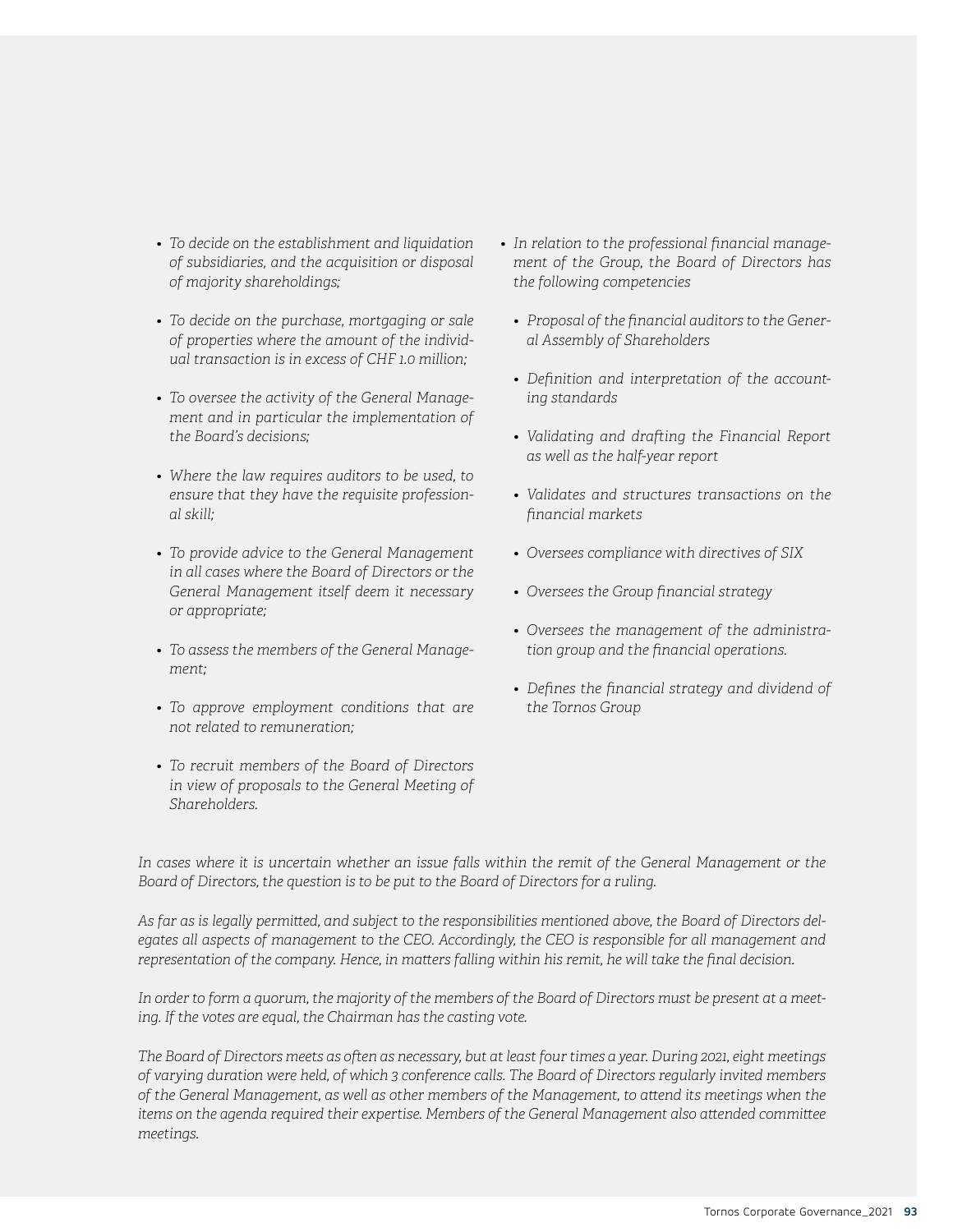- *• To decide on the establishment and liquidation of subsidiaries, and the acquisition or disposal of majority shareholdings;*
- *• To decide on the purchase, mortgaging or sale of properties where the amount of the individual transaction is in excess of CHF 1.0 million;*
- *• To oversee the activity of the General Management and in particular the implementation of the Board's decisions;*
- *• Where the law requires auditors to be used, to ensure that they have the requisite professional skill;*
- *• To provide advice to the General Management in all cases where the Board of Directors or the General Management itself deem it necessary or appropriate;*
- *• To assess the members of the General Management;*
- *• To approve employment conditions that are not related to remuneration;*
- *• To recruit members of the Board of Directors in view of proposals to the General Meeting of Shareholders.*
- *• In relation to the professional financial management of the Group, the Board of Directors has the following competencies*
	- *• Proposal of the financial auditors to the General Assembly of Shareholders*
	- *• Definition and interpretation of the accounting standards*
	- *• Validating and drafting the Financial Report as well as the half-year report*
	- *• Validates and structures transactions on the financial markets*
	- *• Oversees compliance with directives of SIX*
	- *• Oversees the Group financial strategy*
	- *• Oversees the management of the administration group and the financial operations.*
	- *• Defines the financial strategy and dividend of the Tornos Group*

*In cases where it is uncertain whether an issue falls within the remit of the General Management or the Board of Directors, the question is to be put to the Board of Directors for a ruling.*

*As far as is legally permitted, and subject to the responsibilities mentioned above, the Board of Directors delegates all aspects of management to the CEO. Accordingly, the CEO is responsible for all management and representation of the company. Hence, in matters falling within his remit, he will take the final decision.*

*In order to form a quorum, the majority of the members of the Board of Directors must be present at a meeting. If the votes are equal, the Chairman has the casting vote.*

*The Board of Directors meets as often as necessary, but at least four times a year. During 2021, eight meetings of varying duration were held, of which 3 conference calls. The Board of Directors regularly invited members of the General Management, as well as other members of the Management, to attend its meetings when the items on the agenda required their expertise. Members of the General Management also attended committee meetings.*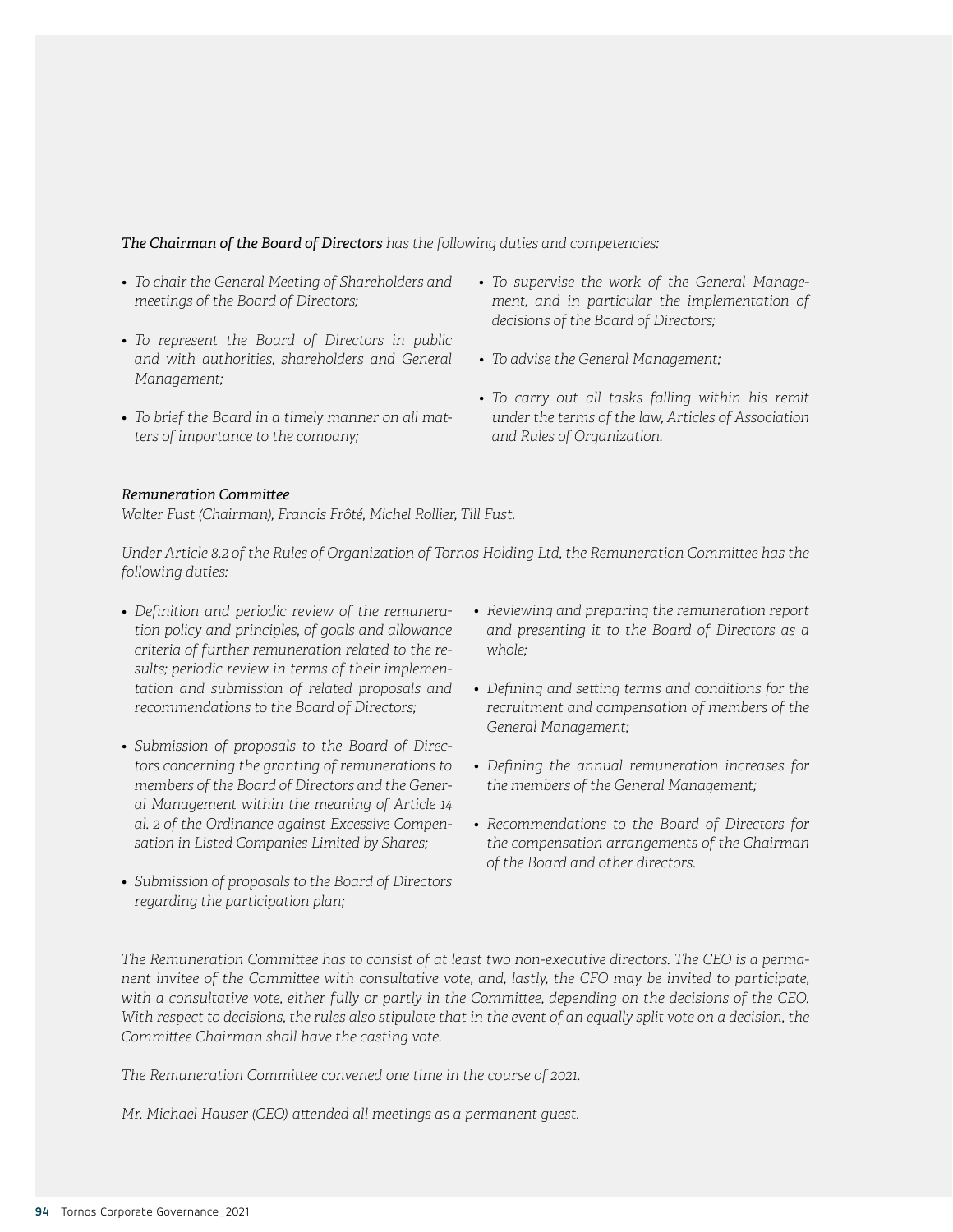#### *The Chairman of the Board of Directors has the following duties and competencies:*

- *• To chair the General Meeting of Shareholders and meetings of the Board of Directors;*
- *• To represent the Board of Directors in public and with authorities, shareholders and General Management;*
- *• To brief the Board in a timely manner on all matters of importance to the company;*
- *• To supervise the work of the General Management, and in particular the implementation of decisions of the Board of Directors;*
- *• To advise the General Management;*
- *• To carry out all tasks falling within his remit under the terms of the law, Articles of Association and Rules of Organization.*

#### *Remuneration Committee*

*Walter Fust (Chairman), Franois Frôté, Michel Rollier, Till Fust.*

*Under Article 8.2 of the Rules of Organization of Tornos Holding Ltd, the Remuneration Committee has the following duties:*

- *• Definition and periodic review of the remuneration policy and principles, of goals and allowance criteria of further remuneration related to the results; periodic review in terms of their implementation and submission of related proposals and recommendations to the Board of Directors;*
- *• Submission of proposals to the Board of Directors concerning the granting of remunerations to members of the Board of Directors and the General Management within the meaning of Article 14 al. 2 of the Ordinance against Excessive Compensation in Listed Companies Limited by Shares;*
- *• Submission of proposals to the Board of Directors regarding the participation plan;*
- *• Reviewing and preparing the remuneration report and presenting it to the Board of Directors as a whole;*
- *• Defining and setting terms and conditions for the recruitment and compensation of members of the General Management;*
- *• Defining the annual remuneration increases for the members of the General Management;*
- *• Recommendations to the Board of Directors for the compensation arrangements of the Chairman of the Board and other directors.*

*The Remuneration Committee has to consist of at least two non-executive directors. The CEO is a permanent invitee of the Committee with consultative vote, and, lastly, the CFO may be invited to participate, with a consultative vote, either fully or partly in the Committee, depending on the decisions of the CEO. With respect to decisions, the rules also stipulate that in the event of an equally split vote on a decision, the Committee Chairman shall have the casting vote.*

*The Remuneration Committee convened one time in the course of 2021.* 

*Mr. Michael Hauser (CEO) attended all meetings as a permanent guest.*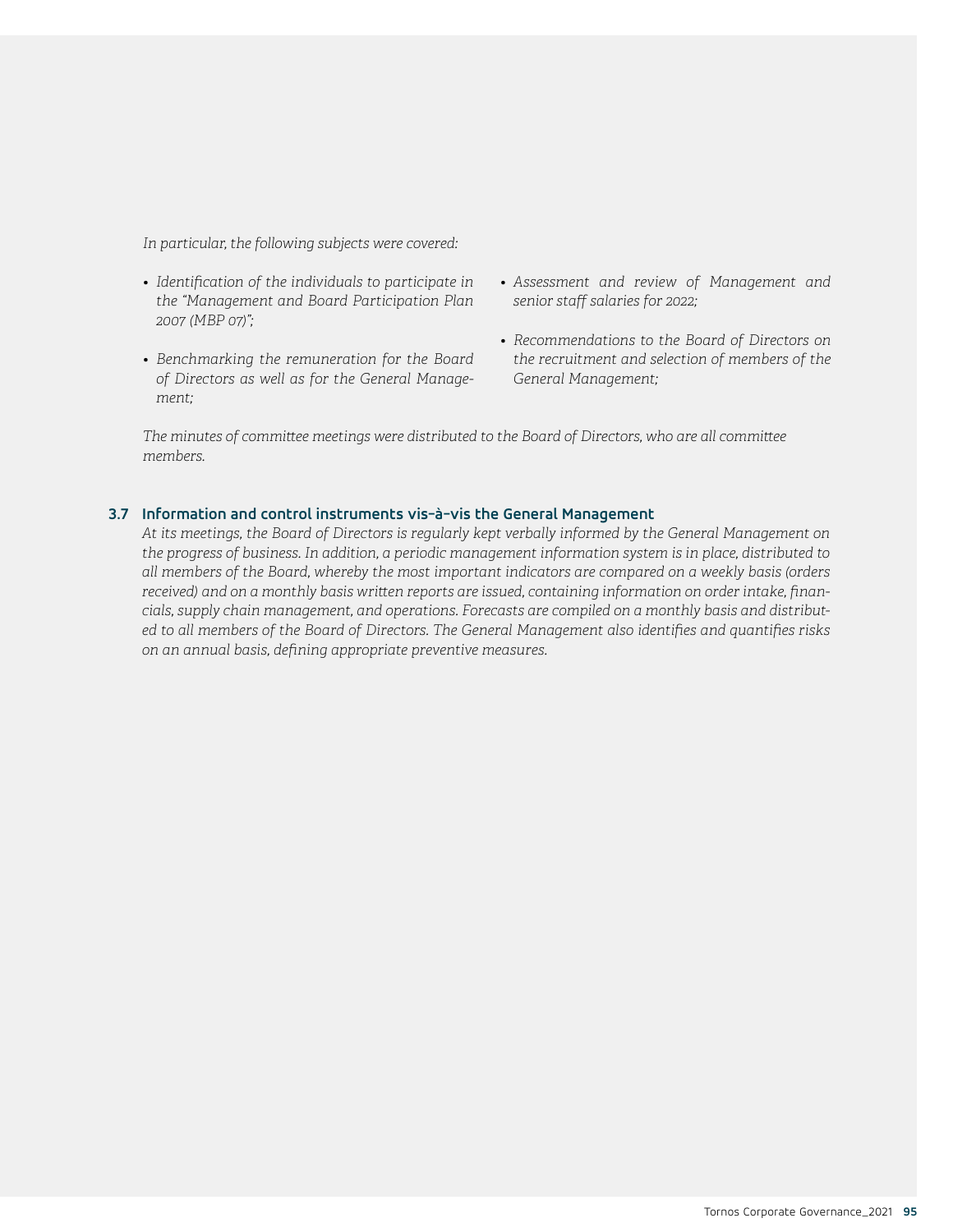*In particular, the following subjects were covered:*

- *• Identification of the individuals to participate in the "Management and Board Participation Plan 2007 (MBP 07)";*
- *• Benchmarking the remuneration for the Board of Directors as well as for the General Management;*
- *• Assessment and review of Management and senior staff salaries for 2022;*
- *• Recommendations to the Board of Directors on the recruitment and selection of members of the General Management;*

*The minutes of committee meetings were distributed to the Board of Directors, who are all committee members.*

#### **3.7 Information and control instruments vis-à-vis the General Management**

*At its meetings, the Board of Directors is regularly kept verbally informed by the General Management on the progress of business. In addition, a periodic management information system is in place, distributed to all members of the Board, whereby the most important indicators are compared on a weekly basis (orders received) and on a monthly basis written reports are issued, containing information on order intake, financials, supply chain management, and operations. Forecasts are compiled on a monthly basis and distributed to all members of the Board of Directors. The General Management also identifies and quantifies risks on an annual basis, defining appropriate preventive measures.*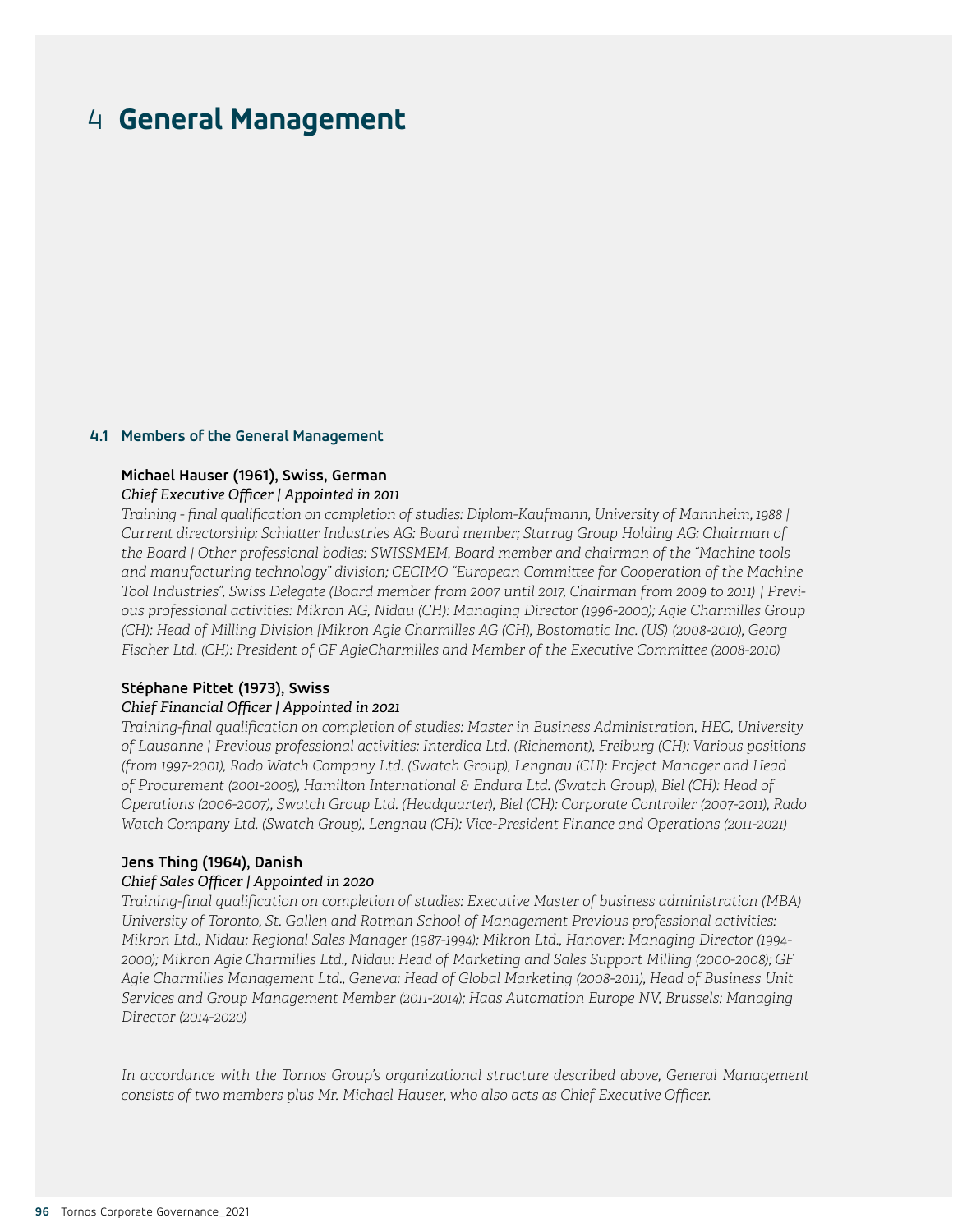### 4 **General Management**

#### **Members of the General Management 4.1**

#### **Michael Hauser (1961), Swiss, German**

#### *Chief Executive Officer | Appointed in 2011*

*Training - final qualification on completion of studies: Diplom-Kaufmann, University of Mannheim, 1988 | Current directorship: Schlatter Industries AG: Board member; Starrag Group Holding AG: Chairman of the Board | Other professional bodies: SWISSMEM, Board member and chairman of the "Machine tools and manufacturing technology" division; CECIMO "European Committee for Cooperation of the Machine Tool Industries", Swiss Delegate (Board member from 2007 until 2017, Chairman from 2009 to 2011) | Previous professional activities: Mikron AG, Nidau (CH): Managing Director (1996-2000); Agie Charmilles Group (CH): Head of Milling Division [Mikron Agie Charmilles AG (CH), Bostomatic Inc. (US) (2008-2010), Georg Fischer Ltd. (CH): President of GF AgieCharmilles and Member of the Executive Committee (2008-2010)*

#### **Stéphane Pittet (1973), Swiss**

#### *Chief Financial Officer | Appointed in 2021*

*Training-final qualification on completion of studies: Master in Business Administration, HEC, University of Lausanne | Previous professional activities: Interdica Ltd. (Richemont), Freiburg (CH): Various positions (from 1997-2001), Rado Watch Company Ltd. (Swatch Group), Lengnau (CH): Project Manager and Head of Procurement (2001-2005), Hamilton International & Endura Ltd. (Swatch Group), Biel (CH): Head of Operations (2006-2007), Swatch Group Ltd. (Headquarter), Biel (CH): Corporate Controller (2007-2011), Rado Watch Company Ltd. (Swatch Group), Lengnau (CH): Vice-President Finance and Operations (2011-2021)*

#### **Jens Thing (1964), Danish**

#### *Chief Sales Officer | Appointed in 2020*

*Training-final qualification on completion of studies: Executive Master of business administration (MBA) University of Toronto, St. Gallen and Rotman School of Management Previous professional activities: Mikron Ltd., Nidau: Regional Sales Manager (1987-1994); Mikron Ltd., Hanover: Managing Director (1994- 2000); Mikron Agie Charmilles Ltd., Nidau: Head of Marketing and Sales Support Milling (2000-2008); GF Agie Charmilles Management Ltd., Geneva: Head of Global Marketing (2008-2011), Head of Business Unit Services and Group Management Member (2011-2014); Haas Automation Europe NV, Brussels: Managing Director (2014-2020)*

*In accordance with the Tornos Group's organizational structure described above, General Management consists of two members plus Mr. Michael Hauser, who also acts as Chief Executive Officer.*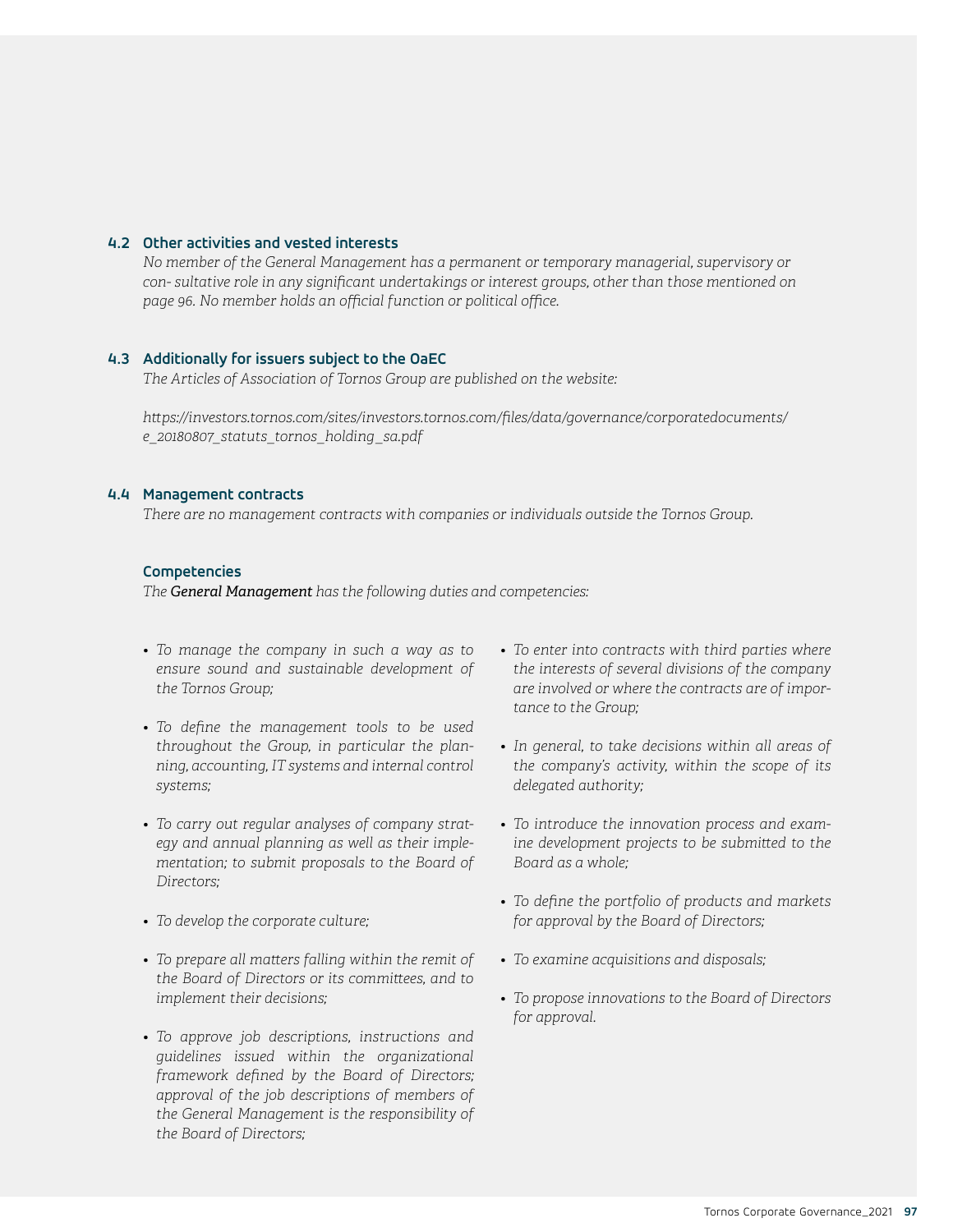#### **Other activities and vested interests 4.2**

*No member of the General Management has a permanent or temporary managerial, supervisory or con- sultative role in any significant undertakings or interest groups, other than those mentioned on page 96. No member holds an official function or political office.*

#### **Additionally for issuers subject to the OaEC 4.3**

*The Articles of Association of Tornos Group are published on the website:* 

*[https://investors.tornos.com/sites/investors.tornos.com/files/data/governance/corporatedocuments/](https://investors.tornos.com/sites/investors.tornos.com/files/data/governance/corporatedocuments/e_20180807_statuts_tornos_holding_sa.pdf) [e\\_20180807\\_statuts\\_tornos\\_holding\\_sa.pdf](https://investors.tornos.com/sites/investors.tornos.com/files/data/governance/corporatedocuments/e_20180807_statuts_tornos_holding_sa.pdf)*

#### **Management contracts 4.4**

*There are no management contracts with companies or individuals outside the Tornos Group.*

#### **Competencies**

*The General Management has the following duties and competencies:*

- *• To manage the company in such a way as to ensure sound and sustainable development of the Tornos Group;*
- *• To define the management tools to be used throughout the Group, in particular the planning, accounting, IT systems and internal control systems;*
- *• To carry out regular analyses of company strategy and annual planning as well as their implementation; to submit proposals to the Board of Directors;*
- *• To develop the corporate culture;*
- *• To prepare all matters falling within the remit of the Board of Directors or its committees, and to implement their decisions;*
- *• To approve job descriptions, instructions and guidelines issued within the organizational framework defined by the Board of Directors; approval of the job descriptions of members of the General Management is the responsibility of the Board of Directors;*
- *• To enter into contracts with third parties where the interests of several divisions of the company are involved or where the contracts are of importance to the Group;*
- *• In general, to take decisions within all areas of the company's activity, within the scope of its delegated authority;*
- *• To introduce the innovation process and examine development projects to be submitted to the Board as a whole;*
- *• To define the portfolio of products and markets for approval by the Board of Directors;*
- *• To examine acquisitions and disposals;*
- *• To propose innovations to the Board of Directors for approval.*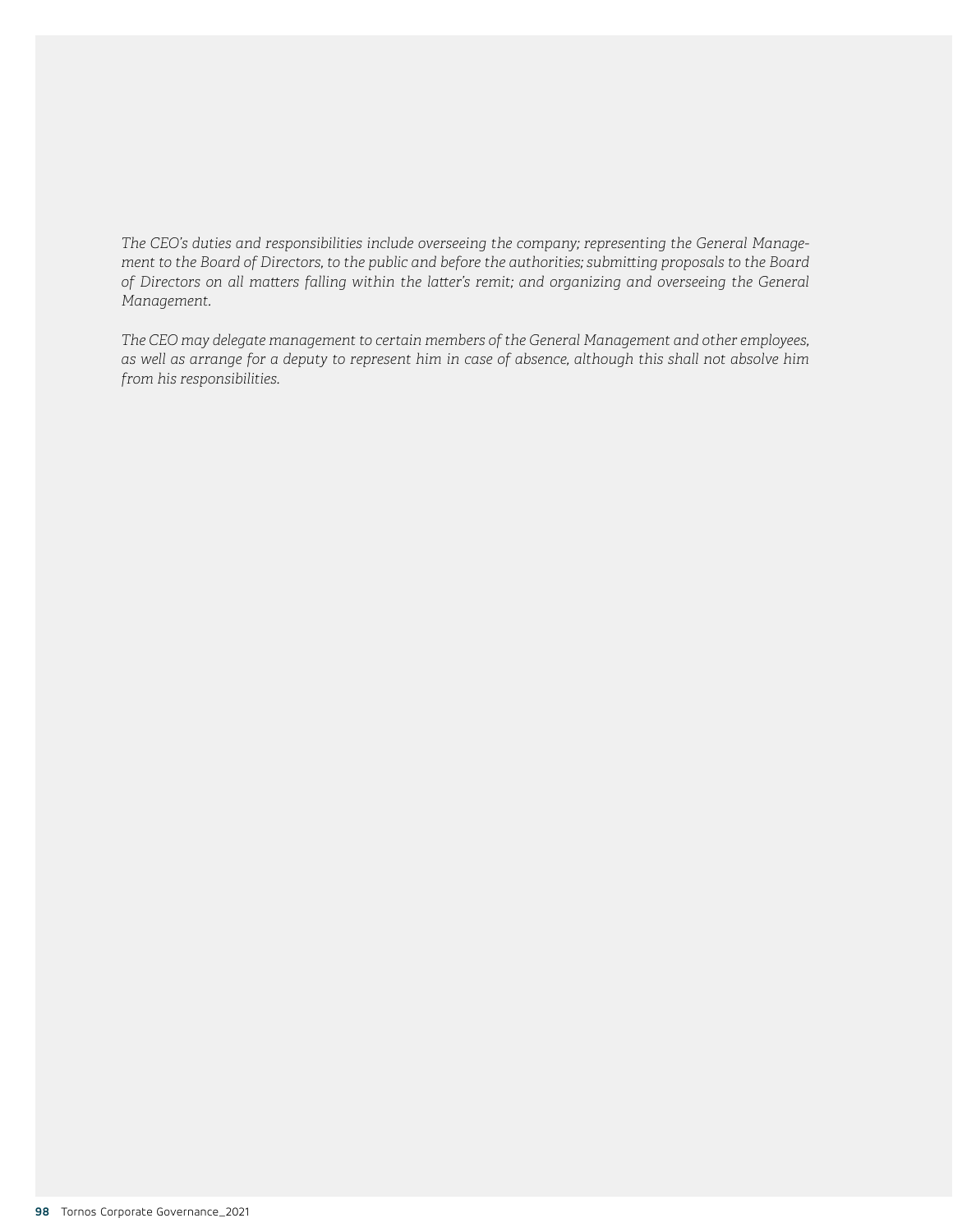*The CEO's duties and responsibilities include overseeing the company; representing the General Management to the Board of Directors, to the public and before the authorities; submitting proposals to the Board of Directors on all matters falling within the latter's remit; and organizing and overseeing the General Management.*

*The CEO may delegate management to certain members of the General Management and other employees, as well as arrange for a deputy to represent him in case of absence, although this shall not absolve him from his responsibilities.*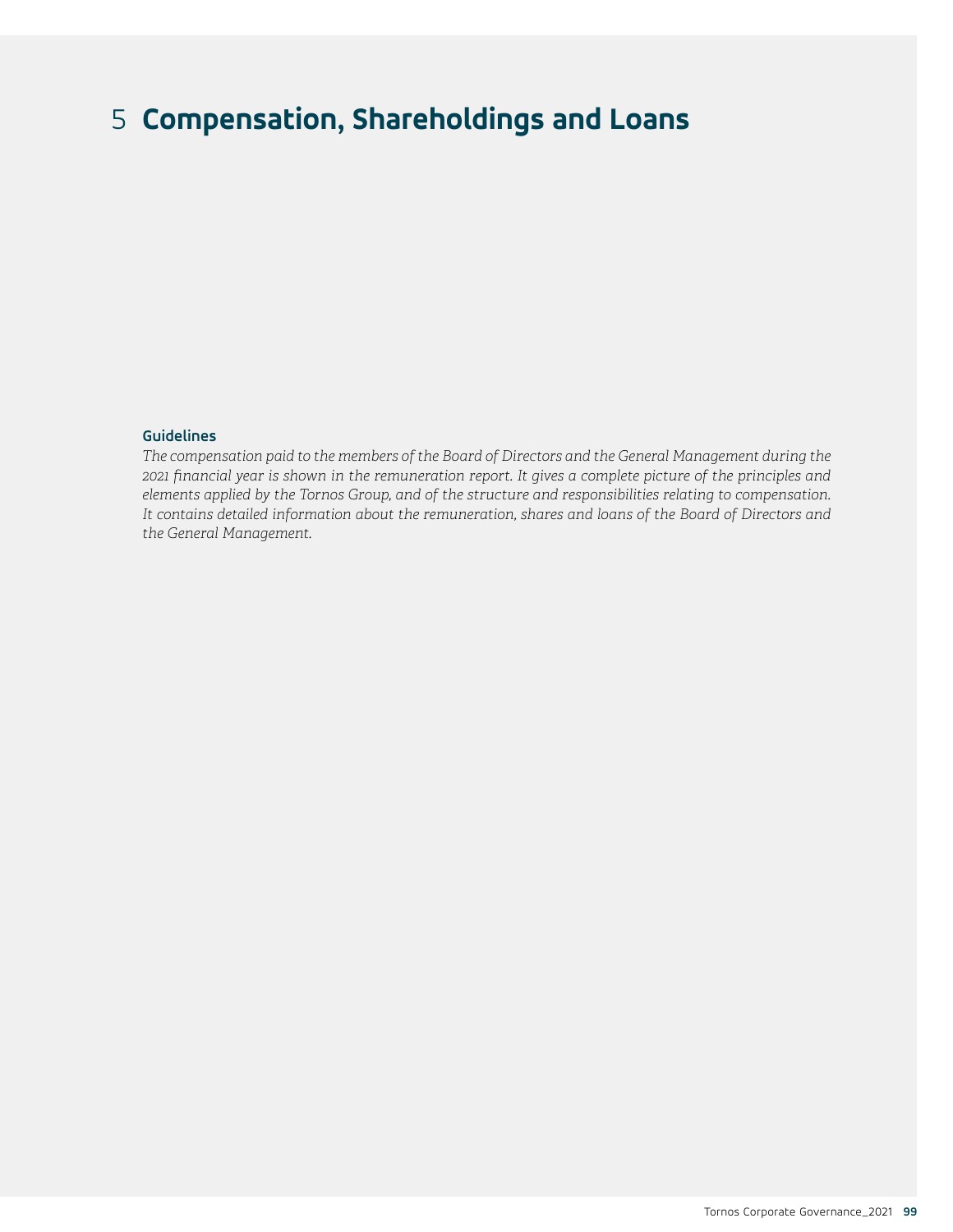### 5 **Compensation, Shareholdings and Loans**

#### **Guidelines**

*The compensation paid to the members of the Board of Directors and the General Management during the 2021 financial year is shown in the remuneration report. It gives a complete picture of the principles and elements applied by the Tornos Group, and of the structure and responsibilities relating to compensation. It contains detailed information about the remuneration, shares and loans of the Board of Directors and the General Management.*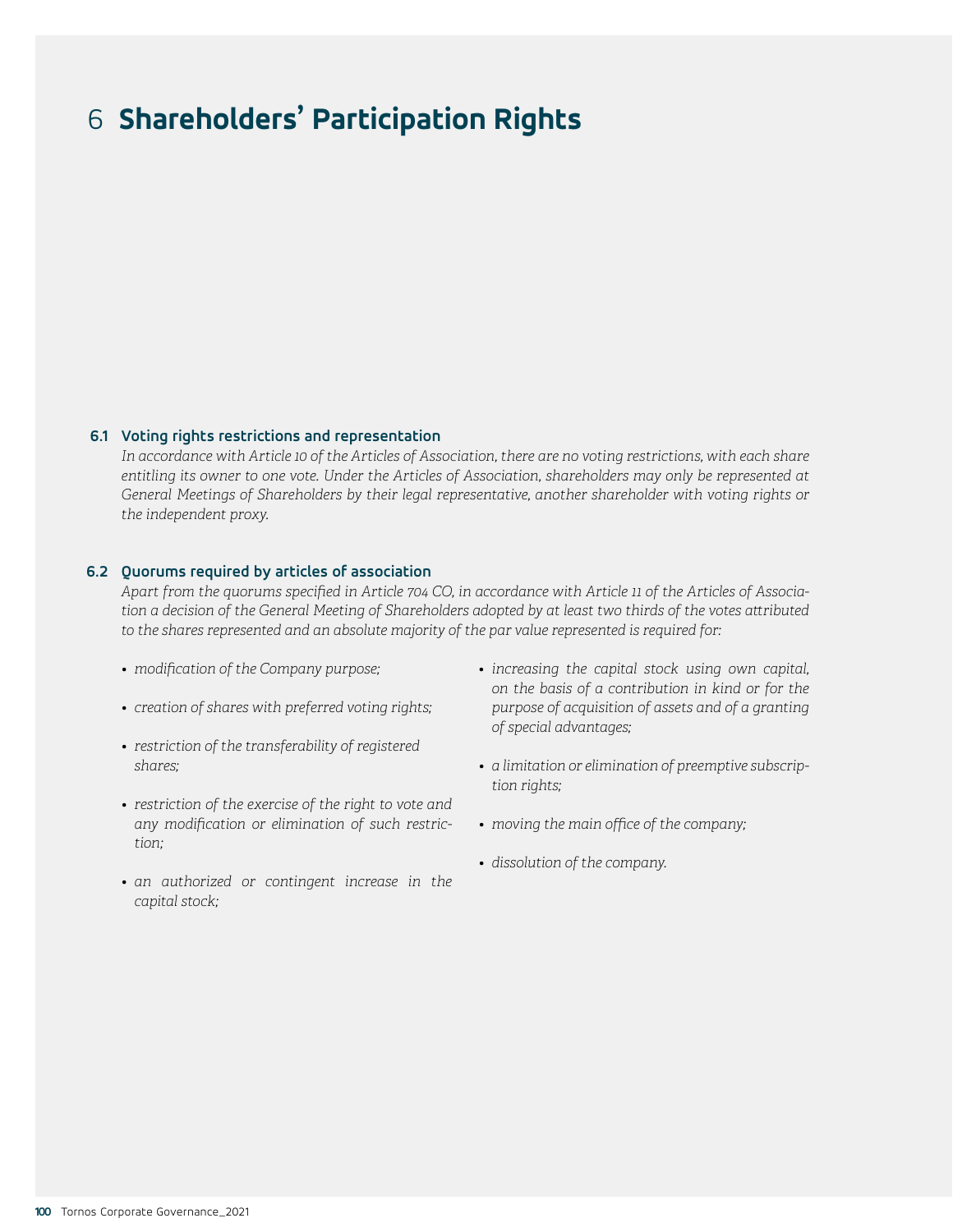### 6 **Shareholders' Participation Rights**

#### **Voting rights restrictions and representation 6.1**

*In accordance with Article 10 of the Articles of Association, there are no voting restrictions, with each share entitling its owner to one vote. Under the Articles of Association, shareholders may only be represented at General Meetings of Shareholders by their legal representative, another shareholder with voting rights or the independent proxy.*

#### **Quorums required by articles of association 6.2**

*Apart from the quorums specified in Article 704 CO, in accordance with Article 11 of the Articles of Association a decision of the General Meeting of Shareholders adopted by at least two thirds of the votes attributed to the shares represented and an absolute majority of the par value represented is required for:*

- *• modification of the Company purpose;*
- *• creation of shares with preferred voting rights;*
- *• restriction of the transferability of registered shares;*
- *• restriction of the exercise of the right to vote and any modification or elimination of such restriction;*
- *• an authorized or contingent increase in the capital stock;*
- *• increasing the capital stock using own capital, on the basis of a contribution in kind or for the purpose of acquisition of assets and of a granting of special advantages;*
- *• a limitation or elimination of preemptive subscription rights;*
- *• moving the main office of the company;*
- *• dissolution of the company.*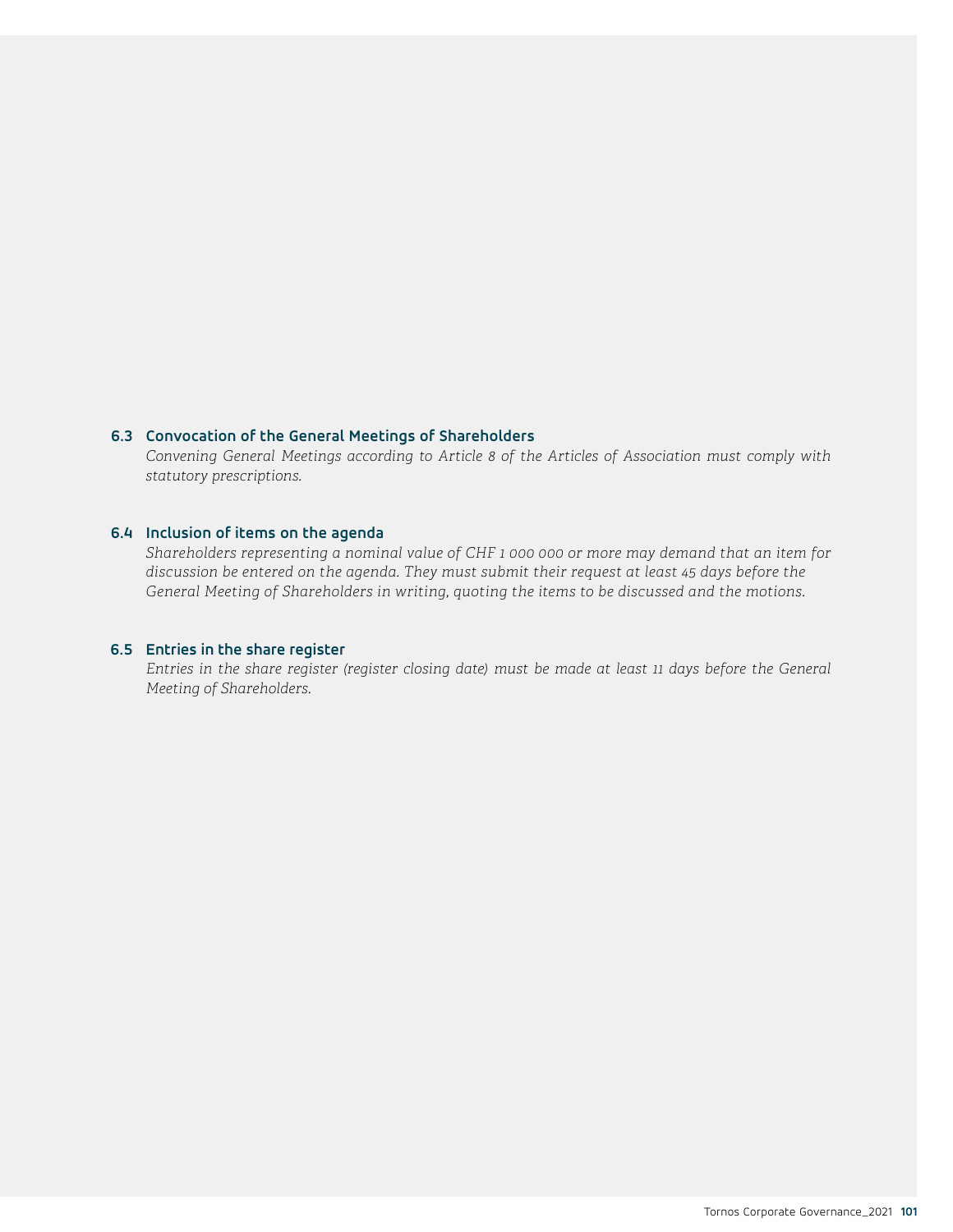#### **Convocation of the General Meetings of Shareholders 6.3**

*Convening General Meetings according to Article 8 of the Articles of Association must comply with statutory prescriptions.*

#### **Inclusion of items on the agenda 6.4**

*Shareholders representing a nominal value of CHF 1 000 000 or more may demand that an item for discussion be entered on the agenda. They must submit their request at least 45 days before the General Meeting of Shareholders in writing, quoting the items to be discussed and the motions.*

#### **Entries in the share register 6.5**

*Entries in the share register (register closing date) must be made at least 11 days before the General Meeting of Shareholders.*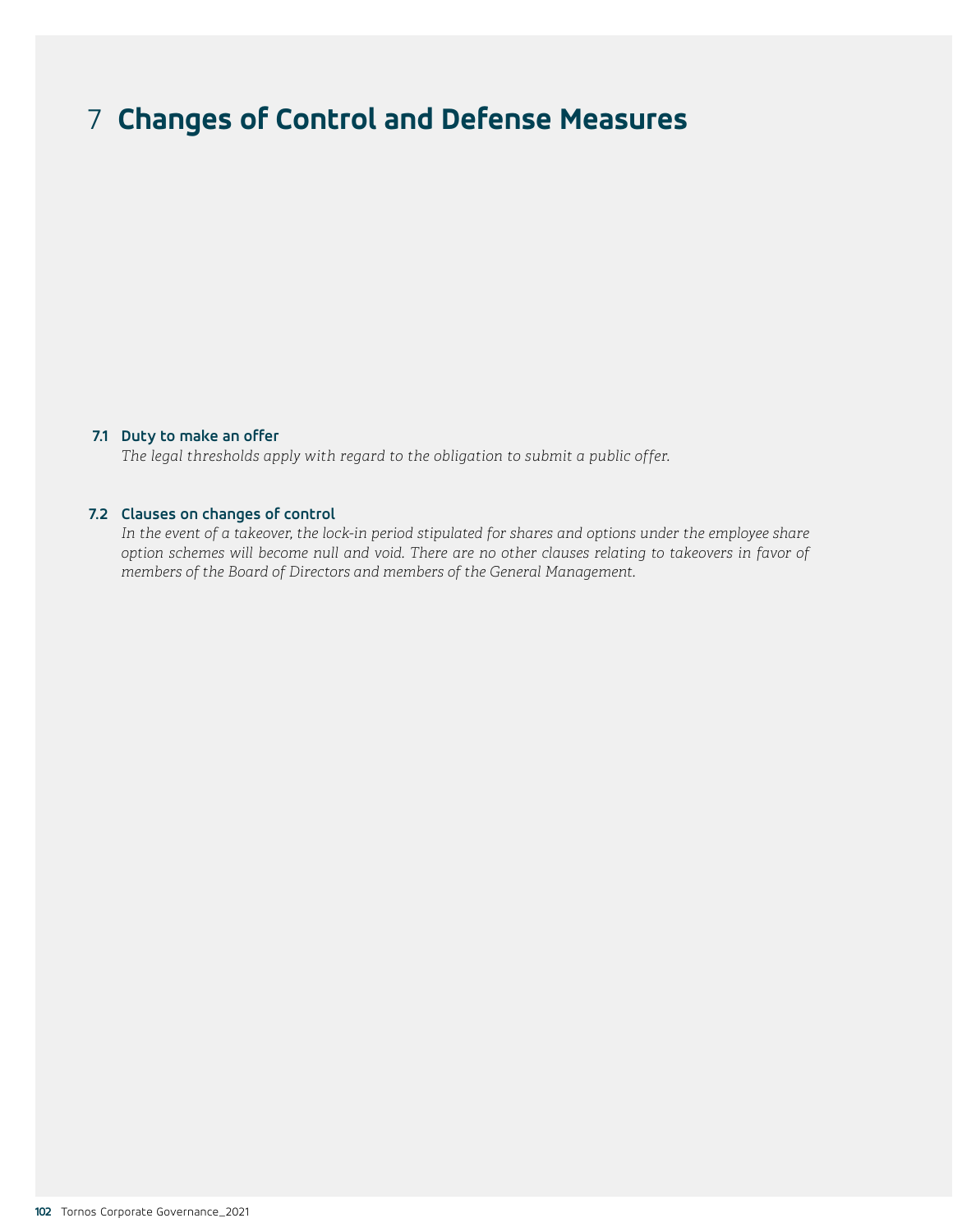### 7 **Changes of Control and Defense Measures**

#### **Duty to make an offer 7.1**

*The legal thresholds apply with regard to the obligation to submit a public offer.*

#### **Clauses on changes of control 7.2**

*In the event of a takeover, the lock-in period stipulated for shares and options under the employee share option schemes will become null and void. There are no other clauses relating to takeovers in favor of members of the Board of Directors and members of the General Management.*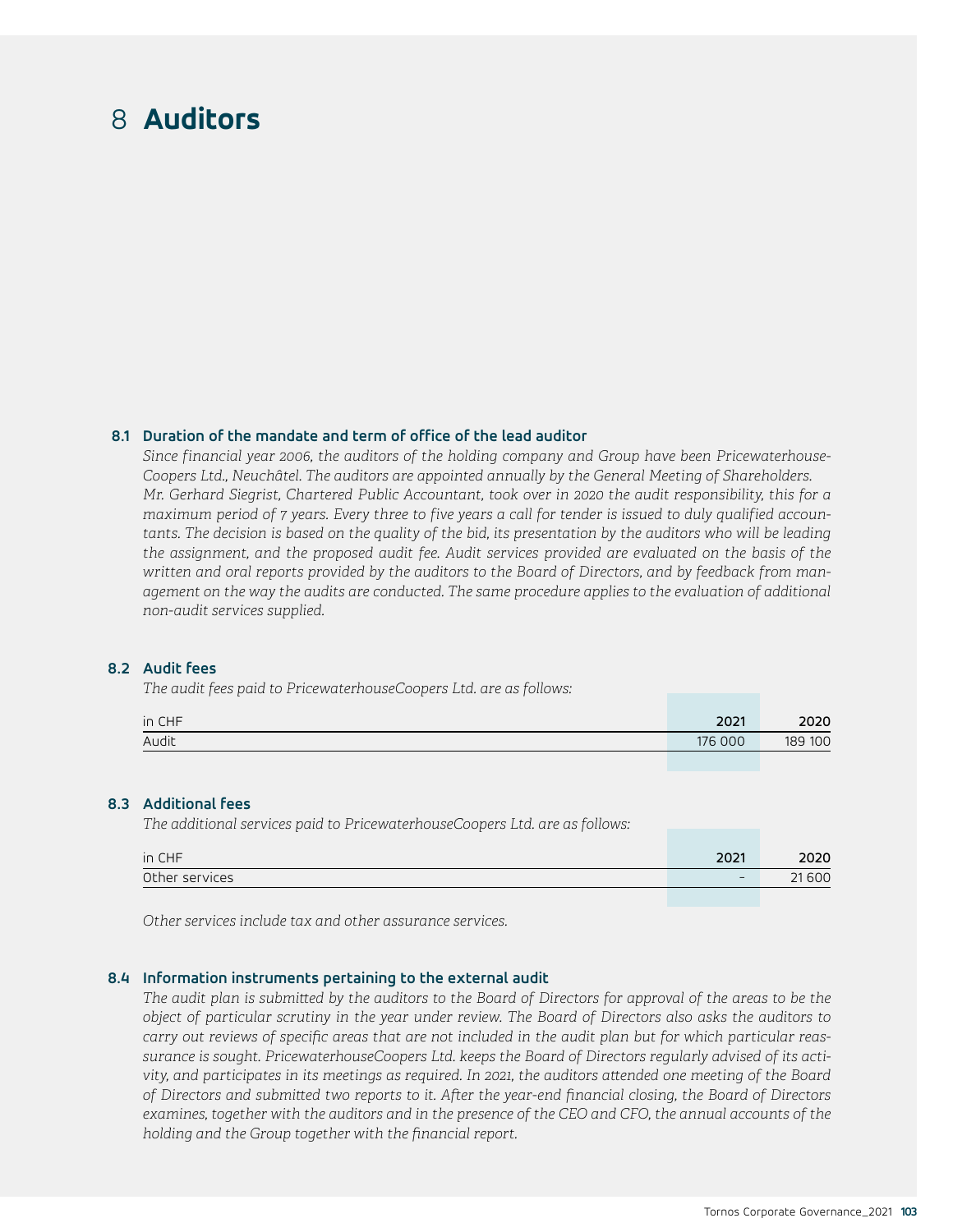### 8 **Auditors**

#### **Duration of the mandate and term of office of the lead auditor 8.1**

*Since financial year 2006, the auditors of the holding company and Group have been Pricewaterhouse-Coopers Ltd., Neuchâtel. The auditors are appointed annually by the General Meeting of Shareholders. Mr. Gerhard Siegrist, Chartered Public Accountant, took over in 2020 the audit responsibility, this for a maximum period of 7 years. Every three to five years a call for tender is issued to duly qualified accoun*tants. The decision is based on the quality of the bid, its presentation by the auditors who will be leading *the assignment, and the proposed audit fee. Audit services provided are evaluated on the basis of the written and oral reports provided by the auditors to the Board of Directors, and by feedback from man*agement on the way the audits are conducted. The same procedure applies to the evaluation of additional *non-audit services supplied.*

#### **Audit fees 8.2**

*The audit fees paid to PricewaterhouseCoopers Ltd. are as follows:*

| in CHF | <b>ברחר</b><br>ZUZI | .020       |
|--------|---------------------|------------|
| Audit  | 176 000             | 100<br>189 |

#### **Additional fees 8.3**

*The additional services paid to PricewaterhouseCoopers Ltd. are as follows:*

| in CHF         | 1001<br>ZUZI             | 2020   |
|----------------|--------------------------|--------|
| Other services | $\overline{\phantom{a}}$ | 21 600 |

*Other services include tax and other assurance services.*

#### **Information instruments pertaining to the external audit 8.4**

*The audit plan is submitted by the auditors to the Board of Directors for approval of the areas to be the object of particular scrutiny in the year under review. The Board of Directors also asks the auditors to carry out reviews of specific areas that are not included in the audit plan but for which particular reassurance is sought. PricewaterhouseCoopers Ltd. keeps the Board of Directors regularly advised of its activity, and participates in its meetings as required. In 2021, the auditors attended one meeting of the Board of Directors and submitted two reports to it. After the year-end financial closing, the Board of Directors examines, together with the auditors and in the presence of the CEO and CFO, the annual accounts of the holding and the Group together with the financial report.*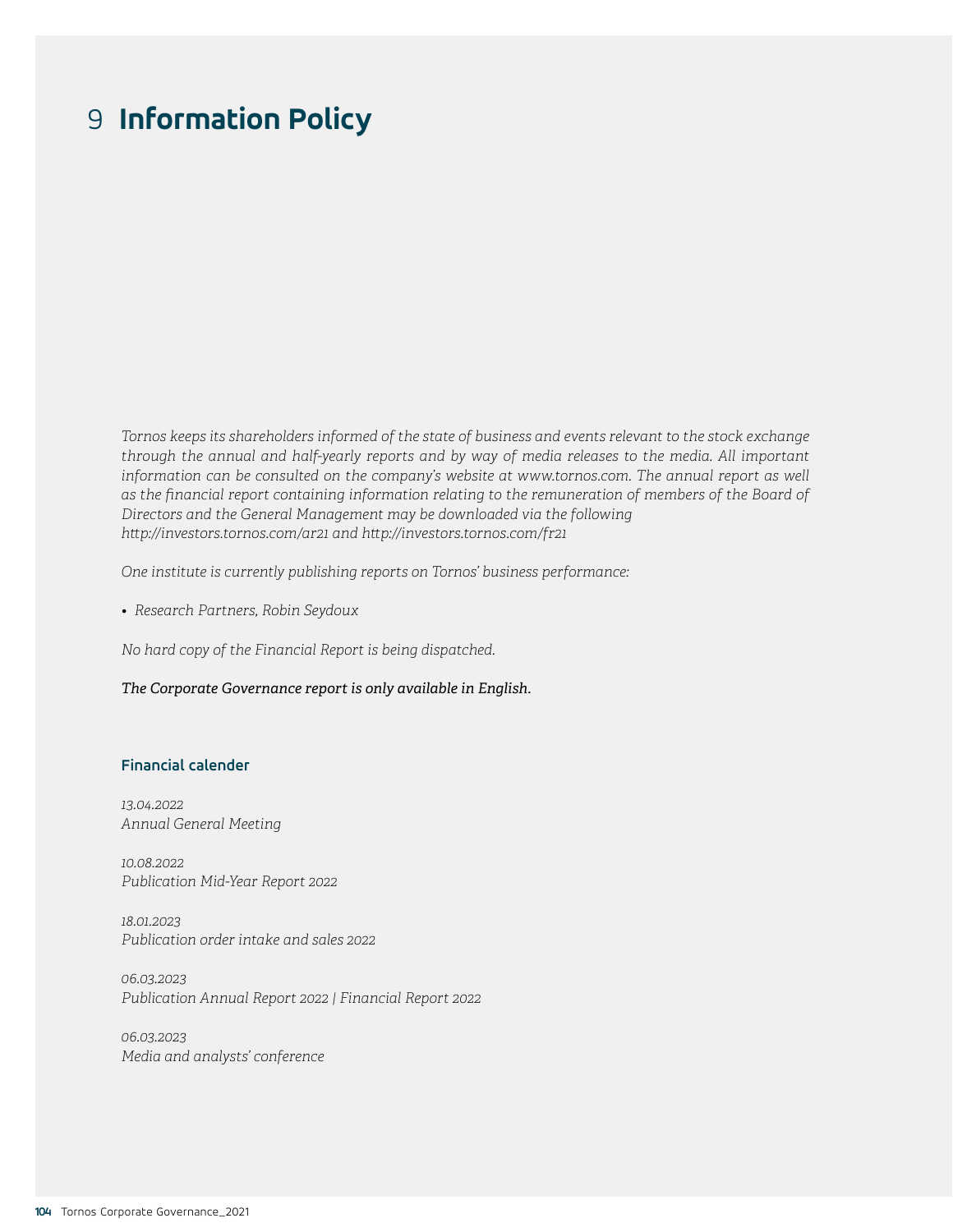### 9 **Information Policy**

*Tornos keeps its shareholders informed of the state of business and events relevant to the stock exchange through the annual and half-yearly reports and by way of media releases to the media. All important*  information can be consulted on the company's website at www.tornos.com. The annual report as well *as the financial report containing information relating to the remuneration of members of the Board of Directors and the General Management may be downloaded via the following <http://investors.tornos.com/ar21> and<http://investors.tornos.com/fr21>*

*One institute is currently publishing reports on Tornos' business performance:*

*• Research Partners, Robin Seydoux*

*No hard copy of the Financial Report is being dispatched.*

*The Corporate Governance report is only available in English.*

#### **Financial calender**

*13.04.2022 Annual General Meeting*

*10.08.2022 Publication Mid-Year Report 2022*

*18.01.2023 Publication order intake and sales 2022*

*06.03.2023 Publication Annual Report 2022 | Financial Report 2022*

*06.03.2023 Media and analysts' conference*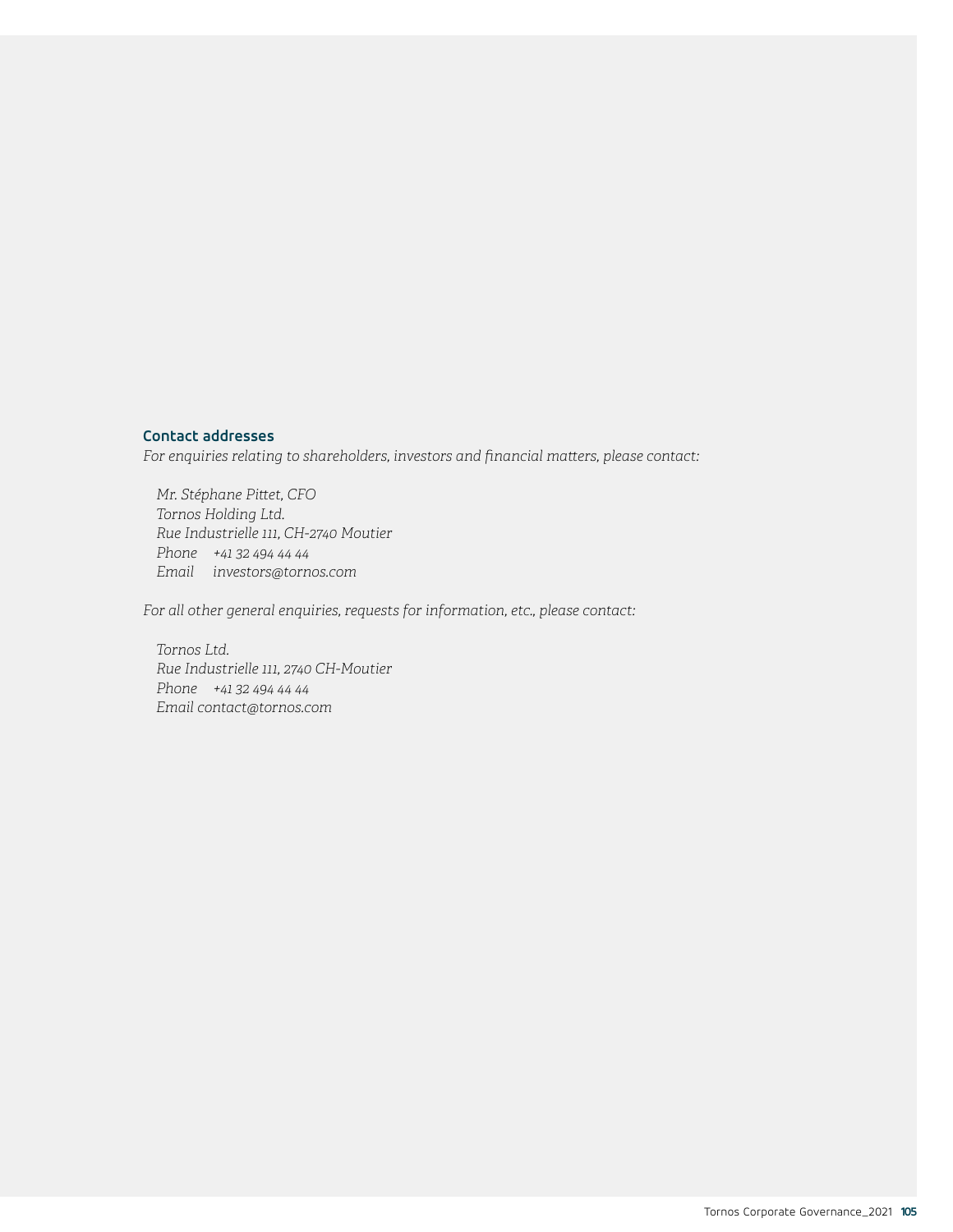#### **Contact addresses**

*For enquiries relating to shareholders, investors and financial matters, please contact:*

*Mr. Stéphane Pittet, CFO Tornos Holding Ltd. Rue Industrielle 111, CH-2740 Moutier Phone +41 32 494 44 44 Email investors@tornos.com*

*For all other general enquiries, requests for information, etc., please contact:* 

*Tornos Ltd. Rue Industrielle 111, 2740 CH-Moutier Phone +41 32 494 44 44 Email contact@tornos.com*